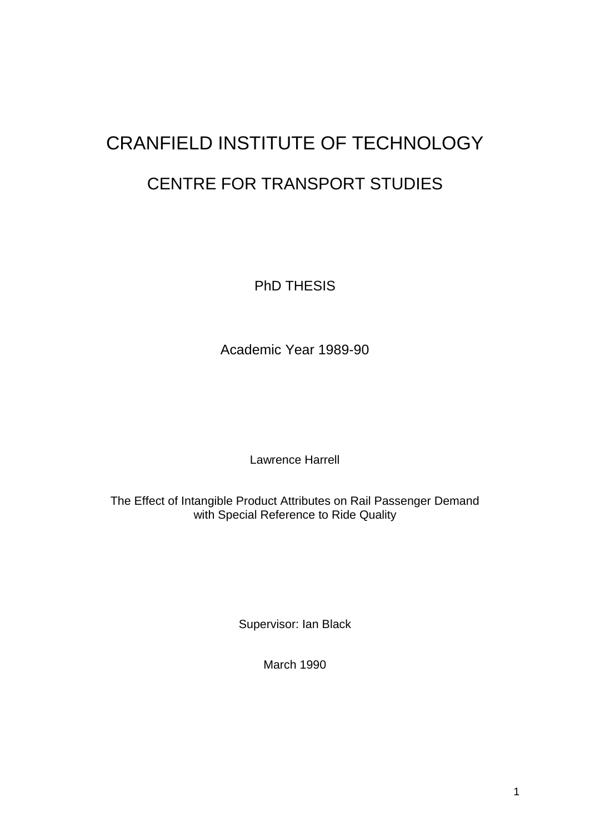# CRANFIELD INSTITUTE OF TECHNOLOGY CENTRE FOR TRANSPORT STUDIES

PhD THESIS

Academic Year 1989-90

Lawrence Harrell

The Effect of Intangible Product Attributes on Rail Passenger Demand with Special Reference to Ride Quality

Supervisor: Ian Black

March 1990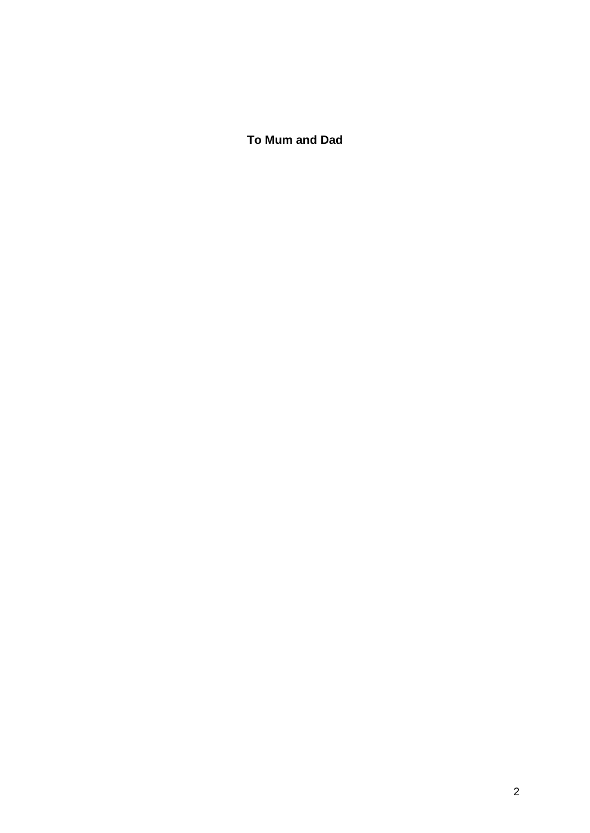**To Mum and Dad**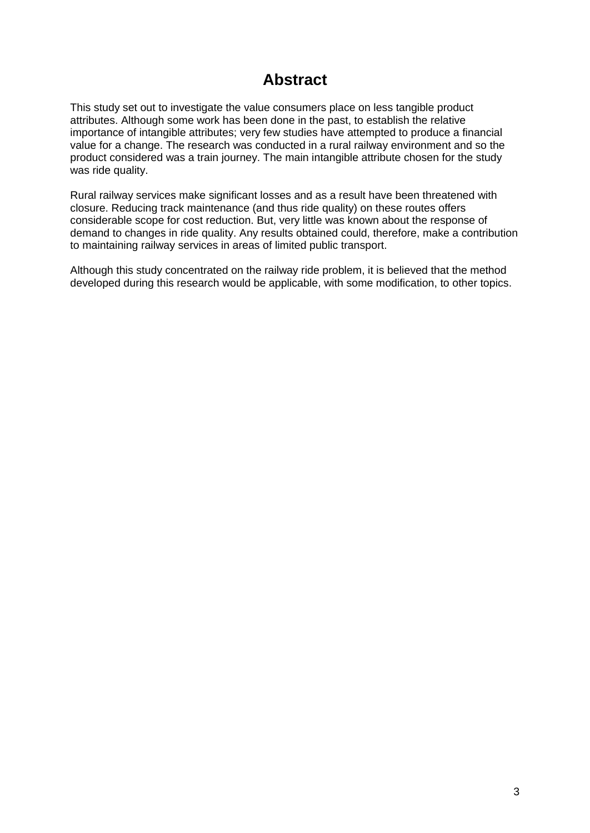# **Abstract**

This study set out to investigate the value consumers place on less tangible product attributes. Although some work has been done in the past, to establish the relative importance of intangible attributes; very few studies have attempted to produce a financial value for a change. The research was conducted in a rural railway environment and so the product considered was a train journey. The main intangible attribute chosen for the study was ride quality.

Rural railway services make significant losses and as a result have been threatened with closure. Reducing track maintenance (and thus ride quality) on these routes offers considerable scope for cost reduction. But, very little was known about the response of demand to changes in ride quality. Any results obtained could, therefore, make a contribution to maintaining railway services in areas of limited public transport.

Although this study concentrated on the railway ride problem, it is believed that the method developed during this research would be applicable, with some modification, to other topics.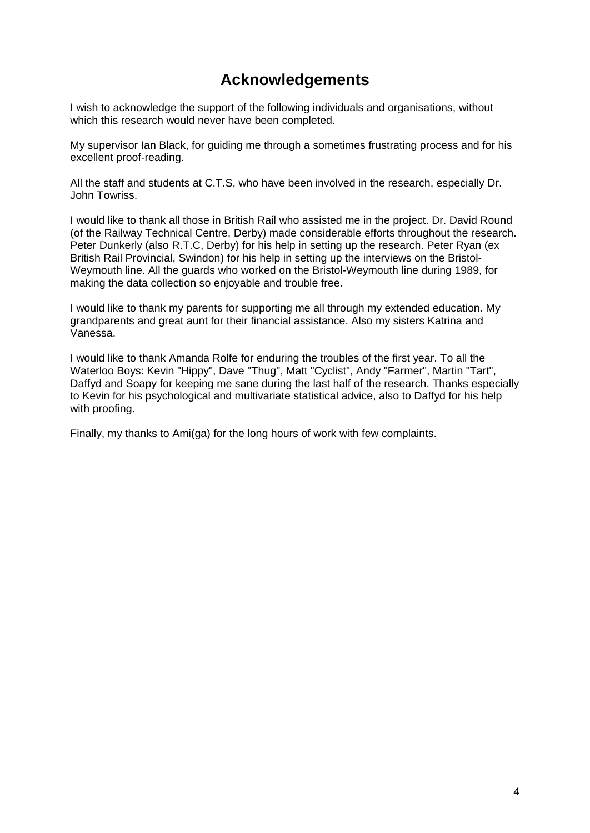# **Acknowledgements**

I wish to acknowledge the support of the following individuals and organisations, without which this research would never have been completed.

My supervisor Ian Black, for guiding me through a sometimes frustrating process and for his excellent proof-reading.

All the staff and students at C.T.S, who have been involved in the research, especially Dr. John Towriss.

I would like to thank all those in British Rail who assisted me in the project. Dr. David Round (of the Railway Technical Centre, Derby) made considerable efforts throughout the research. Peter Dunkerly (also R.T.C, Derby) for his help in setting up the research. Peter Ryan (ex British Rail Provincial, Swindon) for his help in setting up the interviews on the Bristol-Weymouth line. All the guards who worked on the Bristol-Weymouth line during 1989, for making the data collection so enjoyable and trouble free.

I would like to thank my parents for supporting me all through my extended education. My grandparents and great aunt for their financial assistance. Also my sisters Katrina and Vanessa.

I would like to thank Amanda Rolfe for enduring the troubles of the first year. To all the Waterloo Boys: Kevin "Hippy", Dave "Thug", Matt "Cyclist", Andy "Farmer", Martin "Tart", Daffyd and Soapy for keeping me sane during the last half of the research. Thanks especially to Kevin for his psychological and multivariate statistical advice, also to Daffyd for his help with proofing.

Finally, my thanks to Ami(ga) for the long hours of work with few complaints.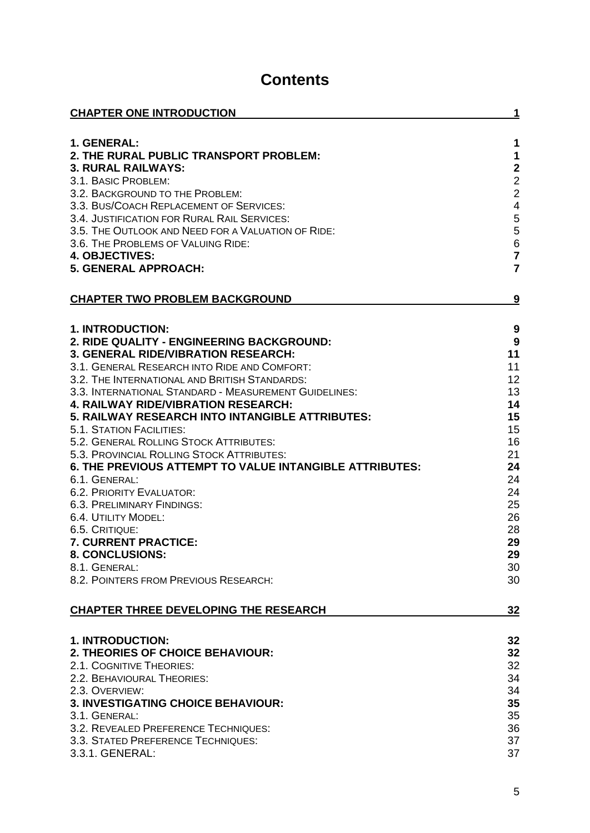# **Contents**

| 1. GENERAL:<br>1<br>$\mathbf 1$<br>2. THE RURAL PUBLIC TRANSPORT PROBLEM:<br>$\begin{array}{c} 2 \\ 2 \\ 2 \end{array}$<br><b>3. RURAL RAILWAYS:</b><br>3.1. BASIC PROBLEM:<br>3.2. BACKGROUND TO THE PROBLEM:<br>$\overline{\mathbf{4}}$<br>3.3. BUS/COACH REPLACEMENT OF SERVICES:<br>$\frac{5}{5}$<br>3.4. JUSTIFICATION FOR RURAL RAIL SERVICES:<br>3.5. THE OUTLOOK AND NEED FOR A VALUATION OF RIDE:<br>$\overline{6}$<br>3.6. THE PROBLEMS OF VALUING RIDE:<br>$\overline{7}$<br><b>4. OBJECTIVES:</b><br>$\overline{7}$<br><b>5. GENERAL APPROACH:</b><br><b>CHAPTER TWO PROBLEM BACKGROUND</b><br><u>9</u><br>1. INTRODUCTION:<br>9<br>$\boldsymbol{9}$<br>2. RIDE QUALITY - ENGINEERING BACKGROUND:<br><b>3. GENERAL RIDE/VIBRATION RESEARCH:</b><br>11<br>3.1. GENERAL RESEARCH INTO RIDE AND COMFORT:<br>11<br>12<br>3.2. THE INTERNATIONAL AND BRITISH STANDARDS:<br>13<br>3.3. INTERNATIONAL STANDARD - MEASUREMENT GUIDELINES:<br><b>4. RAILWAY RIDE/VIBRATION RESEARCH:</b><br>14<br>5. RAILWAY RESEARCH INTO INTANGIBLE ATTRIBUTES:<br>15<br>15<br><b>5.1. STATION FACILITIES:</b><br>16<br>5.2. GENERAL ROLLING STOCK ATTRIBUTES:<br>21<br>5.3. PROVINCIAL ROLLING STOCK ATTRIBUTES:<br><b>6. THE PREVIOUS ATTEMPT TO VALUE INTANGIBLE ATTRIBUTES:</b><br>24<br>6.1. GENERAL:<br>24<br>24<br>6.2. PRIORITY EVALUATOR:<br>25<br>6.3. PRELIMINARY FINDINGS:<br>6.4. UTILITY MODEL:<br>26<br>28<br>6.5. CRITIQUE:<br>29<br>7. CURRENT PRACTICE:<br>8. CONCLUSIONS:<br>29<br>30<br>8.1. GENERAL:<br>8.2. POINTERS FROM PREVIOUS RESEARCH:<br>30<br><b>CHAPTER THREE DEVELOPING THE RESEARCH</b><br>32<br><b>1. INTRODUCTION:</b><br>32<br>2. THEORIES OF CHOICE BEHAVIOUR:<br>32<br>2.1. COGNITIVE THEORIES:<br>32<br>34<br>2.2. BEHAVIOURAL THEORIES:<br>34<br>2.3. OVERVIEW:<br>3. INVESTIGATING CHOICE BEHAVIOUR:<br>35<br>35<br>3.1. GENERAL:<br>3.2. REVEALED PREFERENCE TECHNIQUES:<br>36<br>3.3. STATED PREFERENCE TECHNIQUES:<br>37<br>3.3.1. GENERAL:<br>37 | <b>CHAPTER ONE INTRODUCTION</b> | 1 |
|------------------------------------------------------------------------------------------------------------------------------------------------------------------------------------------------------------------------------------------------------------------------------------------------------------------------------------------------------------------------------------------------------------------------------------------------------------------------------------------------------------------------------------------------------------------------------------------------------------------------------------------------------------------------------------------------------------------------------------------------------------------------------------------------------------------------------------------------------------------------------------------------------------------------------------------------------------------------------------------------------------------------------------------------------------------------------------------------------------------------------------------------------------------------------------------------------------------------------------------------------------------------------------------------------------------------------------------------------------------------------------------------------------------------------------------------------------------------------------------------------------------------------------------------------------------------------------------------------------------------------------------------------------------------------------------------------------------------------------------------------------------------------------------------------------------------------------------------------------------------------------------------------------------------------------------------------------------------------------|---------------------------------|---|
|                                                                                                                                                                                                                                                                                                                                                                                                                                                                                                                                                                                                                                                                                                                                                                                                                                                                                                                                                                                                                                                                                                                                                                                                                                                                                                                                                                                                                                                                                                                                                                                                                                                                                                                                                                                                                                                                                                                                                                                    |                                 |   |
|                                                                                                                                                                                                                                                                                                                                                                                                                                                                                                                                                                                                                                                                                                                                                                                                                                                                                                                                                                                                                                                                                                                                                                                                                                                                                                                                                                                                                                                                                                                                                                                                                                                                                                                                                                                                                                                                                                                                                                                    |                                 |   |
|                                                                                                                                                                                                                                                                                                                                                                                                                                                                                                                                                                                                                                                                                                                                                                                                                                                                                                                                                                                                                                                                                                                                                                                                                                                                                                                                                                                                                                                                                                                                                                                                                                                                                                                                                                                                                                                                                                                                                                                    |                                 |   |
|                                                                                                                                                                                                                                                                                                                                                                                                                                                                                                                                                                                                                                                                                                                                                                                                                                                                                                                                                                                                                                                                                                                                                                                                                                                                                                                                                                                                                                                                                                                                                                                                                                                                                                                                                                                                                                                                                                                                                                                    |                                 |   |
|                                                                                                                                                                                                                                                                                                                                                                                                                                                                                                                                                                                                                                                                                                                                                                                                                                                                                                                                                                                                                                                                                                                                                                                                                                                                                                                                                                                                                                                                                                                                                                                                                                                                                                                                                                                                                                                                                                                                                                                    |                                 |   |
|                                                                                                                                                                                                                                                                                                                                                                                                                                                                                                                                                                                                                                                                                                                                                                                                                                                                                                                                                                                                                                                                                                                                                                                                                                                                                                                                                                                                                                                                                                                                                                                                                                                                                                                                                                                                                                                                                                                                                                                    |                                 |   |
|                                                                                                                                                                                                                                                                                                                                                                                                                                                                                                                                                                                                                                                                                                                                                                                                                                                                                                                                                                                                                                                                                                                                                                                                                                                                                                                                                                                                                                                                                                                                                                                                                                                                                                                                                                                                                                                                                                                                                                                    |                                 |   |
|                                                                                                                                                                                                                                                                                                                                                                                                                                                                                                                                                                                                                                                                                                                                                                                                                                                                                                                                                                                                                                                                                                                                                                                                                                                                                                                                                                                                                                                                                                                                                                                                                                                                                                                                                                                                                                                                                                                                                                                    |                                 |   |
|                                                                                                                                                                                                                                                                                                                                                                                                                                                                                                                                                                                                                                                                                                                                                                                                                                                                                                                                                                                                                                                                                                                                                                                                                                                                                                                                                                                                                                                                                                                                                                                                                                                                                                                                                                                                                                                                                                                                                                                    |                                 |   |
|                                                                                                                                                                                                                                                                                                                                                                                                                                                                                                                                                                                                                                                                                                                                                                                                                                                                                                                                                                                                                                                                                                                                                                                                                                                                                                                                                                                                                                                                                                                                                                                                                                                                                                                                                                                                                                                                                                                                                                                    |                                 |   |
|                                                                                                                                                                                                                                                                                                                                                                                                                                                                                                                                                                                                                                                                                                                                                                                                                                                                                                                                                                                                                                                                                                                                                                                                                                                                                                                                                                                                                                                                                                                                                                                                                                                                                                                                                                                                                                                                                                                                                                                    |                                 |   |
|                                                                                                                                                                                                                                                                                                                                                                                                                                                                                                                                                                                                                                                                                                                                                                                                                                                                                                                                                                                                                                                                                                                                                                                                                                                                                                                                                                                                                                                                                                                                                                                                                                                                                                                                                                                                                                                                                                                                                                                    |                                 |   |
|                                                                                                                                                                                                                                                                                                                                                                                                                                                                                                                                                                                                                                                                                                                                                                                                                                                                                                                                                                                                                                                                                                                                                                                                                                                                                                                                                                                                                                                                                                                                                                                                                                                                                                                                                                                                                                                                                                                                                                                    |                                 |   |
|                                                                                                                                                                                                                                                                                                                                                                                                                                                                                                                                                                                                                                                                                                                                                                                                                                                                                                                                                                                                                                                                                                                                                                                                                                                                                                                                                                                                                                                                                                                                                                                                                                                                                                                                                                                                                                                                                                                                                                                    |                                 |   |
|                                                                                                                                                                                                                                                                                                                                                                                                                                                                                                                                                                                                                                                                                                                                                                                                                                                                                                                                                                                                                                                                                                                                                                                                                                                                                                                                                                                                                                                                                                                                                                                                                                                                                                                                                                                                                                                                                                                                                                                    |                                 |   |
|                                                                                                                                                                                                                                                                                                                                                                                                                                                                                                                                                                                                                                                                                                                                                                                                                                                                                                                                                                                                                                                                                                                                                                                                                                                                                                                                                                                                                                                                                                                                                                                                                                                                                                                                                                                                                                                                                                                                                                                    |                                 |   |
|                                                                                                                                                                                                                                                                                                                                                                                                                                                                                                                                                                                                                                                                                                                                                                                                                                                                                                                                                                                                                                                                                                                                                                                                                                                                                                                                                                                                                                                                                                                                                                                                                                                                                                                                                                                                                                                                                                                                                                                    |                                 |   |
|                                                                                                                                                                                                                                                                                                                                                                                                                                                                                                                                                                                                                                                                                                                                                                                                                                                                                                                                                                                                                                                                                                                                                                                                                                                                                                                                                                                                                                                                                                                                                                                                                                                                                                                                                                                                                                                                                                                                                                                    |                                 |   |
|                                                                                                                                                                                                                                                                                                                                                                                                                                                                                                                                                                                                                                                                                                                                                                                                                                                                                                                                                                                                                                                                                                                                                                                                                                                                                                                                                                                                                                                                                                                                                                                                                                                                                                                                                                                                                                                                                                                                                                                    |                                 |   |
|                                                                                                                                                                                                                                                                                                                                                                                                                                                                                                                                                                                                                                                                                                                                                                                                                                                                                                                                                                                                                                                                                                                                                                                                                                                                                                                                                                                                                                                                                                                                                                                                                                                                                                                                                                                                                                                                                                                                                                                    |                                 |   |
|                                                                                                                                                                                                                                                                                                                                                                                                                                                                                                                                                                                                                                                                                                                                                                                                                                                                                                                                                                                                                                                                                                                                                                                                                                                                                                                                                                                                                                                                                                                                                                                                                                                                                                                                                                                                                                                                                                                                                                                    |                                 |   |
|                                                                                                                                                                                                                                                                                                                                                                                                                                                                                                                                                                                                                                                                                                                                                                                                                                                                                                                                                                                                                                                                                                                                                                                                                                                                                                                                                                                                                                                                                                                                                                                                                                                                                                                                                                                                                                                                                                                                                                                    |                                 |   |
|                                                                                                                                                                                                                                                                                                                                                                                                                                                                                                                                                                                                                                                                                                                                                                                                                                                                                                                                                                                                                                                                                                                                                                                                                                                                                                                                                                                                                                                                                                                                                                                                                                                                                                                                                                                                                                                                                                                                                                                    |                                 |   |
|                                                                                                                                                                                                                                                                                                                                                                                                                                                                                                                                                                                                                                                                                                                                                                                                                                                                                                                                                                                                                                                                                                                                                                                                                                                                                                                                                                                                                                                                                                                                                                                                                                                                                                                                                                                                                                                                                                                                                                                    |                                 |   |
|                                                                                                                                                                                                                                                                                                                                                                                                                                                                                                                                                                                                                                                                                                                                                                                                                                                                                                                                                                                                                                                                                                                                                                                                                                                                                                                                                                                                                                                                                                                                                                                                                                                                                                                                                                                                                                                                                                                                                                                    |                                 |   |
|                                                                                                                                                                                                                                                                                                                                                                                                                                                                                                                                                                                                                                                                                                                                                                                                                                                                                                                                                                                                                                                                                                                                                                                                                                                                                                                                                                                                                                                                                                                                                                                                                                                                                                                                                                                                                                                                                                                                                                                    |                                 |   |
|                                                                                                                                                                                                                                                                                                                                                                                                                                                                                                                                                                                                                                                                                                                                                                                                                                                                                                                                                                                                                                                                                                                                                                                                                                                                                                                                                                                                                                                                                                                                                                                                                                                                                                                                                                                                                                                                                                                                                                                    |                                 |   |
|                                                                                                                                                                                                                                                                                                                                                                                                                                                                                                                                                                                                                                                                                                                                                                                                                                                                                                                                                                                                                                                                                                                                                                                                                                                                                                                                                                                                                                                                                                                                                                                                                                                                                                                                                                                                                                                                                                                                                                                    |                                 |   |
|                                                                                                                                                                                                                                                                                                                                                                                                                                                                                                                                                                                                                                                                                                                                                                                                                                                                                                                                                                                                                                                                                                                                                                                                                                                                                                                                                                                                                                                                                                                                                                                                                                                                                                                                                                                                                                                                                                                                                                                    |                                 |   |
|                                                                                                                                                                                                                                                                                                                                                                                                                                                                                                                                                                                                                                                                                                                                                                                                                                                                                                                                                                                                                                                                                                                                                                                                                                                                                                                                                                                                                                                                                                                                                                                                                                                                                                                                                                                                                                                                                                                                                                                    |                                 |   |
|                                                                                                                                                                                                                                                                                                                                                                                                                                                                                                                                                                                                                                                                                                                                                                                                                                                                                                                                                                                                                                                                                                                                                                                                                                                                                                                                                                                                                                                                                                                                                                                                                                                                                                                                                                                                                                                                                                                                                                                    |                                 |   |
|                                                                                                                                                                                                                                                                                                                                                                                                                                                                                                                                                                                                                                                                                                                                                                                                                                                                                                                                                                                                                                                                                                                                                                                                                                                                                                                                                                                                                                                                                                                                                                                                                                                                                                                                                                                                                                                                                                                                                                                    |                                 |   |
|                                                                                                                                                                                                                                                                                                                                                                                                                                                                                                                                                                                                                                                                                                                                                                                                                                                                                                                                                                                                                                                                                                                                                                                                                                                                                                                                                                                                                                                                                                                                                                                                                                                                                                                                                                                                                                                                                                                                                                                    |                                 |   |
|                                                                                                                                                                                                                                                                                                                                                                                                                                                                                                                                                                                                                                                                                                                                                                                                                                                                                                                                                                                                                                                                                                                                                                                                                                                                                                                                                                                                                                                                                                                                                                                                                                                                                                                                                                                                                                                                                                                                                                                    |                                 |   |
|                                                                                                                                                                                                                                                                                                                                                                                                                                                                                                                                                                                                                                                                                                                                                                                                                                                                                                                                                                                                                                                                                                                                                                                                                                                                                                                                                                                                                                                                                                                                                                                                                                                                                                                                                                                                                                                                                                                                                                                    |                                 |   |
|                                                                                                                                                                                                                                                                                                                                                                                                                                                                                                                                                                                                                                                                                                                                                                                                                                                                                                                                                                                                                                                                                                                                                                                                                                                                                                                                                                                                                                                                                                                                                                                                                                                                                                                                                                                                                                                                                                                                                                                    |                                 |   |
|                                                                                                                                                                                                                                                                                                                                                                                                                                                                                                                                                                                                                                                                                                                                                                                                                                                                                                                                                                                                                                                                                                                                                                                                                                                                                                                                                                                                                                                                                                                                                                                                                                                                                                                                                                                                                                                                                                                                                                                    |                                 |   |
|                                                                                                                                                                                                                                                                                                                                                                                                                                                                                                                                                                                                                                                                                                                                                                                                                                                                                                                                                                                                                                                                                                                                                                                                                                                                                                                                                                                                                                                                                                                                                                                                                                                                                                                                                                                                                                                                                                                                                                                    |                                 |   |
|                                                                                                                                                                                                                                                                                                                                                                                                                                                                                                                                                                                                                                                                                                                                                                                                                                                                                                                                                                                                                                                                                                                                                                                                                                                                                                                                                                                                                                                                                                                                                                                                                                                                                                                                                                                                                                                                                                                                                                                    |                                 |   |
|                                                                                                                                                                                                                                                                                                                                                                                                                                                                                                                                                                                                                                                                                                                                                                                                                                                                                                                                                                                                                                                                                                                                                                                                                                                                                                                                                                                                                                                                                                                                                                                                                                                                                                                                                                                                                                                                                                                                                                                    |                                 |   |
|                                                                                                                                                                                                                                                                                                                                                                                                                                                                                                                                                                                                                                                                                                                                                                                                                                                                                                                                                                                                                                                                                                                                                                                                                                                                                                                                                                                                                                                                                                                                                                                                                                                                                                                                                                                                                                                                                                                                                                                    |                                 |   |
|                                                                                                                                                                                                                                                                                                                                                                                                                                                                                                                                                                                                                                                                                                                                                                                                                                                                                                                                                                                                                                                                                                                                                                                                                                                                                                                                                                                                                                                                                                                                                                                                                                                                                                                                                                                                                                                                                                                                                                                    |                                 |   |
|                                                                                                                                                                                                                                                                                                                                                                                                                                                                                                                                                                                                                                                                                                                                                                                                                                                                                                                                                                                                                                                                                                                                                                                                                                                                                                                                                                                                                                                                                                                                                                                                                                                                                                                                                                                                                                                                                                                                                                                    |                                 |   |
|                                                                                                                                                                                                                                                                                                                                                                                                                                                                                                                                                                                                                                                                                                                                                                                                                                                                                                                                                                                                                                                                                                                                                                                                                                                                                                                                                                                                                                                                                                                                                                                                                                                                                                                                                                                                                                                                                                                                                                                    |                                 |   |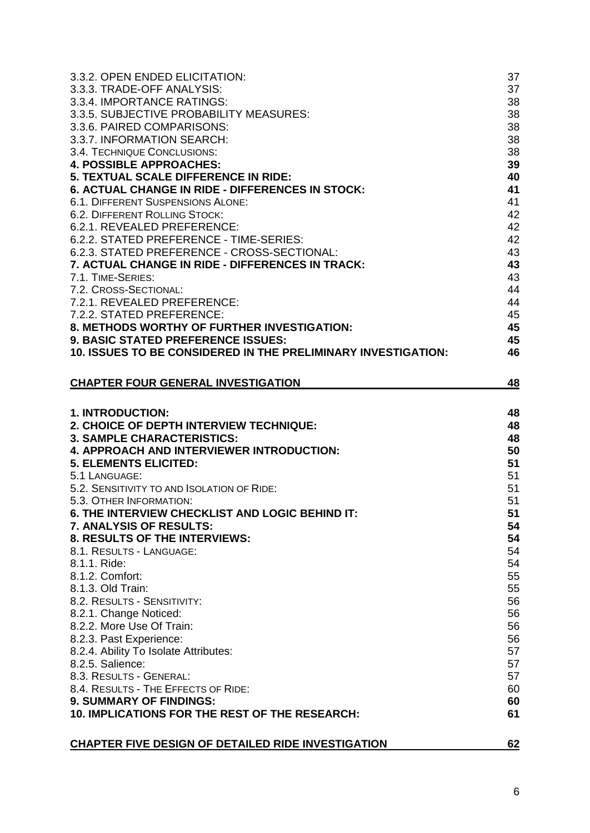| 3.3.2. OPEN ENDED ELICITATION:                                                         | 37        |
|----------------------------------------------------------------------------------------|-----------|
| 3.3.3. TRADE-OFF ANALYSIS:                                                             | 37        |
| 3.3.4. IMPORTANCE RATINGS:                                                             | 38        |
| 3.3.5. SUBJECTIVE PROBABILITY MEASURES:                                                | 38        |
| 3.3.6. PAIRED COMPARISONS:                                                             | 38        |
| 3.3.7. INFORMATION SEARCH:                                                             | 38        |
| 3.4. TECHNIQUE CONCLUSIONS:                                                            | 38        |
| <b>4. POSSIBLE APPROACHES:</b>                                                         | 39        |
| 5. TEXTUAL SCALE DIFFERENCE IN RIDE:                                                   | 40        |
| 6. ACTUAL CHANGE IN RIDE - DIFFERENCES IN STOCK:                                       | 41        |
| <b>6.1. DIFFERENT SUSPENSIONS ALONE:</b>                                               | 41        |
| 6.2. DIFFERENT ROLLING STOCK:                                                          | 42        |
| 6.2.1. REVEALED PREFERENCE:                                                            | 42        |
| 6.2.2. STATED PREFERENCE - TIME-SERIES:<br>6.2.3. STATED PREFERENCE - CROSS-SECTIONAL: | 42        |
| 7. ACTUAL CHANGE IN RIDE - DIFFERENCES IN TRACK:                                       | 43<br>43  |
| 7.1. TIME-SERIES:                                                                      | 43        |
| 7.2. CROSS-SECTIONAL:                                                                  | 44        |
| 7.2.1. REVEALED PREFERENCE:                                                            | 44        |
| 7.2.2. STATED PREFERENCE:                                                              | 45        |
| 8. METHODS WORTHY OF FURTHER INVESTIGATION:                                            | 45        |
| <b>9. BASIC STATED PREFERENCE ISSUES:</b>                                              | 45        |
| 10. ISSUES TO BE CONSIDERED IN THE PRELIMINARY INVESTIGATION:                          | 46        |
|                                                                                        |           |
| <b>CHAPTER FOUR GENERAL INVESTIGATION</b>                                              | <u>48</u> |
|                                                                                        |           |
|                                                                                        |           |
| <b>1. INTRODUCTION:</b><br>2. CHOICE OF DEPTH INTERVIEW TECHNIQUE:                     | 48<br>48  |
| <b>3. SAMPLE CHARACTERISTICS:</b>                                                      | 48        |
| <b>4. APPROACH AND INTERVIEWER INTRODUCTION:</b>                                       | 50        |
| <b>5. ELEMENTS ELICITED:</b>                                                           | 51        |
| 5.1 LANGUAGE:                                                                          | 51        |
| 5.2. SENSITIVITY TO AND ISOLATION OF RIDE:                                             | 51        |
| 5.3. OTHER INFORMATION:                                                                | 51        |
| 6. THE INTERVIEW CHECKLIST AND LOGIC BEHIND IT:                                        | 51        |
| 7. ANALYSIS OF RESULTS:                                                                | 54        |
| 8. RESULTS OF THE INTERVIEWS:                                                          | 54        |
| 8.1. RESULTS - LANGUAGE:                                                               | 54        |
| 8.1.1. Ride:                                                                           | 54        |
| 8.1.2. Comfort:                                                                        | 55        |
| 8.1.3. Old Train:                                                                      | 55        |
| 8.2. RESULTS - SENSITIVITY:                                                            | 56        |
| 8.2.1. Change Noticed:                                                                 | 56        |
| 8.2.2. More Use Of Train:                                                              | 56        |
| 8.2.3. Past Experience:                                                                | 56        |
| 8.2.4. Ability To Isolate Attributes:                                                  | 57        |
| 8.2.5. Salience:                                                                       | 57        |
| 8.3. RESULTS - GENERAL:                                                                | 57        |
| 8.4. RESULTS - THE EFFECTS OF RIDE:<br>9. SUMMARY OF FINDINGS:                         | 60<br>60  |
| 10. IMPLICATIONS FOR THE REST OF THE RESEARCH:                                         | 61        |
|                                                                                        |           |
|                                                                                        |           |
| <b>CHAPTER FIVE DESIGN OF DETAILED RIDE INVESTIGATION</b>                              | 62        |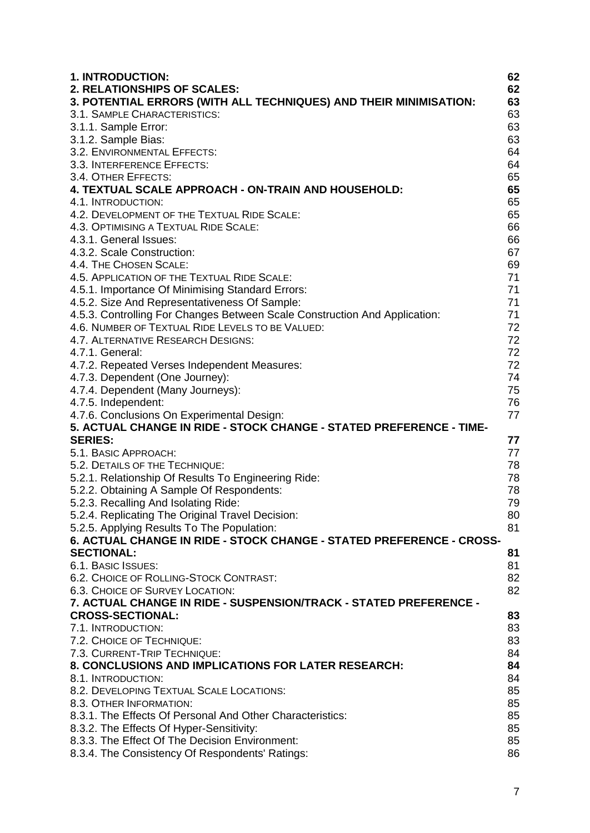| 1. INTRODUCTION:                                                           | 62       |
|----------------------------------------------------------------------------|----------|
| 2. RELATIONSHIPS OF SCALES:                                                | 62       |
| 3. POTENTIAL ERRORS (WITH ALL TECHNIQUES) AND THEIR MINIMISATION:          | 63       |
| 3.1. SAMPLE CHARACTERISTICS:                                               | 63       |
| 3.1.1. Sample Error:                                                       | 63       |
| 3.1.2. Sample Bias:                                                        | 63       |
| 3.2. ENVIRONMENTAL EFFECTS:                                                | 64       |
| 3.3. INTERFERENCE EFFECTS:                                                 | 64       |
| 3.4. OTHER EFFECTS:                                                        | 65       |
| 4. TEXTUAL SCALE APPROACH - ON-TRAIN AND HOUSEHOLD:                        | 65       |
| 4.1. INTRODUCTION:                                                         | 65       |
| 4.2. DEVELOPMENT OF THE TEXTUAL RIDE SCALE:                                | 65       |
| 4.3. OPTIMISING A TEXTUAL RIDE SCALE:                                      | 66       |
| 4.3.1. General Issues:                                                     | 66       |
| 4.3.2. Scale Construction:                                                 | 67       |
| 4.4. THE CHOSEN SCALE:                                                     | 69       |
| 4.5. APPLICATION OF THE TEXTUAL RIDE SCALE:                                | 71       |
| 4.5.1. Importance Of Minimising Standard Errors:                           | 71       |
| 4.5.2. Size And Representativeness Of Sample:                              | 71       |
| 4.5.3. Controlling For Changes Between Scale Construction And Application: | 71       |
| 4.6. NUMBER OF TEXTUAL RIDE LEVELS TO BE VALUED:                           | 72       |
| 4.7. ALTERNATIVE RESEARCH DESIGNS:                                         | 72       |
| 4.7.1. General:                                                            | 72       |
| 4.7.2. Repeated Verses Independent Measures:                               | 72       |
| 4.7.3. Dependent (One Journey):                                            | 74       |
| 4.7.4. Dependent (Many Journeys):                                          | 75       |
| 4.7.5. Independent:                                                        | 76       |
| 4.7.6. Conclusions On Experimental Design:                                 | 77       |
| 5. ACTUAL CHANGE IN RIDE - STOCK CHANGE - STATED PREFERENCE - TIME-        |          |
| <b>SERIES:</b>                                                             | 77       |
| 5.1. BASIC APPROACH:                                                       | 77       |
| 5.2. DETAILS OF THE TECHNIQUE:                                             | 78       |
| 5.2.1. Relationship Of Results To Engineering Ride:                        | 78       |
| 5.2.2. Obtaining A Sample Of Respondents:                                  | 78       |
| 5.2.3. Recalling And Isolating Ride:                                       | 79       |
| 5.2.4. Replicating The Original Travel Decision:                           | 80       |
| 5.2.5. Applying Results To The Population:                                 | 81       |
| 6. ACTUAL CHANGE IN RIDE - STOCK CHANGE - STATED PREFERENCE - CROSS-       |          |
| <b>SECTIONAL:</b>                                                          | 81       |
| 6.1. BASIC ISSUES:                                                         | 81       |
| 6.2. CHOICE OF ROLLING-STOCK CONTRAST:                                     | 82       |
| 6.3. CHOICE OF SURVEY LOCATION:                                            | 82       |
| 7. ACTUAL CHANGE IN RIDE - SUSPENSION/TRACK - STATED PREFERENCE -          |          |
| <b>CROSS-SECTIONAL:</b>                                                    |          |
|                                                                            | 83       |
| 7.1. INTRODUCTION:                                                         | 83<br>83 |
| 7.2. CHOICE OF TECHNIQUE:                                                  |          |
| 7.3. CURRENT-TRIP TECHNIQUE:                                               | 84       |
| <b>8. CONCLUSIONS AND IMPLICATIONS FOR LATER RESEARCH:</b>                 | 84       |
| 8.1. INTRODUCTION:                                                         | 84       |
| 8.2. DEVELOPING TEXTUAL SCALE LOCATIONS:                                   | 85       |
| 8.3. OTHER INFORMATION:                                                    | 85       |
| 8.3.1. The Effects Of Personal And Other Characteristics:                  | 85       |
| 8.3.2. The Effects Of Hyper-Sensitivity:                                   | 85       |
| 8.3.3. The Effect Of The Decision Environment:                             | 85       |
| 8.3.4. The Consistency Of Respondents' Ratings:                            | 86       |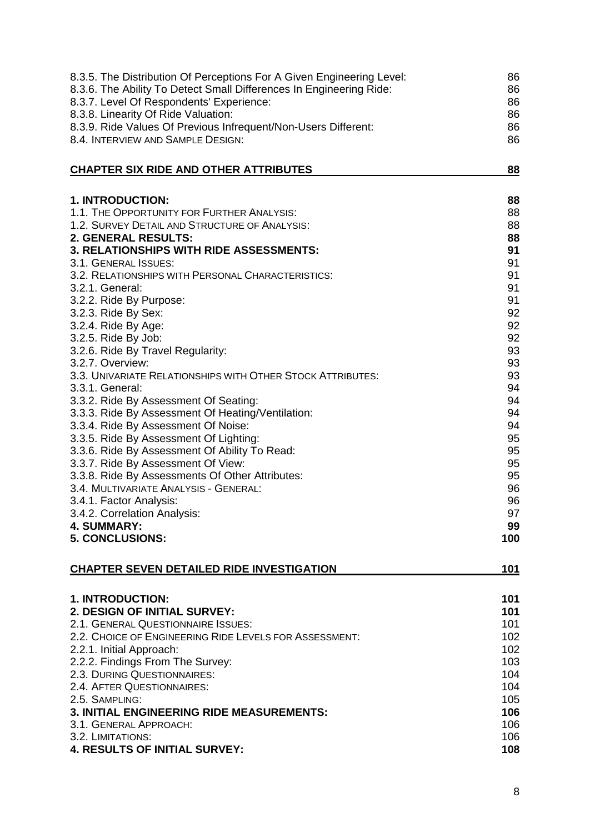| 8.3.5. The Distribution Of Perceptions For A Given Engineering Level:                 | 86         |
|---------------------------------------------------------------------------------------|------------|
| 8.3.6. The Ability To Detect Small Differences In Engineering Ride:                   | 86         |
| 8.3.7. Level Of Respondents' Experience:                                              | 86         |
| 8.3.8. Linearity Of Ride Valuation:                                                   | 86         |
| 8.3.9. Ride Values Of Previous Infrequent/Non-Users Different:                        | 86         |
| 8.4. INTERVIEW AND SAMPLE DESIGN:                                                     | 86         |
| <b>CHAPTER SIX RIDE AND OTHER ATTRIBUTES</b>                                          | <u>88</u>  |
| 1. INTRODUCTION:                                                                      | 88         |
| 1.1. THE OPPORTUNITY FOR FURTHER ANALYSIS:                                            | 88         |
| 1.2. SURVEY DETAIL AND STRUCTURE OF ANALYSIS:                                         | 88         |
| <b>2. GENERAL RESULTS:</b>                                                            | 88         |
| 3. RELATIONSHIPS WITH RIDE ASSESSMENTS:                                               | 91         |
| 3.1. GENERAL ISSUES:                                                                  | 91         |
| 3.2. RELATIONSHIPS WITH PERSONAL CHARACTERISTICS:                                     | 91         |
| 3.2.1. General:                                                                       | 91<br>91   |
| 3.2.2. Ride By Purpose:<br>3.2.3. Ride By Sex:                                        | 92         |
| 3.2.4. Ride By Age:                                                                   | 92         |
| 3.2.5. Ride By Job:                                                                   | 92         |
| 3.2.6. Ride By Travel Regularity:                                                     | 93         |
| 3.2.7. Overview:                                                                      | 93         |
| 3.3. UNIVARIATE RELATIONSHIPS WITH OTHER STOCK ATTRIBUTES:                            | 93         |
| 3.3.1. General:                                                                       | 94         |
| 3.3.2. Ride By Assessment Of Seating:                                                 | 94         |
| 3.3.3. Ride By Assessment Of Heating/Ventilation:                                     | 94         |
| 3.3.4. Ride By Assessment Of Noise:                                                   | 94         |
| 3.3.5. Ride By Assessment Of Lighting:                                                | 95         |
| 3.3.6. Ride By Assessment Of Ability To Read:                                         | 95         |
| 3.3.7. Ride By Assessment Of View:<br>3.3.8. Ride By Assessments Of Other Attributes: | 95<br>95   |
| 3.4. MULTIVARIATE ANALYSIS - GENERAL:                                                 | 96         |
| 3.4.1. Factor Analysis:                                                               | 96         |
| 3.4.2. Correlation Analysis:                                                          | 97         |
| 4. SUMMARY:                                                                           | 99         |
| <b>5. CONCLUSIONS:</b>                                                                | 100        |
| <b>CHAPTER SEVEN DETAILED RIDE INVESTIGATION</b>                                      | 101        |
| 1. INTRODUCTION:                                                                      | 101        |
| 2. DESIGN OF INITIAL SURVEY:                                                          | 101        |
| 2.1. GENERAL QUESTIONNAIRE ISSUES:                                                    | 101        |
| 2.2. CHOICE OF ENGINEERING RIDE LEVELS FOR ASSESSMENT:                                | 102        |
| 2.2.1. Initial Approach:                                                              | 102        |
| 2.2.2. Findings From The Survey:                                                      | 103        |
| 2.3. DURING QUESTIONNAIRES:                                                           | 104        |
| 2.4. AFTER QUESTIONNAIRES:                                                            | 104        |
| 2.5. SAMPLING:                                                                        | 105        |
| 3. INITIAL ENGINEERING RIDE MEASUREMENTS:<br>3.1. GENERAL APPROACH:                   | 106<br>106 |
| 3.2. LIMITATIONS:                                                                     | 106        |
| 4. RESULTS OF INITIAL SURVEY:                                                         | 108        |
|                                                                                       |            |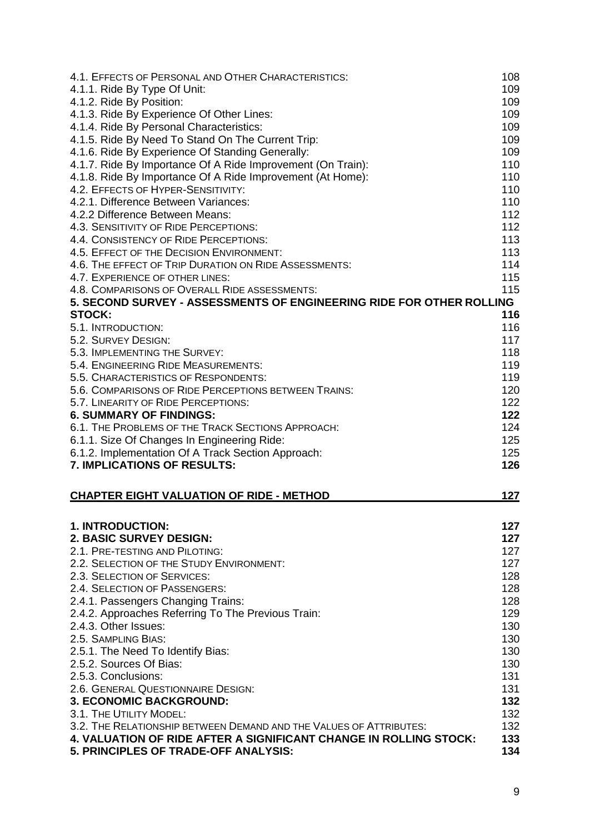| 4.1. EFFECTS OF PERSONAL AND OTHER CHARACTERISTICS:                                                              | 108        |
|------------------------------------------------------------------------------------------------------------------|------------|
| 4.1.1. Ride By Type Of Unit:                                                                                     | 109        |
| 4.1.2. Ride By Position:                                                                                         | 109        |
| 4.1.3. Ride By Experience Of Other Lines:                                                                        | 109        |
| 4.1.4. Ride By Personal Characteristics:                                                                         | 109        |
| 4.1.5. Ride By Need To Stand On The Current Trip:                                                                | 109        |
| 4.1.6. Ride By Experience Of Standing Generally:                                                                 | 109        |
| 4.1.7. Ride By Importance Of A Ride Improvement (On Train):                                                      | 110        |
| 4.1.8. Ride By Importance Of A Ride Improvement (At Home):                                                       | 110        |
| 4.2. EFFECTS OF HYPER-SENSITIVITY:                                                                               | 110        |
| 4.2.1. Difference Between Variances:                                                                             | 110        |
| 4.2.2 Difference Between Means:                                                                                  | 112        |
| 4.3. SENSITIVITY OF RIDE PERCEPTIONS:                                                                            | 112        |
| 4.4. CONSISTENCY OF RIDE PERCEPTIONS:                                                                            | 113        |
| 4.5. EFFECT OF THE DECISION ENVIRONMENT:                                                                         | 113        |
| 4.6. THE EFFECT OF TRIP DURATION ON RIDE ASSESSMENTS:                                                            | 114        |
| 4.7. EXPERIENCE OF OTHER LINES:                                                                                  | 115        |
| 4.8. COMPARISONS OF OVERALL RIDE ASSESSMENTS:                                                                    | 115        |
| 5. SECOND SURVEY - ASSESSMENTS OF ENGINEERING RIDE FOR OTHER ROLLING                                             |            |
| <b>STOCK:</b>                                                                                                    | 116        |
| 5.1. INTRODUCTION:                                                                                               | 116        |
| 5.2. SURVEY DESIGN:                                                                                              | 117        |
| 5.3. IMPLEMENTING THE SURVEY:                                                                                    | 118        |
| 5.4. ENGINEERING RIDE MEASUREMENTS:                                                                              | 119        |
| 5.5. CHARACTERISTICS OF RESPONDENTS:                                                                             | 119        |
| 5.6. COMPARISONS OF RIDE PERCEPTIONS BETWEEN TRAINS:                                                             | 120        |
| 5.7. LINEARITY OF RIDE PERCEPTIONS:                                                                              | 122        |
| <b>6. SUMMARY OF FINDINGS:</b>                                                                                   | 122        |
| 6.1. THE PROBLEMS OF THE TRACK SECTIONS APPROACH:                                                                | 124        |
| 6.1.1. Size Of Changes In Engineering Ride:                                                                      | 125        |
| 6.1.2. Implementation Of A Track Section Approach:                                                               | 125        |
| <b>7. IMPLICATIONS OF RESULTS:</b>                                                                               | 126        |
| <b>CHAPTER EIGHT VALUATION OF RIDE - METHOD</b>                                                                  | 127        |
|                                                                                                                  |            |
| 1. INTRODUCTION:                                                                                                 | 127        |
| 2. BASIC SURVEY DESIGN:                                                                                          | 127        |
| 2.1. PRE-TESTING AND PILOTING:                                                                                   | 127        |
| 2.2. SELECTION OF THE STUDY ENVIRONMENT:                                                                         | 127        |
| 2.3. SELECTION OF SERVICES:                                                                                      | 128        |
| 2.4. SELECTION OF PASSENGERS:                                                                                    | 128        |
| 2.4.1. Passengers Changing Trains:                                                                               | 128        |
| 2.4.2. Approaches Referring To The Previous Train:                                                               | 129        |
| 2.4.3. Other Issues:                                                                                             | 130        |
| 2.5. SAMPLING BIAS:                                                                                              | 130        |
| 2.5.1. The Need To Identify Bias:                                                                                | 130        |
| 2.5.2. Sources Of Bias:                                                                                          | 130        |
| 2.5.3. Conclusions:                                                                                              | 131        |
| 2.6. GENERAL QUESTIONNAIRE DESIGN:                                                                               | 131        |
| <b>3. ECONOMIC BACKGROUND:</b>                                                                                   | 132        |
| 3.1. THE UTILITY MODEL:                                                                                          | 132        |
| 3.2. THE RELATIONSHIP BETWEEN DEMAND AND THE VALUES OF ATTRIBUTES:                                               | 132        |
| <b>4. VALUATION OF RIDE AFTER A SIGNIFICANT CHANGE IN ROLLING STOCK:</b><br>5. PRINCIPLES OF TRADE-OFF ANALYSIS: | 133<br>134 |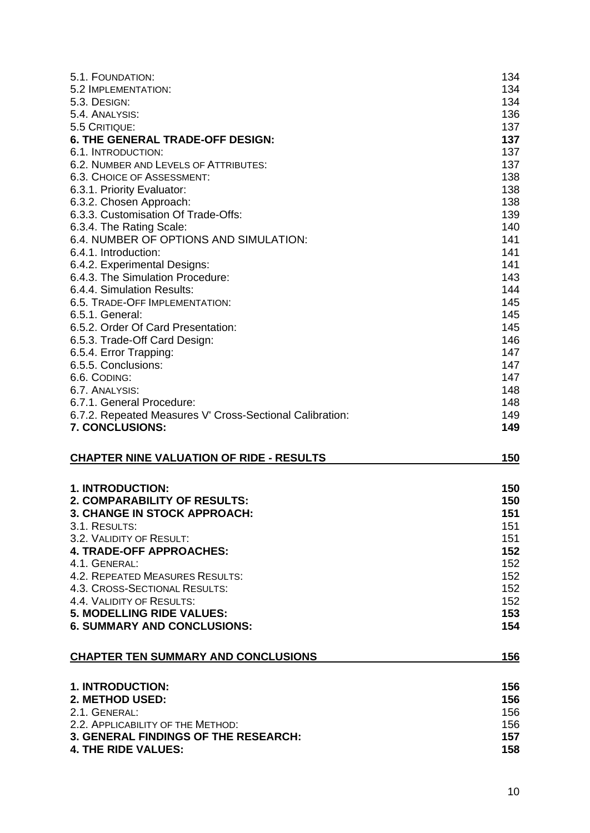| 5.1. FOUNDATION:                                         | 134        |
|----------------------------------------------------------|------------|
| 5.2 IMPLEMENTATION:                                      | 134        |
| 5.3. DESIGN:                                             | 134        |
| 5.4. ANALYSIS:                                           | 136        |
| 5.5 CRITIQUE:                                            | 137        |
| <b>6. THE GENERAL TRADE-OFF DESIGN:</b>                  | 137        |
| 6.1. INTRODUCTION:                                       | 137        |
| 6.2. NUMBER AND LEVELS OF ATTRIBUTES:                    | 137        |
| <b>6.3. CHOICE OF ASSESSMENT:</b>                        | 138        |
| 6.3.1. Priority Evaluator:                               | 138        |
| 6.3.2. Chosen Approach:                                  | 138        |
| 6.3.3. Customisation Of Trade-Offs:                      | 139        |
| 6.3.4. The Rating Scale:                                 | 140        |
| 6.4. NUMBER OF OPTIONS AND SIMULATION:                   | 141        |
| 6.4.1. Introduction:                                     | 141        |
| 6.4.2. Experimental Designs:                             | 141        |
| 6.4.3. The Simulation Procedure:                         | 143        |
| 6.4.4. Simulation Results:                               | 144        |
| 6.5. TRADE-OFF IMPLEMENTATION:                           | 145        |
| 6.5.1. General:                                          | 145        |
| 6.5.2. Order Of Card Presentation:                       | 145        |
| 6.5.3. Trade-Off Card Design:                            | 146        |
| 6.5.4. Error Trapping:                                   | 147        |
| 6.5.5. Conclusions:                                      | 147        |
| 6.6. CODING:                                             | 147        |
| 6.7. ANALYSIS:                                           | 148        |
| 6.7.1. General Procedure:                                | 148        |
| 6.7.2. Repeated Measures V' Cross-Sectional Calibration: | 149        |
| 7. CONCLUSIONS:                                          | 149        |
| <b>CHAPTER NINE VALUATION OF RIDE - RESULTS</b>          | <u>150</u> |
|                                                          |            |
| 1. INTRODUCTION:                                         | 150        |
| <b>2. COMPARABILITY OF RESULTS:</b>                      | 150        |
| 3. CHANGE IN STOCK APPROACH:                             | 151        |
| 3.1. RESULTS:                                            | 151        |
| 3.2. VALIDITY OF RESULT:                                 | 151        |
| <b>4. TRADE-OFF APPROACHES:</b>                          | 152        |
| 4.1. GENERAL:                                            | 152        |
| 4.2. REPEATED MEASURES RESULTS:                          | 152        |
| 4.3. CROSS-SECTIONAL RESULTS:                            | 152        |
| 4.4. VALIDITY OF RESULTS:                                | 152        |
| <b>5. MODELLING RIDE VALUES:</b>                         | 153        |
| <b>6. SUMMARY AND CONCLUSIONS:</b>                       | 154        |
| <b>CHAPTER TEN SUMMARY AND CONCLUSIONS</b>               | 156        |
|                                                          |            |
| 1. INTRODUCTION:                                         | 156        |
| 2. METHOD USED:                                          | 156        |
| 2.1. GENERAL:                                            | 156        |
| 2.2. APPLICABILITY OF THE METHOD:                        | 156        |
| <b>3. GENERAL FINDINGS OF THE RESEARCH:</b>              | 157        |
|                                                          |            |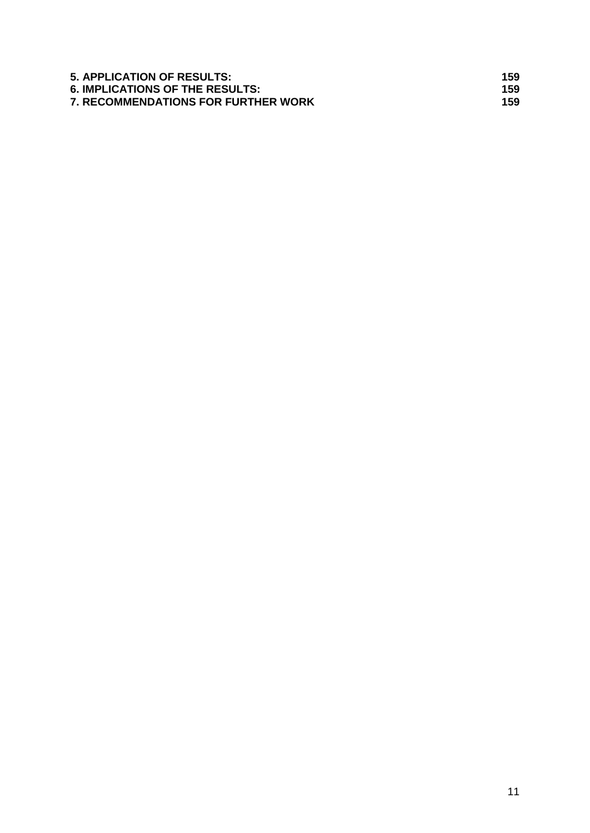| <b>5. APPLICATION OF RESULTS:</b>          | 159 |
|--------------------------------------------|-----|
| <b>6. IMPLICATIONS OF THE RESULTS:</b>     | 159 |
| <b>7. RECOMMENDATIONS FOR FURTHER WORK</b> | 159 |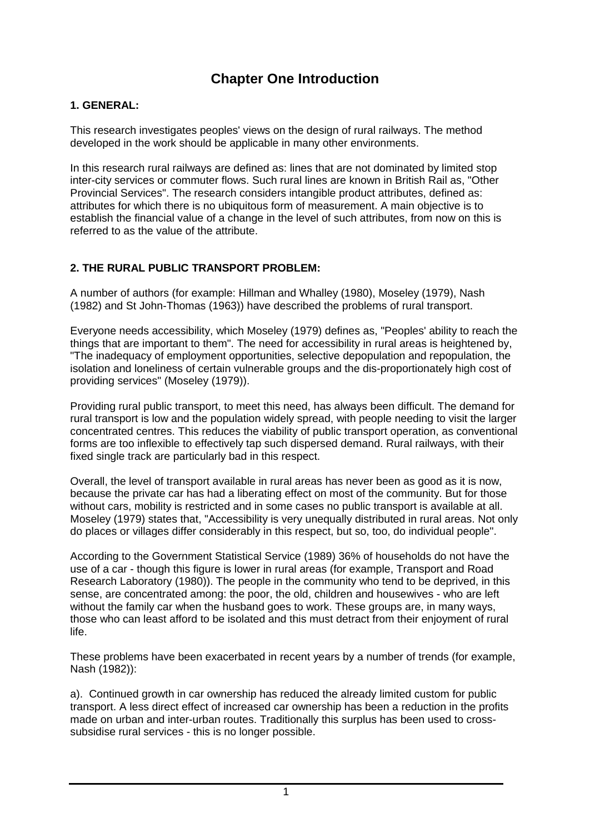# **Chapter One Introduction**

# **1. GENERAL:**

This research investigates peoples' views on the design of rural railways. The method developed in the work should be applicable in many other environments.

In this research rural railways are defined as: lines that are not dominated by limited stop inter-city services or commuter flows. Such rural lines are known in British Rail as, "Other Provincial Services". The research considers intangible product attributes, defined as: attributes for which there is no ubiquitous form of measurement. A main objective is to establish the financial value of a change in the level of such attributes, from now on this is referred to as the value of the attribute.

# **2. THE RURAL PUBLIC TRANSPORT PROBLEM:**

A number of authors (for example: Hillman and Whalley (1980), Moseley (1979), Nash (1982) and St John-Thomas (1963)) have described the problems of rural transport.

Everyone needs accessibility, which Moseley (1979) defines as, "Peoples' ability to reach the things that are important to them". The need for accessibility in rural areas is heightened by, "The inadequacy of employment opportunities, selective depopulation and repopulation, the isolation and loneliness of certain vulnerable groups and the dis-proportionately high cost of providing services" (Moseley (1979)).

Providing rural public transport, to meet this need, has always been difficult. The demand for rural transport is low and the population widely spread, with people needing to visit the larger concentrated centres. This reduces the viability of public transport operation, as conventional forms are too inflexible to effectively tap such dispersed demand. Rural railways, with their fixed single track are particularly bad in this respect.

Overall, the level of transport available in rural areas has never been as good as it is now, because the private car has had a liberating effect on most of the community. But for those without cars, mobility is restricted and in some cases no public transport is available at all. Moseley (1979) states that, "Accessibility is very unequally distributed in rural areas. Not only do places or villages differ considerably in this respect, but so, too, do individual people".

According to the Government Statistical Service (1989) 36% of households do not have the use of a car - though this figure is lower in rural areas (for example, Transport and Road Research Laboratory (1980)). The people in the community who tend to be deprived, in this sense, are concentrated among: the poor, the old, children and housewives - who are left without the family car when the husband goes to work. These groups are, in many ways, those who can least afford to be isolated and this must detract from their enjoyment of rural life.

These problems have been exacerbated in recent years by a number of trends (for example, Nash (1982)):

a). Continued growth in car ownership has reduced the already limited custom for public transport. A less direct effect of increased car ownership has been a reduction in the profits made on urban and inter-urban routes. Traditionally this surplus has been used to crosssubsidise rural services - this is no longer possible.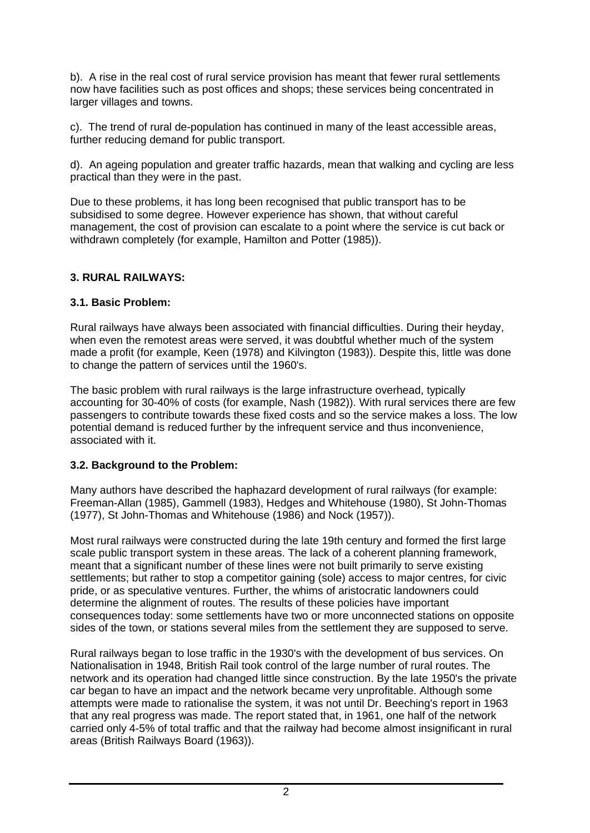b). A rise in the real cost of rural service provision has meant that fewer rural settlements now have facilities such as post offices and shops; these services being concentrated in larger villages and towns.

c). The trend of rural de-population has continued in many of the least accessible areas, further reducing demand for public transport.

d). An ageing population and greater traffic hazards, mean that walking and cycling are less practical than they were in the past.

Due to these problems, it has long been recognised that public transport has to be subsidised to some degree. However experience has shown, that without careful management, the cost of provision can escalate to a point where the service is cut back or withdrawn completely (for example, Hamilton and Potter (1985)).

# **3. RURAL RAILWAYS:**

#### **3.1. Basic Problem:**

Rural railways have always been associated with financial difficulties. During their heyday, when even the remotest areas were served, it was doubtful whether much of the system made a profit (for example, Keen (1978) and Kilvington (1983)). Despite this, little was done to change the pattern of services until the 1960's.

The basic problem with rural railways is the large infrastructure overhead, typically accounting for 30-40% of costs (for example, Nash (1982)). With rural services there are few passengers to contribute towards these fixed costs and so the service makes a loss. The low potential demand is reduced further by the infrequent service and thus inconvenience, associated with it.

# **3.2. Background to the Problem:**

Many authors have described the haphazard development of rural railways (for example: Freeman-Allan (1985), Gammell (1983), Hedges and Whitehouse (1980), St John-Thomas (1977), St John-Thomas and Whitehouse (1986) and Nock (1957)).

Most rural railways were constructed during the late 19th century and formed the first large scale public transport system in these areas. The lack of a coherent planning framework, meant that a significant number of these lines were not built primarily to serve existing settlements; but rather to stop a competitor gaining (sole) access to major centres, for civic pride, or as speculative ventures. Further, the whims of aristocratic landowners could determine the alignment of routes. The results of these policies have important consequences today: some settlements have two or more unconnected stations on opposite sides of the town, or stations several miles from the settlement they are supposed to serve.

Rural railways began to lose traffic in the 1930's with the development of bus services. On Nationalisation in 1948, British Rail took control of the large number of rural routes. The network and its operation had changed little since construction. By the late 1950's the private car began to have an impact and the network became very unprofitable. Although some attempts were made to rationalise the system, it was not until Dr. Beeching's report in 1963 that any real progress was made. The report stated that, in 1961, one half of the network carried only 4-5% of total traffic and that the railway had become almost insignificant in rural areas (British Railways Board (1963)).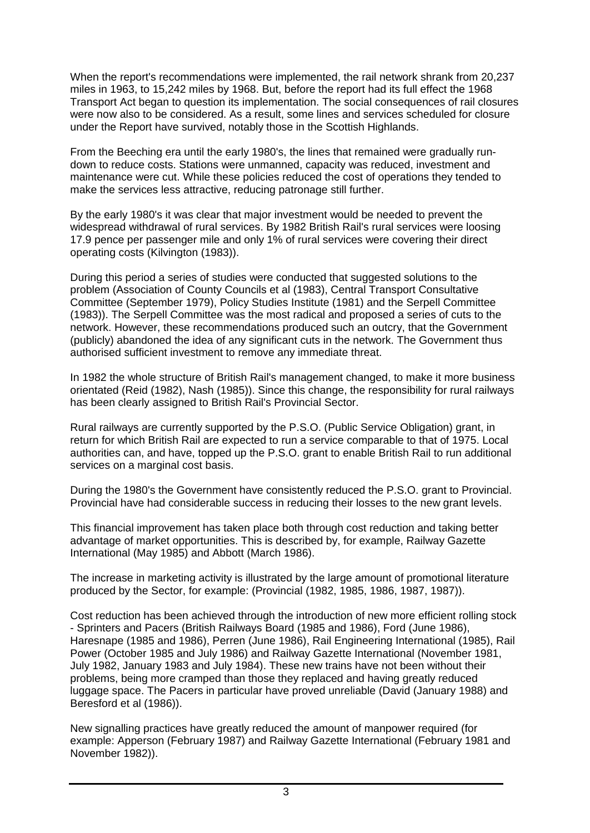When the report's recommendations were implemented, the rail network shrank from 20,237 miles in 1963, to 15,242 miles by 1968. But, before the report had its full effect the 1968 Transport Act began to question its implementation. The social consequences of rail closures were now also to be considered. As a result, some lines and services scheduled for closure under the Report have survived, notably those in the Scottish Highlands.

From the Beeching era until the early 1980's, the lines that remained were gradually rundown to reduce costs. Stations were unmanned, capacity was reduced, investment and maintenance were cut. While these policies reduced the cost of operations they tended to make the services less attractive, reducing patronage still further.

By the early 1980's it was clear that major investment would be needed to prevent the widespread withdrawal of rural services. By 1982 British Rail's rural services were loosing 17.9 pence per passenger mile and only 1% of rural services were covering their direct operating costs (Kilvington (1983)).

During this period a series of studies were conducted that suggested solutions to the problem (Association of County Councils et al (1983), Central Transport Consultative Committee (September 1979), Policy Studies Institute (1981) and the Serpell Committee (1983)). The Serpell Committee was the most radical and proposed a series of cuts to the network. However, these recommendations produced such an outcry, that the Government (publicly) abandoned the idea of any significant cuts in the network. The Government thus authorised sufficient investment to remove any immediate threat.

In 1982 the whole structure of British Rail's management changed, to make it more business orientated (Reid (1982), Nash (1985)). Since this change, the responsibility for rural railways has been clearly assigned to British Rail's Provincial Sector.

Rural railways are currently supported by the P.S.O. (Public Service Obligation) grant, in return for which British Rail are expected to run a service comparable to that of 1975. Local authorities can, and have, topped up the P.S.O. grant to enable British Rail to run additional services on a marginal cost basis.

During the 1980's the Government have consistently reduced the P.S.O. grant to Provincial. Provincial have had considerable success in reducing their losses to the new grant levels.

This financial improvement has taken place both through cost reduction and taking better advantage of market opportunities. This is described by, for example, Railway Gazette International (May 1985) and Abbott (March 1986).

The increase in marketing activity is illustrated by the large amount of promotional literature produced by the Sector, for example: (Provincial (1982, 1985, 1986, 1987, 1987)).

Cost reduction has been achieved through the introduction of new more efficient rolling stock - Sprinters and Pacers (British Railways Board (1985 and 1986), Ford (June 1986), Haresnape (1985 and 1986), Perren (June 1986), Rail Engineering International (1985), Rail Power (October 1985 and July 1986) and Railway Gazette International (November 1981, July 1982, January 1983 and July 1984). These new trains have not been without their problems, being more cramped than those they replaced and having greatly reduced luggage space. The Pacers in particular have proved unreliable (David (January 1988) and Beresford et al (1986)).

New signalling practices have greatly reduced the amount of manpower required (for example: Apperson (February 1987) and Railway Gazette International (February 1981 and November 1982)).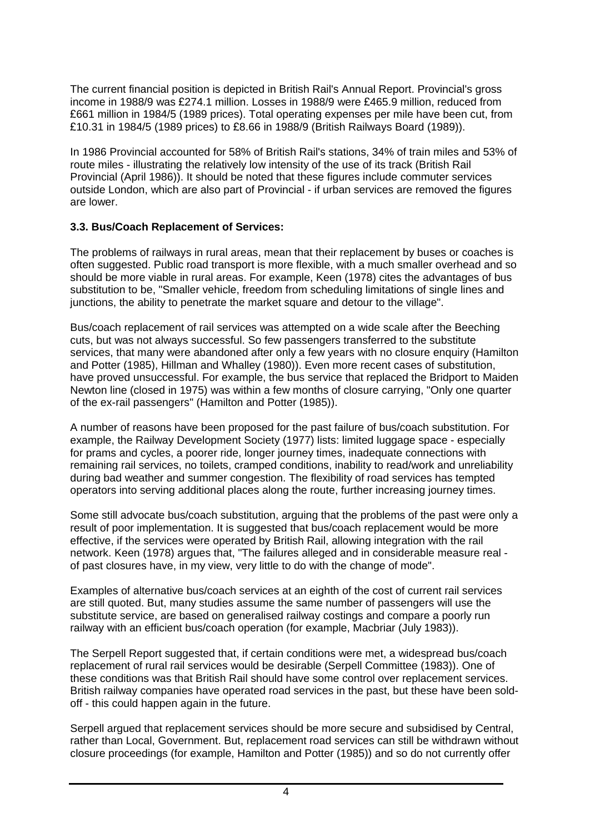The current financial position is depicted in British Rail's Annual Report. Provincial's gross income in 1988/9 was £274.1 million. Losses in 1988/9 were £465.9 million, reduced from £661 million in 1984/5 (1989 prices). Total operating expenses per mile have been cut, from £10.31 in 1984/5 (1989 prices) to £8.66 in 1988/9 (British Railways Board (1989)).

In 1986 Provincial accounted for 58% of British Rail's stations, 34% of train miles and 53% of route miles - illustrating the relatively low intensity of the use of its track (British Rail Provincial (April 1986)). It should be noted that these figures include commuter services outside London, which are also part of Provincial - if urban services are removed the figures are lower.

#### **3.3. Bus/Coach Replacement of Services:**

The problems of railways in rural areas, mean that their replacement by buses or coaches is often suggested. Public road transport is more flexible, with a much smaller overhead and so should be more viable in rural areas. For example, Keen (1978) cites the advantages of bus substitution to be, "Smaller vehicle, freedom from scheduling limitations of single lines and junctions, the ability to penetrate the market square and detour to the village".

Bus/coach replacement of rail services was attempted on a wide scale after the Beeching cuts, but was not always successful. So few passengers transferred to the substitute services, that many were abandoned after only a few years with no closure enquiry (Hamilton and Potter (1985), Hillman and Whalley (1980)). Even more recent cases of substitution, have proved unsuccessful. For example, the bus service that replaced the Bridport to Maiden Newton line (closed in 1975) was within a few months of closure carrying, "Only one quarter of the ex-rail passengers" (Hamilton and Potter (1985)).

A number of reasons have been proposed for the past failure of bus/coach substitution. For example, the Railway Development Society (1977) lists: limited luggage space - especially for prams and cycles, a poorer ride, longer journey times, inadequate connections with remaining rail services, no toilets, cramped conditions, inability to read/work and unreliability during bad weather and summer congestion. The flexibility of road services has tempted operators into serving additional places along the route, further increasing journey times.

Some still advocate bus/coach substitution, arguing that the problems of the past were only a result of poor implementation. It is suggested that bus/coach replacement would be more effective, if the services were operated by British Rail, allowing integration with the rail network. Keen (1978) argues that, "The failures alleged and in considerable measure real of past closures have, in my view, very little to do with the change of mode".

Examples of alternative bus/coach services at an eighth of the cost of current rail services are still quoted. But, many studies assume the same number of passengers will use the substitute service, are based on generalised railway costings and compare a poorly run railway with an efficient bus/coach operation (for example, Macbriar (July 1983)).

The Serpell Report suggested that, if certain conditions were met, a widespread bus/coach replacement of rural rail services would be desirable (Serpell Committee (1983)). One of these conditions was that British Rail should have some control over replacement services. British railway companies have operated road services in the past, but these have been soldoff - this could happen again in the future.

Serpell argued that replacement services should be more secure and subsidised by Central, rather than Local, Government. But, replacement road services can still be withdrawn without closure proceedings (for example, Hamilton and Potter (1985)) and so do not currently offer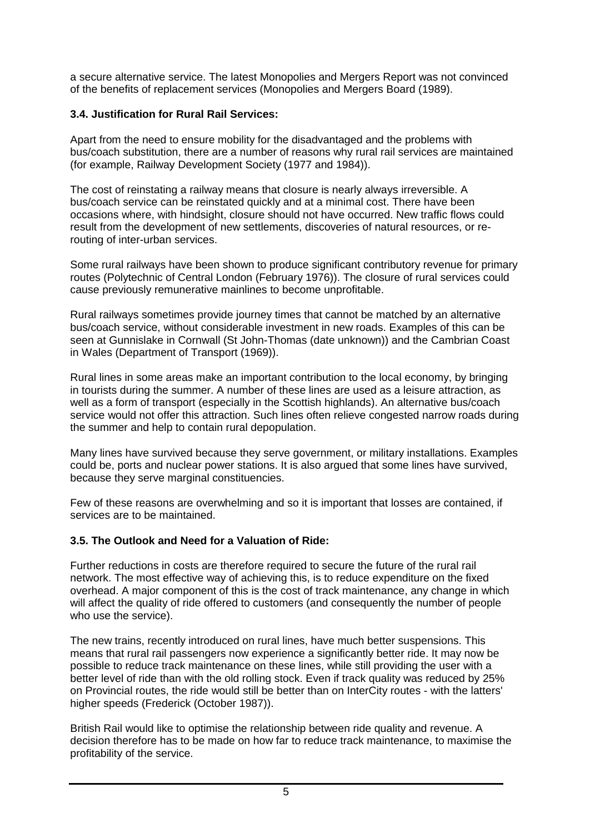a secure alternative service. The latest Monopolies and Mergers Report was not convinced of the benefits of replacement services (Monopolies and Mergers Board (1989).

#### **3.4. Justification for Rural Rail Services:**

Apart from the need to ensure mobility for the disadvantaged and the problems with bus/coach substitution, there are a number of reasons why rural rail services are maintained (for example, Railway Development Society (1977 and 1984)).

The cost of reinstating a railway means that closure is nearly always irreversible. A bus/coach service can be reinstated quickly and at a minimal cost. There have been occasions where, with hindsight, closure should not have occurred. New traffic flows could result from the development of new settlements, discoveries of natural resources, or rerouting of inter-urban services.

Some rural railways have been shown to produce significant contributory revenue for primary routes (Polytechnic of Central London (February 1976)). The closure of rural services could cause previously remunerative mainlines to become unprofitable.

Rural railways sometimes provide journey times that cannot be matched by an alternative bus/coach service, without considerable investment in new roads. Examples of this can be seen at Gunnislake in Cornwall (St John-Thomas (date unknown)) and the Cambrian Coast in Wales (Department of Transport (1969)).

Rural lines in some areas make an important contribution to the local economy, by bringing in tourists during the summer. A number of these lines are used as a leisure attraction, as well as a form of transport (especially in the Scottish highlands). An alternative bus/coach service would not offer this attraction. Such lines often relieve congested narrow roads during the summer and help to contain rural depopulation.

Many lines have survived because they serve government, or military installations. Examples could be, ports and nuclear power stations. It is also argued that some lines have survived, because they serve marginal constituencies.

Few of these reasons are overwhelming and so it is important that losses are contained, if services are to be maintained.

# **3.5. The Outlook and Need for a Valuation of Ride:**

Further reductions in costs are therefore required to secure the future of the rural rail network. The most effective way of achieving this, is to reduce expenditure on the fixed overhead. A major component of this is the cost of track maintenance, any change in which will affect the quality of ride offered to customers (and consequently the number of people who use the service).

The new trains, recently introduced on rural lines, have much better suspensions. This means that rural rail passengers now experience a significantly better ride. It may now be possible to reduce track maintenance on these lines, while still providing the user with a better level of ride than with the old rolling stock. Even if track quality was reduced by 25% on Provincial routes, the ride would still be better than on InterCity routes - with the latters' higher speeds (Frederick (October 1987)).

British Rail would like to optimise the relationship between ride quality and revenue. A decision therefore has to be made on how far to reduce track maintenance, to maximise the profitability of the service.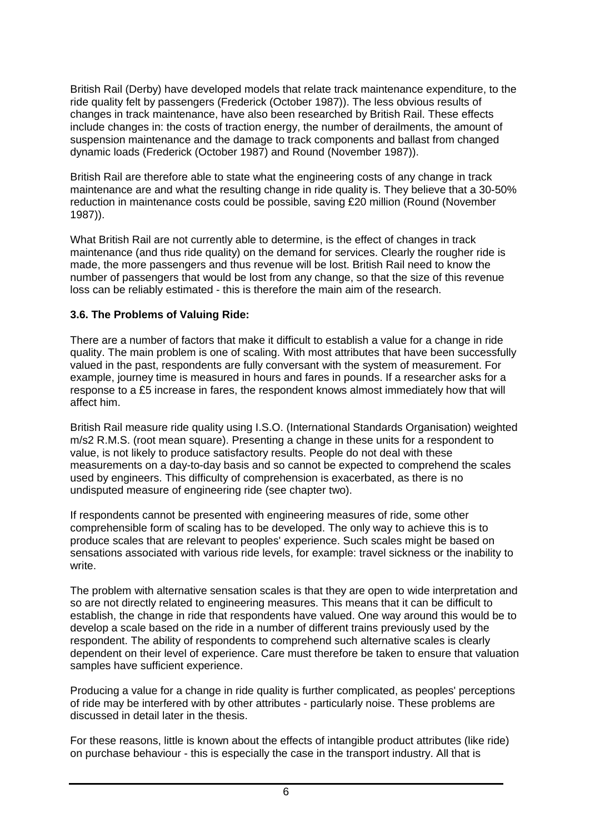British Rail (Derby) have developed models that relate track maintenance expenditure, to the ride quality felt by passengers (Frederick (October 1987)). The less obvious results of changes in track maintenance, have also been researched by British Rail. These effects include changes in: the costs of traction energy, the number of derailments, the amount of suspension maintenance and the damage to track components and ballast from changed dynamic loads (Frederick (October 1987) and Round (November 1987)).

British Rail are therefore able to state what the engineering costs of any change in track maintenance are and what the resulting change in ride quality is. They believe that a 30-50% reduction in maintenance costs could be possible, saving £20 million (Round (November 1987)).

What British Rail are not currently able to determine, is the effect of changes in track maintenance (and thus ride quality) on the demand for services. Clearly the rougher ride is made, the more passengers and thus revenue will be lost. British Rail need to know the number of passengers that would be lost from any change, so that the size of this revenue loss can be reliably estimated - this is therefore the main aim of the research.

#### **3.6. The Problems of Valuing Ride:**

There are a number of factors that make it difficult to establish a value for a change in ride quality. The main problem is one of scaling. With most attributes that have been successfully valued in the past, respondents are fully conversant with the system of measurement. For example, journey time is measured in hours and fares in pounds. If a researcher asks for a response to a £5 increase in fares, the respondent knows almost immediately how that will affect him.

British Rail measure ride quality using I.S.O. (International Standards Organisation) weighted m/s2 R.M.S. (root mean square). Presenting a change in these units for a respondent to value, is not likely to produce satisfactory results. People do not deal with these measurements on a day-to-day basis and so cannot be expected to comprehend the scales used by engineers. This difficulty of comprehension is exacerbated, as there is no undisputed measure of engineering ride (see chapter two).

If respondents cannot be presented with engineering measures of ride, some other comprehensible form of scaling has to be developed. The only way to achieve this is to produce scales that are relevant to peoples' experience. Such scales might be based on sensations associated with various ride levels, for example: travel sickness or the inability to write.

The problem with alternative sensation scales is that they are open to wide interpretation and so are not directly related to engineering measures. This means that it can be difficult to establish, the change in ride that respondents have valued. One way around this would be to develop a scale based on the ride in a number of different trains previously used by the respondent. The ability of respondents to comprehend such alternative scales is clearly dependent on their level of experience. Care must therefore be taken to ensure that valuation samples have sufficient experience.

Producing a value for a change in ride quality is further complicated, as peoples' perceptions of ride may be interfered with by other attributes - particularly noise. These problems are discussed in detail later in the thesis.

For these reasons, little is known about the effects of intangible product attributes (like ride) on purchase behaviour - this is especially the case in the transport industry. All that is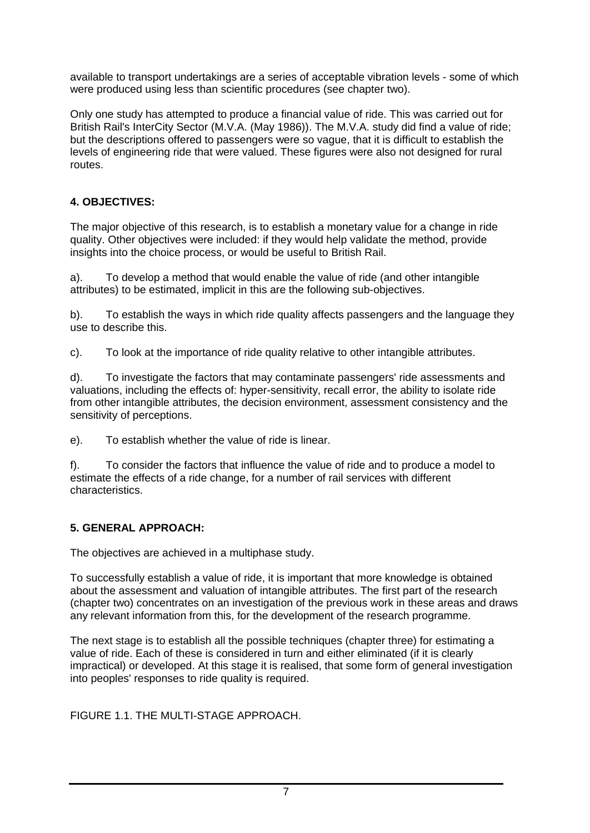available to transport undertakings are a series of acceptable vibration levels - some of which were produced using less than scientific procedures (see chapter two).

Only one study has attempted to produce a financial value of ride. This was carried out for British Rail's InterCity Sector (M.V.A. (May 1986)). The M.V.A. study did find a value of ride; but the descriptions offered to passengers were so vague, that it is difficult to establish the levels of engineering ride that were valued. These figures were also not designed for rural routes.

# **4. OBJECTIVES:**

The major objective of this research, is to establish a monetary value for a change in ride quality. Other objectives were included: if they would help validate the method, provide insights into the choice process, or would be useful to British Rail.

a). To develop a method that would enable the value of ride (and other intangible attributes) to be estimated, implicit in this are the following sub-objectives.

b). To establish the ways in which ride quality affects passengers and the language they use to describe this.

c). To look at the importance of ride quality relative to other intangible attributes.

d). To investigate the factors that may contaminate passengers' ride assessments and valuations, including the effects of: hyper-sensitivity, recall error, the ability to isolate ride from other intangible attributes, the decision environment, assessment consistency and the sensitivity of perceptions.

e). To establish whether the value of ride is linear.

f). To consider the factors that influence the value of ride and to produce a model to estimate the effects of a ride change, for a number of rail services with different characteristics.

# **5. GENERAL APPROACH:**

The objectives are achieved in a multiphase study.

To successfully establish a value of ride, it is important that more knowledge is obtained about the assessment and valuation of intangible attributes. The first part of the research (chapter two) concentrates on an investigation of the previous work in these areas and draws any relevant information from this, for the development of the research programme.

The next stage is to establish all the possible techniques (chapter three) for estimating a value of ride. Each of these is considered in turn and either eliminated (if it is clearly impractical) or developed. At this stage it is realised, that some form of general investigation into peoples' responses to ride quality is required.

FIGURE 1.1. THE MULTI-STAGE APPROACH.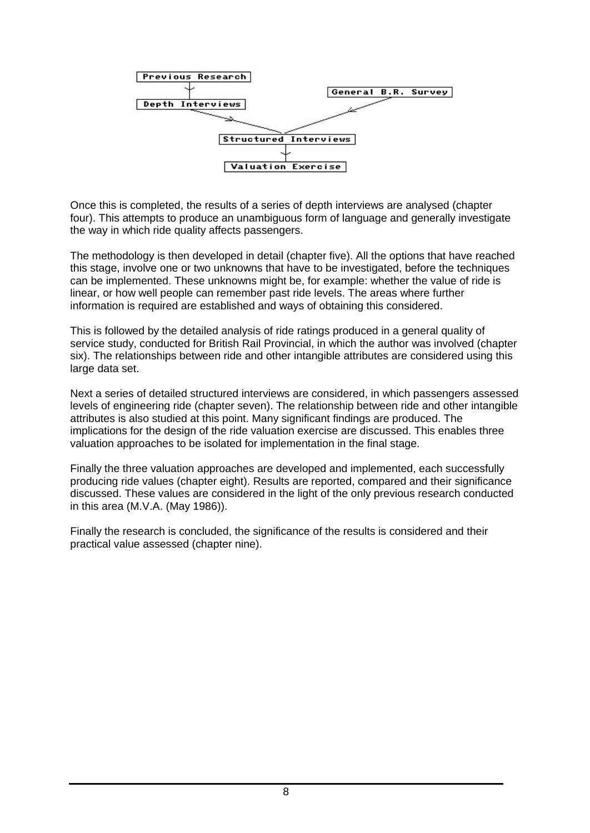

Once this is completed, the results of a series of depth interviews are analysed (chapter four). This attempts to produce an unambiguous form of language and generally investigate the way in which ride quality affects passengers.

The methodology is then developed in detail (chapter five). All the options that have reached this stage, involve one or two unknowns that have to be investigated, before the techniques can be implemented. These unknowns might be, for example: whether the value of ride is linear, or how well people can remember past ride levels. The areas where further information is required are established and ways of obtaining this considered.

This is followed by the detailed analysis of ride ratings produced in a general quality of service study, conducted for British Rail Provincial, in which the author was involved (chapter six). The relationships between ride and other intangible attributes are considered using this large data set.

Next a series of detailed structured interviews are considered, in which passengers assessed levels of engineering ride (chapter seven). The relationship between ride and other intangible attributes is also studied at this point. Many significant findings are produced. The implications for the design of the ride valuation exercise are discussed. This enables three valuation approaches to be isolated for implementation in the final stage.

Finally the three valuation approaches are developed and implemented, each successfully producing ride values (chapter eight). Results are reported, compared and their significance discussed. These values are considered in the light of the only previous research conducted in this area (M.V.A. (May 1986)).

Finally the research is concluded, the significance of the results is considered and their practical value assessed (chapter nine).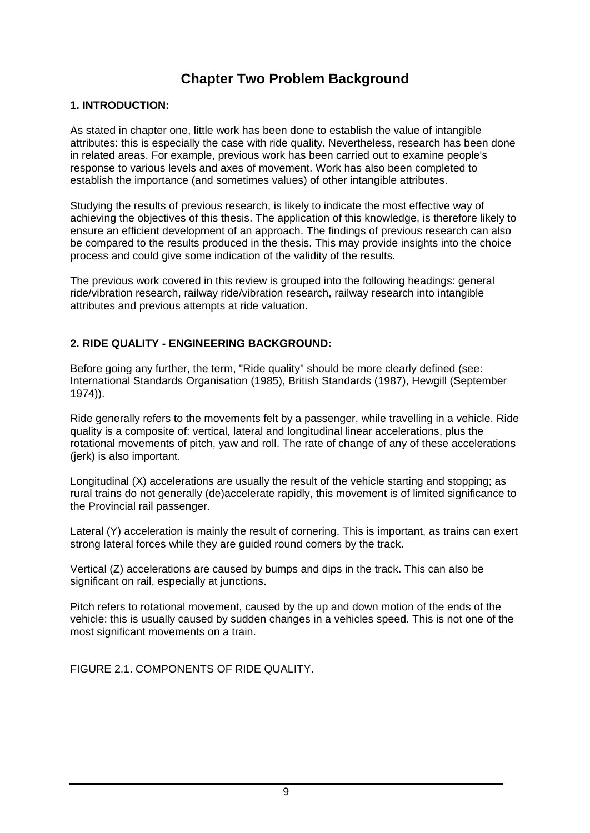# **Chapter Two Problem Background**

#### **1. INTRODUCTION:**

As stated in chapter one, little work has been done to establish the value of intangible attributes: this is especially the case with ride quality. Nevertheless, research has been done in related areas. For example, previous work has been carried out to examine people's response to various levels and axes of movement. Work has also been completed to establish the importance (and sometimes values) of other intangible attributes.

Studying the results of previous research, is likely to indicate the most effective way of achieving the objectives of this thesis. The application of this knowledge, is therefore likely to ensure an efficient development of an approach. The findings of previous research can also be compared to the results produced in the thesis. This may provide insights into the choice process and could give some indication of the validity of the results.

The previous work covered in this review is grouped into the following headings: general ride/vibration research, railway ride/vibration research, railway research into intangible attributes and previous attempts at ride valuation.

#### **2. RIDE QUALITY - ENGINEERING BACKGROUND:**

Before going any further, the term, "Ride quality" should be more clearly defined (see: International Standards Organisation (1985), British Standards (1987), Hewgill (September 1974)).

Ride generally refers to the movements felt by a passenger, while travelling in a vehicle. Ride quality is a composite of: vertical, lateral and longitudinal linear accelerations, plus the rotational movements of pitch, yaw and roll. The rate of change of any of these accelerations (jerk) is also important.

Longitudinal (X) accelerations are usually the result of the vehicle starting and stopping; as rural trains do not generally (de)accelerate rapidly, this movement is of limited significance to the Provincial rail passenger.

Lateral (Y) acceleration is mainly the result of cornering. This is important, as trains can exert strong lateral forces while they are guided round corners by the track.

Vertical (Z) accelerations are caused by bumps and dips in the track. This can also be significant on rail, especially at junctions.

Pitch refers to rotational movement, caused by the up and down motion of the ends of the vehicle: this is usually caused by sudden changes in a vehicles speed. This is not one of the most significant movements on a train.

FIGURE 2.1. COMPONENTS OF RIDE QUALITY.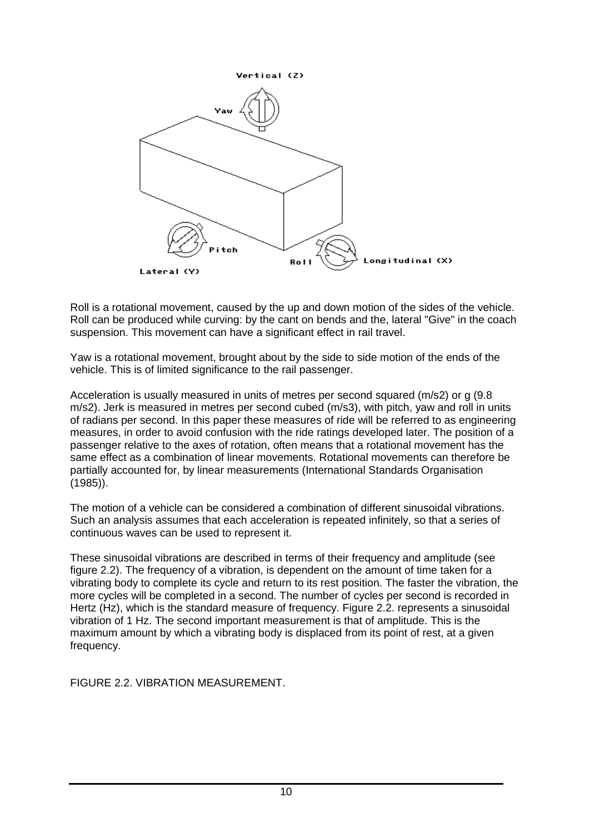

Roll is a rotational movement, caused by the up and down motion of the sides of the vehicle. Roll can be produced while curving: by the cant on bends and the, lateral "Give" in the coach suspension. This movement can have a significant effect in rail travel.

Yaw is a rotational movement, brought about by the side to side motion of the ends of the vehicle. This is of limited significance to the rail passenger.

Acceleration is usually measured in units of metres per second squared (m/s2) or g (9.8 m/s2). Jerk is measured in metres per second cubed (m/s3), with pitch, yaw and roll in units of radians per second. In this paper these measures of ride will be referred to as engineering measures, in order to avoid confusion with the ride ratings developed later. The position of a passenger relative to the axes of rotation, often means that a rotational movement has the same effect as a combination of linear movements. Rotational movements can therefore be partially accounted for, by linear measurements (International Standards Organisation (1985)).

The motion of a vehicle can be considered a combination of different sinusoidal vibrations. Such an analysis assumes that each acceleration is repeated infinitely, so that a series of continuous waves can be used to represent it.

These sinusoidal vibrations are described in terms of their frequency and amplitude (see figure 2.2). The frequency of a vibration, is dependent on the amount of time taken for a vibrating body to complete its cycle and return to its rest position. The faster the vibration, the more cycles will be completed in a second. The number of cycles per second is recorded in Hertz (Hz), which is the standard measure of frequency. Figure 2.2. represents a sinusoidal vibration of 1 Hz. The second important measurement is that of amplitude. This is the maximum amount by which a vibrating body is displaced from its point of rest, at a given frequency.

FIGURE 2.2. VIBRATION MEASUREMENT.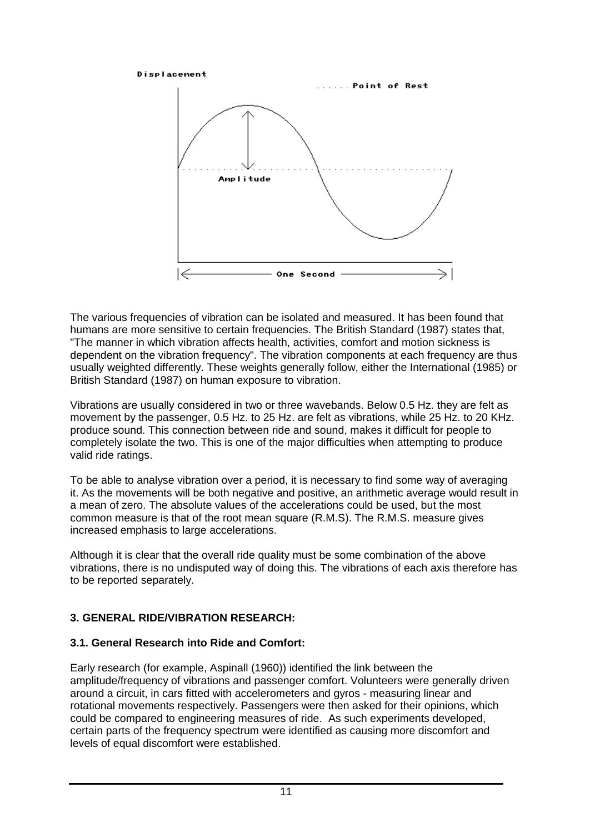

The various frequencies of vibration can be isolated and measured. It has been found that humans are more sensitive to certain frequencies. The British Standard (1987) states that, "The manner in which vibration affects health, activities, comfort and motion sickness is dependent on the vibration frequency". The vibration components at each frequency are thus usually weighted differently. These weights generally follow, either the International (1985) or British Standard (1987) on human exposure to vibration.

Vibrations are usually considered in two or three wavebands. Below 0.5 Hz. they are felt as movement by the passenger, 0.5 Hz. to 25 Hz. are felt as vibrations, while 25 Hz. to 20 KHz. produce sound. This connection between ride and sound, makes it difficult for people to completely isolate the two. This is one of the major difficulties when attempting to produce valid ride ratings.

To be able to analyse vibration over a period, it is necessary to find some way of averaging it. As the movements will be both negative and positive, an arithmetic average would result in a mean of zero. The absolute values of the accelerations could be used, but the most common measure is that of the root mean square (R.M.S). The R.M.S. measure gives increased emphasis to large accelerations.

Although it is clear that the overall ride quality must be some combination of the above vibrations, there is no undisputed way of doing this. The vibrations of each axis therefore has to be reported separately.

# **3. GENERAL RIDE/VIBRATION RESEARCH:**

# **3.1. General Research into Ride and Comfort:**

Early research (for example, Aspinall (1960)) identified the link between the amplitude/frequency of vibrations and passenger comfort. Volunteers were generally driven around a circuit, in cars fitted with accelerometers and gyros - measuring linear and rotational movements respectively. Passengers were then asked for their opinions, which could be compared to engineering measures of ride. As such experiments developed, certain parts of the frequency spectrum were identified as causing more discomfort and levels of equal discomfort were established.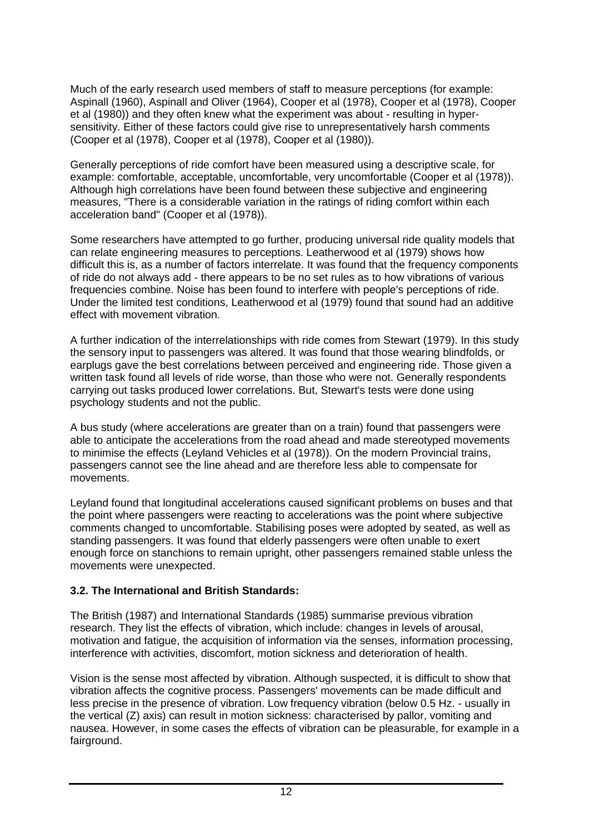Much of the early research used members of staff to measure perceptions (for example: Aspinall (1960), Aspinall and Oliver (1964), Cooper et al (1978), Cooper et al (1978), Cooper et al (1980)) and they often knew what the experiment was about - resulting in hypersensitivity. Either of these factors could give rise to unrepresentatively harsh comments (Cooper et al (1978), Cooper et al (1978), Cooper et al (1980)).

Generally perceptions of ride comfort have been measured using a descriptive scale, for example: comfortable, acceptable, uncomfortable, very uncomfortable (Cooper et al (1978)). Although high correlations have been found between these subjective and engineering measures, "There is a considerable variation in the ratings of riding comfort within each acceleration band" (Cooper et al (1978)).

Some researchers have attempted to go further, producing universal ride quality models that can relate engineering measures to perceptions. Leatherwood et al (1979) shows how difficult this is, as a number of factors interrelate. It was found that the frequency components of ride do not always add - there appears to be no set rules as to how vibrations of various frequencies combine. Noise has been found to interfere with people's perceptions of ride. Under the limited test conditions, Leatherwood et al (1979) found that sound had an additive effect with movement vibration.

A further indication of the interrelationships with ride comes from Stewart (1979). In this study the sensory input to passengers was altered. It was found that those wearing blindfolds, or earplugs gave the best correlations between perceived and engineering ride. Those given a written task found all levels of ride worse, than those who were not. Generally respondents carrying out tasks produced lower correlations. But, Stewart's tests were done using psychology students and not the public.

A bus study (where accelerations are greater than on a train) found that passengers were able to anticipate the accelerations from the road ahead and made stereotyped movements to minimise the effects (Leyland Vehicles et al (1978)). On the modern Provincial trains, passengers cannot see the line ahead and are therefore less able to compensate for movements.

Leyland found that longitudinal accelerations caused significant problems on buses and that the point where passengers were reacting to accelerations was the point where subjective comments changed to uncomfortable. Stabilising poses were adopted by seated, as well as standing passengers. It was found that elderly passengers were often unable to exert enough force on stanchions to remain upright, other passengers remained stable unless the movements were unexpected.

# **3.2. The International and British Standards:**

The British (1987) and International Standards (1985) summarise previous vibration research. They list the effects of vibration, which include: changes in levels of arousal, motivation and fatigue, the acquisition of information via the senses, information processing, interference with activities, discomfort, motion sickness and deterioration of health.

Vision is the sense most affected by vibration. Although suspected, it is difficult to show that vibration affects the cognitive process. Passengers' movements can be made difficult and less precise in the presence of vibration. Low frequency vibration (below 0.5 Hz. - usually in the vertical (Z) axis) can result in motion sickness: characterised by pallor, vomiting and nausea. However, in some cases the effects of vibration can be pleasurable, for example in a fairground.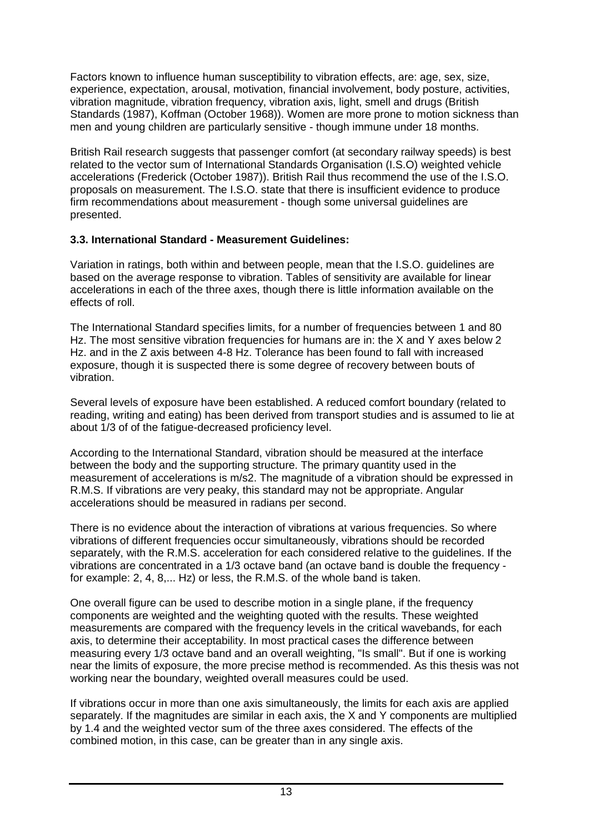Factors known to influence human susceptibility to vibration effects, are: age, sex, size, experience, expectation, arousal, motivation, financial involvement, body posture, activities, vibration magnitude, vibration frequency, vibration axis, light, smell and drugs (British Standards (1987), Koffman (October 1968)). Women are more prone to motion sickness than men and young children are particularly sensitive - though immune under 18 months.

British Rail research suggests that passenger comfort (at secondary railway speeds) is best related to the vector sum of International Standards Organisation (I.S.O) weighted vehicle accelerations (Frederick (October 1987)). British Rail thus recommend the use of the I.S.O. proposals on measurement. The I.S.O. state that there is insufficient evidence to produce firm recommendations about measurement - though some universal guidelines are presented.

# **3.3. International Standard - Measurement Guidelines:**

Variation in ratings, both within and between people, mean that the I.S.O. guidelines are based on the average response to vibration. Tables of sensitivity are available for linear accelerations in each of the three axes, though there is little information available on the effects of roll.

The International Standard specifies limits, for a number of frequencies between 1 and 80 Hz. The most sensitive vibration frequencies for humans are in: the X and Y axes below 2 Hz. and in the Z axis between 4-8 Hz. Tolerance has been found to fall with increased exposure, though it is suspected there is some degree of recovery between bouts of vibration.

Several levels of exposure have been established. A reduced comfort boundary (related to reading, writing and eating) has been derived from transport studies and is assumed to lie at about 1/3 of of the fatigue-decreased proficiency level.

According to the International Standard, vibration should be measured at the interface between the body and the supporting structure. The primary quantity used in the measurement of accelerations is m/s2. The magnitude of a vibration should be expressed in R.M.S. If vibrations are very peaky, this standard may not be appropriate. Angular accelerations should be measured in radians per second.

There is no evidence about the interaction of vibrations at various frequencies. So where vibrations of different frequencies occur simultaneously, vibrations should be recorded separately, with the R.M.S. acceleration for each considered relative to the guidelines. If the vibrations are concentrated in a 1/3 octave band (an octave band is double the frequency for example: 2, 4, 8,... Hz) or less, the R.M.S. of the whole band is taken.

One overall figure can be used to describe motion in a single plane, if the frequency components are weighted and the weighting quoted with the results. These weighted measurements are compared with the frequency levels in the critical wavebands, for each axis, to determine their acceptability. In most practical cases the difference between measuring every 1/3 octave band and an overall weighting, "Is small". But if one is working near the limits of exposure, the more precise method is recommended. As this thesis was not working near the boundary, weighted overall measures could be used.

If vibrations occur in more than one axis simultaneously, the limits for each axis are applied separately. If the magnitudes are similar in each axis, the X and Y components are multiplied by 1.4 and the weighted vector sum of the three axes considered. The effects of the combined motion, in this case, can be greater than in any single axis.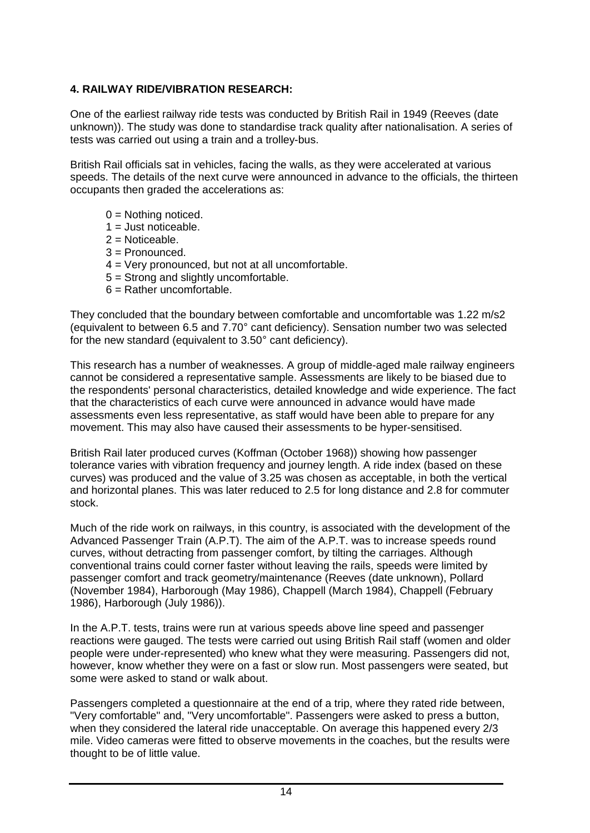# **4. RAILWAY RIDE/VIBRATION RESEARCH:**

One of the earliest railway ride tests was conducted by British Rail in 1949 (Reeves (date unknown)). The study was done to standardise track quality after nationalisation. A series of tests was carried out using a train and a trolley-bus.

British Rail officials sat in vehicles, facing the walls, as they were accelerated at various speeds. The details of the next curve were announced in advance to the officials, the thirteen occupants then graded the accelerations as:

- $0 =$  Nothing noticed.
- $1 =$  Just noticeable.
- $2 =$  Noticeable.
- 3 = Pronounced.
- 4 = Very pronounced, but not at all uncomfortable.
- 5 = Strong and slightly uncomfortable.
- $6$  = Rather uncomfortable.

They concluded that the boundary between comfortable and uncomfortable was 1.22 m/s2 (equivalent to between 6.5 and 7.70° cant deficiency). Sensation number two was selected for the new standard (equivalent to 3.50° cant deficiency).

This research has a number of weaknesses. A group of middle-aged male railway engineers cannot be considered a representative sample. Assessments are likely to be biased due to the respondents' personal characteristics, detailed knowledge and wide experience. The fact that the characteristics of each curve were announced in advance would have made assessments even less representative, as staff would have been able to prepare for any movement. This may also have caused their assessments to be hyper-sensitised.

British Rail later produced curves (Koffman (October 1968)) showing how passenger tolerance varies with vibration frequency and journey length. A ride index (based on these curves) was produced and the value of 3.25 was chosen as acceptable, in both the vertical and horizontal planes. This was later reduced to 2.5 for long distance and 2.8 for commuter stock.

Much of the ride work on railways, in this country, is associated with the development of the Advanced Passenger Train (A.P.T). The aim of the A.P.T. was to increase speeds round curves, without detracting from passenger comfort, by tilting the carriages. Although conventional trains could corner faster without leaving the rails, speeds were limited by passenger comfort and track geometry/maintenance (Reeves (date unknown), Pollard (November 1984), Harborough (May 1986), Chappell (March 1984), Chappell (February 1986), Harborough (July 1986)).

In the A.P.T. tests, trains were run at various speeds above line speed and passenger reactions were gauged. The tests were carried out using British Rail staff (women and older people were under-represented) who knew what they were measuring. Passengers did not, however, know whether they were on a fast or slow run. Most passengers were seated, but some were asked to stand or walk about.

Passengers completed a questionnaire at the end of a trip, where they rated ride between, "Very comfortable" and, "Very uncomfortable". Passengers were asked to press a button, when they considered the lateral ride unacceptable. On average this happened every 2/3 mile. Video cameras were fitted to observe movements in the coaches, but the results were thought to be of little value.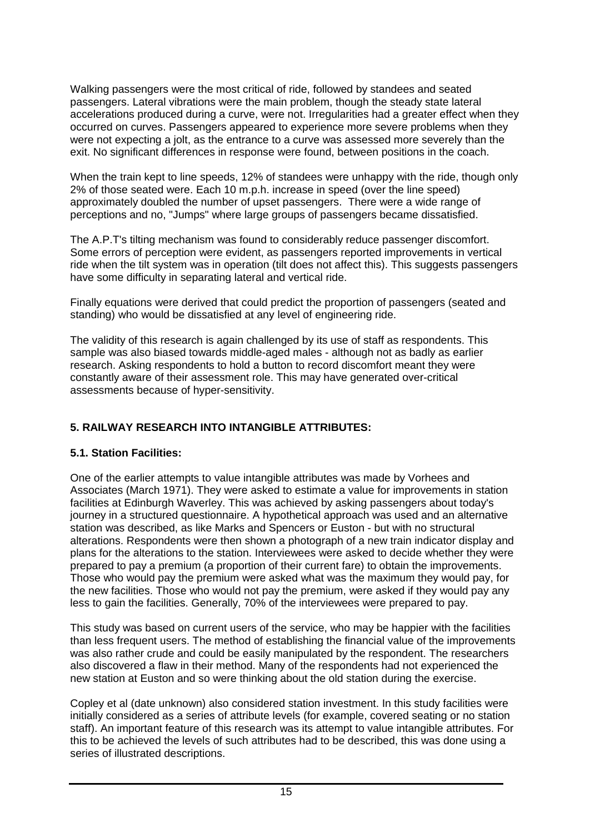Walking passengers were the most critical of ride, followed by standees and seated passengers. Lateral vibrations were the main problem, though the steady state lateral accelerations produced during a curve, were not. Irregularities had a greater effect when they occurred on curves. Passengers appeared to experience more severe problems when they were not expecting a jolt, as the entrance to a curve was assessed more severely than the exit. No significant differences in response were found, between positions in the coach.

When the train kept to line speeds, 12% of standees were unhappy with the ride, though only 2% of those seated were. Each 10 m.p.h. increase in speed (over the line speed) approximately doubled the number of upset passengers. There were a wide range of perceptions and no, "Jumps" where large groups of passengers became dissatisfied.

The A.P.T's tilting mechanism was found to considerably reduce passenger discomfort. Some errors of perception were evident, as passengers reported improvements in vertical ride when the tilt system was in operation (tilt does not affect this). This suggests passengers have some difficulty in separating lateral and vertical ride.

Finally equations were derived that could predict the proportion of passengers (seated and standing) who would be dissatisfied at any level of engineering ride.

The validity of this research is again challenged by its use of staff as respondents. This sample was also biased towards middle-aged males - although not as badly as earlier research. Asking respondents to hold a button to record discomfort meant they were constantly aware of their assessment role. This may have generated over-critical assessments because of hyper-sensitivity.

# **5. RAILWAY RESEARCH INTO INTANGIBLE ATTRIBUTES:**

# **5.1. Station Facilities:**

One of the earlier attempts to value intangible attributes was made by Vorhees and Associates (March 1971). They were asked to estimate a value for improvements in station facilities at Edinburgh Waverley. This was achieved by asking passengers about today's journey in a structured questionnaire. A hypothetical approach was used and an alternative station was described, as like Marks and Spencers or Euston - but with no structural alterations. Respondents were then shown a photograph of a new train indicator display and plans for the alterations to the station. Interviewees were asked to decide whether they were prepared to pay a premium (a proportion of their current fare) to obtain the improvements. Those who would pay the premium were asked what was the maximum they would pay, for the new facilities. Those who would not pay the premium, were asked if they would pay any less to gain the facilities. Generally, 70% of the interviewees were prepared to pay.

This study was based on current users of the service, who may be happier with the facilities than less frequent users. The method of establishing the financial value of the improvements was also rather crude and could be easily manipulated by the respondent. The researchers also discovered a flaw in their method. Many of the respondents had not experienced the new station at Euston and so were thinking about the old station during the exercise.

Copley et al (date unknown) also considered station investment. In this study facilities were initially considered as a series of attribute levels (for example, covered seating or no station staff). An important feature of this research was its attempt to value intangible attributes. For this to be achieved the levels of such attributes had to be described, this was done using a series of illustrated descriptions.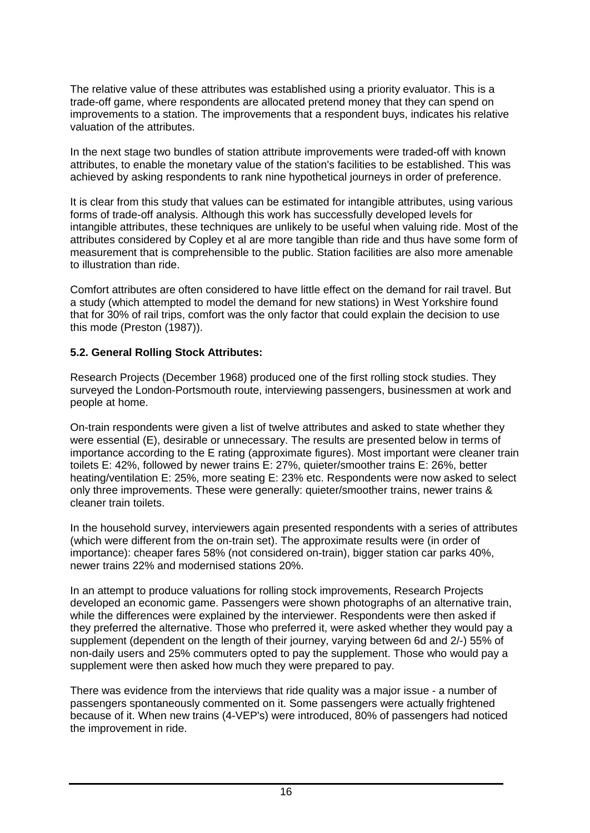The relative value of these attributes was established using a priority evaluator. This is a trade-off game, where respondents are allocated pretend money that they can spend on improvements to a station. The improvements that a respondent buys, indicates his relative valuation of the attributes.

In the next stage two bundles of station attribute improvements were traded-off with known attributes, to enable the monetary value of the station's facilities to be established. This was achieved by asking respondents to rank nine hypothetical journeys in order of preference.

It is clear from this study that values can be estimated for intangible attributes, using various forms of trade-off analysis. Although this work has successfully developed levels for intangible attributes, these techniques are unlikely to be useful when valuing ride. Most of the attributes considered by Copley et al are more tangible than ride and thus have some form of measurement that is comprehensible to the public. Station facilities are also more amenable to illustration than ride.

Comfort attributes are often considered to have little effect on the demand for rail travel. But a study (which attempted to model the demand for new stations) in West Yorkshire found that for 30% of rail trips, comfort was the only factor that could explain the decision to use this mode (Preston (1987)).

#### **5.2. General Rolling Stock Attributes:**

Research Projects (December 1968) produced one of the first rolling stock studies. They surveyed the London-Portsmouth route, interviewing passengers, businessmen at work and people at home.

On-train respondents were given a list of twelve attributes and asked to state whether they were essential (E), desirable or unnecessary. The results are presented below in terms of importance according to the E rating (approximate figures). Most important were cleaner train toilets E: 42%, followed by newer trains E: 27%, quieter/smoother trains E: 26%, better heating/ventilation E: 25%, more seating E: 23% etc. Respondents were now asked to select only three improvements. These were generally: quieter/smoother trains, newer trains & cleaner train toilets.

In the household survey, interviewers again presented respondents with a series of attributes (which were different from the on-train set). The approximate results were (in order of importance): cheaper fares 58% (not considered on-train), bigger station car parks 40%, newer trains 22% and modernised stations 20%.

In an attempt to produce valuations for rolling stock improvements, Research Projects developed an economic game. Passengers were shown photographs of an alternative train, while the differences were explained by the interviewer. Respondents were then asked if they preferred the alternative. Those who preferred it, were asked whether they would pay a supplement (dependent on the length of their journey, varying between 6d and 2/-) 55% of non-daily users and 25% commuters opted to pay the supplement. Those who would pay a supplement were then asked how much they were prepared to pay.

There was evidence from the interviews that ride quality was a major issue - a number of passengers spontaneously commented on it. Some passengers were actually frightened because of it. When new trains (4-VEP's) were introduced, 80% of passengers had noticed the improvement in ride.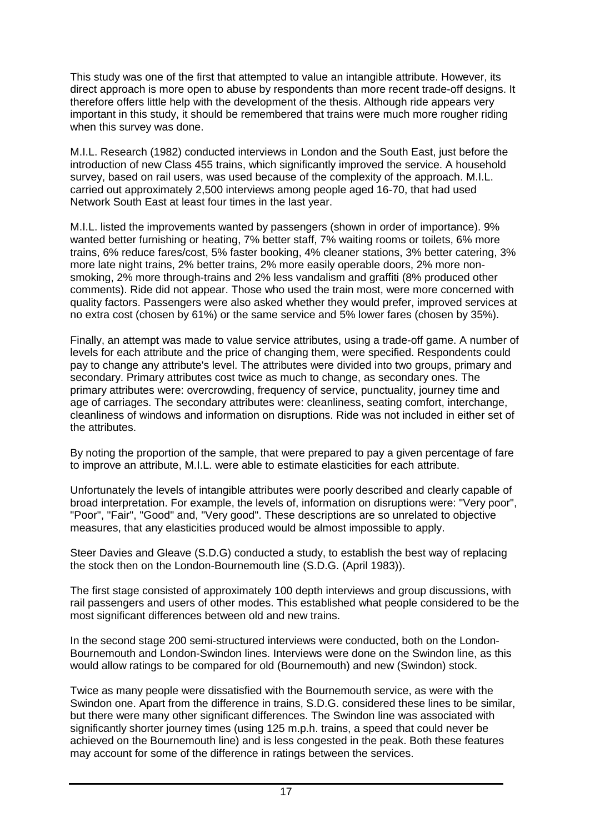This study was one of the first that attempted to value an intangible attribute. However, its direct approach is more open to abuse by respondents than more recent trade-off designs. It therefore offers little help with the development of the thesis. Although ride appears very important in this study, it should be remembered that trains were much more rougher riding when this survey was done.

M.I.L. Research (1982) conducted interviews in London and the South East, just before the introduction of new Class 455 trains, which significantly improved the service. A household survey, based on rail users, was used because of the complexity of the approach. M.I.L. carried out approximately 2,500 interviews among people aged 16-70, that had used Network South East at least four times in the last year.

M.I.L. listed the improvements wanted by passengers (shown in order of importance). 9% wanted better furnishing or heating, 7% better staff, 7% waiting rooms or toilets, 6% more trains, 6% reduce fares/cost, 5% faster booking, 4% cleaner stations, 3% better catering, 3% more late night trains, 2% better trains, 2% more easily operable doors, 2% more nonsmoking, 2% more through-trains and 2% less vandalism and graffiti (8% produced other comments). Ride did not appear. Those who used the train most, were more concerned with quality factors. Passengers were also asked whether they would prefer, improved services at no extra cost (chosen by 61%) or the same service and 5% lower fares (chosen by 35%).

Finally, an attempt was made to value service attributes, using a trade-off game. A number of levels for each attribute and the price of changing them, were specified. Respondents could pay to change any attribute's level. The attributes were divided into two groups, primary and secondary. Primary attributes cost twice as much to change, as secondary ones. The primary attributes were: overcrowding, frequency of service, punctuality, journey time and age of carriages. The secondary attributes were: cleanliness, seating comfort, interchange, cleanliness of windows and information on disruptions. Ride was not included in either set of the attributes.

By noting the proportion of the sample, that were prepared to pay a given percentage of fare to improve an attribute, M.I.L. were able to estimate elasticities for each attribute.

Unfortunately the levels of intangible attributes were poorly described and clearly capable of broad interpretation. For example, the levels of, information on disruptions were: "Very poor", "Poor", "Fair", "Good" and, "Very good". These descriptions are so unrelated to objective measures, that any elasticities produced would be almost impossible to apply.

Steer Davies and Gleave (S.D.G) conducted a study, to establish the best way of replacing the stock then on the London-Bournemouth line (S.D.G. (April 1983)).

The first stage consisted of approximately 100 depth interviews and group discussions, with rail passengers and users of other modes. This established what people considered to be the most significant differences between old and new trains.

In the second stage 200 semi-structured interviews were conducted, both on the London-Bournemouth and London-Swindon lines. Interviews were done on the Swindon line, as this would allow ratings to be compared for old (Bournemouth) and new (Swindon) stock.

Twice as many people were dissatisfied with the Bournemouth service, as were with the Swindon one. Apart from the difference in trains, S.D.G. considered these lines to be similar, but there were many other significant differences. The Swindon line was associated with significantly shorter journey times (using 125 m.p.h. trains, a speed that could never be achieved on the Bournemouth line) and is less congested in the peak. Both these features may account for some of the difference in ratings between the services.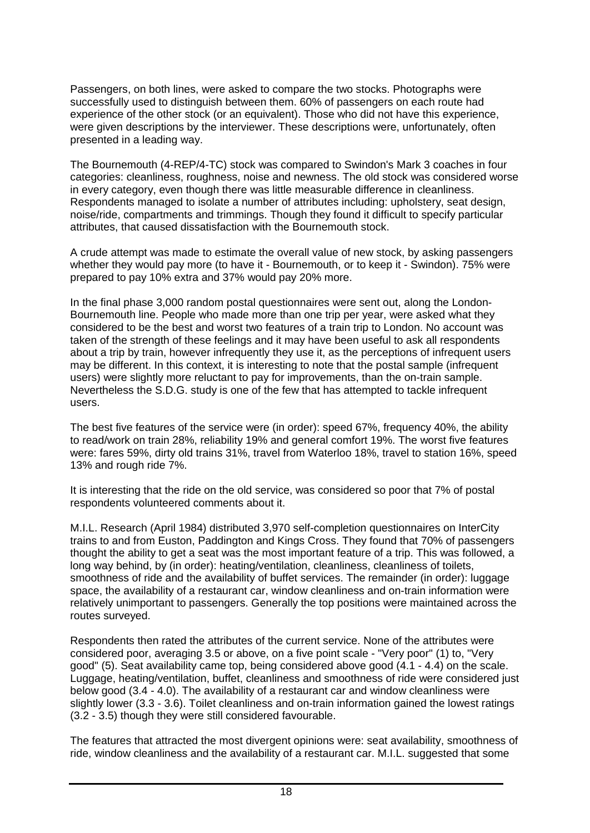Passengers, on both lines, were asked to compare the two stocks. Photographs were successfully used to distinguish between them. 60% of passengers on each route had experience of the other stock (or an equivalent). Those who did not have this experience, were given descriptions by the interviewer. These descriptions were, unfortunately, often presented in a leading way.

The Bournemouth (4-REP/4-TC) stock was compared to Swindon's Mark 3 coaches in four categories: cleanliness, roughness, noise and newness. The old stock was considered worse in every category, even though there was little measurable difference in cleanliness. Respondents managed to isolate a number of attributes including: upholstery, seat design, noise/ride, compartments and trimmings. Though they found it difficult to specify particular attributes, that caused dissatisfaction with the Bournemouth stock.

A crude attempt was made to estimate the overall value of new stock, by asking passengers whether they would pay more (to have it - Bournemouth, or to keep it - Swindon). 75% were prepared to pay 10% extra and 37% would pay 20% more.

In the final phase 3,000 random postal questionnaires were sent out, along the London-Bournemouth line. People who made more than one trip per year, were asked what they considered to be the best and worst two features of a train trip to London. No account was taken of the strength of these feelings and it may have been useful to ask all respondents about a trip by train, however infrequently they use it, as the perceptions of infrequent users may be different. In this context, it is interesting to note that the postal sample (infrequent users) were slightly more reluctant to pay for improvements, than the on-train sample. Nevertheless the S.D.G. study is one of the few that has attempted to tackle infrequent users.

The best five features of the service were (in order): speed 67%, frequency 40%, the ability to read/work on train 28%, reliability 19% and general comfort 19%. The worst five features were: fares 59%, dirty old trains 31%, travel from Waterloo 18%, travel to station 16%, speed 13% and rough ride 7%.

It is interesting that the ride on the old service, was considered so poor that 7% of postal respondents volunteered comments about it.

M.I.L. Research (April 1984) distributed 3,970 self-completion questionnaires on InterCity trains to and from Euston, Paddington and Kings Cross. They found that 70% of passengers thought the ability to get a seat was the most important feature of a trip. This was followed, a long way behind, by (in order): heating/ventilation, cleanliness, cleanliness of toilets, smoothness of ride and the availability of buffet services. The remainder (in order): luggage space, the availability of a restaurant car, window cleanliness and on-train information were relatively unimportant to passengers. Generally the top positions were maintained across the routes surveyed.

Respondents then rated the attributes of the current service. None of the attributes were considered poor, averaging 3.5 or above, on a five point scale - "Very poor" (1) to, "Very good" (5). Seat availability came top, being considered above good (4.1 - 4.4) on the scale. Luggage, heating/ventilation, buffet, cleanliness and smoothness of ride were considered just below good (3.4 - 4.0). The availability of a restaurant car and window cleanliness were slightly lower (3.3 - 3.6). Toilet cleanliness and on-train information gained the lowest ratings (3.2 - 3.5) though they were still considered favourable.

The features that attracted the most divergent opinions were: seat availability, smoothness of ride, window cleanliness and the availability of a restaurant car. M.I.L. suggested that some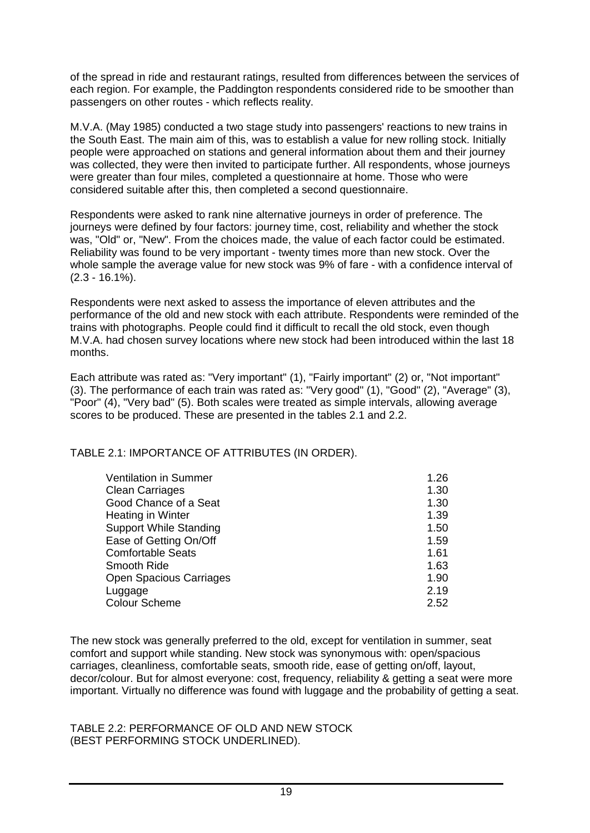of the spread in ride and restaurant ratings, resulted from differences between the services of each region. For example, the Paddington respondents considered ride to be smoother than passengers on other routes - which reflects reality.

M.V.A. (May 1985) conducted a two stage study into passengers' reactions to new trains in the South East. The main aim of this, was to establish a value for new rolling stock. Initially people were approached on stations and general information about them and their journey was collected, they were then invited to participate further. All respondents, whose journeys were greater than four miles, completed a questionnaire at home. Those who were considered suitable after this, then completed a second questionnaire.

Respondents were asked to rank nine alternative journeys in order of preference. The journeys were defined by four factors: journey time, cost, reliability and whether the stock was, "Old" or, "New". From the choices made, the value of each factor could be estimated. Reliability was found to be very important - twenty times more than new stock. Over the whole sample the average value for new stock was 9% of fare - with a confidence interval of (2.3 - 16.1%).

Respondents were next asked to assess the importance of eleven attributes and the performance of the old and new stock with each attribute. Respondents were reminded of the trains with photographs. People could find it difficult to recall the old stock, even though M.V.A. had chosen survey locations where new stock had been introduced within the last 18 months.

Each attribute was rated as: "Very important" (1), "Fairly important" (2) or, "Not important" (3). The performance of each train was rated as: "Very good" (1), "Good" (2), "Average" (3), "Poor" (4), "Very bad" (5). Both scales were treated as simple intervals, allowing average scores to be produced. These are presented in the tables 2.1 and 2.2.

TABLE 2.1: IMPORTANCE OF ATTRIBUTES (IN ORDER).

| <b>Ventilation in Summer</b>   | 1.26 |
|--------------------------------|------|
| <b>Clean Carriages</b>         | 1.30 |
| Good Chance of a Seat          | 1.30 |
| Heating in Winter              | 1.39 |
| <b>Support While Standing</b>  | 1.50 |
| Ease of Getting On/Off         | 1.59 |
| <b>Comfortable Seats</b>       | 1.61 |
| Smooth Ride                    | 1.63 |
| <b>Open Spacious Carriages</b> | 1.90 |
| Luggage                        | 2.19 |
| <b>Colour Scheme</b>           | 2.52 |

The new stock was generally preferred to the old, except for ventilation in summer, seat comfort and support while standing. New stock was synonymous with: open/spacious carriages, cleanliness, comfortable seats, smooth ride, ease of getting on/off, layout, decor/colour. But for almost everyone: cost, frequency, reliability & getting a seat were more important. Virtually no difference was found with luggage and the probability of getting a seat.

TABLE 2.2: PERFORMANCE OF OLD AND NEW STOCK (BEST PERFORMING STOCK UNDERLINED).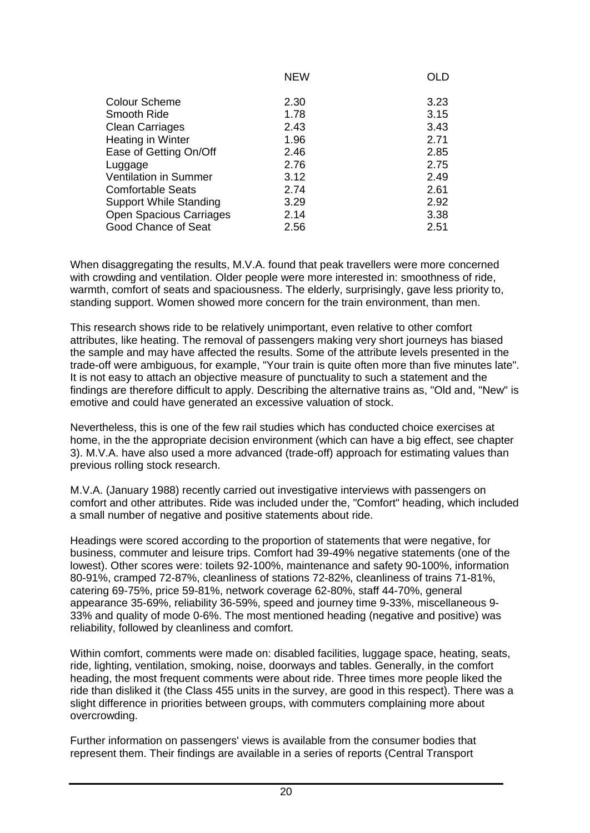|                                | <b>NEW</b> | <b>OLD</b> |
|--------------------------------|------------|------------|
|                                |            |            |
| <b>Colour Scheme</b>           | 2.30       | 3.23       |
| Smooth Ride                    | 1.78       | 3.15       |
| <b>Clean Carriages</b>         | 2.43       | 3.43       |
| Heating in Winter              | 1.96       | 2.71       |
| Ease of Getting On/Off         | 2.46       | 2.85       |
| Luggage                        | 2.76       | 2.75       |
| <b>Ventilation in Summer</b>   | 3.12       | 2.49       |
| <b>Comfortable Seats</b>       | 2.74       | 2.61       |
| <b>Support While Standing</b>  | 3.29       | 2.92       |
| <b>Open Spacious Carriages</b> | 2.14       | 3.38       |
| Good Chance of Seat            | 2.56       | 2.51       |

When disaggregating the results, M.V.A. found that peak travellers were more concerned with crowding and ventilation. Older people were more interested in: smoothness of ride, warmth, comfort of seats and spaciousness. The elderly, surprisingly, gave less priority to, standing support. Women showed more concern for the train environment, than men.

This research shows ride to be relatively unimportant, even relative to other comfort attributes, like heating. The removal of passengers making very short journeys has biased the sample and may have affected the results. Some of the attribute levels presented in the trade-off were ambiguous, for example, "Your train is quite often more than five minutes late". It is not easy to attach an objective measure of punctuality to such a statement and the findings are therefore difficult to apply. Describing the alternative trains as, "Old and, "New" is emotive and could have generated an excessive valuation of stock.

Nevertheless, this is one of the few rail studies which has conducted choice exercises at home, in the the appropriate decision environment (which can have a big effect, see chapter 3). M.V.A. have also used a more advanced (trade-off) approach for estimating values than previous rolling stock research.

M.V.A. (January 1988) recently carried out investigative interviews with passengers on comfort and other attributes. Ride was included under the, "Comfort" heading, which included a small number of negative and positive statements about ride.

Headings were scored according to the proportion of statements that were negative, for business, commuter and leisure trips. Comfort had 39-49% negative statements (one of the lowest). Other scores were: toilets 92-100%, maintenance and safety 90-100%, information 80-91%, cramped 72-87%, cleanliness of stations 72-82%, cleanliness of trains 71-81%, catering 69-75%, price 59-81%, network coverage 62-80%, staff 44-70%, general appearance 35-69%, reliability 36-59%, speed and journey time 9-33%, miscellaneous 9- 33% and quality of mode 0-6%. The most mentioned heading (negative and positive) was reliability, followed by cleanliness and comfort.

Within comfort, comments were made on: disabled facilities, luggage space, heating, seats, ride, lighting, ventilation, smoking, noise, doorways and tables. Generally, in the comfort heading, the most frequent comments were about ride. Three times more people liked the ride than disliked it (the Class 455 units in the survey, are good in this respect). There was a slight difference in priorities between groups, with commuters complaining more about overcrowding.

Further information on passengers' views is available from the consumer bodies that represent them. Their findings are available in a series of reports (Central Transport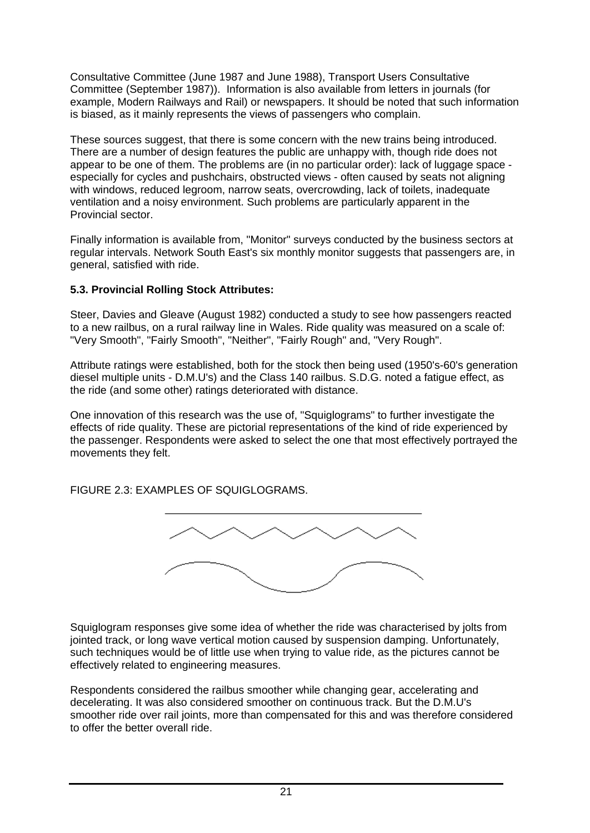Consultative Committee (June 1987 and June 1988), Transport Users Consultative Committee (September 1987)). Information is also available from letters in journals (for example, Modern Railways and Rail) or newspapers. It should be noted that such information is biased, as it mainly represents the views of passengers who complain.

These sources suggest, that there is some concern with the new trains being introduced. There are a number of design features the public are unhappy with, though ride does not appear to be one of them. The problems are (in no particular order): lack of luggage space especially for cycles and pushchairs, obstructed views - often caused by seats not aligning with windows, reduced legroom, narrow seats, overcrowding, lack of toilets, inadequate ventilation and a noisy environment. Such problems are particularly apparent in the Provincial sector.

Finally information is available from, "Monitor" surveys conducted by the business sectors at regular intervals. Network South East's six monthly monitor suggests that passengers are, in general, satisfied with ride.

# **5.3. Provincial Rolling Stock Attributes:**

Steer, Davies and Gleave (August 1982) conducted a study to see how passengers reacted to a new railbus, on a rural railway line in Wales. Ride quality was measured on a scale of: "Very Smooth", "Fairly Smooth", "Neither", "Fairly Rough" and, "Very Rough".

Attribute ratings were established, both for the stock then being used (1950's-60's generation diesel multiple units - D.M.U's) and the Class 140 railbus. S.D.G. noted a fatigue effect, as the ride (and some other) ratings deteriorated with distance.

One innovation of this research was the use of, "Squiglograms" to further investigate the effects of ride quality. These are pictorial representations of the kind of ride experienced by the passenger. Respondents were asked to select the one that most effectively portrayed the movements they felt.

FIGURE 2.3: EXAMPLES OF SQUIGLOGRAMS.



Squiglogram responses give some idea of whether the ride was characterised by jolts from jointed track, or long wave vertical motion caused by suspension damping. Unfortunately, such techniques would be of little use when trying to value ride, as the pictures cannot be effectively related to engineering measures.

Respondents considered the railbus smoother while changing gear, accelerating and decelerating. It was also considered smoother on continuous track. But the D.M.U's smoother ride over rail joints, more than compensated for this and was therefore considered to offer the better overall ride.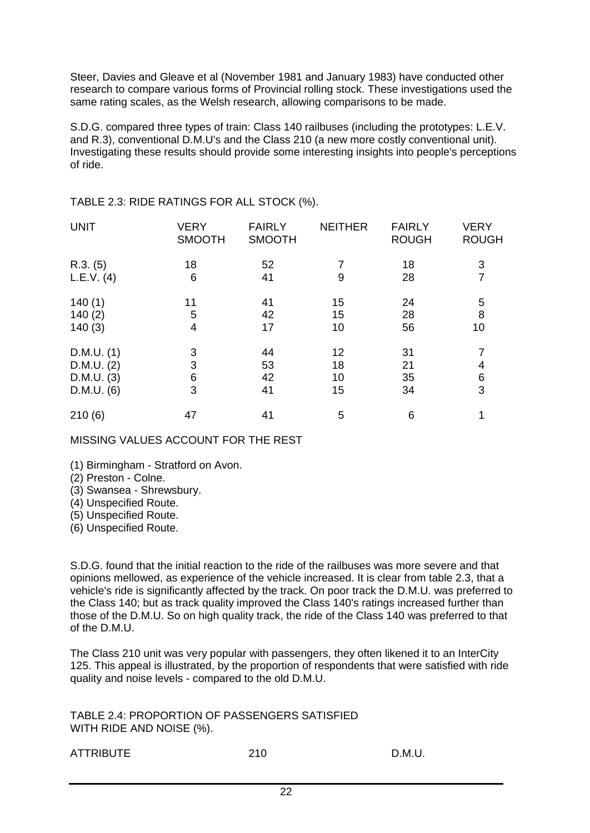Steer, Davies and Gleave et al (November 1981 and January 1983) have conducted other research to compare various forms of Provincial rolling stock. These investigations used the same rating scales, as the Welsh research, allowing comparisons to be made.

S.D.G. compared three types of train: Class 140 railbuses (including the prototypes: L.E.V. and R.3), conventional D.M.U's and the Class 210 (a new more costly conventional unit). Investigating these results should provide some interesting insights into people's perceptions of ride.

| <b>UNIT</b> | <b>VERY</b><br><b>SMOOTH</b> | <b>FAIRLY</b><br><b>SMOOTH</b> | <b>NEITHER</b> | <b>FAIRLY</b><br><b>ROUGH</b> | <b>VERY</b><br><b>ROUGH</b> |
|-------------|------------------------------|--------------------------------|----------------|-------------------------------|-----------------------------|
| R.3. (5)    | 18                           | 52                             | 7              | 18                            | 3                           |
| L.E.V. (4)  | 6                            | 41                             | 9              | 28                            | $\overline{7}$              |
| 140(1)      | 11                           | 41                             | 15             | 24                            | 5                           |
| 140(2)      | 5                            | 42                             | 15             | 28                            | 8                           |
| 140(3)      | 4                            | 17                             | 10             | 56                            | 10                          |
| D.M.U. (1)  | 3                            | 44                             | 12             | 31                            | 7                           |
| D.M.U. (2)  | 3                            | 53                             | 18             | 21                            | 4                           |
| D.M.U. (3)  | 6                            | 42                             | 10             | 35                            | 6                           |
| D.M.U. (6)  | 3                            | 41                             | 15             | 34                            | 3                           |
| 210(6)      | 47                           | 41                             | 5              | 6                             |                             |

TABLE 2.3: RIDE RATINGS FOR ALL STOCK (%).

MISSING VALUES ACCOUNT FOR THE REST

(1) Birmingham - Stratford on Avon.

(2) Preston - Colne.

(3) Swansea - Shrewsbury.

(4) Unspecified Route.

(5) Unspecified Route.

(6) Unspecified Route.

S.D.G. found that the initial reaction to the ride of the railbuses was more severe and that opinions mellowed, as experience of the vehicle increased. It is clear from table 2.3, that a vehicle's ride is significantly affected by the track. On poor track the D.M.U. was preferred to the Class 140; but as track quality improved the Class 140's ratings increased further than those of the D.M.U. So on high quality track, the ride of the Class 140 was preferred to that of the D.M.U.

The Class 210 unit was very popular with passengers, they often likened it to an InterCity 125. This appeal is illustrated, by the proportion of respondents that were satisfied with ride quality and noise levels - compared to the old D.M.U.

TABLE 2.4: PROPORTION OF PASSENGERS SATISFIED WITH RIDE AND NOISE (%).

| ATTRIBUTE | 210 | D.M.U. |
|-----------|-----|--------|
|           |     |        |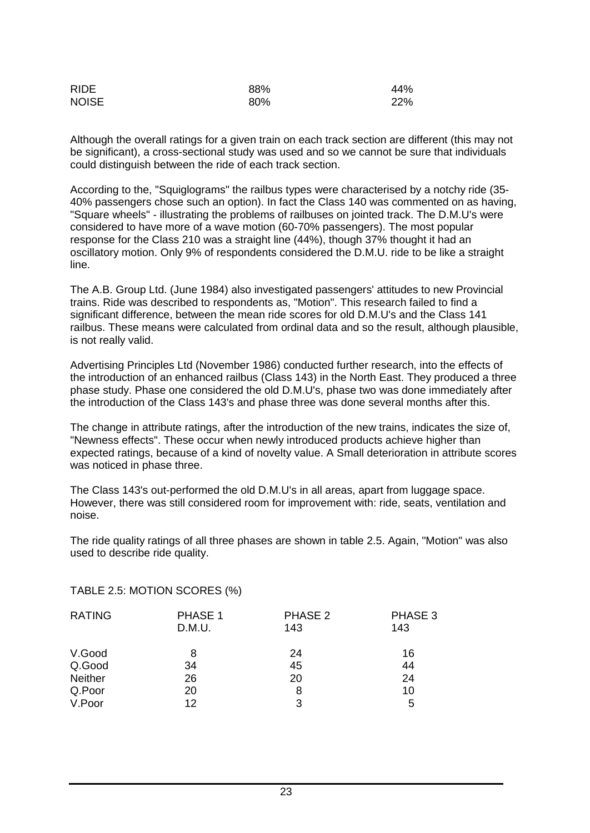| <b>RIDE</b>  | 88% | 44% |
|--------------|-----|-----|
| <b>NOISE</b> | 80% | 22% |

Although the overall ratings for a given train on each track section are different (this may not be significant), a cross-sectional study was used and so we cannot be sure that individuals could distinguish between the ride of each track section.

According to the, "Squiglograms" the railbus types were characterised by a notchy ride (35- 40% passengers chose such an option). In fact the Class 140 was commented on as having, "Square wheels" - illustrating the problems of railbuses on jointed track. The D.M.U's were considered to have more of a wave motion (60-70% passengers). The most popular response for the Class 210 was a straight line (44%), though 37% thought it had an oscillatory motion. Only 9% of respondents considered the D.M.U. ride to be like a straight line.

The A.B. Group Ltd. (June 1984) also investigated passengers' attitudes to new Provincial trains. Ride was described to respondents as, "Motion". This research failed to find a significant difference, between the mean ride scores for old D.M.U's and the Class 141 railbus. These means were calculated from ordinal data and so the result, although plausible, is not really valid.

Advertising Principles Ltd (November 1986) conducted further research, into the effects of the introduction of an enhanced railbus (Class 143) in the North East. They produced a three phase study. Phase one considered the old D.M.U's, phase two was done immediately after the introduction of the Class 143's and phase three was done several months after this.

The change in attribute ratings, after the introduction of the new trains, indicates the size of, "Newness effects". These occur when newly introduced products achieve higher than expected ratings, because of a kind of novelty value. A Small deterioration in attribute scores was noticed in phase three.

The Class 143's out-performed the old D.M.U's in all areas, apart from luggage space. However, there was still considered room for improvement with: ride, seats, ventilation and noise.

The ride quality ratings of all three phases are shown in table 2.5. Again, "Motion" was also used to describe ride quality.

TABLE 2.5: MOTION SCORES (%)

| PHASE 1<br>D.M.U. | PHASE 2<br>143 | PHASE 3<br>143 |
|-------------------|----------------|----------------|
| 8                 | 24             | 16             |
| 34                | 45             | 44             |
| 26                | 20             | 24             |
| 20                | 8              | 10             |
| 12                | 3              | 5              |
|                   |                |                |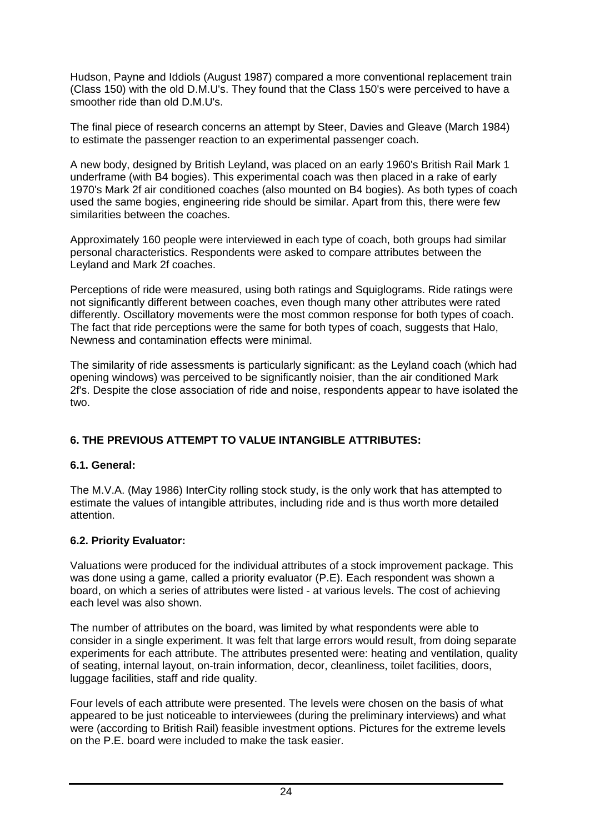Hudson, Payne and Iddiols (August 1987) compared a more conventional replacement train (Class 150) with the old D.M.U's. They found that the Class 150's were perceived to have a smoother ride than old D.M.U's.

The final piece of research concerns an attempt by Steer, Davies and Gleave (March 1984) to estimate the passenger reaction to an experimental passenger coach.

A new body, designed by British Leyland, was placed on an early 1960's British Rail Mark 1 underframe (with B4 bogies). This experimental coach was then placed in a rake of early 1970's Mark 2f air conditioned coaches (also mounted on B4 bogies). As both types of coach used the same bogies, engineering ride should be similar. Apart from this, there were few similarities between the coaches.

Approximately 160 people were interviewed in each type of coach, both groups had similar personal characteristics. Respondents were asked to compare attributes between the Leyland and Mark 2f coaches.

Perceptions of ride were measured, using both ratings and Squiglograms. Ride ratings were not significantly different between coaches, even though many other attributes were rated differently. Oscillatory movements were the most common response for both types of coach. The fact that ride perceptions were the same for both types of coach, suggests that Halo, Newness and contamination effects were minimal.

The similarity of ride assessments is particularly significant: as the Leyland coach (which had opening windows) was perceived to be significantly noisier, than the air conditioned Mark 2f's. Despite the close association of ride and noise, respondents appear to have isolated the two.

# **6. THE PREVIOUS ATTEMPT TO VALUE INTANGIBLE ATTRIBUTES:**

#### **6.1. General:**

The M.V.A. (May 1986) InterCity rolling stock study, is the only work that has attempted to estimate the values of intangible attributes, including ride and is thus worth more detailed attention.

# **6.2. Priority Evaluator:**

Valuations were produced for the individual attributes of a stock improvement package. This was done using a game, called a priority evaluator (P.E). Each respondent was shown a board, on which a series of attributes were listed - at various levels. The cost of achieving each level was also shown.

The number of attributes on the board, was limited by what respondents were able to consider in a single experiment. It was felt that large errors would result, from doing separate experiments for each attribute. The attributes presented were: heating and ventilation, quality of seating, internal layout, on-train information, decor, cleanliness, toilet facilities, doors, luggage facilities, staff and ride quality.

Four levels of each attribute were presented. The levels were chosen on the basis of what appeared to be just noticeable to interviewees (during the preliminary interviews) and what were (according to British Rail) feasible investment options. Pictures for the extreme levels on the P.E. board were included to make the task easier.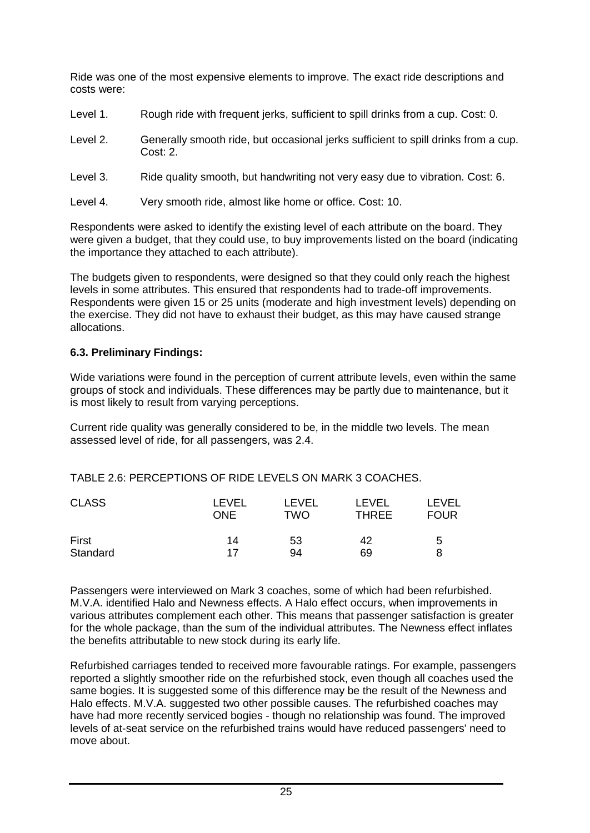Ride was one of the most expensive elements to improve. The exact ride descriptions and costs were:

- Level 1. Rough ride with frequent jerks, sufficient to spill drinks from a cup. Cost: 0.
- Level 2. Generally smooth ride, but occasional jerks sufficient to spill drinks from a cup. Cost: 2.
- Level 3. Ride quality smooth, but handwriting not very easy due to vibration. Cost: 6.
- Level 4. Very smooth ride, almost like home or office. Cost: 10.

Respondents were asked to identify the existing level of each attribute on the board. They were given a budget, that they could use, to buy improvements listed on the board (indicating the importance they attached to each attribute).

The budgets given to respondents, were designed so that they could only reach the highest levels in some attributes. This ensured that respondents had to trade-off improvements. Respondents were given 15 or 25 units (moderate and high investment levels) depending on the exercise. They did not have to exhaust their budget, as this may have caused strange allocations.

#### **6.3. Preliminary Findings:**

Wide variations were found in the perception of current attribute levels, even within the same groups of stock and individuals. These differences may be partly due to maintenance, but it is most likely to result from varying perceptions.

Current ride quality was generally considered to be, in the middle two levels. The mean assessed level of ride, for all passengers, was 2.4.

TABLE 2.6: PERCEPTIONS OF RIDE LEVELS ON MARK 3 COACHES.

| <b>CLASS</b> | LEVEL      | LEVEL | LEVEL        | LEVEL       |
|--------------|------------|-------|--------------|-------------|
|              | <b>ONE</b> | TWO   | <b>THREE</b> | <b>FOUR</b> |
| First        | 14         | 53    | 42           | 5           |
| Standard     | 17         | 94    | 69           | 8           |

Passengers were interviewed on Mark 3 coaches, some of which had been refurbished. M.V.A. identified Halo and Newness effects. A Halo effect occurs, when improvements in various attributes complement each other. This means that passenger satisfaction is greater for the whole package, than the sum of the individual attributes. The Newness effect inflates the benefits attributable to new stock during its early life.

Refurbished carriages tended to received more favourable ratings. For example, passengers reported a slightly smoother ride on the refurbished stock, even though all coaches used the same bogies. It is suggested some of this difference may be the result of the Newness and Halo effects. M.V.A. suggested two other possible causes. The refurbished coaches may have had more recently serviced bogies - though no relationship was found. The improved levels of at-seat service on the refurbished trains would have reduced passengers' need to move about.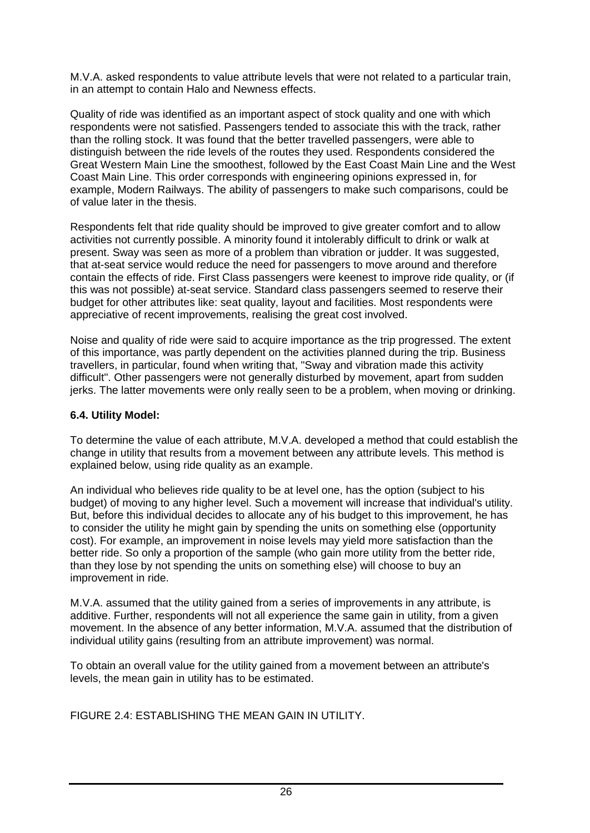M.V.A. asked respondents to value attribute levels that were not related to a particular train, in an attempt to contain Halo and Newness effects.

Quality of ride was identified as an important aspect of stock quality and one with which respondents were not satisfied. Passengers tended to associate this with the track, rather than the rolling stock. It was found that the better travelled passengers, were able to distinguish between the ride levels of the routes they used. Respondents considered the Great Western Main Line the smoothest, followed by the East Coast Main Line and the West Coast Main Line. This order corresponds with engineering opinions expressed in, for example, Modern Railways. The ability of passengers to make such comparisons, could be of value later in the thesis.

Respondents felt that ride quality should be improved to give greater comfort and to allow activities not currently possible. A minority found it intolerably difficult to drink or walk at present. Sway was seen as more of a problem than vibration or judder. It was suggested, that at-seat service would reduce the need for passengers to move around and therefore contain the effects of ride. First Class passengers were keenest to improve ride quality, or (if this was not possible) at-seat service. Standard class passengers seemed to reserve their budget for other attributes like: seat quality, layout and facilities. Most respondents were appreciative of recent improvements, realising the great cost involved.

Noise and quality of ride were said to acquire importance as the trip progressed. The extent of this importance, was partly dependent on the activities planned during the trip. Business travellers, in particular, found when writing that, "Sway and vibration made this activity difficult". Other passengers were not generally disturbed by movement, apart from sudden jerks. The latter movements were only really seen to be a problem, when moving or drinking.

#### **6.4. Utility Model:**

To determine the value of each attribute, M.V.A. developed a method that could establish the change in utility that results from a movement between any attribute levels. This method is explained below, using ride quality as an example.

An individual who believes ride quality to be at level one, has the option (subject to his budget) of moving to any higher level. Such a movement will increase that individual's utility. But, before this individual decides to allocate any of his budget to this improvement, he has to consider the utility he might gain by spending the units on something else (opportunity cost). For example, an improvement in noise levels may yield more satisfaction than the better ride. So only a proportion of the sample (who gain more utility from the better ride, than they lose by not spending the units on something else) will choose to buy an improvement in ride.

M.V.A. assumed that the utility gained from a series of improvements in any attribute, is additive. Further, respondents will not all experience the same gain in utility, from a given movement. In the absence of any better information, M.V.A. assumed that the distribution of individual utility gains (resulting from an attribute improvement) was normal.

To obtain an overall value for the utility gained from a movement between an attribute's levels, the mean gain in utility has to be estimated.

FIGURE 2.4: ESTABLISHING THE MEAN GAIN IN UTILITY.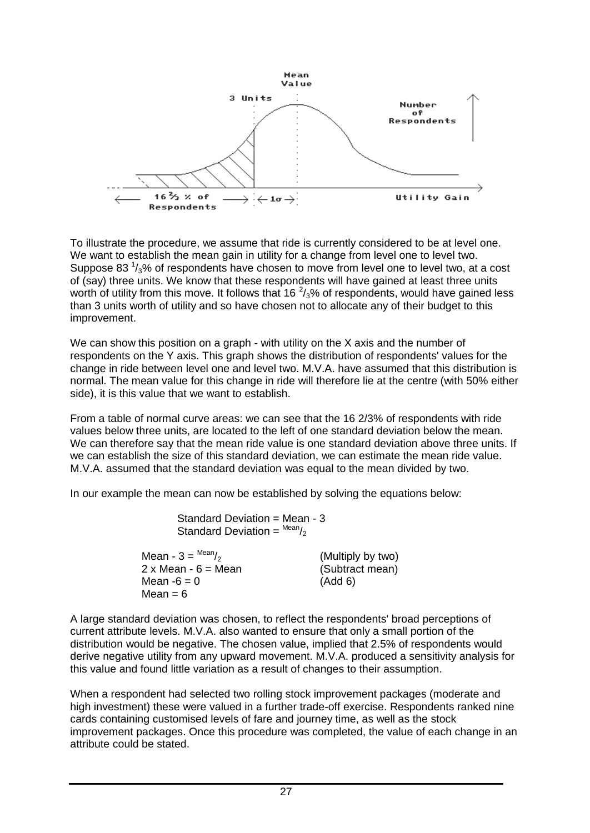

To illustrate the procedure, we assume that ride is currently considered to be at level one. We want to establish the mean gain in utility for a change from level one to level two. Suppose 83  $\frac{1}{3}$ % of respondents have chosen to move from level one to level two, at a cost of (say) three units. We know that these respondents will have gained at least three units worth of utility from this move. It follows that 16  $2/3$ % of respondents, would have gained less than 3 units worth of utility and so have chosen not to allocate any of their budget to this improvement.

We can show this position on a graph - with utility on the X axis and the number of respondents on the Y axis. This graph shows the distribution of respondents' values for the change in ride between level one and level two. M.V.A. have assumed that this distribution is normal. The mean value for this change in ride will therefore lie at the centre (with 50% either side), it is this value that we want to establish.

From a table of normal curve areas: we can see that the 16 2/3% of respondents with ride values below three units, are located to the left of one standard deviation below the mean. We can therefore say that the mean ride value is one standard deviation above three units. If we can establish the size of this standard deviation, we can estimate the mean ride value. M.V.A. assumed that the standard deviation was equal to the mean divided by two.

In our example the mean can now be established by solving the equations below:

| Standard Deviation = Mean - 3<br>Standard Deviation = $^{Mean/2}$ |                   |
|-------------------------------------------------------------------|-------------------|
| Mean - $3 = \frac{Mean}{2}$                                       | (Multiply by two) |
| 2 x Mean - 6 = Mean                                               | (Subtract mean)   |
| Mean -6 = 0                                                       | (Add 6)           |
| Mean = 6                                                          |                   |

A large standard deviation was chosen, to reflect the respondents' broad perceptions of current attribute levels. M.V.A. also wanted to ensure that only a small portion of the distribution would be negative. The chosen value, implied that 2.5% of respondents would derive negative utility from any upward movement. M.V.A. produced a sensitivity analysis for this value and found little variation as a result of changes to their assumption.

When a respondent had selected two rolling stock improvement packages (moderate and high investment) these were valued in a further trade-off exercise. Respondents ranked nine cards containing customised levels of fare and journey time, as well as the stock improvement packages. Once this procedure was completed, the value of each change in an attribute could be stated.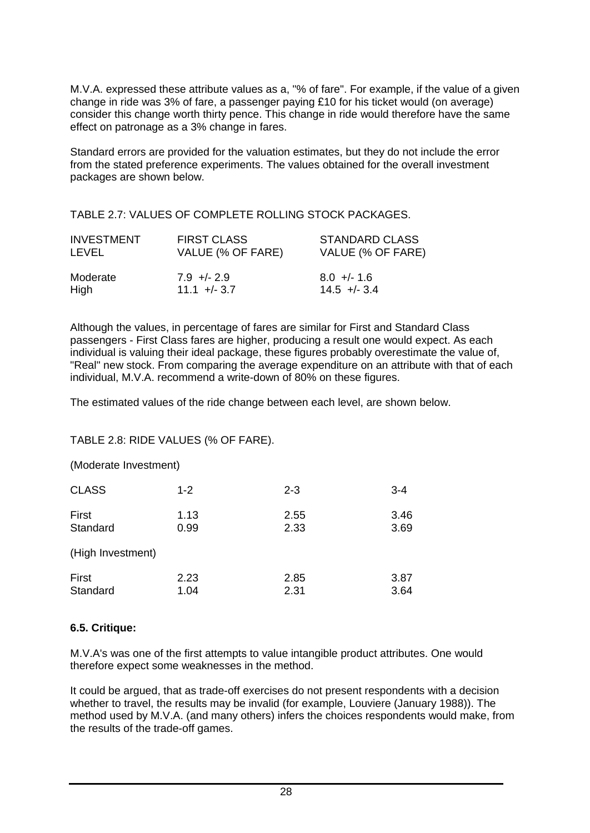M.V.A. expressed these attribute values as a, "% of fare". For example, if the value of a given change in ride was 3% of fare, a passenger paying £10 for his ticket would (on average) consider this change worth thirty pence. This change in ride would therefore have the same effect on patronage as a 3% change in fares.

Standard errors are provided for the valuation estimates, but they do not include the error from the stated preference experiments. The values obtained for the overall investment packages are shown below.

TABLE 2.7: VALUES OF COMPLETE ROLLING STOCK PACKAGES.

| <b>INVESTMENT</b> | <b>FIRST CLASS</b> | <b>STANDARD CLASS</b> |
|-------------------|--------------------|-----------------------|
| <b>LEVEL</b>      | VALUE (% OF FARE)  | VALUE (% OF FARE)     |
| Moderate          | $7.9 + - 2.9$      | $8.0 +/- 1.6$         |
| High              | $11.1 + - 3.7$     | $14.5 + - 3.4$        |

Although the values, in percentage of fares are similar for First and Standard Class passengers - First Class fares are higher, producing a result one would expect. As each individual is valuing their ideal package, these figures probably overestimate the value of, "Real" new stock. From comparing the average expenditure on an attribute with that of each individual, M.V.A. recommend a write-down of 80% on these figures.

The estimated values of the ride change between each level, are shown below.

#### TABLE 2.8: RIDE VALUES (% OF FARE).

(Moderate Investment)

| <b>CLASS</b>      | $1 - 2$ | $2 - 3$ | $3 - 4$ |
|-------------------|---------|---------|---------|
| First             | 1.13    | 2.55    | 3.46    |
| Standard          | 0.99    | 2.33    | 3.69    |
| (High Investment) |         |         |         |
| First             | 2.23    | 2.85    | 3.87    |
| Standard          | 1.04    | 2.31    | 3.64    |

#### **6.5. Critique:**

M.V.A's was one of the first attempts to value intangible product attributes. One would therefore expect some weaknesses in the method.

It could be argued, that as trade-off exercises do not present respondents with a decision whether to travel, the results may be invalid (for example, Louviere (January 1988)). The method used by M.V.A. (and many others) infers the choices respondents would make, from the results of the trade-off games.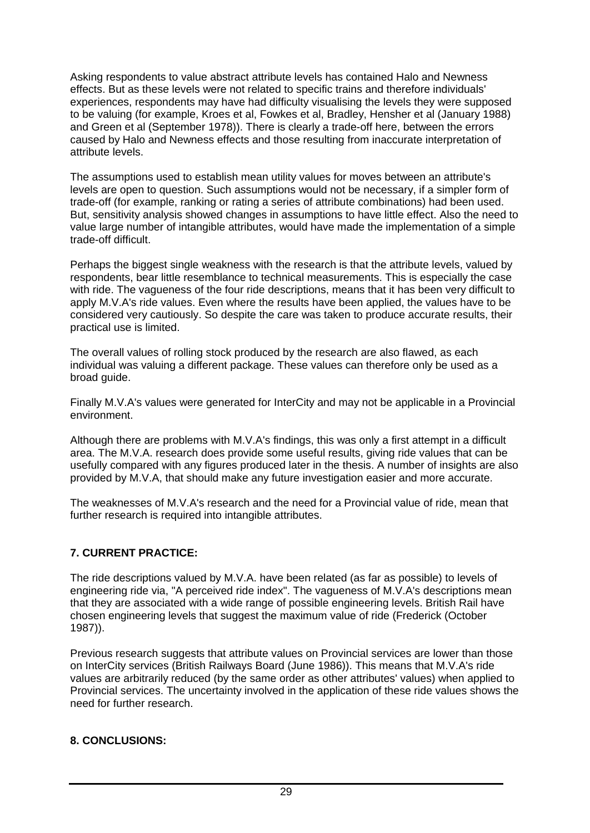Asking respondents to value abstract attribute levels has contained Halo and Newness effects. But as these levels were not related to specific trains and therefore individuals' experiences, respondents may have had difficulty visualising the levels they were supposed to be valuing (for example, Kroes et al, Fowkes et al, Bradley, Hensher et al (January 1988) and Green et al (September 1978)). There is clearly a trade-off here, between the errors caused by Halo and Newness effects and those resulting from inaccurate interpretation of attribute levels.

The assumptions used to establish mean utility values for moves between an attribute's levels are open to question. Such assumptions would not be necessary, if a simpler form of trade-off (for example, ranking or rating a series of attribute combinations) had been used. But, sensitivity analysis showed changes in assumptions to have little effect. Also the need to value large number of intangible attributes, would have made the implementation of a simple trade-off difficult.

Perhaps the biggest single weakness with the research is that the attribute levels, valued by respondents, bear little resemblance to technical measurements. This is especially the case with ride. The vagueness of the four ride descriptions, means that it has been very difficult to apply M.V.A's ride values. Even where the results have been applied, the values have to be considered very cautiously. So despite the care was taken to produce accurate results, their practical use is limited.

The overall values of rolling stock produced by the research are also flawed, as each individual was valuing a different package. These values can therefore only be used as a broad guide.

Finally M.V.A's values were generated for InterCity and may not be applicable in a Provincial environment.

Although there are problems with M.V.A's findings, this was only a first attempt in a difficult area. The M.V.A. research does provide some useful results, giving ride values that can be usefully compared with any figures produced later in the thesis. A number of insights are also provided by M.V.A, that should make any future investigation easier and more accurate.

The weaknesses of M.V.A's research and the need for a Provincial value of ride, mean that further research is required into intangible attributes.

## **7. CURRENT PRACTICE:**

The ride descriptions valued by M.V.A. have been related (as far as possible) to levels of engineering ride via, "A perceived ride index". The vagueness of M.V.A's descriptions mean that they are associated with a wide range of possible engineering levels. British Rail have chosen engineering levels that suggest the maximum value of ride (Frederick (October 1987)).

Previous research suggests that attribute values on Provincial services are lower than those on InterCity services (British Railways Board (June 1986)). This means that M.V.A's ride values are arbitrarily reduced (by the same order as other attributes' values) when applied to Provincial services. The uncertainty involved in the application of these ride values shows the need for further research.

#### **8. CONCLUSIONS:**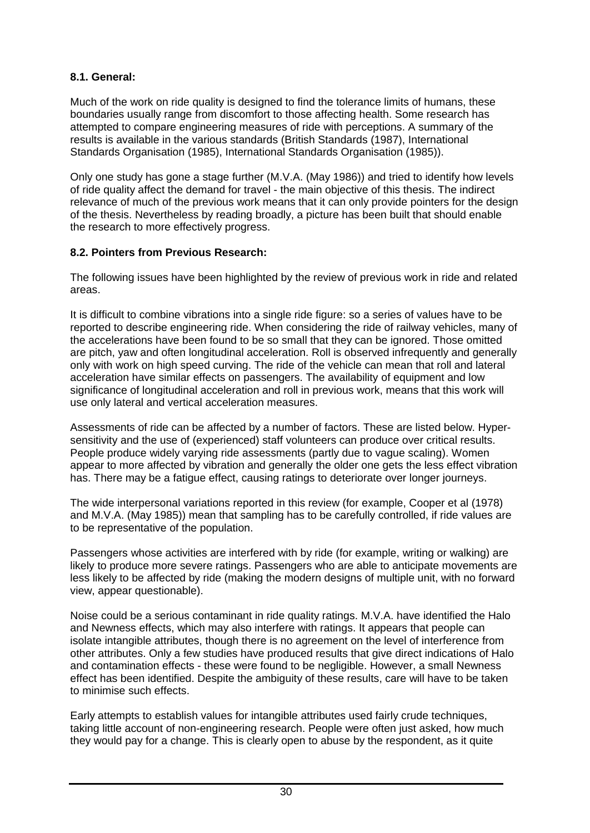## **8.1. General:**

Much of the work on ride quality is designed to find the tolerance limits of humans, these boundaries usually range from discomfort to those affecting health. Some research has attempted to compare engineering measures of ride with perceptions. A summary of the results is available in the various standards (British Standards (1987), International Standards Organisation (1985), International Standards Organisation (1985)).

Only one study has gone a stage further (M.V.A. (May 1986)) and tried to identify how levels of ride quality affect the demand for travel - the main objective of this thesis. The indirect relevance of much of the previous work means that it can only provide pointers for the design of the thesis. Nevertheless by reading broadly, a picture has been built that should enable the research to more effectively progress.

#### **8.2. Pointers from Previous Research:**

The following issues have been highlighted by the review of previous work in ride and related areas.

It is difficult to combine vibrations into a single ride figure: so a series of values have to be reported to describe engineering ride. When considering the ride of railway vehicles, many of the accelerations have been found to be so small that they can be ignored. Those omitted are pitch, yaw and often longitudinal acceleration. Roll is observed infrequently and generally only with work on high speed curving. The ride of the vehicle can mean that roll and lateral acceleration have similar effects on passengers. The availability of equipment and low significance of longitudinal acceleration and roll in previous work, means that this work will use only lateral and vertical acceleration measures.

Assessments of ride can be affected by a number of factors. These are listed below. Hypersensitivity and the use of (experienced) staff volunteers can produce over critical results. People produce widely varying ride assessments (partly due to vague scaling). Women appear to more affected by vibration and generally the older one gets the less effect vibration has. There may be a fatigue effect, causing ratings to deteriorate over longer journeys.

The wide interpersonal variations reported in this review (for example, Cooper et al (1978) and M.V.A. (May 1985)) mean that sampling has to be carefully controlled, if ride values are to be representative of the population.

Passengers whose activities are interfered with by ride (for example, writing or walking) are likely to produce more severe ratings. Passengers who are able to anticipate movements are less likely to be affected by ride (making the modern designs of multiple unit, with no forward view, appear questionable).

Noise could be a serious contaminant in ride quality ratings. M.V.A. have identified the Halo and Newness effects, which may also interfere with ratings. It appears that people can isolate intangible attributes, though there is no agreement on the level of interference from other attributes. Only a few studies have produced results that give direct indications of Halo and contamination effects - these were found to be negligible. However, a small Newness effect has been identified. Despite the ambiguity of these results, care will have to be taken to minimise such effects.

Early attempts to establish values for intangible attributes used fairly crude techniques, taking little account of non-engineering research. People were often just asked, how much they would pay for a change. This is clearly open to abuse by the respondent, as it quite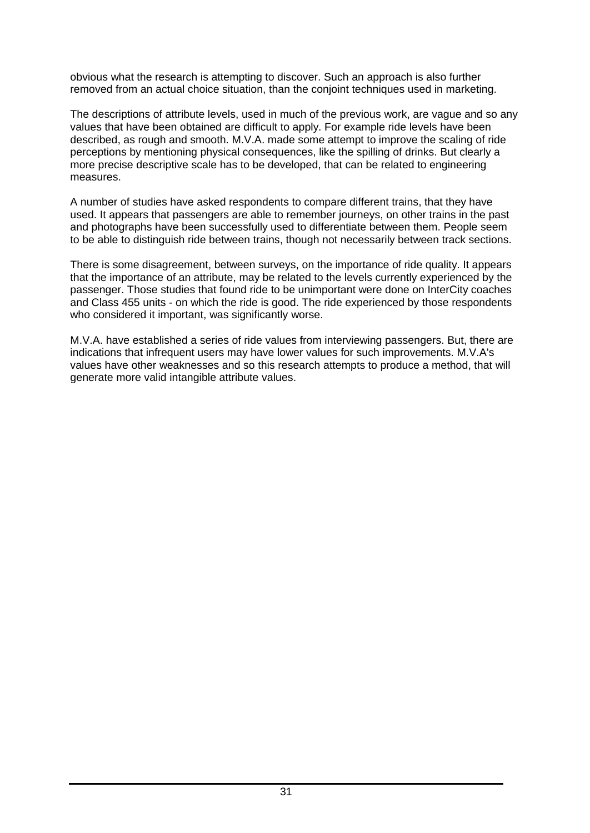obvious what the research is attempting to discover. Such an approach is also further removed from an actual choice situation, than the conjoint techniques used in marketing.

The descriptions of attribute levels, used in much of the previous work, are vague and so any values that have been obtained are difficult to apply. For example ride levels have been described, as rough and smooth. M.V.A. made some attempt to improve the scaling of ride perceptions by mentioning physical consequences, like the spilling of drinks. But clearly a more precise descriptive scale has to be developed, that can be related to engineering measures.

A number of studies have asked respondents to compare different trains, that they have used. It appears that passengers are able to remember journeys, on other trains in the past and photographs have been successfully used to differentiate between them. People seem to be able to distinguish ride between trains, though not necessarily between track sections.

There is some disagreement, between surveys, on the importance of ride quality. It appears that the importance of an attribute, may be related to the levels currently experienced by the passenger. Those studies that found ride to be unimportant were done on InterCity coaches and Class 455 units - on which the ride is good. The ride experienced by those respondents who considered it important, was significantly worse.

M.V.A. have established a series of ride values from interviewing passengers. But, there are indications that infrequent users may have lower values for such improvements. M.V.A's values have other weaknesses and so this research attempts to produce a method, that will generate more valid intangible attribute values.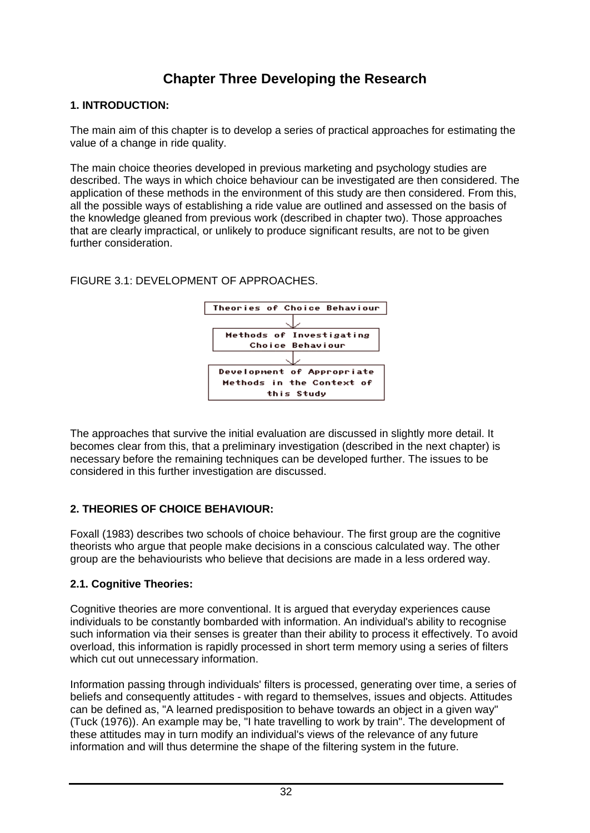# **Chapter Three Developing the Research**

## **1. INTRODUCTION:**

The main aim of this chapter is to develop a series of practical approaches for estimating the value of a change in ride quality.

The main choice theories developed in previous marketing and psychology studies are described. The ways in which choice behaviour can be investigated are then considered. The application of these methods in the environment of this study are then considered. From this, all the possible ways of establishing a ride value are outlined and assessed on the basis of the knowledge gleaned from previous work (described in chapter two). Those approaches that are clearly impractical, or unlikely to produce significant results, are not to be given further consideration.

FIGURE 3.1: DEVELOPMENT OF APPROACHES.



The approaches that survive the initial evaluation are discussed in slightly more detail. It becomes clear from this, that a preliminary investigation (described in the next chapter) is necessary before the remaining techniques can be developed further. The issues to be considered in this further investigation are discussed.

# **2. THEORIES OF CHOICE BEHAVIOUR:**

Foxall (1983) describes two schools of choice behaviour. The first group are the cognitive theorists who argue that people make decisions in a conscious calculated way. The other group are the behaviourists who believe that decisions are made in a less ordered way.

# **2.1. Cognitive Theories:**

Cognitive theories are more conventional. It is argued that everyday experiences cause individuals to be constantly bombarded with information. An individual's ability to recognise such information via their senses is greater than their ability to process it effectively. To avoid overload, this information is rapidly processed in short term memory using a series of filters which cut out unnecessary information.

Information passing through individuals' filters is processed, generating over time, a series of beliefs and consequently attitudes - with regard to themselves, issues and objects. Attitudes can be defined as, "A learned predisposition to behave towards an object in a given way" (Tuck (1976)). An example may be, "I hate travelling to work by train". The development of these attitudes may in turn modify an individual's views of the relevance of any future information and will thus determine the shape of the filtering system in the future.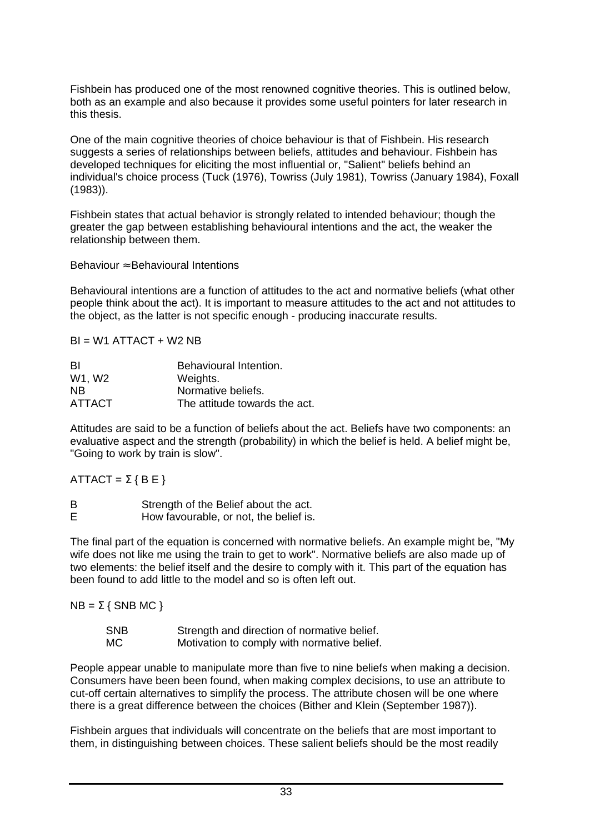Fishbein has produced one of the most renowned cognitive theories. This is outlined below, both as an example and also because it provides some useful pointers for later research in this thesis.

One of the main cognitive theories of choice behaviour is that of Fishbein. His research suggests a series of relationships between beliefs, attitudes and behaviour. Fishbein has developed techniques for eliciting the most influential or, "Salient" beliefs behind an individual's choice process (Tuck (1976), Towriss (July 1981), Towriss (January 1984), Foxall (1983)).

Fishbein states that actual behavior is strongly related to intended behaviour; though the greater the gap between establishing behavioural intentions and the act, the weaker the relationship between them.

#### Behaviour ≈ Behavioural Intentions

Behavioural intentions are a function of attitudes to the act and normative beliefs (what other people think about the act). It is important to measure attitudes to the act and not attitudes to the object, as the latter is not specific enough - producing inaccurate results.

 $BI = W1$  ATTACT + W2 NB

| -BI       | Behavioural Intention.        |
|-----------|-------------------------------|
| W1, W2    | Weights.                      |
| <b>NB</b> | Normative beliefs.            |
| ATTACT    | The attitude towards the act. |

Attitudes are said to be a function of beliefs about the act. Beliefs have two components: an evaluative aspect and the strength (probability) in which the belief is held. A belief might be, "Going to work by train is slow".

ATTACT =  $\Sigma$  { B E }

B Strength of the Belief about the act. E How favourable, or not, the belief is.

The final part of the equation is concerned with normative beliefs. An example might be, "My wife does not like me using the train to get to work". Normative beliefs are also made up of two elements: the belief itself and the desire to comply with it. This part of the equation has been found to add little to the model and so is often left out.

 $NB = \sum$  { SNB MC }

| <b>SNB</b> | Strength and direction of normative belief. |
|------------|---------------------------------------------|
| МC         | Motivation to comply with normative belief. |

People appear unable to manipulate more than five to nine beliefs when making a decision. Consumers have been been found, when making complex decisions, to use an attribute to cut-off certain alternatives to simplify the process. The attribute chosen will be one where there is a great difference between the choices (Bither and Klein (September 1987)).

Fishbein argues that individuals will concentrate on the beliefs that are most important to them, in distinguishing between choices. These salient beliefs should be the most readily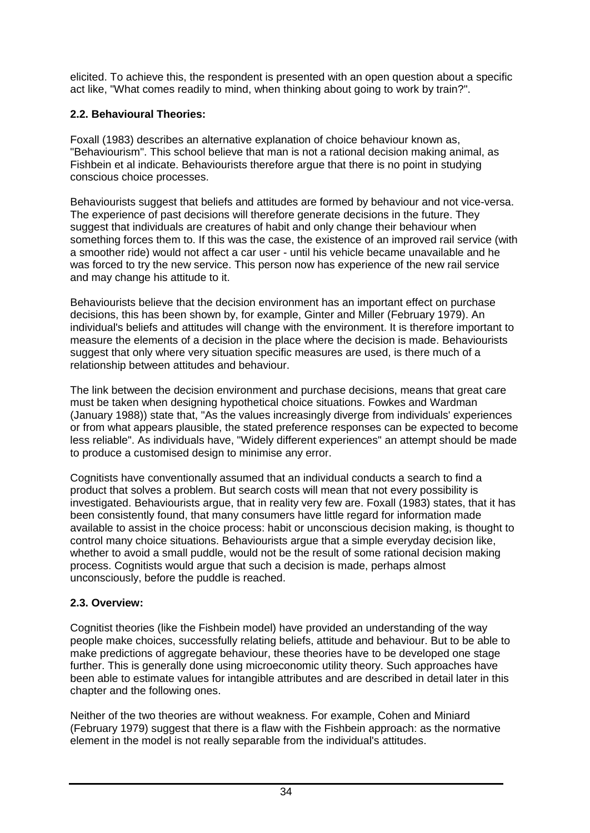elicited. To achieve this, the respondent is presented with an open question about a specific act like, "What comes readily to mind, when thinking about going to work by train?".

## **2.2. Behavioural Theories:**

Foxall (1983) describes an alternative explanation of choice behaviour known as, "Behaviourism". This school believe that man is not a rational decision making animal, as Fishbein et al indicate. Behaviourists therefore argue that there is no point in studying conscious choice processes.

Behaviourists suggest that beliefs and attitudes are formed by behaviour and not vice-versa. The experience of past decisions will therefore generate decisions in the future. They suggest that individuals are creatures of habit and only change their behaviour when something forces them to. If this was the case, the existence of an improved rail service (with a smoother ride) would not affect a car user - until his vehicle became unavailable and he was forced to try the new service. This person now has experience of the new rail service and may change his attitude to it.

Behaviourists believe that the decision environment has an important effect on purchase decisions, this has been shown by, for example, Ginter and Miller (February 1979). An individual's beliefs and attitudes will change with the environment. It is therefore important to measure the elements of a decision in the place where the decision is made. Behaviourists suggest that only where very situation specific measures are used, is there much of a relationship between attitudes and behaviour.

The link between the decision environment and purchase decisions, means that great care must be taken when designing hypothetical choice situations. Fowkes and Wardman (January 1988)) state that, "As the values increasingly diverge from individuals' experiences or from what appears plausible, the stated preference responses can be expected to become less reliable". As individuals have, "Widely different experiences" an attempt should be made to produce a customised design to minimise any error.

Cognitists have conventionally assumed that an individual conducts a search to find a product that solves a problem. But search costs will mean that not every possibility is investigated. Behaviourists argue, that in reality very few are. Foxall (1983) states, that it has been consistently found, that many consumers have little regard for information made available to assist in the choice process: habit or unconscious decision making, is thought to control many choice situations. Behaviourists argue that a simple everyday decision like, whether to avoid a small puddle, would not be the result of some rational decision making process. Cognitists would argue that such a decision is made, perhaps almost unconsciously, before the puddle is reached.

## **2.3. Overview:**

Cognitist theories (like the Fishbein model) have provided an understanding of the way people make choices, successfully relating beliefs, attitude and behaviour. But to be able to make predictions of aggregate behaviour, these theories have to be developed one stage further. This is generally done using microeconomic utility theory. Such approaches have been able to estimate values for intangible attributes and are described in detail later in this chapter and the following ones.

Neither of the two theories are without weakness. For example, Cohen and Miniard (February 1979) suggest that there is a flaw with the Fishbein approach: as the normative element in the model is not really separable from the individual's attitudes.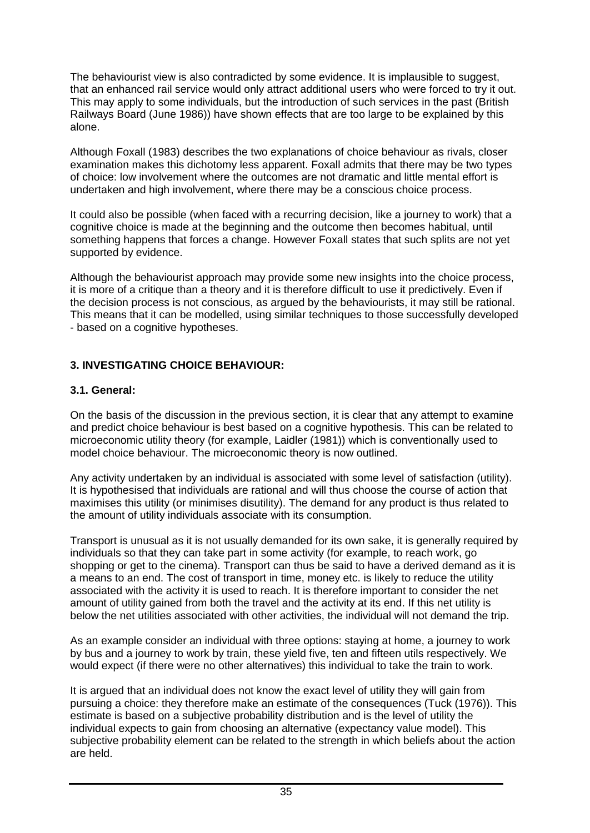The behaviourist view is also contradicted by some evidence. It is implausible to suggest, that an enhanced rail service would only attract additional users who were forced to try it out. This may apply to some individuals, but the introduction of such services in the past (British Railways Board (June 1986)) have shown effects that are too large to be explained by this alone.

Although Foxall (1983) describes the two explanations of choice behaviour as rivals, closer examination makes this dichotomy less apparent. Foxall admits that there may be two types of choice: low involvement where the outcomes are not dramatic and little mental effort is undertaken and high involvement, where there may be a conscious choice process.

It could also be possible (when faced with a recurring decision, like a journey to work) that a cognitive choice is made at the beginning and the outcome then becomes habitual, until something happens that forces a change. However Foxall states that such splits are not yet supported by evidence.

Although the behaviourist approach may provide some new insights into the choice process, it is more of a critique than a theory and it is therefore difficult to use it predictively. Even if the decision process is not conscious, as argued by the behaviourists, it may still be rational. This means that it can be modelled, using similar techniques to those successfully developed - based on a cognitive hypotheses.

#### **3. INVESTIGATING CHOICE BEHAVIOUR:**

#### **3.1. General:**

On the basis of the discussion in the previous section, it is clear that any attempt to examine and predict choice behaviour is best based on a cognitive hypothesis. This can be related to microeconomic utility theory (for example, Laidler (1981)) which is conventionally used to model choice behaviour. The microeconomic theory is now outlined.

Any activity undertaken by an individual is associated with some level of satisfaction (utility). It is hypothesised that individuals are rational and will thus choose the course of action that maximises this utility (or minimises disutility). The demand for any product is thus related to the amount of utility individuals associate with its consumption.

Transport is unusual as it is not usually demanded for its own sake, it is generally required by individuals so that they can take part in some activity (for example, to reach work, go shopping or get to the cinema). Transport can thus be said to have a derived demand as it is a means to an end. The cost of transport in time, money etc. is likely to reduce the utility associated with the activity it is used to reach. It is therefore important to consider the net amount of utility gained from both the travel and the activity at its end. If this net utility is below the net utilities associated with other activities, the individual will not demand the trip.

As an example consider an individual with three options: staying at home, a journey to work by bus and a journey to work by train, these yield five, ten and fifteen utils respectively. We would expect (if there were no other alternatives) this individual to take the train to work.

It is argued that an individual does not know the exact level of utility they will gain from pursuing a choice: they therefore make an estimate of the consequences (Tuck (1976)). This estimate is based on a subjective probability distribution and is the level of utility the individual expects to gain from choosing an alternative (expectancy value model). This subjective probability element can be related to the strength in which beliefs about the action are held.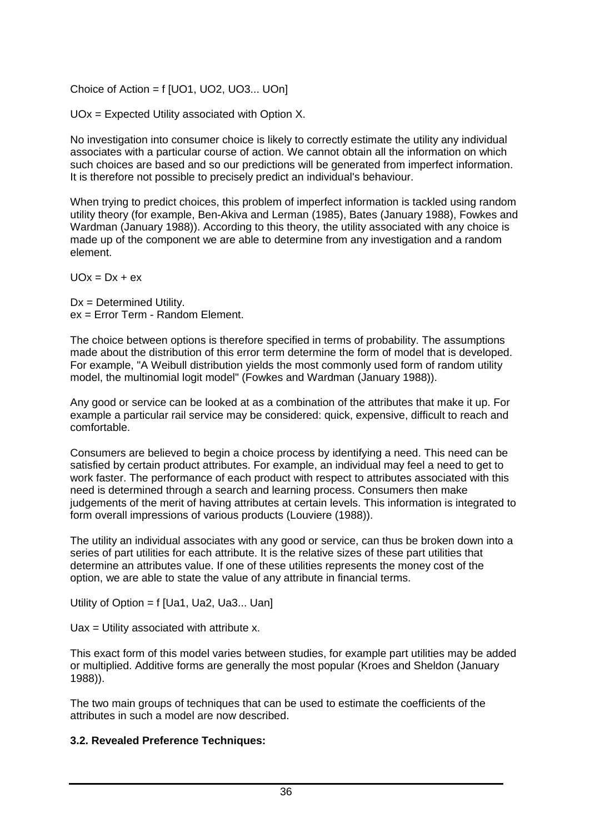Choice of Action = f [UO1, UO2, UO3... UOn]

UOx = Expected Utility associated with Option X.

No investigation into consumer choice is likely to correctly estimate the utility any individual associates with a particular course of action. We cannot obtain all the information on which such choices are based and so our predictions will be generated from imperfect information. It is therefore not possible to precisely predict an individual's behaviour.

When trying to predict choices, this problem of imperfect information is tackled using random utility theory (for example, Ben-Akiva and Lerman (1985), Bates (January 1988), Fowkes and Wardman (January 1988)). According to this theory, the utility associated with any choice is made up of the component we are able to determine from any investigation and a random element.

 $UOx = Dx + ex$ 

Dx = Determined Utility. ex = Error Term - Random Element.

The choice between options is therefore specified in terms of probability. The assumptions made about the distribution of this error term determine the form of model that is developed. For example, "A Weibull distribution yields the most commonly used form of random utility model, the multinomial logit model" (Fowkes and Wardman (January 1988)).

Any good or service can be looked at as a combination of the attributes that make it up. For example a particular rail service may be considered: quick, expensive, difficult to reach and comfortable.

Consumers are believed to begin a choice process by identifying a need. This need can be satisfied by certain product attributes. For example, an individual may feel a need to get to work faster. The performance of each product with respect to attributes associated with this need is determined through a search and learning process. Consumers then make judgements of the merit of having attributes at certain levels. This information is integrated to form overall impressions of various products (Louviere (1988)).

The utility an individual associates with any good or service, can thus be broken down into a series of part utilities for each attribute. It is the relative sizes of these part utilities that determine an attributes value. If one of these utilities represents the money cost of the option, we are able to state the value of any attribute in financial terms.

Utility of Option = f [Ua1, Ua2, Ua3... Uan]

 $Uax = Utility$  associated with attribute x.

This exact form of this model varies between studies, for example part utilities may be added or multiplied. Additive forms are generally the most popular (Kroes and Sheldon (January 1988)).

The two main groups of techniques that can be used to estimate the coefficients of the attributes in such a model are now described.

## **3.2. Revealed Preference Techniques:**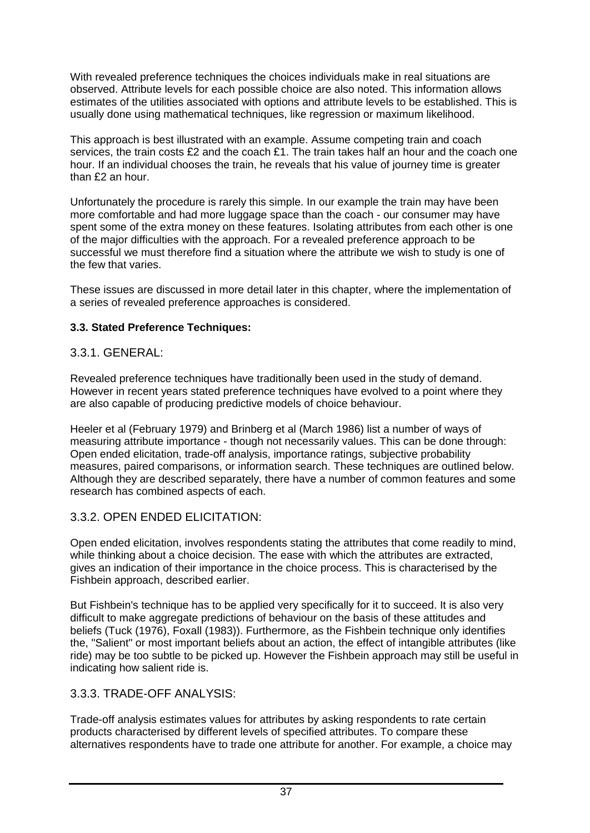With revealed preference techniques the choices individuals make in real situations are observed. Attribute levels for each possible choice are also noted. This information allows estimates of the utilities associated with options and attribute levels to be established. This is usually done using mathematical techniques, like regression or maximum likelihood.

This approach is best illustrated with an example. Assume competing train and coach services, the train costs £2 and the coach £1. The train takes half an hour and the coach one hour. If an individual chooses the train, he reveals that his value of journey time is greater than £2 an hour.

Unfortunately the procedure is rarely this simple. In our example the train may have been more comfortable and had more luggage space than the coach - our consumer may have spent some of the extra money on these features. Isolating attributes from each other is one of the major difficulties with the approach. For a revealed preference approach to be successful we must therefore find a situation where the attribute we wish to study is one of the few that varies.

These issues are discussed in more detail later in this chapter, where the implementation of a series of revealed preference approaches is considered.

## **3.3. Stated Preference Techniques:**

# 3.3.1. GENERAL:

Revealed preference techniques have traditionally been used in the study of demand. However in recent years stated preference techniques have evolved to a point where they are also capable of producing predictive models of choice behaviour.

Heeler et al (February 1979) and Brinberg et al (March 1986) list a number of ways of measuring attribute importance - though not necessarily values. This can be done through: Open ended elicitation, trade-off analysis, importance ratings, subjective probability measures, paired comparisons, or information search. These techniques are outlined below. Although they are described separately, there have a number of common features and some research has combined aspects of each.

# 3.3.2. OPEN ENDED ELICITATION:

Open ended elicitation, involves respondents stating the attributes that come readily to mind, while thinking about a choice decision. The ease with which the attributes are extracted, gives an indication of their importance in the choice process. This is characterised by the Fishbein approach, described earlier.

But Fishbein's technique has to be applied very specifically for it to succeed. It is also very difficult to make aggregate predictions of behaviour on the basis of these attitudes and beliefs (Tuck (1976), Foxall (1983)). Furthermore, as the Fishbein technique only identifies the, "Salient" or most important beliefs about an action, the effect of intangible attributes (like ride) may be too subtle to be picked up. However the Fishbein approach may still be useful in indicating how salient ride is.

# 3.3.3. TRADE-OFF ANALYSIS:

Trade-off analysis estimates values for attributes by asking respondents to rate certain products characterised by different levels of specified attributes. To compare these alternatives respondents have to trade one attribute for another. For example, a choice may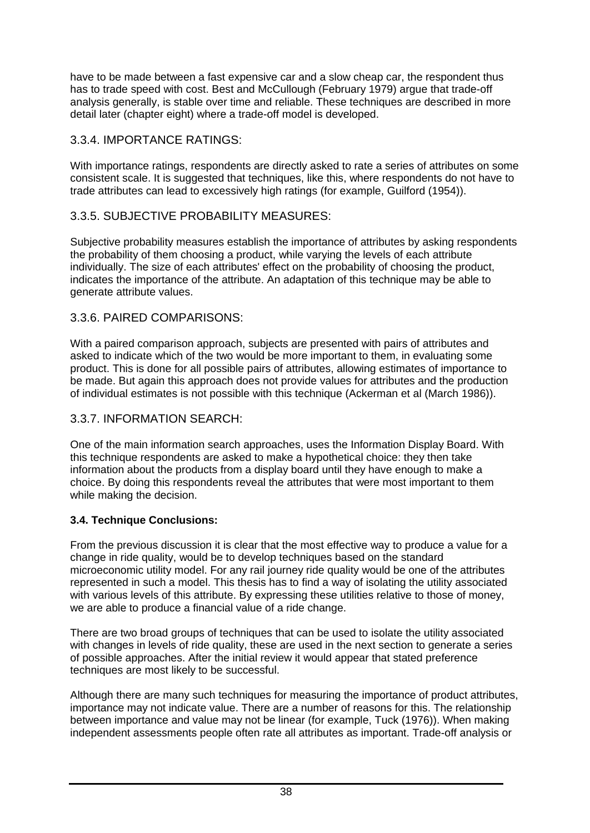have to be made between a fast expensive car and a slow cheap car, the respondent thus has to trade speed with cost. Best and McCullough (February 1979) argue that trade-off analysis generally, is stable over time and reliable. These techniques are described in more detail later (chapter eight) where a trade-off model is developed.

## 3.3.4. IMPORTANCE RATINGS:

With importance ratings, respondents are directly asked to rate a series of attributes on some consistent scale. It is suggested that techniques, like this, where respondents do not have to trade attributes can lead to excessively high ratings (for example, Guilford (1954)).

## 3.3.5. SUBJECTIVE PROBABILITY MEASURES:

Subjective probability measures establish the importance of attributes by asking respondents the probability of them choosing a product, while varying the levels of each attribute individually. The size of each attributes' effect on the probability of choosing the product, indicates the importance of the attribute. An adaptation of this technique may be able to generate attribute values.

## 3.3.6. PAIRED COMPARISONS:

With a paired comparison approach, subjects are presented with pairs of attributes and asked to indicate which of the two would be more important to them, in evaluating some product. This is done for all possible pairs of attributes, allowing estimates of importance to be made. But again this approach does not provide values for attributes and the production of individual estimates is not possible with this technique (Ackerman et al (March 1986)).

## 3.3.7. INFORMATION SEARCH:

One of the main information search approaches, uses the Information Display Board. With this technique respondents are asked to make a hypothetical choice: they then take information about the products from a display board until they have enough to make a choice. By doing this respondents reveal the attributes that were most important to them while making the decision.

## **3.4. Technique Conclusions:**

From the previous discussion it is clear that the most effective way to produce a value for a change in ride quality, would be to develop techniques based on the standard microeconomic utility model. For any rail journey ride quality would be one of the attributes represented in such a model. This thesis has to find a way of isolating the utility associated with various levels of this attribute. By expressing these utilities relative to those of money, we are able to produce a financial value of a ride change.

There are two broad groups of techniques that can be used to isolate the utility associated with changes in levels of ride quality, these are used in the next section to generate a series of possible approaches. After the initial review it would appear that stated preference techniques are most likely to be successful.

Although there are many such techniques for measuring the importance of product attributes, importance may not indicate value. There are a number of reasons for this. The relationship between importance and value may not be linear (for example, Tuck (1976)). When making independent assessments people often rate all attributes as important. Trade-off analysis or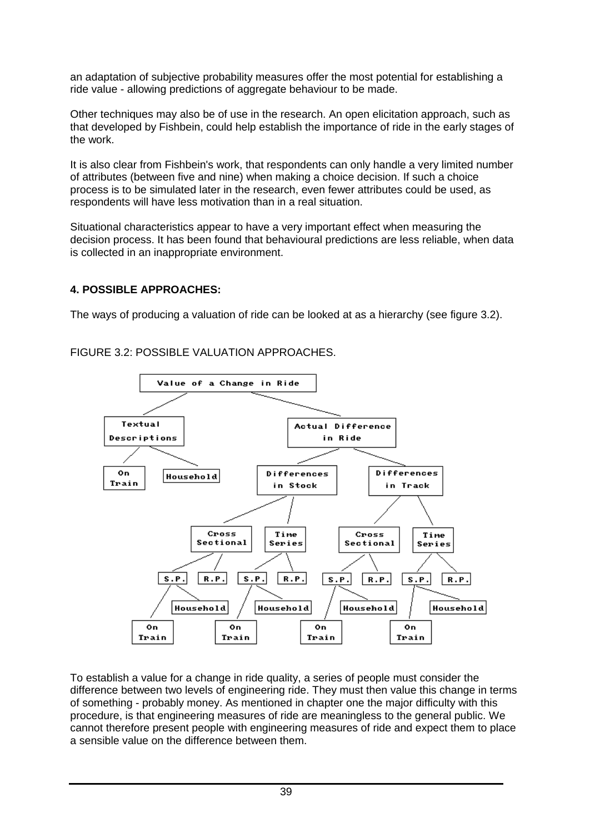an adaptation of subjective probability measures offer the most potential for establishing a ride value - allowing predictions of aggregate behaviour to be made.

Other techniques may also be of use in the research. An open elicitation approach, such as that developed by Fishbein, could help establish the importance of ride in the early stages of the work.

It is also clear from Fishbein's work, that respondents can only handle a very limited number of attributes (between five and nine) when making a choice decision. If such a choice process is to be simulated later in the research, even fewer attributes could be used, as respondents will have less motivation than in a real situation.

Situational characteristics appear to have a very important effect when measuring the decision process. It has been found that behavioural predictions are less reliable, when data is collected in an inappropriate environment.

## **4. POSSIBLE APPROACHES:**

The ways of producing a valuation of ride can be looked at as a hierarchy (see figure 3.2).

FIGURE 3.2: POSSIBLE VALUATION APPROACHES.



To establish a value for a change in ride quality, a series of people must consider the difference between two levels of engineering ride. They must then value this change in terms of something - probably money. As mentioned in chapter one the major difficulty with this procedure, is that engineering measures of ride are meaningless to the general public. We cannot therefore present people with engineering measures of ride and expect them to place a sensible value on the difference between them.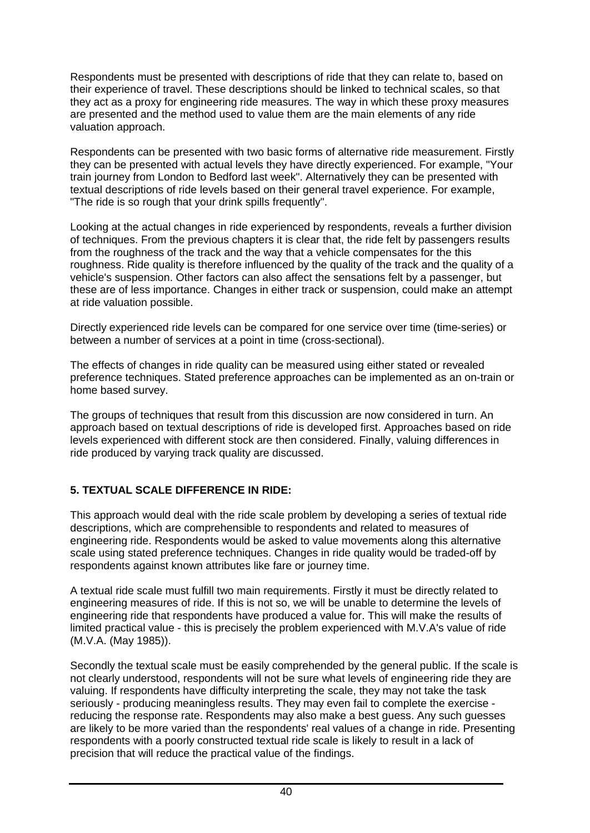Respondents must be presented with descriptions of ride that they can relate to, based on their experience of travel. These descriptions should be linked to technical scales, so that they act as a proxy for engineering ride measures. The way in which these proxy measures are presented and the method used to value them are the main elements of any ride valuation approach.

Respondents can be presented with two basic forms of alternative ride measurement. Firstly they can be presented with actual levels they have directly experienced. For example, "Your train journey from London to Bedford last week". Alternatively they can be presented with textual descriptions of ride levels based on their general travel experience. For example, "The ride is so rough that your drink spills frequently".

Looking at the actual changes in ride experienced by respondents, reveals a further division of techniques. From the previous chapters it is clear that, the ride felt by passengers results from the roughness of the track and the way that a vehicle compensates for the this roughness. Ride quality is therefore influenced by the quality of the track and the quality of a vehicle's suspension. Other factors can also affect the sensations felt by a passenger, but these are of less importance. Changes in either track or suspension, could make an attempt at ride valuation possible.

Directly experienced ride levels can be compared for one service over time (time-series) or between a number of services at a point in time (cross-sectional).

The effects of changes in ride quality can be measured using either stated or revealed preference techniques. Stated preference approaches can be implemented as an on-train or home based survey.

The groups of techniques that result from this discussion are now considered in turn. An approach based on textual descriptions of ride is developed first. Approaches based on ride levels experienced with different stock are then considered. Finally, valuing differences in ride produced by varying track quality are discussed.

## **5. TEXTUAL SCALE DIFFERENCE IN RIDE:**

This approach would deal with the ride scale problem by developing a series of textual ride descriptions, which are comprehensible to respondents and related to measures of engineering ride. Respondents would be asked to value movements along this alternative scale using stated preference techniques. Changes in ride quality would be traded-off by respondents against known attributes like fare or journey time.

A textual ride scale must fulfill two main requirements. Firstly it must be directly related to engineering measures of ride. If this is not so, we will be unable to determine the levels of engineering ride that respondents have produced a value for. This will make the results of limited practical value - this is precisely the problem experienced with M.V.A's value of ride (M.V.A. (May 1985)).

Secondly the textual scale must be easily comprehended by the general public. If the scale is not clearly understood, respondents will not be sure what levels of engineering ride they are valuing. If respondents have difficulty interpreting the scale, they may not take the task seriously - producing meaningless results. They may even fail to complete the exercise reducing the response rate. Respondents may also make a best guess. Any such guesses are likely to be more varied than the respondents' real values of a change in ride. Presenting respondents with a poorly constructed textual ride scale is likely to result in a lack of precision that will reduce the practical value of the findings.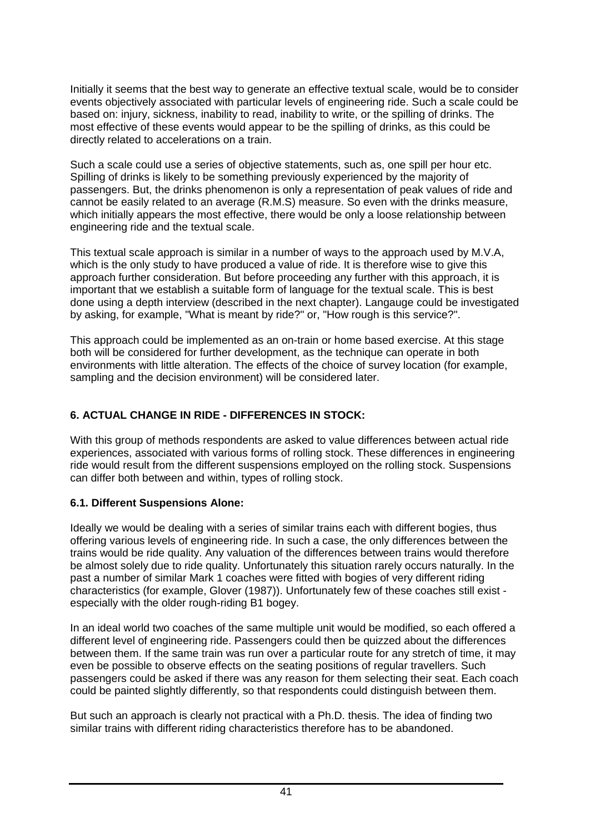Initially it seems that the best way to generate an effective textual scale, would be to consider events objectively associated with particular levels of engineering ride. Such a scale could be based on: injury, sickness, inability to read, inability to write, or the spilling of drinks. The most effective of these events would appear to be the spilling of drinks, as this could be directly related to accelerations on a train.

Such a scale could use a series of objective statements, such as, one spill per hour etc. Spilling of drinks is likely to be something previously experienced by the majority of passengers. But, the drinks phenomenon is only a representation of peak values of ride and cannot be easily related to an average (R.M.S) measure. So even with the drinks measure, which initially appears the most effective, there would be only a loose relationship between engineering ride and the textual scale.

This textual scale approach is similar in a number of ways to the approach used by M.V.A, which is the only study to have produced a value of ride. It is therefore wise to give this approach further consideration. But before proceeding any further with this approach, it is important that we establish a suitable form of language for the textual scale. This is best done using a depth interview (described in the next chapter). Langauge could be investigated by asking, for example, "What is meant by ride?" or, "How rough is this service?".

This approach could be implemented as an on-train or home based exercise. At this stage both will be considered for further development, as the technique can operate in both environments with little alteration. The effects of the choice of survey location (for example, sampling and the decision environment) will be considered later.

# **6. ACTUAL CHANGE IN RIDE - DIFFERENCES IN STOCK:**

With this group of methods respondents are asked to value differences between actual ride experiences, associated with various forms of rolling stock. These differences in engineering ride would result from the different suspensions employed on the rolling stock. Suspensions can differ both between and within, types of rolling stock.

# **6.1. Different Suspensions Alone:**

Ideally we would be dealing with a series of similar trains each with different bogies, thus offering various levels of engineering ride. In such a case, the only differences between the trains would be ride quality. Any valuation of the differences between trains would therefore be almost solely due to ride quality. Unfortunately this situation rarely occurs naturally. In the past a number of similar Mark 1 coaches were fitted with bogies of very different riding characteristics (for example, Glover (1987)). Unfortunately few of these coaches still exist especially with the older rough-riding B1 bogey.

In an ideal world two coaches of the same multiple unit would be modified, so each offered a different level of engineering ride. Passengers could then be quizzed about the differences between them. If the same train was run over a particular route for any stretch of time, it may even be possible to observe effects on the seating positions of regular travellers. Such passengers could be asked if there was any reason for them selecting their seat. Each coach could be painted slightly differently, so that respondents could distinguish between them.

But such an approach is clearly not practical with a Ph.D. thesis. The idea of finding two similar trains with different riding characteristics therefore has to be abandoned.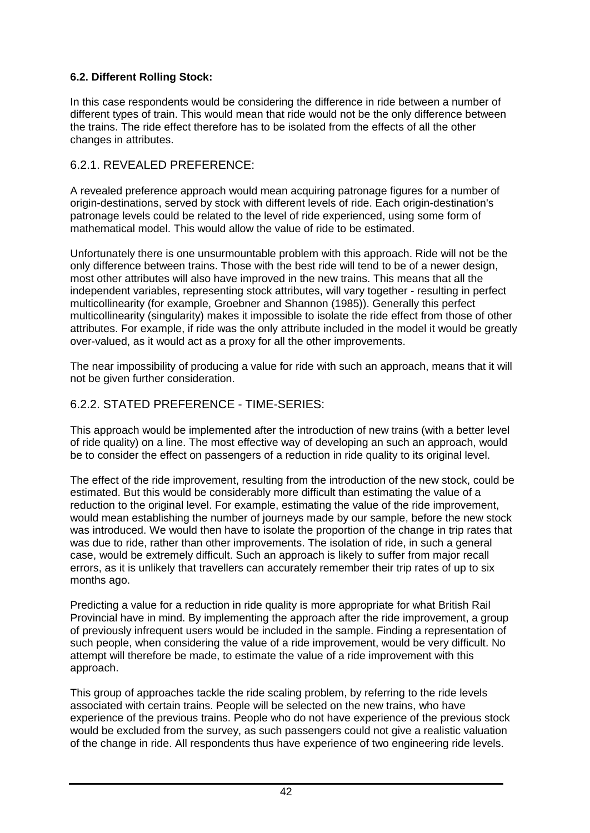## **6.2. Different Rolling Stock:**

In this case respondents would be considering the difference in ride between a number of different types of train. This would mean that ride would not be the only difference between the trains. The ride effect therefore has to be isolated from the effects of all the other changes in attributes.

## 6.2.1. REVEALED PREFERENCE:

A revealed preference approach would mean acquiring patronage figures for a number of origin-destinations, served by stock with different levels of ride. Each origin-destination's patronage levels could be related to the level of ride experienced, using some form of mathematical model. This would allow the value of ride to be estimated.

Unfortunately there is one unsurmountable problem with this approach. Ride will not be the only difference between trains. Those with the best ride will tend to be of a newer design, most other attributes will also have improved in the new trains. This means that all the independent variables, representing stock attributes, will vary together - resulting in perfect multicollinearity (for example, Groebner and Shannon (1985)). Generally this perfect multicollinearity (singularity) makes it impossible to isolate the ride effect from those of other attributes. For example, if ride was the only attribute included in the model it would be greatly over-valued, as it would act as a proxy for all the other improvements.

The near impossibility of producing a value for ride with such an approach, means that it will not be given further consideration.

## 6.2.2. STATED PREFERENCE - TIME-SERIES:

This approach would be implemented after the introduction of new trains (with a better level of ride quality) on a line. The most effective way of developing an such an approach, would be to consider the effect on passengers of a reduction in ride quality to its original level.

The effect of the ride improvement, resulting from the introduction of the new stock, could be estimated. But this would be considerably more difficult than estimating the value of a reduction to the original level. For example, estimating the value of the ride improvement, would mean establishing the number of journeys made by our sample, before the new stock was introduced. We would then have to isolate the proportion of the change in trip rates that was due to ride, rather than other improvements. The isolation of ride, in such a general case, would be extremely difficult. Such an approach is likely to suffer from major recall errors, as it is unlikely that travellers can accurately remember their trip rates of up to six months ago.

Predicting a value for a reduction in ride quality is more appropriate for what British Rail Provincial have in mind. By implementing the approach after the ride improvement, a group of previously infrequent users would be included in the sample. Finding a representation of such people, when considering the value of a ride improvement, would be very difficult. No attempt will therefore be made, to estimate the value of a ride improvement with this approach.

This group of approaches tackle the ride scaling problem, by referring to the ride levels associated with certain trains. People will be selected on the new trains, who have experience of the previous trains. People who do not have experience of the previous stock would be excluded from the survey, as such passengers could not give a realistic valuation of the change in ride. All respondents thus have experience of two engineering ride levels.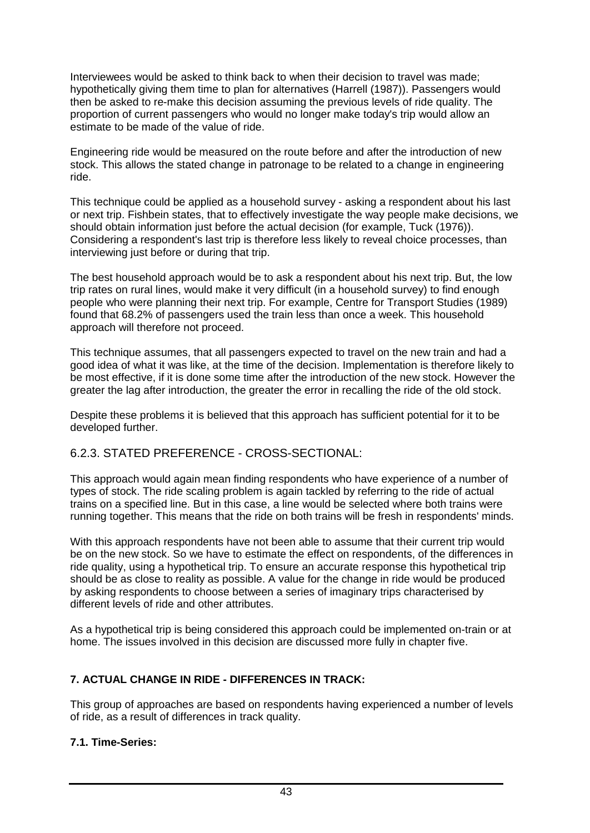Interviewees would be asked to think back to when their decision to travel was made; hypothetically giving them time to plan for alternatives (Harrell (1987)). Passengers would then be asked to re-make this decision assuming the previous levels of ride quality. The proportion of current passengers who would no longer make today's trip would allow an estimate to be made of the value of ride.

Engineering ride would be measured on the route before and after the introduction of new stock. This allows the stated change in patronage to be related to a change in engineering ride.

This technique could be applied as a household survey - asking a respondent about his last or next trip. Fishbein states, that to effectively investigate the way people make decisions, we should obtain information just before the actual decision (for example, Tuck (1976)). Considering a respondent's last trip is therefore less likely to reveal choice processes, than interviewing just before or during that trip.

The best household approach would be to ask a respondent about his next trip. But, the low trip rates on rural lines, would make it very difficult (in a household survey) to find enough people who were planning their next trip. For example, Centre for Transport Studies (1989) found that 68.2% of passengers used the train less than once a week. This household approach will therefore not proceed.

This technique assumes, that all passengers expected to travel on the new train and had a good idea of what it was like, at the time of the decision. Implementation is therefore likely to be most effective, if it is done some time after the introduction of the new stock. However the greater the lag after introduction, the greater the error in recalling the ride of the old stock.

Despite these problems it is believed that this approach has sufficient potential for it to be developed further.

## 6.2.3. STATED PREFERENCE - CROSS-SECTIONAL:

This approach would again mean finding respondents who have experience of a number of types of stock. The ride scaling problem is again tackled by referring to the ride of actual trains on a specified line. But in this case, a line would be selected where both trains were running together. This means that the ride on both trains will be fresh in respondents' minds.

With this approach respondents have not been able to assume that their current trip would be on the new stock. So we have to estimate the effect on respondents, of the differences in ride quality, using a hypothetical trip. To ensure an accurate response this hypothetical trip should be as close to reality as possible. A value for the change in ride would be produced by asking respondents to choose between a series of imaginary trips characterised by different levels of ride and other attributes.

As a hypothetical trip is being considered this approach could be implemented on-train or at home. The issues involved in this decision are discussed more fully in chapter five.

## **7. ACTUAL CHANGE IN RIDE - DIFFERENCES IN TRACK:**

This group of approaches are based on respondents having experienced a number of levels of ride, as a result of differences in track quality.

#### **7.1. Time-Series:**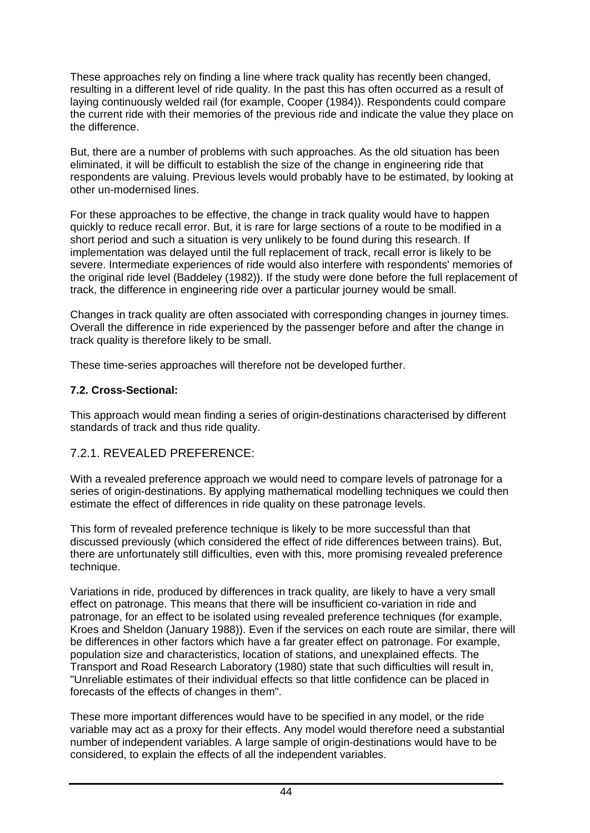These approaches rely on finding a line where track quality has recently been changed, resulting in a different level of ride quality. In the past this has often occurred as a result of laying continuously welded rail (for example, Cooper (1984)). Respondents could compare the current ride with their memories of the previous ride and indicate the value they place on the difference.

But, there are a number of problems with such approaches. As the old situation has been eliminated, it will be difficult to establish the size of the change in engineering ride that respondents are valuing. Previous levels would probably have to be estimated, by looking at other un-modernised lines.

For these approaches to be effective, the change in track quality would have to happen quickly to reduce recall error. But, it is rare for large sections of a route to be modified in a short period and such a situation is very unlikely to be found during this research. If implementation was delayed until the full replacement of track, recall error is likely to be severe. Intermediate experiences of ride would also interfere with respondents' memories of the original ride level (Baddeley (1982)). If the study were done before the full replacement of track, the difference in engineering ride over a particular journey would be small.

Changes in track quality are often associated with corresponding changes in journey times. Overall the difference in ride experienced by the passenger before and after the change in track quality is therefore likely to be small.

These time-series approaches will therefore not be developed further.

#### **7.2. Cross-Sectional:**

This approach would mean finding a series of origin-destinations characterised by different standards of track and thus ride quality.

## 7.2.1. REVEALED PREFERENCE:

With a revealed preference approach we would need to compare levels of patronage for a series of origin-destinations. By applying mathematical modelling techniques we could then estimate the effect of differences in ride quality on these patronage levels.

This form of revealed preference technique is likely to be more successful than that discussed previously (which considered the effect of ride differences between trains). But, there are unfortunately still difficulties, even with this, more promising revealed preference technique.

Variations in ride, produced by differences in track quality, are likely to have a very small effect on patronage. This means that there will be insufficient co-variation in ride and patronage, for an effect to be isolated using revealed preference techniques (for example, Kroes and Sheldon (January 1988)). Even if the services on each route are similar, there will be differences in other factors which have a far greater effect on patronage. For example, population size and characteristics, location of stations, and unexplained effects. The Transport and Road Research Laboratory (1980) state that such difficulties will result in, "Unreliable estimates of their individual effects so that little confidence can be placed in forecasts of the effects of changes in them".

These more important differences would have to be specified in any model, or the ride variable may act as a proxy for their effects. Any model would therefore need a substantial number of independent variables. A large sample of origin-destinations would have to be considered, to explain the effects of all the independent variables.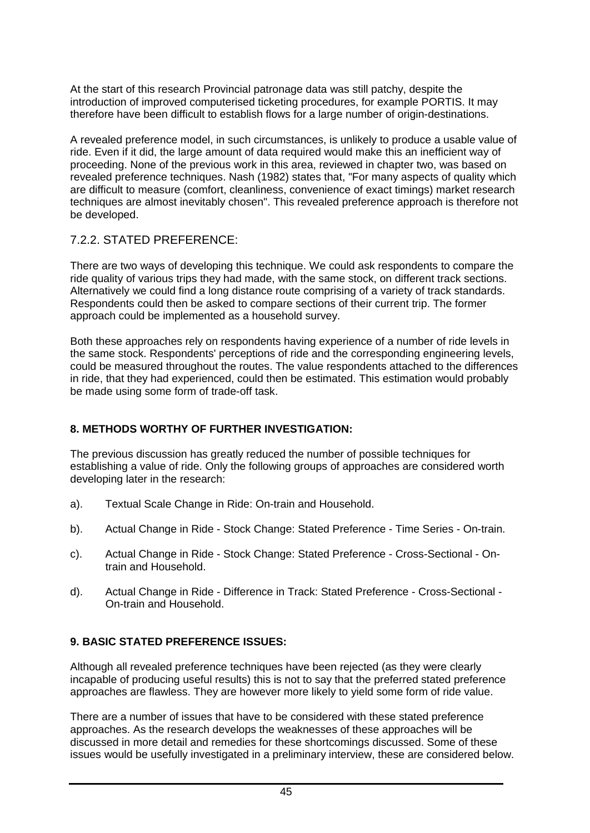At the start of this research Provincial patronage data was still patchy, despite the introduction of improved computerised ticketing procedures, for example PORTIS. It may therefore have been difficult to establish flows for a large number of origin-destinations.

A revealed preference model, in such circumstances, is unlikely to produce a usable value of ride. Even if it did, the large amount of data required would make this an inefficient way of proceeding. None of the previous work in this area, reviewed in chapter two, was based on revealed preference techniques. Nash (1982) states that, "For many aspects of quality which are difficult to measure (comfort, cleanliness, convenience of exact timings) market research techniques are almost inevitably chosen". This revealed preference approach is therefore not be developed.

## 7.2.2. STATED PREFERENCE:

There are two ways of developing this technique. We could ask respondents to compare the ride quality of various trips they had made, with the same stock, on different track sections. Alternatively we could find a long distance route comprising of a variety of track standards. Respondents could then be asked to compare sections of their current trip. The former approach could be implemented as a household survey.

Both these approaches rely on respondents having experience of a number of ride levels in the same stock. Respondents' perceptions of ride and the corresponding engineering levels, could be measured throughout the routes. The value respondents attached to the differences in ride, that they had experienced, could then be estimated. This estimation would probably be made using some form of trade-off task.

## **8. METHODS WORTHY OF FURTHER INVESTIGATION:**

The previous discussion has greatly reduced the number of possible techniques for establishing a value of ride. Only the following groups of approaches are considered worth developing later in the research:

- a). Textual Scale Change in Ride: On-train and Household.
- b). Actual Change in Ride Stock Change: Stated Preference Time Series On-train.
- c). Actual Change in Ride Stock Change: Stated Preference Cross-Sectional Ontrain and Household.
- d). Actual Change in Ride Difference in Track: Stated Preference Cross-Sectional On-train and Household.

## **9. BASIC STATED PREFERENCE ISSUES:**

Although all revealed preference techniques have been rejected (as they were clearly incapable of producing useful results) this is not to say that the preferred stated preference approaches are flawless. They are however more likely to yield some form of ride value.

There are a number of issues that have to be considered with these stated preference approaches. As the research develops the weaknesses of these approaches will be discussed in more detail and remedies for these shortcomings discussed. Some of these issues would be usefully investigated in a preliminary interview, these are considered below.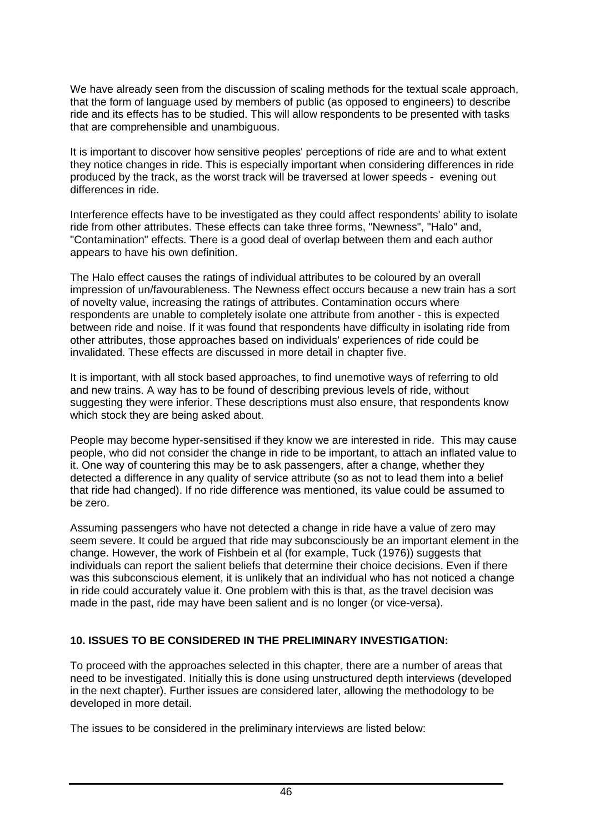We have already seen from the discussion of scaling methods for the textual scale approach, that the form of language used by members of public (as opposed to engineers) to describe ride and its effects has to be studied. This will allow respondents to be presented with tasks that are comprehensible and unambiguous.

It is important to discover how sensitive peoples' perceptions of ride are and to what extent they notice changes in ride. This is especially important when considering differences in ride produced by the track, as the worst track will be traversed at lower speeds - evening out differences in ride.

Interference effects have to be investigated as they could affect respondents' ability to isolate ride from other attributes. These effects can take three forms, "Newness", "Halo" and, "Contamination" effects. There is a good deal of overlap between them and each author appears to have his own definition.

The Halo effect causes the ratings of individual attributes to be coloured by an overall impression of un/favourableness. The Newness effect occurs because a new train has a sort of novelty value, increasing the ratings of attributes. Contamination occurs where respondents are unable to completely isolate one attribute from another - this is expected between ride and noise. If it was found that respondents have difficulty in isolating ride from other attributes, those approaches based on individuals' experiences of ride could be invalidated. These effects are discussed in more detail in chapter five.

It is important, with all stock based approaches, to find unemotive ways of referring to old and new trains. A way has to be found of describing previous levels of ride, without suggesting they were inferior. These descriptions must also ensure, that respondents know which stock they are being asked about.

People may become hyper-sensitised if they know we are interested in ride. This may cause people, who did not consider the change in ride to be important, to attach an inflated value to it. One way of countering this may be to ask passengers, after a change, whether they detected a difference in any quality of service attribute (so as not to lead them into a belief that ride had changed). If no ride difference was mentioned, its value could be assumed to be zero.

Assuming passengers who have not detected a change in ride have a value of zero may seem severe. It could be argued that ride may subconsciously be an important element in the change. However, the work of Fishbein et al (for example, Tuck (1976)) suggests that individuals can report the salient beliefs that determine their choice decisions. Even if there was this subconscious element, it is unlikely that an individual who has not noticed a change in ride could accurately value it. One problem with this is that, as the travel decision was made in the past, ride may have been salient and is no longer (or vice-versa).

#### **10. ISSUES TO BE CONSIDERED IN THE PRELIMINARY INVESTIGATION:**

To proceed with the approaches selected in this chapter, there are a number of areas that need to be investigated. Initially this is done using unstructured depth interviews (developed in the next chapter). Further issues are considered later, allowing the methodology to be developed in more detail.

The issues to be considered in the preliminary interviews are listed below: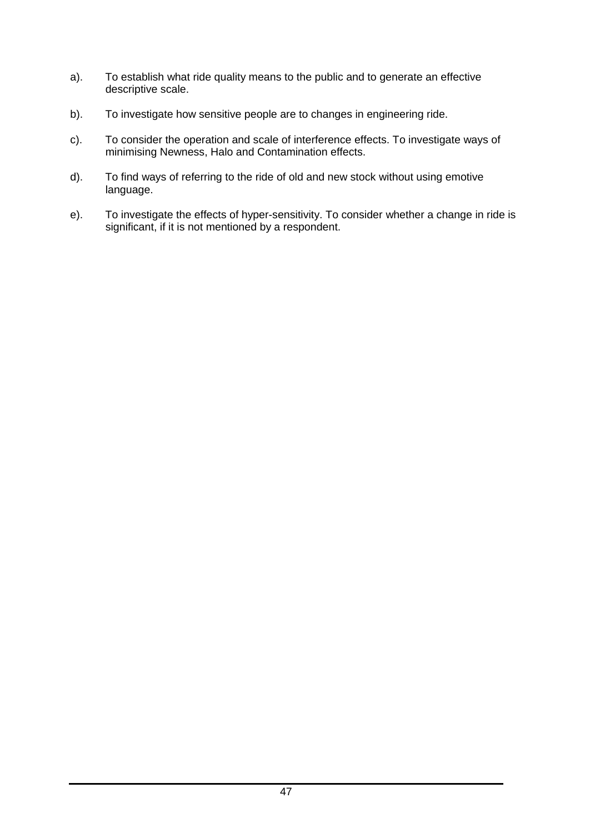- a). To establish what ride quality means to the public and to generate an effective descriptive scale.
- b). To investigate how sensitive people are to changes in engineering ride.
- c). To consider the operation and scale of interference effects. To investigate ways of minimising Newness, Halo and Contamination effects.
- d). To find ways of referring to the ride of old and new stock without using emotive language.
- e). To investigate the effects of hyper-sensitivity. To consider whether a change in ride is significant, if it is not mentioned by a respondent.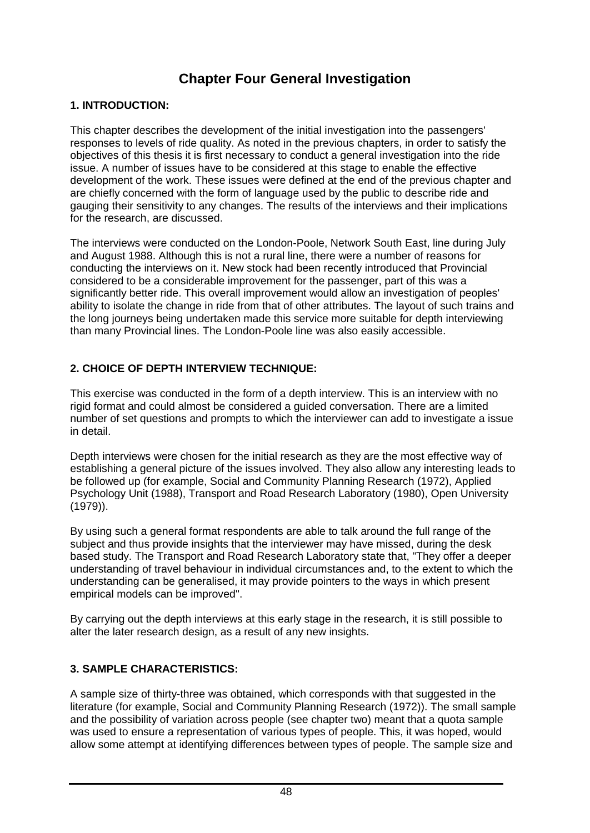# **Chapter Four General Investigation**

#### **1. INTRODUCTION:**

This chapter describes the development of the initial investigation into the passengers' responses to levels of ride quality. As noted in the previous chapters, in order to satisfy the objectives of this thesis it is first necessary to conduct a general investigation into the ride issue. A number of issues have to be considered at this stage to enable the effective development of the work. These issues were defined at the end of the previous chapter and are chiefly concerned with the form of language used by the public to describe ride and gauging their sensitivity to any changes. The results of the interviews and their implications for the research, are discussed.

The interviews were conducted on the London-Poole, Network South East, line during July and August 1988. Although this is not a rural line, there were a number of reasons for conducting the interviews on it. New stock had been recently introduced that Provincial considered to be a considerable improvement for the passenger, part of this was a significantly better ride. This overall improvement would allow an investigation of peoples' ability to isolate the change in ride from that of other attributes. The layout of such trains and the long journeys being undertaken made this service more suitable for depth interviewing than many Provincial lines. The London-Poole line was also easily accessible.

## **2. CHOICE OF DEPTH INTERVIEW TECHNIQUE:**

This exercise was conducted in the form of a depth interview. This is an interview with no rigid format and could almost be considered a guided conversation. There are a limited number of set questions and prompts to which the interviewer can add to investigate a issue in detail.

Depth interviews were chosen for the initial research as they are the most effective way of establishing a general picture of the issues involved. They also allow any interesting leads to be followed up (for example, Social and Community Planning Research (1972), Applied Psychology Unit (1988), Transport and Road Research Laboratory (1980), Open University (1979)).

By using such a general format respondents are able to talk around the full range of the subject and thus provide insights that the interviewer may have missed, during the desk based study. The Transport and Road Research Laboratory state that, "They offer a deeper understanding of travel behaviour in individual circumstances and, to the extent to which the understanding can be generalised, it may provide pointers to the ways in which present empirical models can be improved".

By carrying out the depth interviews at this early stage in the research, it is still possible to alter the later research design, as a result of any new insights.

## **3. SAMPLE CHARACTERISTICS:**

A sample size of thirty-three was obtained, which corresponds with that suggested in the literature (for example, Social and Community Planning Research (1972)). The small sample and the possibility of variation across people (see chapter two) meant that a quota sample was used to ensure a representation of various types of people. This, it was hoped, would allow some attempt at identifying differences between types of people. The sample size and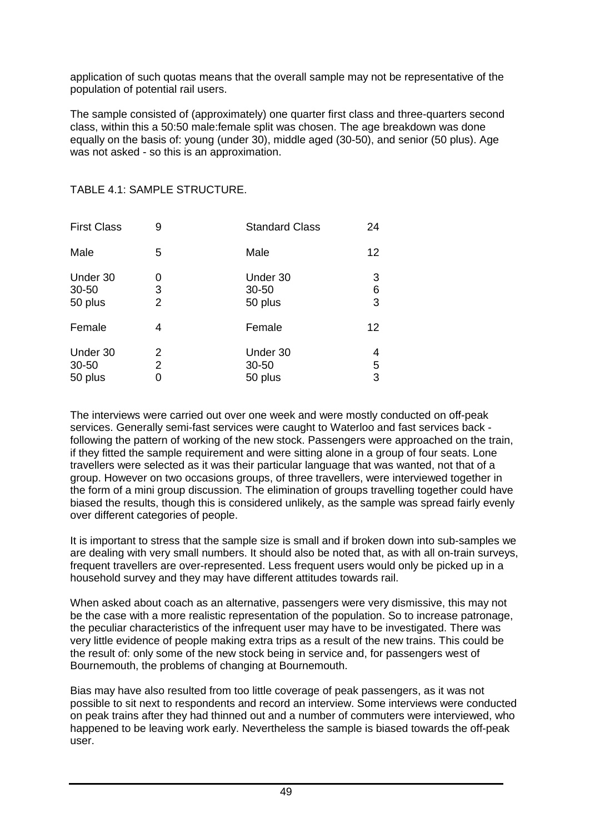application of such quotas means that the overall sample may not be representative of the population of potential rail users.

The sample consisted of (approximately) one quarter first class and three-quarters second class, within this a 50:50 male:female split was chosen. The age breakdown was done equally on the basis of: young (under 30), middle aged (30-50), and senior (50 plus). Age was not asked - so this is an approximation.

| <b>First Class</b>           | 9           | <b>Standard Class</b>            | 24          |
|------------------------------|-------------|----------------------------------|-------------|
| Male                         | 5           | Male                             | 12          |
| Under 30<br>30-50<br>50 plus | 0<br>3<br>2 | Under 30<br>30-50<br>50 plus     | 3<br>6<br>3 |
| Female                       | 4           | Female                           | 12          |
| Under 30<br>30-50<br>50 plus | 2<br>2<br>0 | Under 30<br>$30 - 50$<br>50 plus | 4<br>5<br>3 |

#### TABLE 4.1: SAMPLE STRUCTURE.

The interviews were carried out over one week and were mostly conducted on off-peak services. Generally semi-fast services were caught to Waterloo and fast services back following the pattern of working of the new stock. Passengers were approached on the train, if they fitted the sample requirement and were sitting alone in a group of four seats. Lone travellers were selected as it was their particular language that was wanted, not that of a group. However on two occasions groups, of three travellers, were interviewed together in the form of a mini group discussion. The elimination of groups travelling together could have biased the results, though this is considered unlikely, as the sample was spread fairly evenly over different categories of people.

It is important to stress that the sample size is small and if broken down into sub-samples we are dealing with very small numbers. It should also be noted that, as with all on-train surveys, frequent travellers are over-represented. Less frequent users would only be picked up in a household survey and they may have different attitudes towards rail.

When asked about coach as an alternative, passengers were very dismissive, this may not be the case with a more realistic representation of the population. So to increase patronage, the peculiar characteristics of the infrequent user may have to be investigated. There was very little evidence of people making extra trips as a result of the new trains. This could be the result of: only some of the new stock being in service and, for passengers west of Bournemouth, the problems of changing at Bournemouth.

Bias may have also resulted from too little coverage of peak passengers, as it was not possible to sit next to respondents and record an interview. Some interviews were conducted on peak trains after they had thinned out and a number of commuters were interviewed, who happened to be leaving work early. Nevertheless the sample is biased towards the off-peak user.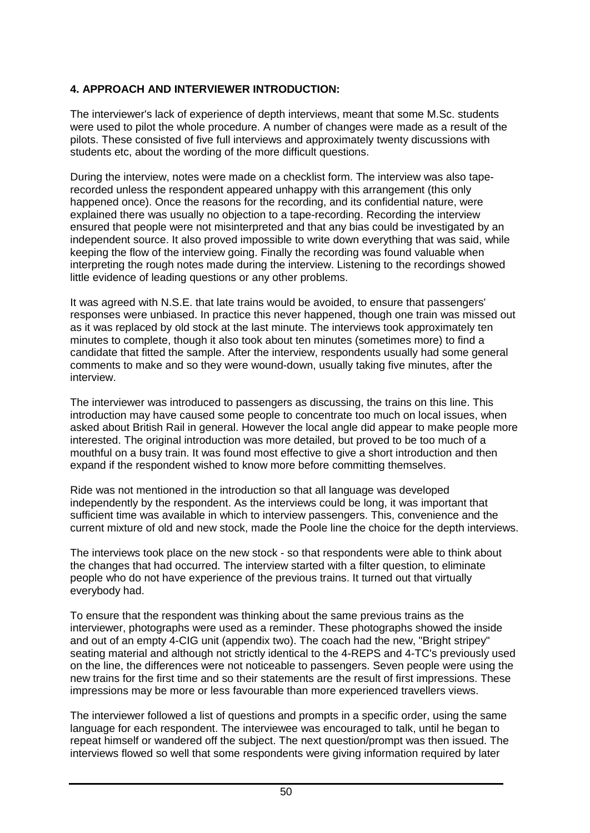#### **4. APPROACH AND INTERVIEWER INTRODUCTION:**

The interviewer's lack of experience of depth interviews, meant that some M.Sc. students were used to pilot the whole procedure. A number of changes were made as a result of the pilots. These consisted of five full interviews and approximately twenty discussions with students etc, about the wording of the more difficult questions.

During the interview, notes were made on a checklist form. The interview was also taperecorded unless the respondent appeared unhappy with this arrangement (this only happened once). Once the reasons for the recording, and its confidential nature, were explained there was usually no objection to a tape-recording. Recording the interview ensured that people were not misinterpreted and that any bias could be investigated by an independent source. It also proved impossible to write down everything that was said, while keeping the flow of the interview going. Finally the recording was found valuable when interpreting the rough notes made during the interview. Listening to the recordings showed little evidence of leading questions or any other problems.

It was agreed with N.S.E. that late trains would be avoided, to ensure that passengers' responses were unbiased. In practice this never happened, though one train was missed out as it was replaced by old stock at the last minute. The interviews took approximately ten minutes to complete, though it also took about ten minutes (sometimes more) to find a candidate that fitted the sample. After the interview, respondents usually had some general comments to make and so they were wound-down, usually taking five minutes, after the interview.

The interviewer was introduced to passengers as discussing, the trains on this line. This introduction may have caused some people to concentrate too much on local issues, when asked about British Rail in general. However the local angle did appear to make people more interested. The original introduction was more detailed, but proved to be too much of a mouthful on a busy train. It was found most effective to give a short introduction and then expand if the respondent wished to know more before committing themselves.

Ride was not mentioned in the introduction so that all language was developed independently by the respondent. As the interviews could be long, it was important that sufficient time was available in which to interview passengers. This, convenience and the current mixture of old and new stock, made the Poole line the choice for the depth interviews.

The interviews took place on the new stock - so that respondents were able to think about the changes that had occurred. The interview started with a filter question, to eliminate people who do not have experience of the previous trains. It turned out that virtually everybody had.

To ensure that the respondent was thinking about the same previous trains as the interviewer, photographs were used as a reminder. These photographs showed the inside and out of an empty 4-CIG unit (appendix two). The coach had the new, "Bright stripey" seating material and although not strictly identical to the 4-REPS and 4-TC's previously used on the line, the differences were not noticeable to passengers. Seven people were using the new trains for the first time and so their statements are the result of first impressions. These impressions may be more or less favourable than more experienced travellers views.

The interviewer followed a list of questions and prompts in a specific order, using the same language for each respondent. The interviewee was encouraged to talk, until he began to repeat himself or wandered off the subject. The next question/prompt was then issued. The interviews flowed so well that some respondents were giving information required by later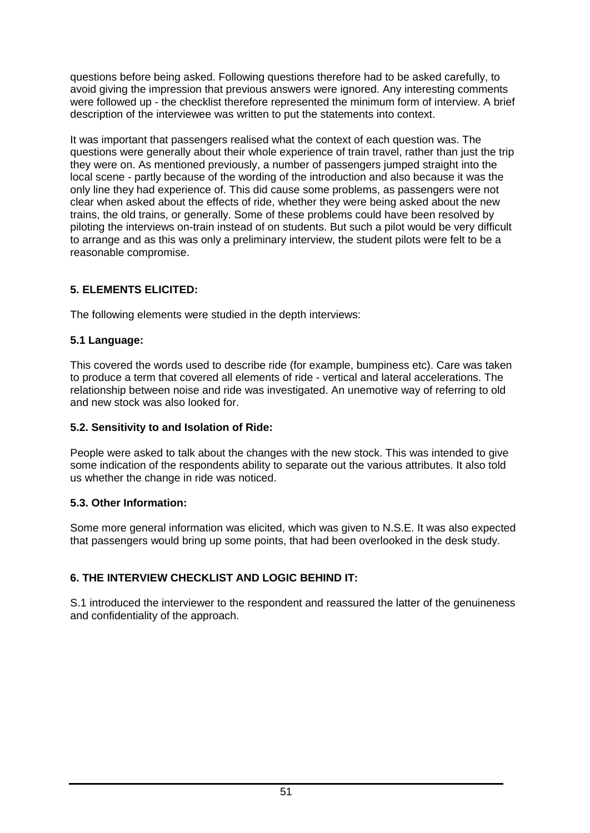questions before being asked. Following questions therefore had to be asked carefully, to avoid giving the impression that previous answers were ignored. Any interesting comments were followed up - the checklist therefore represented the minimum form of interview. A brief description of the interviewee was written to put the statements into context.

It was important that passengers realised what the context of each question was. The questions were generally about their whole experience of train travel, rather than just the trip they were on. As mentioned previously, a number of passengers jumped straight into the local scene - partly because of the wording of the introduction and also because it was the only line they had experience of. This did cause some problems, as passengers were not clear when asked about the effects of ride, whether they were being asked about the new trains, the old trains, or generally. Some of these problems could have been resolved by piloting the interviews on-train instead of on students. But such a pilot would be very difficult to arrange and as this was only a preliminary interview, the student pilots were felt to be a reasonable compromise.

## **5. ELEMENTS ELICITED:**

The following elements were studied in the depth interviews:

## **5.1 Language:**

This covered the words used to describe ride (for example, bumpiness etc). Care was taken to produce a term that covered all elements of ride - vertical and lateral accelerations. The relationship between noise and ride was investigated. An unemotive way of referring to old and new stock was also looked for.

## **5.2. Sensitivity to and Isolation of Ride:**

People were asked to talk about the changes with the new stock. This was intended to give some indication of the respondents ability to separate out the various attributes. It also told us whether the change in ride was noticed.

## **5.3. Other Information:**

Some more general information was elicited, which was given to N.S.E. It was also expected that passengers would bring up some points, that had been overlooked in the desk study.

# **6. THE INTERVIEW CHECKLIST AND LOGIC BEHIND IT:**

S.1 introduced the interviewer to the respondent and reassured the latter of the genuineness and confidentiality of the approach.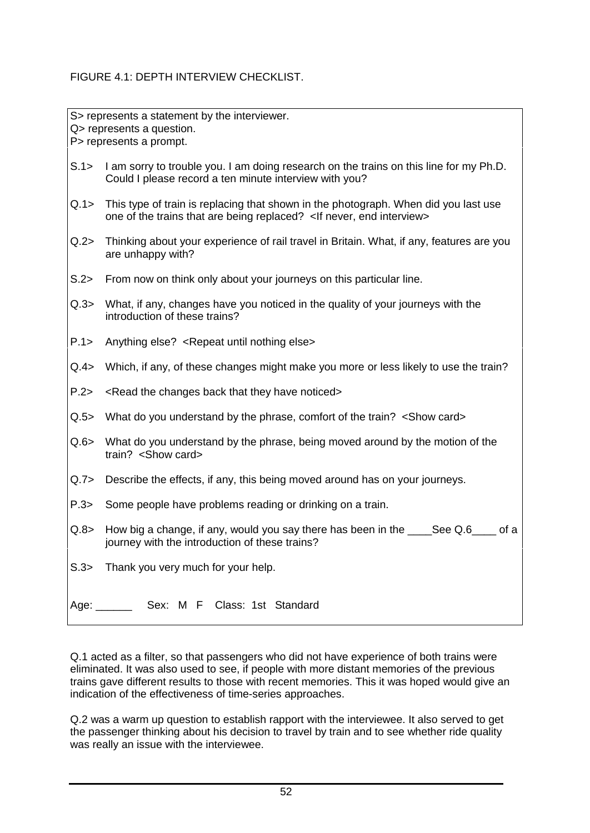## FIGURE 4.1: DEPTH INTERVIEW CHECKLIST.

S> represents a statement by the interviewer. Q> represents a question. P> represents a prompt.

- S.1> I am sorry to trouble you. I am doing research on the trains on this line for my Ph.D. Could I please record a ten minute interview with you?
- Q.1> This type of train is replacing that shown in the photograph. When did you last use one of the trains that are being replaced? <If never, end interview>
- Q.2> Thinking about your experience of rail travel in Britain. What, if any, features are you are unhappy with?
- S.2> From now on think only about your journeys on this particular line.
- Q.3> What, if any, changes have you noticed in the quality of your journeys with the introduction of these trains?
- P.1> Anything else? <Repeat until nothing else>
- Q.4> Which, if any, of these changes might make you more or less likely to use the train?
- P.2> <Read the changes back that they have noticed>
- Q.5> What do you understand by the phrase, comfort of the train? <Show card>
- Q.6> What do you understand by the phrase, being moved around by the motion of the train? <Show card>
- Q.7> Describe the effects, if any, this being moved around has on your journeys.
- P.3> Some people have problems reading or drinking on a train.
- $Q.8$  How big a change, if any, would you say there has been in the See Q.6 of a journey with the introduction of these trains?
- S.3> Thank you very much for your help.

| Age: |  |  | Sex: M F Class: 1st Standard |
|------|--|--|------------------------------|
|      |  |  |                              |

Q.1 acted as a filter, so that passengers who did not have experience of both trains were eliminated. It was also used to see, if people with more distant memories of the previous trains gave different results to those with recent memories. This it was hoped would give an indication of the effectiveness of time-series approaches.

Q.2 was a warm up question to establish rapport with the interviewee. It also served to get the passenger thinking about his decision to travel by train and to see whether ride quality was really an issue with the interviewee.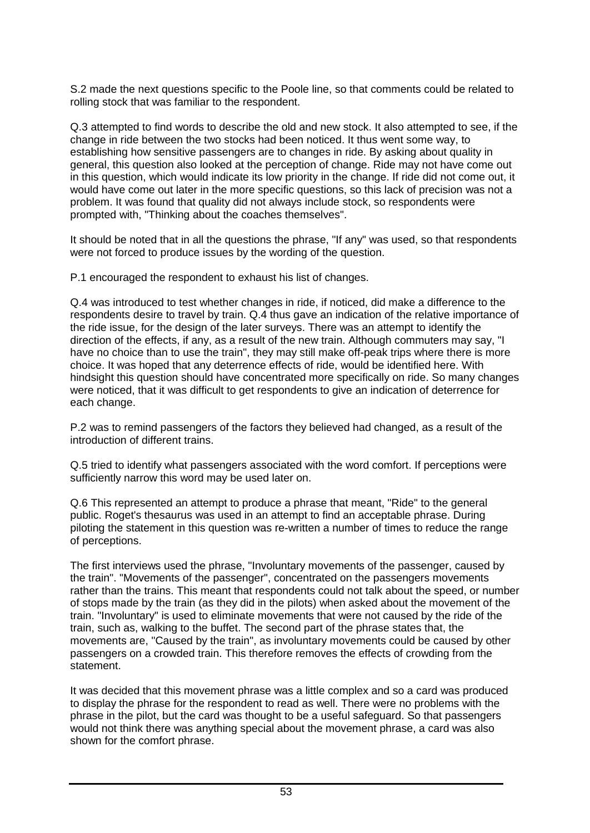S.2 made the next questions specific to the Poole line, so that comments could be related to rolling stock that was familiar to the respondent.

Q.3 attempted to find words to describe the old and new stock. It also attempted to see, if the change in ride between the two stocks had been noticed. It thus went some way, to establishing how sensitive passengers are to changes in ride. By asking about quality in general, this question also looked at the perception of change. Ride may not have come out in this question, which would indicate its low priority in the change. If ride did not come out, it would have come out later in the more specific questions, so this lack of precision was not a problem. It was found that quality did not always include stock, so respondents were prompted with, "Thinking about the coaches themselves".

It should be noted that in all the questions the phrase, "If any" was used, so that respondents were not forced to produce issues by the wording of the question.

P.1 encouraged the respondent to exhaust his list of changes.

Q.4 was introduced to test whether changes in ride, if noticed, did make a difference to the respondents desire to travel by train. Q.4 thus gave an indication of the relative importance of the ride issue, for the design of the later surveys. There was an attempt to identify the direction of the effects, if any, as a result of the new train. Although commuters may say, "I have no choice than to use the train", they may still make off-peak trips where there is more choice. It was hoped that any deterrence effects of ride, would be identified here. With hindsight this question should have concentrated more specifically on ride. So many changes were noticed, that it was difficult to get respondents to give an indication of deterrence for each change.

P.2 was to remind passengers of the factors they believed had changed, as a result of the introduction of different trains.

Q.5 tried to identify what passengers associated with the word comfort. If perceptions were sufficiently narrow this word may be used later on.

Q.6 This represented an attempt to produce a phrase that meant, "Ride" to the general public. Roget's thesaurus was used in an attempt to find an acceptable phrase. During piloting the statement in this question was re-written a number of times to reduce the range of perceptions.

The first interviews used the phrase, "Involuntary movements of the passenger, caused by the train". "Movements of the passenger", concentrated on the passengers movements rather than the trains. This meant that respondents could not talk about the speed, or number of stops made by the train (as they did in the pilots) when asked about the movement of the train. "Involuntary" is used to eliminate movements that were not caused by the ride of the train, such as, walking to the buffet. The second part of the phrase states that, the movements are, "Caused by the train", as involuntary movements could be caused by other passengers on a crowded train. This therefore removes the effects of crowding from the statement.

It was decided that this movement phrase was a little complex and so a card was produced to display the phrase for the respondent to read as well. There were no problems with the phrase in the pilot, but the card was thought to be a useful safeguard. So that passengers would not think there was anything special about the movement phrase, a card was also shown for the comfort phrase.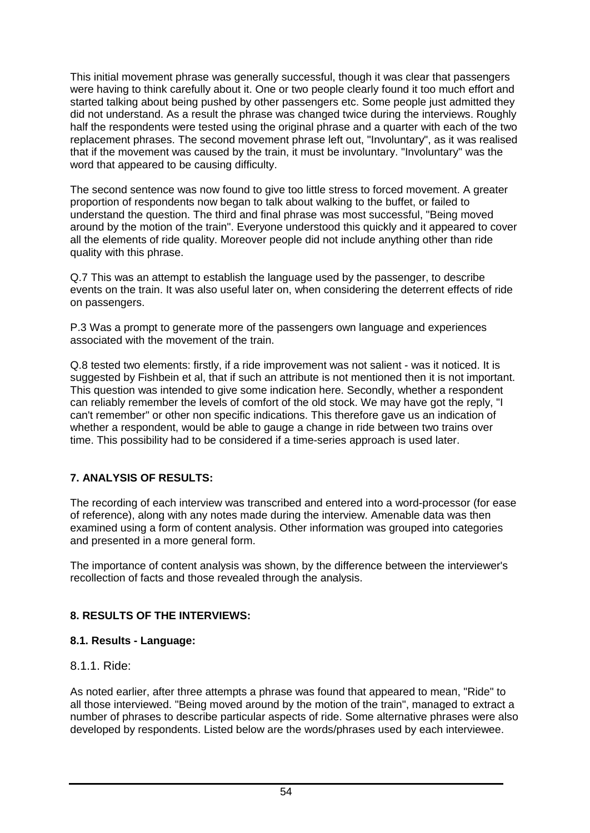This initial movement phrase was generally successful, though it was clear that passengers were having to think carefully about it. One or two people clearly found it too much effort and started talking about being pushed by other passengers etc. Some people just admitted they did not understand. As a result the phrase was changed twice during the interviews. Roughly half the respondents were tested using the original phrase and a quarter with each of the two replacement phrases. The second movement phrase left out, "Involuntary", as it was realised that if the movement was caused by the train, it must be involuntary. "Involuntary" was the word that appeared to be causing difficulty.

The second sentence was now found to give too little stress to forced movement. A greater proportion of respondents now began to talk about walking to the buffet, or failed to understand the question. The third and final phrase was most successful, "Being moved around by the motion of the train". Everyone understood this quickly and it appeared to cover all the elements of ride quality. Moreover people did not include anything other than ride quality with this phrase.

Q.7 This was an attempt to establish the language used by the passenger, to describe events on the train. It was also useful later on, when considering the deterrent effects of ride on passengers.

P.3 Was a prompt to generate more of the passengers own language and experiences associated with the movement of the train.

Q.8 tested two elements: firstly, if a ride improvement was not salient - was it noticed. It is suggested by Fishbein et al, that if such an attribute is not mentioned then it is not important. This question was intended to give some indication here. Secondly, whether a respondent can reliably remember the levels of comfort of the old stock. We may have got the reply, "I can't remember" or other non specific indications. This therefore gave us an indication of whether a respondent, would be able to gauge a change in ride between two trains over time. This possibility had to be considered if a time-series approach is used later.

## **7. ANALYSIS OF RESULTS:**

The recording of each interview was transcribed and entered into a word-processor (for ease of reference), along with any notes made during the interview. Amenable data was then examined using a form of content analysis. Other information was grouped into categories and presented in a more general form.

The importance of content analysis was shown, by the difference between the interviewer's recollection of facts and those revealed through the analysis.

## **8. RESULTS OF THE INTERVIEWS:**

## **8.1. Results - Language:**

## 8.1.1. Ride:

As noted earlier, after three attempts a phrase was found that appeared to mean, "Ride" to all those interviewed. "Being moved around by the motion of the train", managed to extract a number of phrases to describe particular aspects of ride. Some alternative phrases were also developed by respondents. Listed below are the words/phrases used by each interviewee.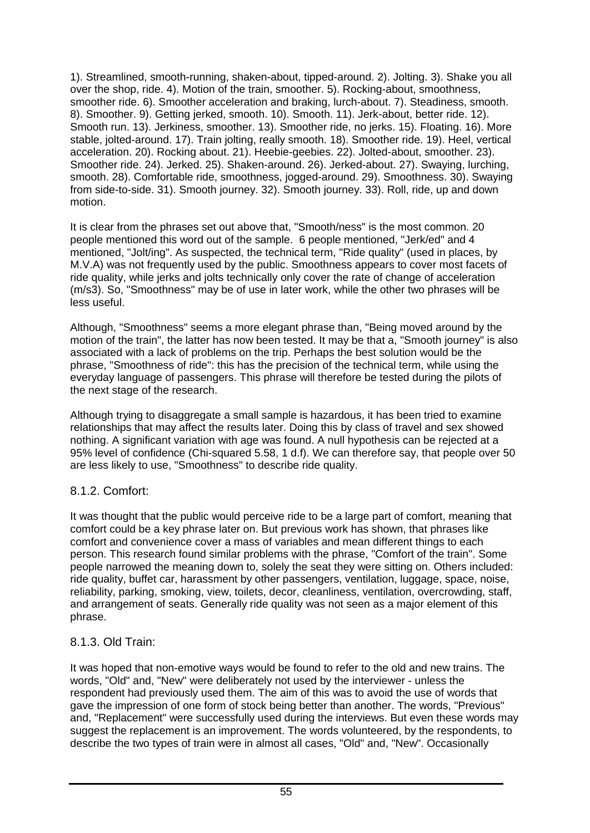1). Streamlined, smooth-running, shaken-about, tipped-around. 2). Jolting. 3). Shake you all over the shop, ride. 4). Motion of the train, smoother. 5). Rocking-about, smoothness, smoother ride. 6). Smoother acceleration and braking, lurch-about. 7). Steadiness, smooth. 8). Smoother. 9). Getting jerked, smooth. 10). Smooth. 11). Jerk-about, better ride. 12). Smooth run. 13). Jerkiness, smoother. 13). Smoother ride, no jerks. 15). Floating. 16). More stable, jolted-around. 17). Train jolting, really smooth. 18). Smoother ride. 19). Heel, vertical acceleration. 20). Rocking about. 21). Heebie-geebies. 22). Jolted-about, smoother. 23). Smoother ride. 24). Jerked. 25). Shaken-around. 26). Jerked-about. 27). Swaying, lurching, smooth. 28). Comfortable ride, smoothness, jogged-around. 29). Smoothness. 30). Swaying from side-to-side. 31). Smooth journey. 32). Smooth journey. 33). Roll, ride, up and down motion.

It is clear from the phrases set out above that, "Smooth/ness" is the most common. 20 people mentioned this word out of the sample. 6 people mentioned, "Jerk/ed" and 4 mentioned, "Jolt/ing". As suspected, the technical term, "Ride quality" (used in places, by M.V.A) was not frequently used by the public. Smoothness appears to cover most facets of ride quality, while jerks and jolts technically only cover the rate of change of acceleration (m/s3). So, "Smoothness" may be of use in later work, while the other two phrases will be less useful.

Although, "Smoothness" seems a more elegant phrase than, "Being moved around by the motion of the train", the latter has now been tested. It may be that a, "Smooth journey" is also associated with a lack of problems on the trip. Perhaps the best solution would be the phrase, "Smoothness of ride": this has the precision of the technical term, while using the everyday language of passengers. This phrase will therefore be tested during the pilots of the next stage of the research.

Although trying to disaggregate a small sample is hazardous, it has been tried to examine relationships that may affect the results later. Doing this by class of travel and sex showed nothing. A significant variation with age was found. A null hypothesis can be rejected at a 95% level of confidence (Chi-squared 5.58, 1 d.f). We can therefore say, that people over 50 are less likely to use, "Smoothness" to describe ride quality.

## 8.1.2. Comfort:

It was thought that the public would perceive ride to be a large part of comfort, meaning that comfort could be a key phrase later on. But previous work has shown, that phrases like comfort and convenience cover a mass of variables and mean different things to each person. This research found similar problems with the phrase, "Comfort of the train". Some people narrowed the meaning down to, solely the seat they were sitting on. Others included: ride quality, buffet car, harassment by other passengers, ventilation, luggage, space, noise, reliability, parking, smoking, view, toilets, decor, cleanliness, ventilation, overcrowding, staff, and arrangement of seats. Generally ride quality was not seen as a major element of this phrase.

## 8.1.3. Old Train:

It was hoped that non-emotive ways would be found to refer to the old and new trains. The words, "Old" and, "New" were deliberately not used by the interviewer - unless the respondent had previously used them. The aim of this was to avoid the use of words that gave the impression of one form of stock being better than another. The words, "Previous" and, "Replacement" were successfully used during the interviews. But even these words may suggest the replacement is an improvement. The words volunteered, by the respondents, to describe the two types of train were in almost all cases, "Old" and, "New". Occasionally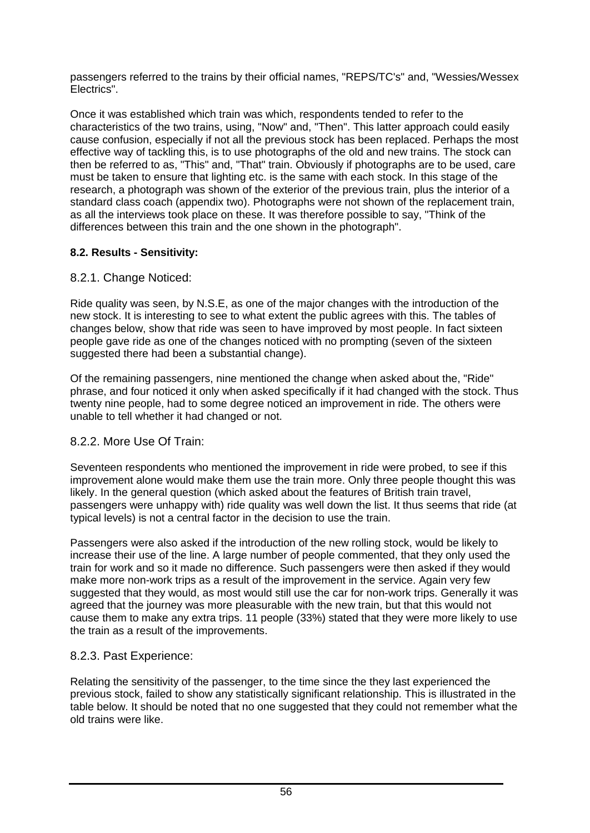passengers referred to the trains by their official names, "REPS/TC's" and, "Wessies/Wessex Electrics".

Once it was established which train was which, respondents tended to refer to the characteristics of the two trains, using, "Now" and, "Then". This latter approach could easily cause confusion, especially if not all the previous stock has been replaced. Perhaps the most effective way of tackling this, is to use photographs of the old and new trains. The stock can then be referred to as, "This" and, "That" train. Obviously if photographs are to be used, care must be taken to ensure that lighting etc. is the same with each stock. In this stage of the research, a photograph was shown of the exterior of the previous train, plus the interior of a standard class coach (appendix two). Photographs were not shown of the replacement train, as all the interviews took place on these. It was therefore possible to say, "Think of the differences between this train and the one shown in the photograph".

## **8.2. Results - Sensitivity:**

## 8.2.1. Change Noticed:

Ride quality was seen, by N.S.E, as one of the major changes with the introduction of the new stock. It is interesting to see to what extent the public agrees with this. The tables of changes below, show that ride was seen to have improved by most people. In fact sixteen people gave ride as one of the changes noticed with no prompting (seven of the sixteen suggested there had been a substantial change).

Of the remaining passengers, nine mentioned the change when asked about the, "Ride" phrase, and four noticed it only when asked specifically if it had changed with the stock. Thus twenty nine people, had to some degree noticed an improvement in ride. The others were unable to tell whether it had changed or not.

## 8.2.2. More Use Of Train:

Seventeen respondents who mentioned the improvement in ride were probed, to see if this improvement alone would make them use the train more. Only three people thought this was likely. In the general question (which asked about the features of British train travel, passengers were unhappy with) ride quality was well down the list. It thus seems that ride (at typical levels) is not a central factor in the decision to use the train.

Passengers were also asked if the introduction of the new rolling stock, would be likely to increase their use of the line. A large number of people commented, that they only used the train for work and so it made no difference. Such passengers were then asked if they would make more non-work trips as a result of the improvement in the service. Again very few suggested that they would, as most would still use the car for non-work trips. Generally it was agreed that the journey was more pleasurable with the new train, but that this would not cause them to make any extra trips. 11 people (33%) stated that they were more likely to use the train as a result of the improvements.

## 8.2.3. Past Experience:

Relating the sensitivity of the passenger, to the time since the they last experienced the previous stock, failed to show any statistically significant relationship. This is illustrated in the table below. It should be noted that no one suggested that they could not remember what the old trains were like.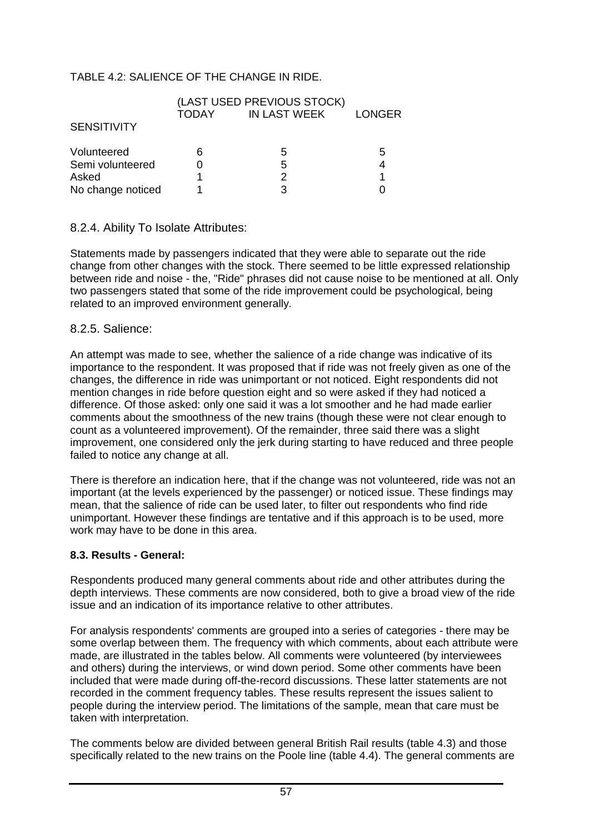#### TABLE 4.2: SALIENCE OF THE CHANGE IN RIDE.

|                    | (LAST USED PREVIOUS STOCK) |              |               |
|--------------------|----------------------------|--------------|---------------|
|                    | TODAY                      | IN LAST WEEK | <b>LONGER</b> |
| <b>SENSITIVITY</b> |                            |              |               |
| Volunteered        | 6                          | 5            | 5             |
| Semi volunteered   |                            | 5            | 4             |
| Asked              |                            |              |               |
| No change noticed  |                            |              |               |

#### 8.2.4. Ability To Isolate Attributes:

Statements made by passengers indicated that they were able to separate out the ride change from other changes with the stock. There seemed to be little expressed relationship between ride and noise - the, "Ride" phrases did not cause noise to be mentioned at all. Only two passengers stated that some of the ride improvement could be psychological, being related to an improved environment generally.

#### 8.2.5. Salience:

An attempt was made to see, whether the salience of a ride change was indicative of its importance to the respondent. It was proposed that if ride was not freely given as one of the changes, the difference in ride was unimportant or not noticed. Eight respondents did not mention changes in ride before question eight and so were asked if they had noticed a difference. Of those asked: only one said it was a lot smoother and he had made earlier comments about the smoothness of the new trains (though these were not clear enough to count as a volunteered improvement). Of the remainder, three said there was a slight improvement, one considered only the jerk during starting to have reduced and three people failed to notice any change at all.

There is therefore an indication here, that if the change was not volunteered, ride was not an important (at the levels experienced by the passenger) or noticed issue. These findings may mean, that the salience of ride can be used later, to filter out respondents who find ride unimportant. However these findings are tentative and if this approach is to be used, more work may have to be done in this area.

#### **8.3. Results - General:**

Respondents produced many general comments about ride and other attributes during the depth interviews. These comments are now considered, both to give a broad view of the ride issue and an indication of its importance relative to other attributes.

For analysis respondents' comments are grouped into a series of categories - there may be some overlap between them. The frequency with which comments, about each attribute were made, are illustrated in the tables below. All comments were volunteered (by interviewees and others) during the interviews, or wind down period. Some other comments have been included that were made during off-the-record discussions. These latter statements are not recorded in the comment frequency tables. These results represent the issues salient to people during the interview period. The limitations of the sample, mean that care must be taken with interpretation.

The comments below are divided between general British Rail results (table 4.3) and those specifically related to the new trains on the Poole line (table 4.4). The general comments are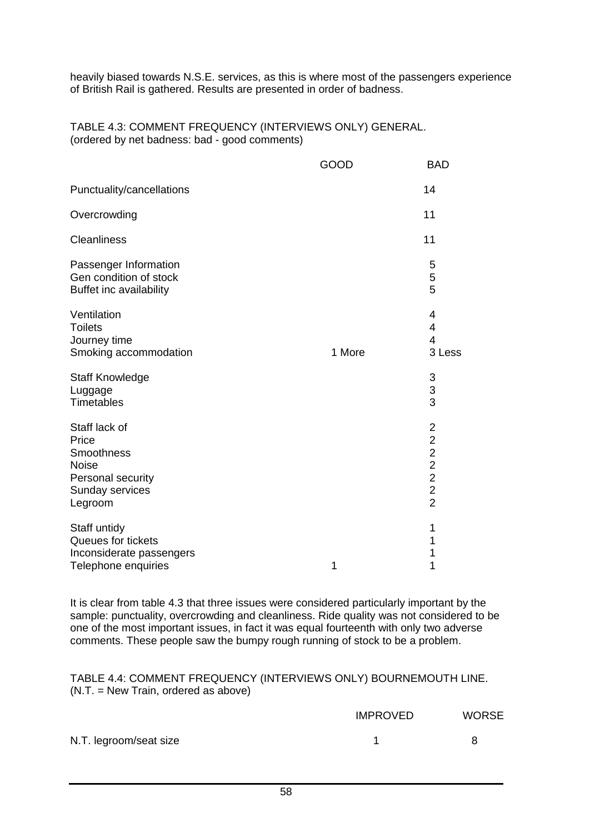heavily biased towards N.S.E. services, as this is where most of the passengers experience of British Rail is gathered. Results are presented in order of badness.

#### TABLE 4.3: COMMENT FREQUENCY (INTERVIEWS ONLY) GENERAL. (ordered by net badness: bad - good comments)

|                                                                                                         | GOOD   | <b>BAD</b>                         |
|---------------------------------------------------------------------------------------------------------|--------|------------------------------------|
| Punctuality/cancellations                                                                               |        | 14                                 |
| Overcrowding                                                                                            |        | 11                                 |
| <b>Cleanliness</b>                                                                                      |        | 11                                 |
| Passenger Information<br>Gen condition of stock<br>Buffet inc availability                              |        | 5<br>$\mathbf 5$<br>5              |
| Ventilation<br><b>Toilets</b><br>Journey time<br>Smoking accommodation                                  | 1 More | 4<br>4<br>$\overline{4}$<br>3 Less |
| <b>Staff Knowledge</b><br>Luggage<br><b>Timetables</b>                                                  |        | $\frac{3}{3}$                      |
| Staff lack of<br>Price<br>Smoothness<br><b>Noise</b><br>Personal security<br>Sunday services<br>Legroom |        | 2 2 2 2 2 2 2                      |
| Staff untidy<br>Queues for tickets<br>Inconsiderate passengers<br>Telephone enquiries                   | 1      | 1<br>1<br>1<br>1                   |

It is clear from table 4.3 that three issues were considered particularly important by the sample: punctuality, overcrowding and cleanliness. Ride quality was not considered to be one of the most important issues, in fact it was equal fourteenth with only two adverse comments. These people saw the bumpy rough running of stock to be a problem.

TABLE 4.4: COMMENT FREQUENCY (INTERVIEWS ONLY) BOURNEMOUTH LINE. (N.T. = New Train, ordered as above)

|                        | <b>IMPROVED</b> | <b>WORSE</b> |
|------------------------|-----------------|--------------|
| N.T. legroom/seat size |                 |              |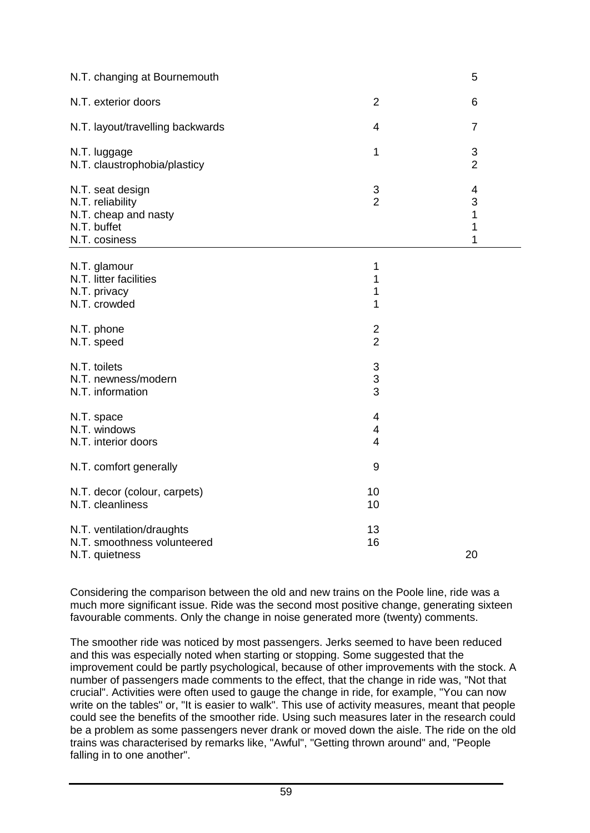| N.T. changing at Bournemouth                                                                 |                                                             | 5                                  |
|----------------------------------------------------------------------------------------------|-------------------------------------------------------------|------------------------------------|
| N.T. exterior doors                                                                          | $\overline{2}$                                              | 6                                  |
| N.T. layout/travelling backwards                                                             | 4                                                           | $\overline{7}$                     |
| N.T. luggage<br>N.T. claustrophobia/plasticy                                                 | $\mathbf 1$                                                 | $\mathbf{3}$<br>$\overline{2}$     |
| N.T. seat design<br>N.T. reliability<br>N.T. cheap and nasty<br>N.T. buffet<br>N.T. cosiness | $\frac{3}{2}$                                               | $\overline{4}$<br>3<br>1<br>1<br>1 |
| N.T. glamour<br>N.T. litter facilities<br>N.T. privacy<br>N.T. crowded                       | 1<br>1<br>1<br>1                                            |                                    |
| N.T. phone<br>N.T. speed                                                                     | $\overline{c}$<br>$\overline{2}$                            |                                    |
| N.T. toilets<br>N.T. newness/modern<br>N.T. information                                      | $\ensuremath{\mathsf{3}}$<br>$\ensuremath{\mathsf{3}}$<br>3 |                                    |
| N.T. space<br>N.T. windows<br>N.T. interior doors                                            | 4<br>4<br>$\overline{4}$                                    |                                    |
| N.T. comfort generally                                                                       | 9                                                           |                                    |
| N.T. decor (colour, carpets)<br>N.T. cleanliness                                             | 10<br>10                                                    |                                    |
| N.T. ventilation/draughts<br>N.T. smoothness volunteered<br>N.T. quietness                   | 13<br>16                                                    | 20                                 |

Considering the comparison between the old and new trains on the Poole line, ride was a much more significant issue. Ride was the second most positive change, generating sixteen favourable comments. Only the change in noise generated more (twenty) comments.

The smoother ride was noticed by most passengers. Jerks seemed to have been reduced and this was especially noted when starting or stopping. Some suggested that the improvement could be partly psychological, because of other improvements with the stock. A number of passengers made comments to the effect, that the change in ride was, "Not that crucial". Activities were often used to gauge the change in ride, for example, "You can now write on the tables" or, "It is easier to walk". This use of activity measures, meant that people could see the benefits of the smoother ride. Using such measures later in the research could be a problem as some passengers never drank or moved down the aisle. The ride on the old trains was characterised by remarks like, "Awful", "Getting thrown around" and, "People falling in to one another".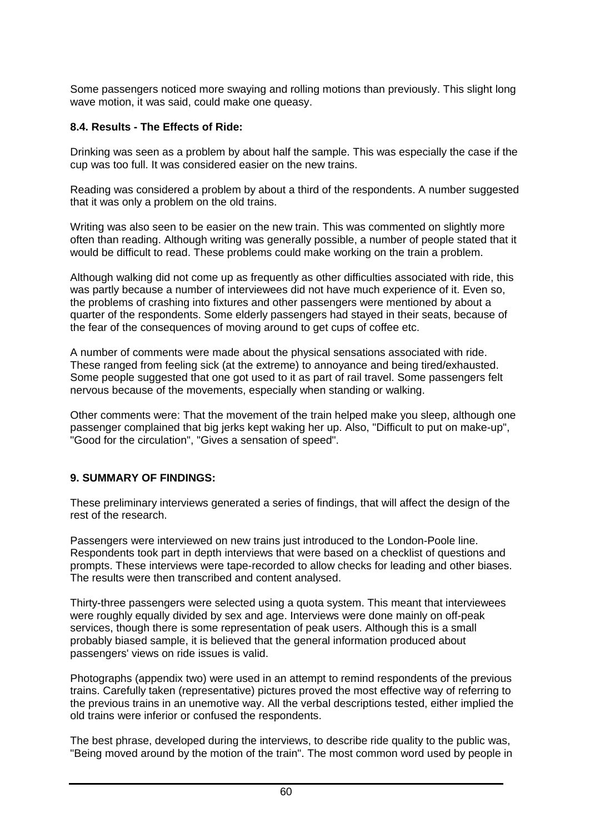Some passengers noticed more swaying and rolling motions than previously. This slight long wave motion, it was said, could make one queasy.

#### **8.4. Results - The Effects of Ride:**

Drinking was seen as a problem by about half the sample. This was especially the case if the cup was too full. It was considered easier on the new trains.

Reading was considered a problem by about a third of the respondents. A number suggested that it was only a problem on the old trains.

Writing was also seen to be easier on the new train. This was commented on slightly more often than reading. Although writing was generally possible, a number of people stated that it would be difficult to read. These problems could make working on the train a problem.

Although walking did not come up as frequently as other difficulties associated with ride, this was partly because a number of interviewees did not have much experience of it. Even so, the problems of crashing into fixtures and other passengers were mentioned by about a quarter of the respondents. Some elderly passengers had stayed in their seats, because of the fear of the consequences of moving around to get cups of coffee etc.

A number of comments were made about the physical sensations associated with ride. These ranged from feeling sick (at the extreme) to annoyance and being tired/exhausted. Some people suggested that one got used to it as part of rail travel. Some passengers felt nervous because of the movements, especially when standing or walking.

Other comments were: That the movement of the train helped make you sleep, although one passenger complained that big jerks kept waking her up. Also, "Difficult to put on make-up", "Good for the circulation", "Gives a sensation of speed".

#### **9. SUMMARY OF FINDINGS:**

These preliminary interviews generated a series of findings, that will affect the design of the rest of the research.

Passengers were interviewed on new trains just introduced to the London-Poole line. Respondents took part in depth interviews that were based on a checklist of questions and prompts. These interviews were tape-recorded to allow checks for leading and other biases. The results were then transcribed and content analysed.

Thirty-three passengers were selected using a quota system. This meant that interviewees were roughly equally divided by sex and age. Interviews were done mainly on off-peak services, though there is some representation of peak users. Although this is a small probably biased sample, it is believed that the general information produced about passengers' views on ride issues is valid.

Photographs (appendix two) were used in an attempt to remind respondents of the previous trains. Carefully taken (representative) pictures proved the most effective way of referring to the previous trains in an unemotive way. All the verbal descriptions tested, either implied the old trains were inferior or confused the respondents.

The best phrase, developed during the interviews, to describe ride quality to the public was, "Being moved around by the motion of the train". The most common word used by people in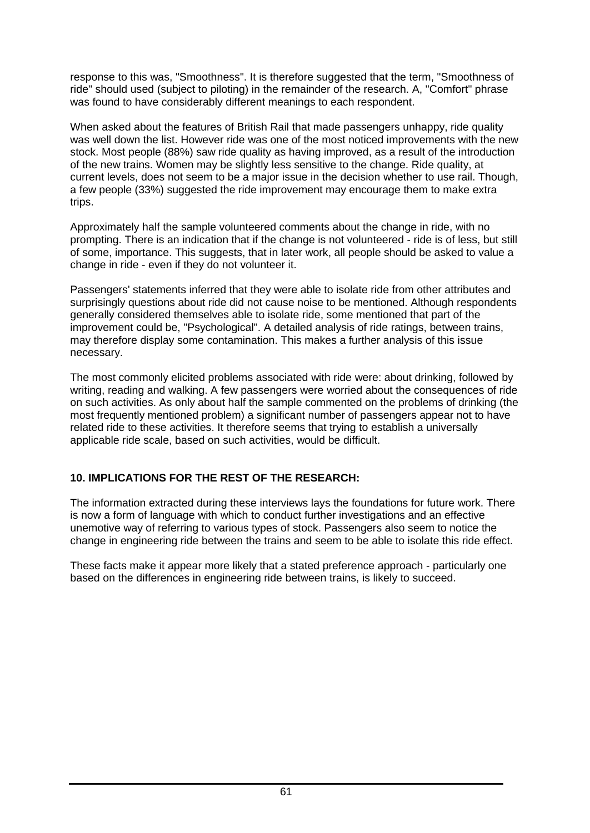response to this was, "Smoothness". It is therefore suggested that the term, "Smoothness of ride" should used (subject to piloting) in the remainder of the research. A, "Comfort" phrase was found to have considerably different meanings to each respondent.

When asked about the features of British Rail that made passengers unhappy, ride quality was well down the list. However ride was one of the most noticed improvements with the new stock. Most people (88%) saw ride quality as having improved, as a result of the introduction of the new trains. Women may be slightly less sensitive to the change. Ride quality, at current levels, does not seem to be a major issue in the decision whether to use rail. Though, a few people (33%) suggested the ride improvement may encourage them to make extra trips.

Approximately half the sample volunteered comments about the change in ride, with no prompting. There is an indication that if the change is not volunteered - ride is of less, but still of some, importance. This suggests, that in later work, all people should be asked to value a change in ride - even if they do not volunteer it.

Passengers' statements inferred that they were able to isolate ride from other attributes and surprisingly questions about ride did not cause noise to be mentioned. Although respondents generally considered themselves able to isolate ride, some mentioned that part of the improvement could be, "Psychological". A detailed analysis of ride ratings, between trains, may therefore display some contamination. This makes a further analysis of this issue necessary.

The most commonly elicited problems associated with ride were: about drinking, followed by writing, reading and walking. A few passengers were worried about the consequences of ride on such activities. As only about half the sample commented on the problems of drinking (the most frequently mentioned problem) a significant number of passengers appear not to have related ride to these activities. It therefore seems that trying to establish a universally applicable ride scale, based on such activities, would be difficult.

## **10. IMPLICATIONS FOR THE REST OF THE RESEARCH:**

The information extracted during these interviews lays the foundations for future work. There is now a form of language with which to conduct further investigations and an effective unemotive way of referring to various types of stock. Passengers also seem to notice the change in engineering ride between the trains and seem to be able to isolate this ride effect.

These facts make it appear more likely that a stated preference approach - particularly one based on the differences in engineering ride between trains, is likely to succeed.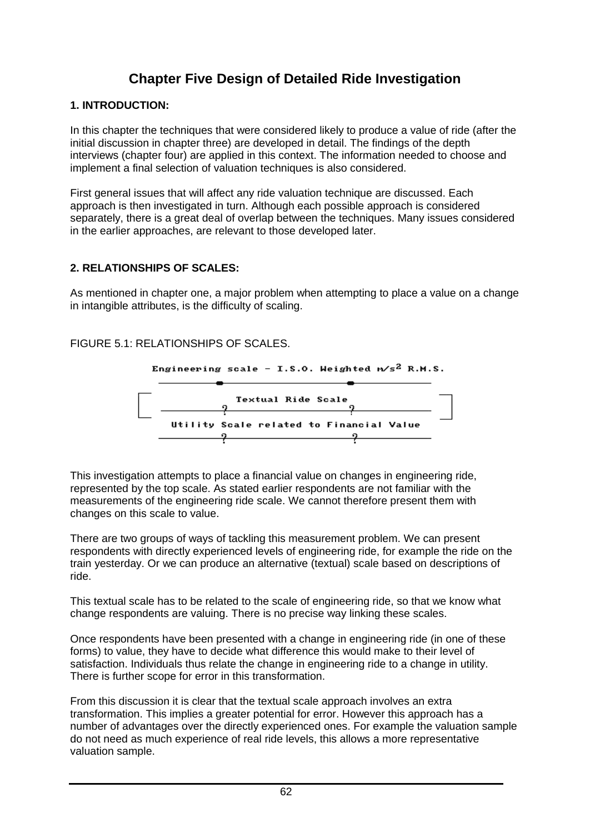# **Chapter Five Design of Detailed Ride Investigation**

#### **1. INTRODUCTION:**

In this chapter the techniques that were considered likely to produce a value of ride (after the initial discussion in chapter three) are developed in detail. The findings of the depth interviews (chapter four) are applied in this context. The information needed to choose and implement a final selection of valuation techniques is also considered.

First general issues that will affect any ride valuation technique are discussed. Each approach is then investigated in turn. Although each possible approach is considered separately, there is a great deal of overlap between the techniques. Many issues considered in the earlier approaches, are relevant to those developed later.

#### **2. RELATIONSHIPS OF SCALES:**

As mentioned in chapter one, a major problem when attempting to place a value on a change in intangible attributes, is the difficulty of scaling.

#### FIGURE 5.1: RELATIONSHIPS OF SCALES.



This investigation attempts to place a financial value on changes in engineering ride, represented by the top scale. As stated earlier respondents are not familiar with the measurements of the engineering ride scale. We cannot therefore present them with changes on this scale to value.

There are two groups of ways of tackling this measurement problem. We can present respondents with directly experienced levels of engineering ride, for example the ride on the train yesterday. Or we can produce an alternative (textual) scale based on descriptions of ride.

This textual scale has to be related to the scale of engineering ride, so that we know what change respondents are valuing. There is no precise way linking these scales.

Once respondents have been presented with a change in engineering ride (in one of these forms) to value, they have to decide what difference this would make to their level of satisfaction. Individuals thus relate the change in engineering ride to a change in utility. There is further scope for error in this transformation.

From this discussion it is clear that the textual scale approach involves an extra transformation. This implies a greater potential for error. However this approach has a number of advantages over the directly experienced ones. For example the valuation sample do not need as much experience of real ride levels, this allows a more representative valuation sample.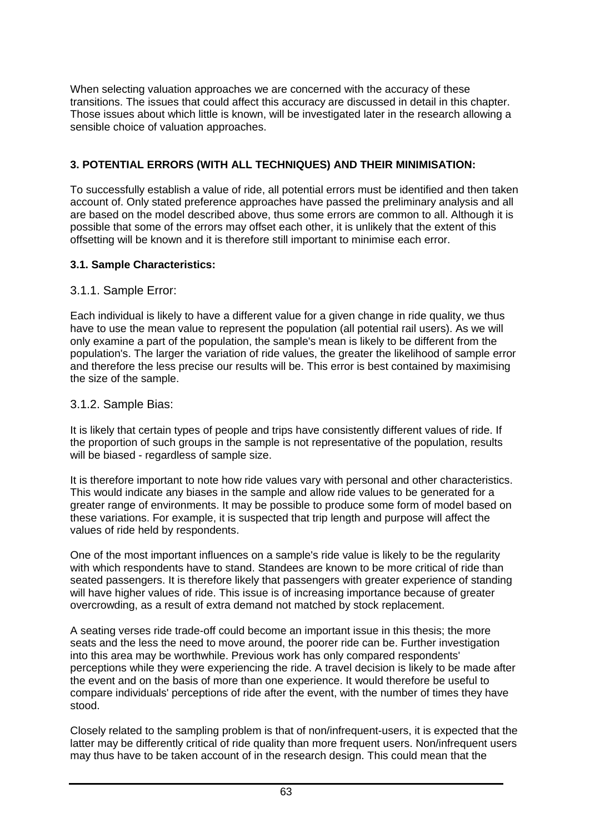When selecting valuation approaches we are concerned with the accuracy of these transitions. The issues that could affect this accuracy are discussed in detail in this chapter. Those issues about which little is known, will be investigated later in the research allowing a sensible choice of valuation approaches.

### **3. POTENTIAL ERRORS (WITH ALL TECHNIQUES) AND THEIR MINIMISATION:**

To successfully establish a value of ride, all potential errors must be identified and then taken account of. Only stated preference approaches have passed the preliminary analysis and all are based on the model described above, thus some errors are common to all. Although it is possible that some of the errors may offset each other, it is unlikely that the extent of this offsetting will be known and it is therefore still important to minimise each error.

#### **3.1. Sample Characteristics:**

### 3.1.1. Sample Error:

Each individual is likely to have a different value for a given change in ride quality, we thus have to use the mean value to represent the population (all potential rail users). As we will only examine a part of the population, the sample's mean is likely to be different from the population's. The larger the variation of ride values, the greater the likelihood of sample error and therefore the less precise our results will be. This error is best contained by maximising the size of the sample.

### 3.1.2. Sample Bias:

It is likely that certain types of people and trips have consistently different values of ride. If the proportion of such groups in the sample is not representative of the population, results will be biased - regardless of sample size.

It is therefore important to note how ride values vary with personal and other characteristics. This would indicate any biases in the sample and allow ride values to be generated for a greater range of environments. It may be possible to produce some form of model based on these variations. For example, it is suspected that trip length and purpose will affect the values of ride held by respondents.

One of the most important influences on a sample's ride value is likely to be the regularity with which respondents have to stand. Standees are known to be more critical of ride than seated passengers. It is therefore likely that passengers with greater experience of standing will have higher values of ride. This issue is of increasing importance because of greater overcrowding, as a result of extra demand not matched by stock replacement.

A seating verses ride trade-off could become an important issue in this thesis; the more seats and the less the need to move around, the poorer ride can be. Further investigation into this area may be worthwhile. Previous work has only compared respondents' perceptions while they were experiencing the ride. A travel decision is likely to be made after the event and on the basis of more than one experience. It would therefore be useful to compare individuals' perceptions of ride after the event, with the number of times they have stood.

Closely related to the sampling problem is that of non/infrequent-users, it is expected that the latter may be differently critical of ride quality than more frequent users. Non/infrequent users may thus have to be taken account of in the research design. This could mean that the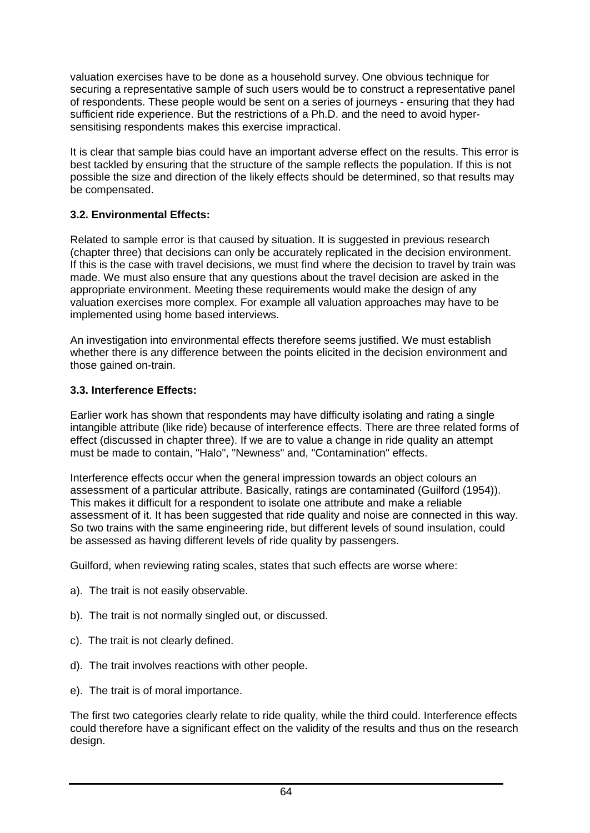valuation exercises have to be done as a household survey. One obvious technique for securing a representative sample of such users would be to construct a representative panel of respondents. These people would be sent on a series of journeys - ensuring that they had sufficient ride experience. But the restrictions of a Ph.D. and the need to avoid hypersensitising respondents makes this exercise impractical.

It is clear that sample bias could have an important adverse effect on the results. This error is best tackled by ensuring that the structure of the sample reflects the population. If this is not possible the size and direction of the likely effects should be determined, so that results may be compensated.

### **3.2. Environmental Effects:**

Related to sample error is that caused by situation. It is suggested in previous research (chapter three) that decisions can only be accurately replicated in the decision environment. If this is the case with travel decisions, we must find where the decision to travel by train was made. We must also ensure that any questions about the travel decision are asked in the appropriate environment. Meeting these requirements would make the design of any valuation exercises more complex. For example all valuation approaches may have to be implemented using home based interviews.

An investigation into environmental effects therefore seems justified. We must establish whether there is any difference between the points elicited in the decision environment and those gained on-train.

#### **3.3. Interference Effects:**

Earlier work has shown that respondents may have difficulty isolating and rating a single intangible attribute (like ride) because of interference effects. There are three related forms of effect (discussed in chapter three). If we are to value a change in ride quality an attempt must be made to contain, "Halo", "Newness" and, "Contamination" effects.

Interference effects occur when the general impression towards an object colours an assessment of a particular attribute. Basically, ratings are contaminated (Guilford (1954)). This makes it difficult for a respondent to isolate one attribute and make a reliable assessment of it. It has been suggested that ride quality and noise are connected in this way. So two trains with the same engineering ride, but different levels of sound insulation, could be assessed as having different levels of ride quality by passengers.

Guilford, when reviewing rating scales, states that such effects are worse where:

- a). The trait is not easily observable.
- b). The trait is not normally singled out, or discussed.
- c). The trait is not clearly defined.
- d). The trait involves reactions with other people.
- e). The trait is of moral importance.

The first two categories clearly relate to ride quality, while the third could. Interference effects could therefore have a significant effect on the validity of the results and thus on the research design.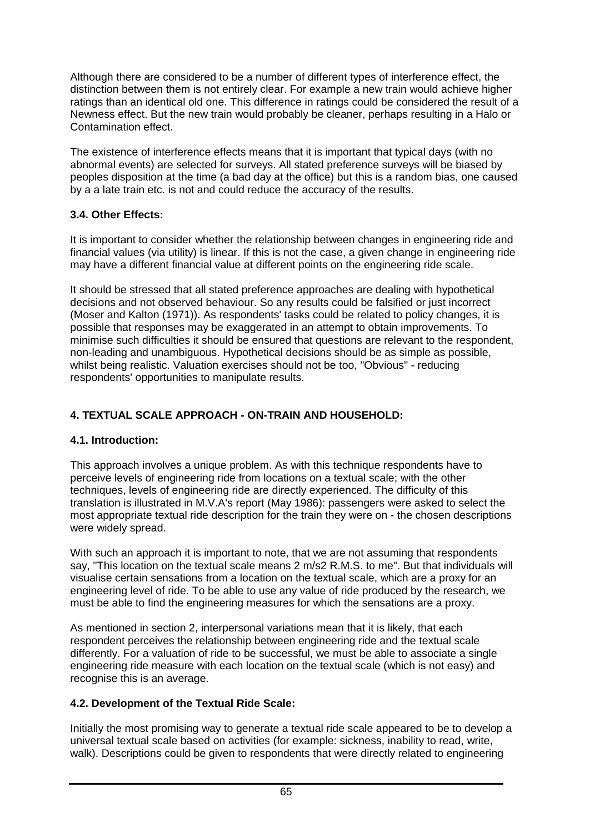Although there are considered to be a number of different types of interference effect, the distinction between them is not entirely clear. For example a new train would achieve higher ratings than an identical old one. This difference in ratings could be considered the result of a Newness effect. But the new train would probably be cleaner, perhaps resulting in a Halo or Contamination effect.

The existence of interference effects means that it is important that typical days (with no abnormal events) are selected for surveys. All stated preference surveys will be biased by peoples disposition at the time (a bad day at the office) but this is a random bias, one caused by a a late train etc. is not and could reduce the accuracy of the results.

# **3.4. Other Effects:**

It is important to consider whether the relationship between changes in engineering ride and financial values (via utility) is linear. If this is not the case, a given change in engineering ride may have a different financial value at different points on the engineering ride scale.

It should be stressed that all stated preference approaches are dealing with hypothetical decisions and not observed behaviour. So any results could be falsified or just incorrect (Moser and Kalton (1971)). As respondents' tasks could be related to policy changes, it is possible that responses may be exaggerated in an attempt to obtain improvements. To minimise such difficulties it should be ensured that questions are relevant to the respondent, non-leading and unambiguous. Hypothetical decisions should be as simple as possible, whilst being realistic. Valuation exercises should not be too, "Obvious" - reducing respondents' opportunities to manipulate results.

# **4. TEXTUAL SCALE APPROACH - ON-TRAIN AND HOUSEHOLD:**

# **4.1. Introduction:**

This approach involves a unique problem. As with this technique respondents have to perceive levels of engineering ride from locations on a textual scale; with the other techniques, levels of engineering ride are directly experienced. The difficulty of this translation is illustrated in M.V.A's report (May 1986): passengers were asked to select the most appropriate textual ride description for the train they were on - the chosen descriptions were widely spread.

With such an approach it is important to note, that we are not assuming that respondents say, "This location on the textual scale means 2 m/s2 R.M.S. to me". But that individuals will visualise certain sensations from a location on the textual scale, which are a proxy for an engineering level of ride. To be able to use any value of ride produced by the research, we must be able to find the engineering measures for which the sensations are a proxy.

As mentioned in section 2, interpersonal variations mean that it is likely, that each respondent perceives the relationship between engineering ride and the textual scale differently. For a valuation of ride to be successful, we must be able to associate a single engineering ride measure with each location on the textual scale (which is not easy) and recognise this is an average.

# **4.2. Development of the Textual Ride Scale:**

Initially the most promising way to generate a textual ride scale appeared to be to develop a universal textual scale based on activities (for example: sickness, inability to read, write, walk). Descriptions could be given to respondents that were directly related to engineering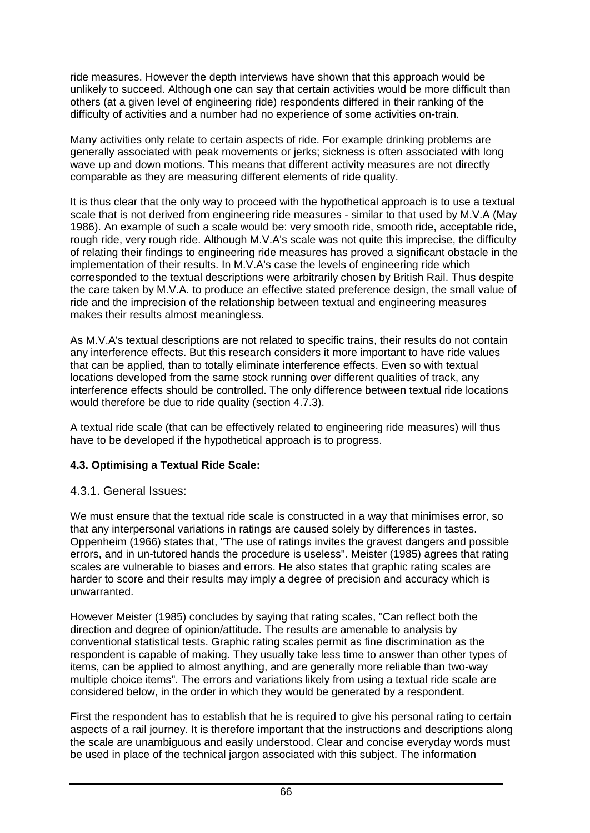ride measures. However the depth interviews have shown that this approach would be unlikely to succeed. Although one can say that certain activities would be more difficult than others (at a given level of engineering ride) respondents differed in their ranking of the difficulty of activities and a number had no experience of some activities on-train.

Many activities only relate to certain aspects of ride. For example drinking problems are generally associated with peak movements or jerks; sickness is often associated with long wave up and down motions. This means that different activity measures are not directly comparable as they are measuring different elements of ride quality.

It is thus clear that the only way to proceed with the hypothetical approach is to use a textual scale that is not derived from engineering ride measures - similar to that used by M.V.A (May 1986). An example of such a scale would be: very smooth ride, smooth ride, acceptable ride, rough ride, very rough ride. Although M.V.A's scale was not quite this imprecise, the difficulty of relating their findings to engineering ride measures has proved a significant obstacle in the implementation of their results. In M.V.A's case the levels of engineering ride which corresponded to the textual descriptions were arbitrarily chosen by British Rail. Thus despite the care taken by M.V.A. to produce an effective stated preference design, the small value of ride and the imprecision of the relationship between textual and engineering measures makes their results almost meaningless.

As M.V.A's textual descriptions are not related to specific trains, their results do not contain any interference effects. But this research considers it more important to have ride values that can be applied, than to totally eliminate interference effects. Even so with textual locations developed from the same stock running over different qualities of track, any interference effects should be controlled. The only difference between textual ride locations would therefore be due to ride quality (section 4.7.3).

A textual ride scale (that can be effectively related to engineering ride measures) will thus have to be developed if the hypothetical approach is to progress.

# **4.3. Optimising a Textual Ride Scale:**

# 4.3.1. General Issues:

We must ensure that the textual ride scale is constructed in a way that minimises error, so that any interpersonal variations in ratings are caused solely by differences in tastes. Oppenheim (1966) states that, "The use of ratings invites the gravest dangers and possible errors, and in un-tutored hands the procedure is useless". Meister (1985) agrees that rating scales are vulnerable to biases and errors. He also states that graphic rating scales are harder to score and their results may imply a degree of precision and accuracy which is unwarranted.

However Meister (1985) concludes by saying that rating scales, "Can reflect both the direction and degree of opinion/attitude. The results are amenable to analysis by conventional statistical tests. Graphic rating scales permit as fine discrimination as the respondent is capable of making. They usually take less time to answer than other types of items, can be applied to almost anything, and are generally more reliable than two-way multiple choice items". The errors and variations likely from using a textual ride scale are considered below, in the order in which they would be generated by a respondent.

First the respondent has to establish that he is required to give his personal rating to certain aspects of a rail journey. It is therefore important that the instructions and descriptions along the scale are unambiguous and easily understood. Clear and concise everyday words must be used in place of the technical jargon associated with this subject. The information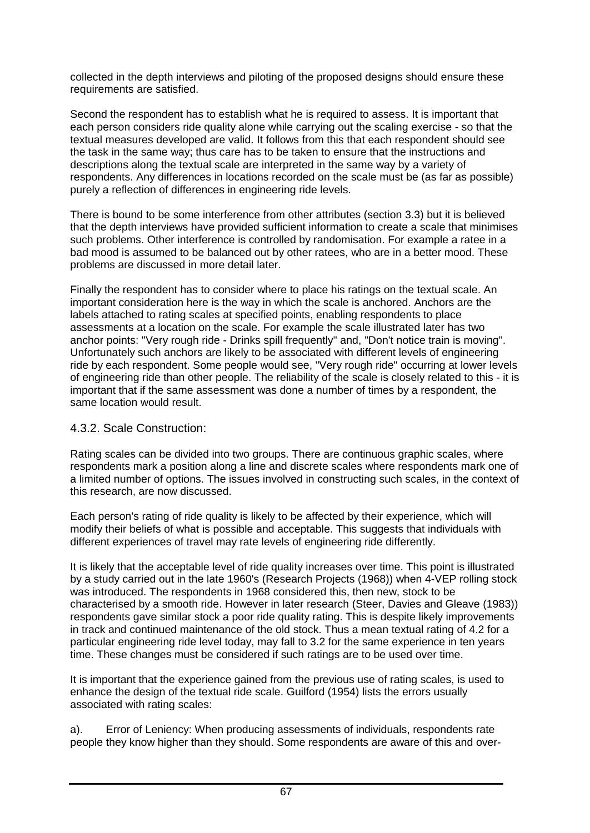collected in the depth interviews and piloting of the proposed designs should ensure these requirements are satisfied.

Second the respondent has to establish what he is required to assess. It is important that each person considers ride quality alone while carrying out the scaling exercise - so that the textual measures developed are valid. It follows from this that each respondent should see the task in the same way; thus care has to be taken to ensure that the instructions and descriptions along the textual scale are interpreted in the same way by a variety of respondents. Any differences in locations recorded on the scale must be (as far as possible) purely a reflection of differences in engineering ride levels.

There is bound to be some interference from other attributes (section 3.3) but it is believed that the depth interviews have provided sufficient information to create a scale that minimises such problems. Other interference is controlled by randomisation. For example a ratee in a bad mood is assumed to be balanced out by other ratees, who are in a better mood. These problems are discussed in more detail later.

Finally the respondent has to consider where to place his ratings on the textual scale. An important consideration here is the way in which the scale is anchored. Anchors are the labels attached to rating scales at specified points, enabling respondents to place assessments at a location on the scale. For example the scale illustrated later has two anchor points: "Very rough ride - Drinks spill frequently" and, "Don't notice train is moving". Unfortunately such anchors are likely to be associated with different levels of engineering ride by each respondent. Some people would see, "Very rough ride" occurring at lower levels of engineering ride than other people. The reliability of the scale is closely related to this - it is important that if the same assessment was done a number of times by a respondent, the same location would result.

# 4.3.2. Scale Construction:

Rating scales can be divided into two groups. There are continuous graphic scales, where respondents mark a position along a line and discrete scales where respondents mark one of a limited number of options. The issues involved in constructing such scales, in the context of this research, are now discussed.

Each person's rating of ride quality is likely to be affected by their experience, which will modify their beliefs of what is possible and acceptable. This suggests that individuals with different experiences of travel may rate levels of engineering ride differently.

It is likely that the acceptable level of ride quality increases over time. This point is illustrated by a study carried out in the late 1960's (Research Projects (1968)) when 4-VEP rolling stock was introduced. The respondents in 1968 considered this, then new, stock to be characterised by a smooth ride. However in later research (Steer, Davies and Gleave (1983)) respondents gave similar stock a poor ride quality rating. This is despite likely improvements in track and continued maintenance of the old stock. Thus a mean textual rating of 4.2 for a particular engineering ride level today, may fall to 3.2 for the same experience in ten years time. These changes must be considered if such ratings are to be used over time.

It is important that the experience gained from the previous use of rating scales, is used to enhance the design of the textual ride scale. Guilford (1954) lists the errors usually associated with rating scales:

a). Error of Leniency: When producing assessments of individuals, respondents rate people they know higher than they should. Some respondents are aware of this and over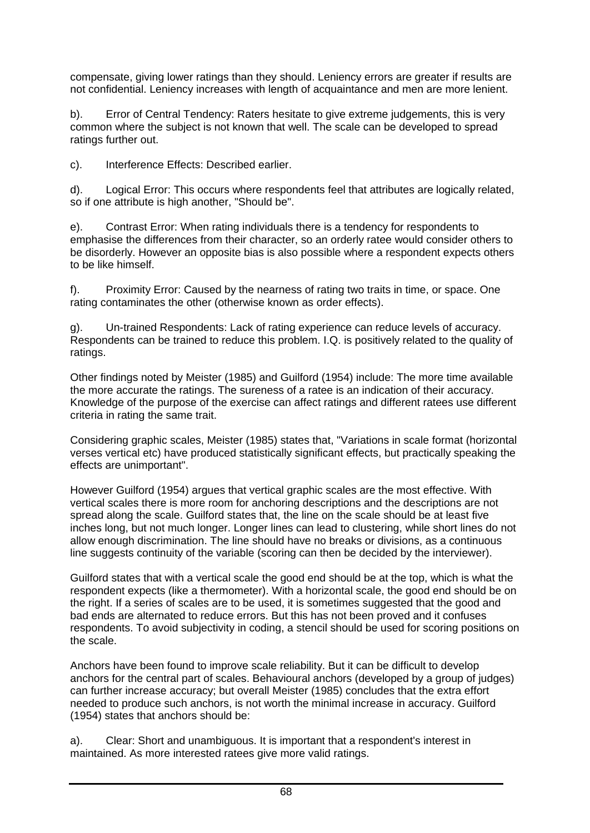compensate, giving lower ratings than they should. Leniency errors are greater if results are not confidential. Leniency increases with length of acquaintance and men are more lenient.

b). Error of Central Tendency: Raters hesitate to give extreme judgements, this is very common where the subject is not known that well. The scale can be developed to spread ratings further out.

c). Interference Effects: Described earlier.

d). Logical Error: This occurs where respondents feel that attributes are logically related, so if one attribute is high another, "Should be".

e). Contrast Error: When rating individuals there is a tendency for respondents to emphasise the differences from their character, so an orderly ratee would consider others to be disorderly. However an opposite bias is also possible where a respondent expects others to be like himself.

f). Proximity Error: Caused by the nearness of rating two traits in time, or space. One rating contaminates the other (otherwise known as order effects).

g). Un-trained Respondents: Lack of rating experience can reduce levels of accuracy. Respondents can be trained to reduce this problem. I.Q. is positively related to the quality of ratings.

Other findings noted by Meister (1985) and Guilford (1954) include: The more time available the more accurate the ratings. The sureness of a ratee is an indication of their accuracy. Knowledge of the purpose of the exercise can affect ratings and different ratees use different criteria in rating the same trait.

Considering graphic scales, Meister (1985) states that, "Variations in scale format (horizontal verses vertical etc) have produced statistically significant effects, but practically speaking the effects are unimportant".

However Guilford (1954) argues that vertical graphic scales are the most effective. With vertical scales there is more room for anchoring descriptions and the descriptions are not spread along the scale. Guilford states that, the line on the scale should be at least five inches long, but not much longer. Longer lines can lead to clustering, while short lines do not allow enough discrimination. The line should have no breaks or divisions, as a continuous line suggests continuity of the variable (scoring can then be decided by the interviewer).

Guilford states that with a vertical scale the good end should be at the top, which is what the respondent expects (like a thermometer). With a horizontal scale, the good end should be on the right. If a series of scales are to be used, it is sometimes suggested that the good and bad ends are alternated to reduce errors. But this has not been proved and it confuses respondents. To avoid subjectivity in coding, a stencil should be used for scoring positions on the scale.

Anchors have been found to improve scale reliability. But it can be difficult to develop anchors for the central part of scales. Behavioural anchors (developed by a group of judges) can further increase accuracy; but overall Meister (1985) concludes that the extra effort needed to produce such anchors, is not worth the minimal increase in accuracy. Guilford (1954) states that anchors should be:

a). Clear: Short and unambiguous. It is important that a respondent's interest in maintained. As more interested ratees give more valid ratings.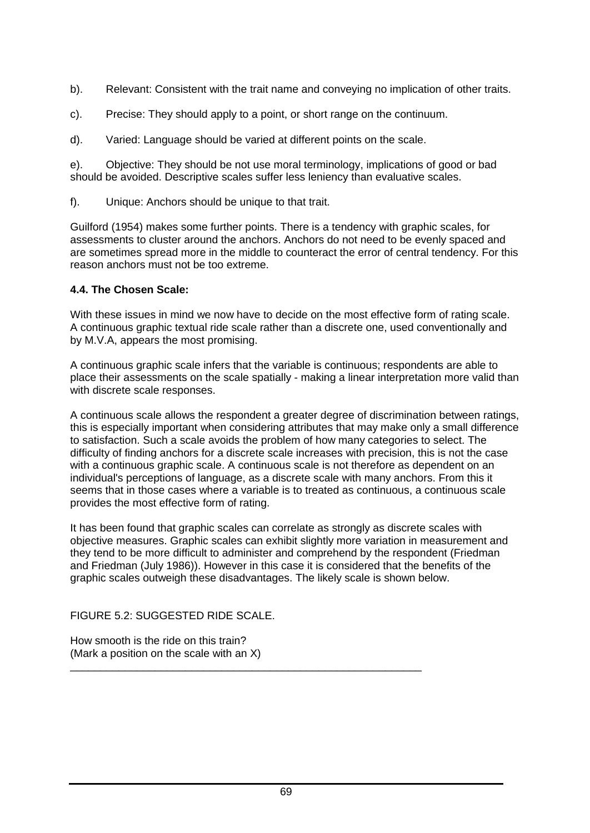- b). Relevant: Consistent with the trait name and conveying no implication of other traits.
- c). Precise: They should apply to a point, or short range on the continuum.
- d). Varied: Language should be varied at different points on the scale.

e). Objective: They should be not use moral terminology, implications of good or bad should be avoided. Descriptive scales suffer less leniency than evaluative scales.

f). Unique: Anchors should be unique to that trait.

Guilford (1954) makes some further points. There is a tendency with graphic scales, for assessments to cluster around the anchors. Anchors do not need to be evenly spaced and are sometimes spread more in the middle to counteract the error of central tendency. For this reason anchors must not be too extreme.

### **4.4. The Chosen Scale:**

With these issues in mind we now have to decide on the most effective form of rating scale. A continuous graphic textual ride scale rather than a discrete one, used conventionally and by M.V.A, appears the most promising.

A continuous graphic scale infers that the variable is continuous; respondents are able to place their assessments on the scale spatially - making a linear interpretation more valid than with discrete scale responses.

A continuous scale allows the respondent a greater degree of discrimination between ratings, this is especially important when considering attributes that may make only a small difference to satisfaction. Such a scale avoids the problem of how many categories to select. The difficulty of finding anchors for a discrete scale increases with precision, this is not the case with a continuous graphic scale. A continuous scale is not therefore as dependent on an individual's perceptions of language, as a discrete scale with many anchors. From this it seems that in those cases where a variable is to treated as continuous, a continuous scale provides the most effective form of rating.

It has been found that graphic scales can correlate as strongly as discrete scales with objective measures. Graphic scales can exhibit slightly more variation in measurement and they tend to be more difficult to administer and comprehend by the respondent (Friedman and Friedman (July 1986)). However in this case it is considered that the benefits of the graphic scales outweigh these disadvantages. The likely scale is shown below.

FIGURE 5.2: SUGGESTED RIDE SCALE.

How smooth is the ride on this train? (Mark a position on the scale with an X)

\_\_\_\_\_\_\_\_\_\_\_\_\_\_\_\_\_\_\_\_\_\_\_\_\_\_\_\_\_\_\_\_\_\_\_\_\_\_\_\_\_\_\_\_\_\_\_\_\_\_\_\_\_\_\_\_\_\_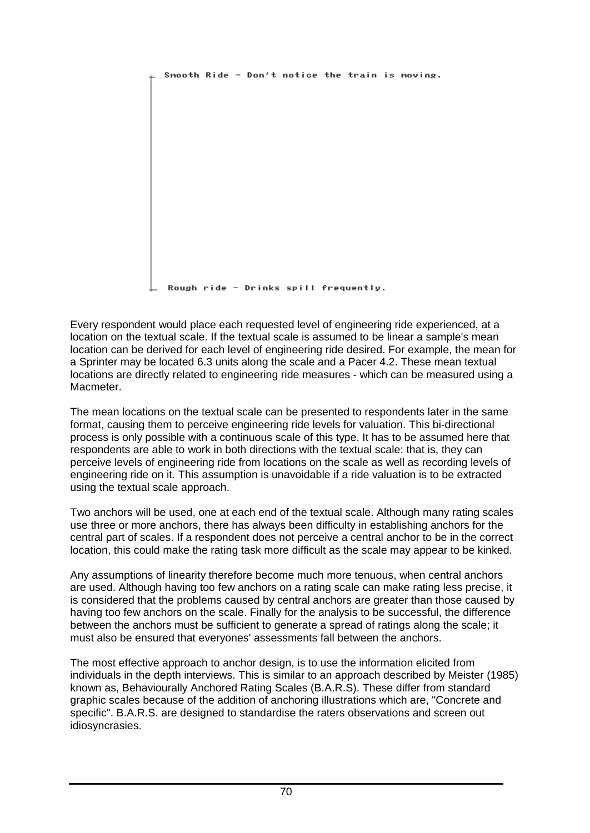```
Smooth Ride - Don't notice the train is moving.
Rough ride - Drinks spill frequently.
```
Every respondent would place each requested level of engineering ride experienced, at a location on the textual scale. If the textual scale is assumed to be linear a sample's mean location can be derived for each level of engineering ride desired. For example, the mean for a Sprinter may be located 6.3 units along the scale and a Pacer 4.2. These mean textual locations are directly related to engineering ride measures - which can be measured using a Macmeter.

The mean locations on the textual scale can be presented to respondents later in the same format, causing them to perceive engineering ride levels for valuation. This bi-directional process is only possible with a continuous scale of this type. It has to be assumed here that respondents are able to work in both directions with the textual scale: that is, they can perceive levels of engineering ride from locations on the scale as well as recording levels of engineering ride on it. This assumption is unavoidable if a ride valuation is to be extracted using the textual scale approach.

Two anchors will be used, one at each end of the textual scale. Although many rating scales use three or more anchors, there has always been difficulty in establishing anchors for the central part of scales. If a respondent does not perceive a central anchor to be in the correct location, this could make the rating task more difficult as the scale may appear to be kinked.

Any assumptions of linearity therefore become much more tenuous, when central anchors are used. Although having too few anchors on a rating scale can make rating less precise, it is considered that the problems caused by central anchors are greater than those caused by having too few anchors on the scale. Finally for the analysis to be successful, the difference between the anchors must be sufficient to generate a spread of ratings along the scale; it must also be ensured that everyones' assessments fall between the anchors.

The most effective approach to anchor design, is to use the information elicited from individuals in the depth interviews. This is similar to an approach described by Meister (1985) known as, Behaviourally Anchored Rating Scales (B.A.R.S). These differ from standard graphic scales because of the addition of anchoring illustrations which are, "Concrete and specific". B.A.R.S. are designed to standardise the raters observations and screen out idiosyncrasies.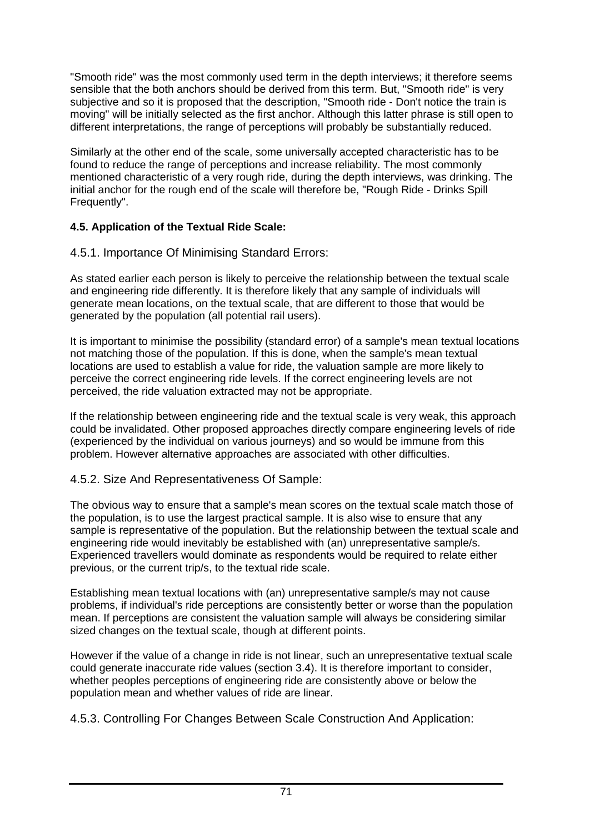"Smooth ride" was the most commonly used term in the depth interviews; it therefore seems sensible that the both anchors should be derived from this term. But, "Smooth ride" is very subjective and so it is proposed that the description. "Smooth ride - Don't notice the train is moving" will be initially selected as the first anchor. Although this latter phrase is still open to different interpretations, the range of perceptions will probably be substantially reduced.

Similarly at the other end of the scale, some universally accepted characteristic has to be found to reduce the range of perceptions and increase reliability. The most commonly mentioned characteristic of a very rough ride, during the depth interviews, was drinking. The initial anchor for the rough end of the scale will therefore be, "Rough Ride - Drinks Spill Frequently".

# **4.5. Application of the Textual Ride Scale:**

# 4.5.1. Importance Of Minimising Standard Errors:

As stated earlier each person is likely to perceive the relationship between the textual scale and engineering ride differently. It is therefore likely that any sample of individuals will generate mean locations, on the textual scale, that are different to those that would be generated by the population (all potential rail users).

It is important to minimise the possibility (standard error) of a sample's mean textual locations not matching those of the population. If this is done, when the sample's mean textual locations are used to establish a value for ride, the valuation sample are more likely to perceive the correct engineering ride levels. If the correct engineering levels are not perceived, the ride valuation extracted may not be appropriate.

If the relationship between engineering ride and the textual scale is very weak, this approach could be invalidated. Other proposed approaches directly compare engineering levels of ride (experienced by the individual on various journeys) and so would be immune from this problem. However alternative approaches are associated with other difficulties.

# 4.5.2. Size And Representativeness Of Sample:

The obvious way to ensure that a sample's mean scores on the textual scale match those of the population, is to use the largest practical sample. It is also wise to ensure that any sample is representative of the population. But the relationship between the textual scale and engineering ride would inevitably be established with (an) unrepresentative sample/s. Experienced travellers would dominate as respondents would be required to relate either previous, or the current trip/s, to the textual ride scale.

Establishing mean textual locations with (an) unrepresentative sample/s may not cause problems, if individual's ride perceptions are consistently better or worse than the population mean. If perceptions are consistent the valuation sample will always be considering similar sized changes on the textual scale, though at different points.

However if the value of a change in ride is not linear, such an unrepresentative textual scale could generate inaccurate ride values (section 3.4). It is therefore important to consider, whether peoples perceptions of engineering ride are consistently above or below the population mean and whether values of ride are linear.

4.5.3. Controlling For Changes Between Scale Construction And Application: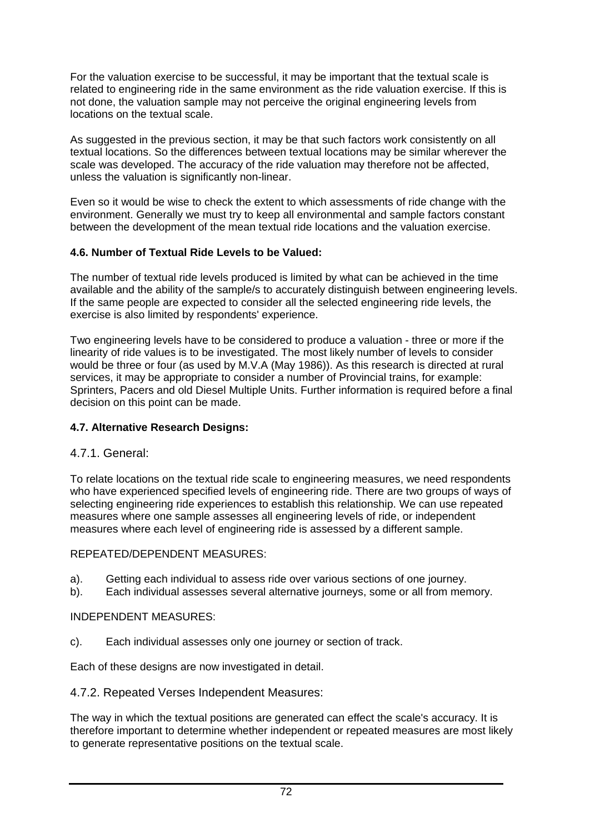For the valuation exercise to be successful, it may be important that the textual scale is related to engineering ride in the same environment as the ride valuation exercise. If this is not done, the valuation sample may not perceive the original engineering levels from locations on the textual scale.

As suggested in the previous section, it may be that such factors work consistently on all textual locations. So the differences between textual locations may be similar wherever the scale was developed. The accuracy of the ride valuation may therefore not be affected, unless the valuation is significantly non-linear.

Even so it would be wise to check the extent to which assessments of ride change with the environment. Generally we must try to keep all environmental and sample factors constant between the development of the mean textual ride locations and the valuation exercise.

### **4.6. Number of Textual Ride Levels to be Valued:**

The number of textual ride levels produced is limited by what can be achieved in the time available and the ability of the sample/s to accurately distinguish between engineering levels. If the same people are expected to consider all the selected engineering ride levels, the exercise is also limited by respondents' experience.

Two engineering levels have to be considered to produce a valuation - three or more if the linearity of ride values is to be investigated. The most likely number of levels to consider would be three or four (as used by M.V.A (May 1986)). As this research is directed at rural services, it may be appropriate to consider a number of Provincial trains, for example: Sprinters, Pacers and old Diesel Multiple Units. Further information is required before a final decision on this point can be made.

# **4.7. Alternative Research Designs:**

# 4.7.1. General:

To relate locations on the textual ride scale to engineering measures, we need respondents who have experienced specified levels of engineering ride. There are two groups of ways of selecting engineering ride experiences to establish this relationship. We can use repeated measures where one sample assesses all engineering levels of ride, or independent measures where each level of engineering ride is assessed by a different sample.

#### REPEATED/DEPENDENT MEASURES:

- a). Getting each individual to assess ride over various sections of one journey.
- b). Each individual assesses several alternative journeys, some or all from memory.

#### INDEPENDENT MEASURES:

c). Each individual assesses only one journey or section of track.

Each of these designs are now investigated in detail.

4.7.2. Repeated Verses Independent Measures:

The way in which the textual positions are generated can effect the scale's accuracy. It is therefore important to determine whether independent or repeated measures are most likely to generate representative positions on the textual scale.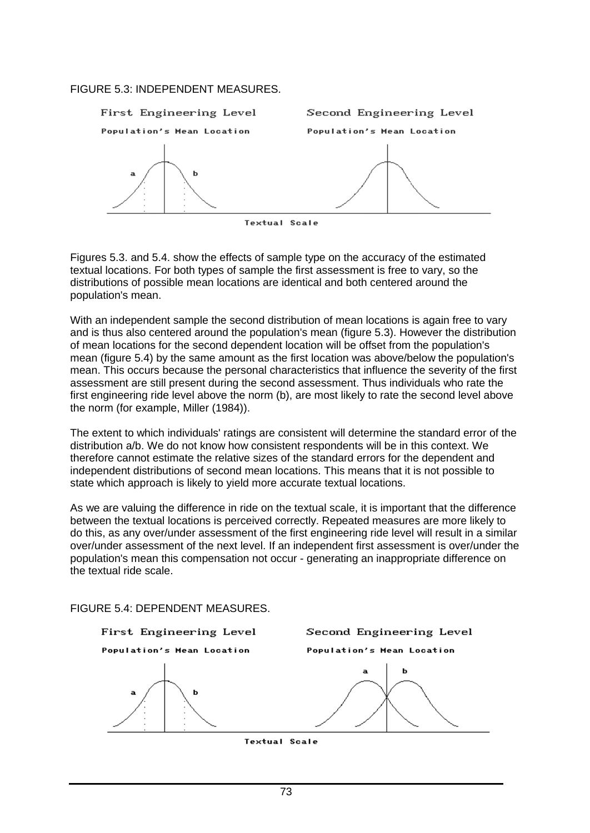#### FIGURE 5.3: INDEPENDENT MEASURES.



Figures 5.3. and 5.4. show the effects of sample type on the accuracy of the estimated textual locations. For both types of sample the first assessment is free to vary, so the distributions of possible mean locations are identical and both centered around the population's mean.

With an independent sample the second distribution of mean locations is again free to vary and is thus also centered around the population's mean (figure 5.3). However the distribution of mean locations for the second dependent location will be offset from the population's mean (figure 5.4) by the same amount as the first location was above/below the population's mean. This occurs because the personal characteristics that influence the severity of the first assessment are still present during the second assessment. Thus individuals who rate the first engineering ride level above the norm (b), are most likely to rate the second level above the norm (for example, Miller (1984)).

The extent to which individuals' ratings are consistent will determine the standard error of the distribution a/b. We do not know how consistent respondents will be in this context. We therefore cannot estimate the relative sizes of the standard errors for the dependent and independent distributions of second mean locations. This means that it is not possible to state which approach is likely to yield more accurate textual locations.

As we are valuing the difference in ride on the textual scale, it is important that the difference between the textual locations is perceived correctly. Repeated measures are more likely to do this, as any over/under assessment of the first engineering ride level will result in a similar over/under assessment of the next level. If an independent first assessment is over/under the population's mean this compensation not occur - generating an inappropriate difference on the textual ride scale.

FIGURE 5.4: DEPENDENT MEASURES.



**Textual Scale**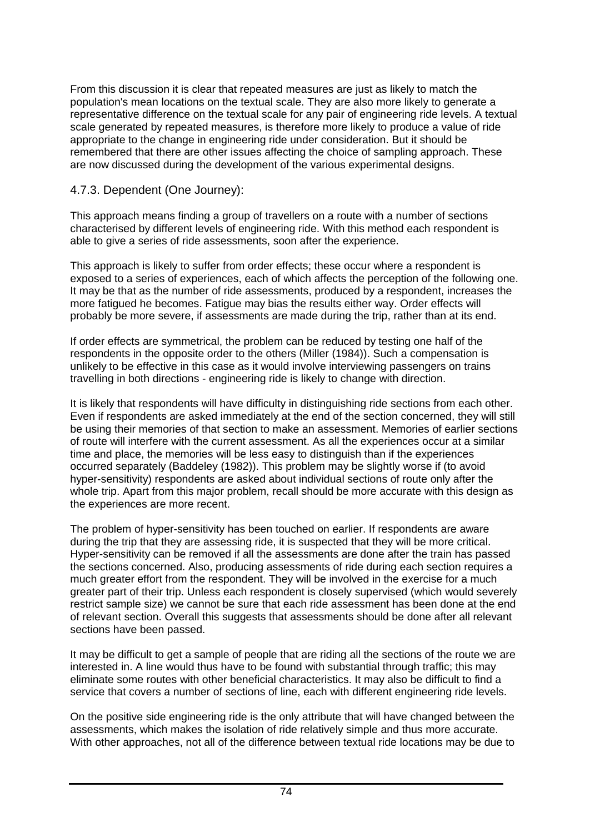From this discussion it is clear that repeated measures are just as likely to match the population's mean locations on the textual scale. They are also more likely to generate a representative difference on the textual scale for any pair of engineering ride levels. A textual scale generated by repeated measures, is therefore more likely to produce a value of ride appropriate to the change in engineering ride under consideration. But it should be remembered that there are other issues affecting the choice of sampling approach. These are now discussed during the development of the various experimental designs.

# 4.7.3. Dependent (One Journey):

This approach means finding a group of travellers on a route with a number of sections characterised by different levels of engineering ride. With this method each respondent is able to give a series of ride assessments, soon after the experience.

This approach is likely to suffer from order effects; these occur where a respondent is exposed to a series of experiences, each of which affects the perception of the following one. It may be that as the number of ride assessments, produced by a respondent, increases the more fatigued he becomes. Fatigue may bias the results either way. Order effects will probably be more severe, if assessments are made during the trip, rather than at its end.

If order effects are symmetrical, the problem can be reduced by testing one half of the respondents in the opposite order to the others (Miller (1984)). Such a compensation is unlikely to be effective in this case as it would involve interviewing passengers on trains travelling in both directions - engineering ride is likely to change with direction.

It is likely that respondents will have difficulty in distinguishing ride sections from each other. Even if respondents are asked immediately at the end of the section concerned, they will still be using their memories of that section to make an assessment. Memories of earlier sections of route will interfere with the current assessment. As all the experiences occur at a similar time and place, the memories will be less easy to distinguish than if the experiences occurred separately (Baddeley (1982)). This problem may be slightly worse if (to avoid hyper-sensitivity) respondents are asked about individual sections of route only after the whole trip. Apart from this major problem, recall should be more accurate with this design as the experiences are more recent.

The problem of hyper-sensitivity has been touched on earlier. If respondents are aware during the trip that they are assessing ride, it is suspected that they will be more critical. Hyper-sensitivity can be removed if all the assessments are done after the train has passed the sections concerned. Also, producing assessments of ride during each section requires a much greater effort from the respondent. They will be involved in the exercise for a much greater part of their trip. Unless each respondent is closely supervised (which would severely restrict sample size) we cannot be sure that each ride assessment has been done at the end of relevant section. Overall this suggests that assessments should be done after all relevant sections have been passed.

It may be difficult to get a sample of people that are riding all the sections of the route we are interested in. A line would thus have to be found with substantial through traffic; this may eliminate some routes with other beneficial characteristics. It may also be difficult to find a service that covers a number of sections of line, each with different engineering ride levels.

On the positive side engineering ride is the only attribute that will have changed between the assessments, which makes the isolation of ride relatively simple and thus more accurate. With other approaches, not all of the difference between textual ride locations may be due to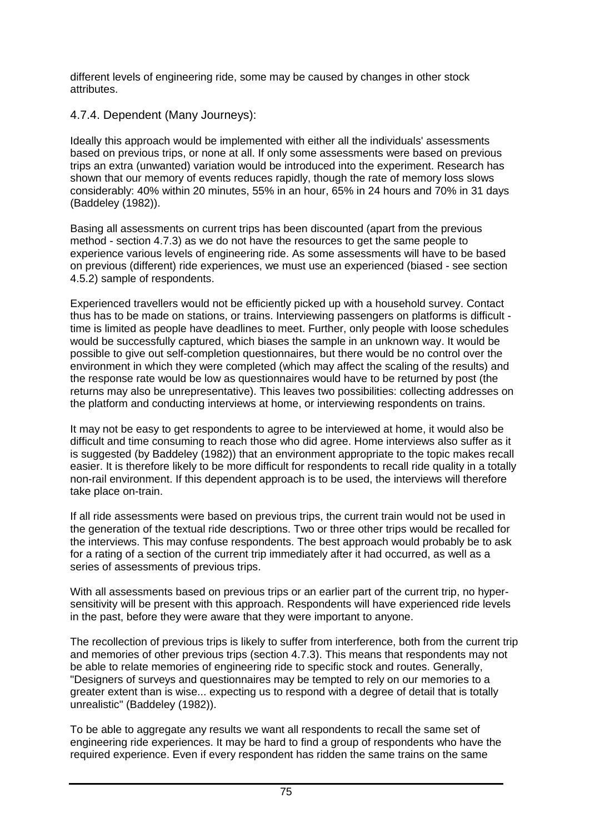different levels of engineering ride, some may be caused by changes in other stock attributes.

# 4.7.4. Dependent (Many Journeys):

Ideally this approach would be implemented with either all the individuals' assessments based on previous trips, or none at all. If only some assessments were based on previous trips an extra (unwanted) variation would be introduced into the experiment. Research has shown that our memory of events reduces rapidly, though the rate of memory loss slows considerably: 40% within 20 minutes, 55% in an hour, 65% in 24 hours and 70% in 31 days (Baddeley (1982)).

Basing all assessments on current trips has been discounted (apart from the previous method - section 4.7.3) as we do not have the resources to get the same people to experience various levels of engineering ride. As some assessments will have to be based on previous (different) ride experiences, we must use an experienced (biased - see section 4.5.2) sample of respondents.

Experienced travellers would not be efficiently picked up with a household survey. Contact thus has to be made on stations, or trains. Interviewing passengers on platforms is difficult time is limited as people have deadlines to meet. Further, only people with loose schedules would be successfully captured, which biases the sample in an unknown way. It would be possible to give out self-completion questionnaires, but there would be no control over the environment in which they were completed (which may affect the scaling of the results) and the response rate would be low as questionnaires would have to be returned by post (the returns may also be unrepresentative). This leaves two possibilities: collecting addresses on the platform and conducting interviews at home, or interviewing respondents on trains.

It may not be easy to get respondents to agree to be interviewed at home, it would also be difficult and time consuming to reach those who did agree. Home interviews also suffer as it is suggested (by Baddeley (1982)) that an environment appropriate to the topic makes recall easier. It is therefore likely to be more difficult for respondents to recall ride quality in a totally non-rail environment. If this dependent approach is to be used, the interviews will therefore take place on-train.

If all ride assessments were based on previous trips, the current train would not be used in the generation of the textual ride descriptions. Two or three other trips would be recalled for the interviews. This may confuse respondents. The best approach would probably be to ask for a rating of a section of the current trip immediately after it had occurred, as well as a series of assessments of previous trips.

With all assessments based on previous trips or an earlier part of the current trip, no hypersensitivity will be present with this approach. Respondents will have experienced ride levels in the past, before they were aware that they were important to anyone.

The recollection of previous trips is likely to suffer from interference, both from the current trip and memories of other previous trips (section 4.7.3). This means that respondents may not be able to relate memories of engineering ride to specific stock and routes. Generally, "Designers of surveys and questionnaires may be tempted to rely on our memories to a greater extent than is wise... expecting us to respond with a degree of detail that is totally unrealistic" (Baddeley (1982)).

To be able to aggregate any results we want all respondents to recall the same set of engineering ride experiences. It may be hard to find a group of respondents who have the required experience. Even if every respondent has ridden the same trains on the same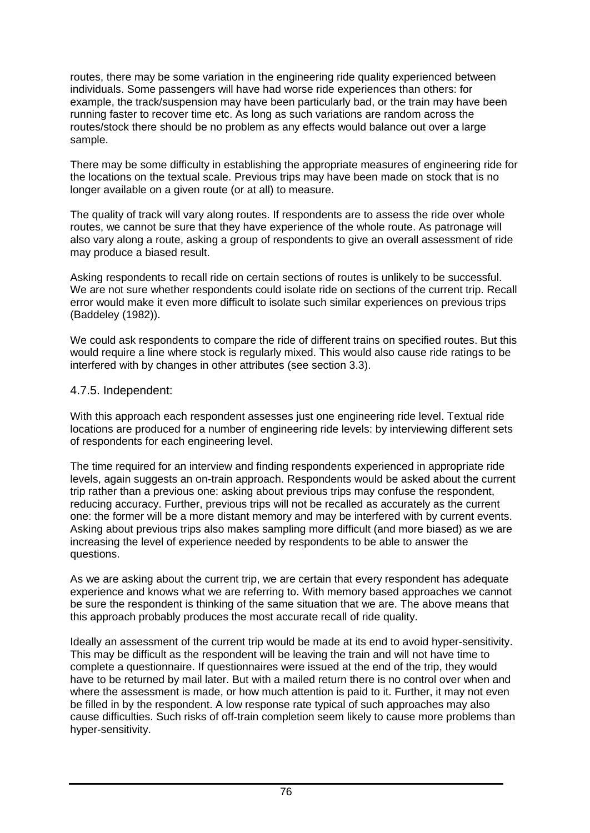routes, there may be some variation in the engineering ride quality experienced between individuals. Some passengers will have had worse ride experiences than others: for example, the track/suspension may have been particularly bad, or the train may have been running faster to recover time etc. As long as such variations are random across the routes/stock there should be no problem as any effects would balance out over a large sample.

There may be some difficulty in establishing the appropriate measures of engineering ride for the locations on the textual scale. Previous trips may have been made on stock that is no longer available on a given route (or at all) to measure.

The quality of track will vary along routes. If respondents are to assess the ride over whole routes, we cannot be sure that they have experience of the whole route. As patronage will also vary along a route, asking a group of respondents to give an overall assessment of ride may produce a biased result.

Asking respondents to recall ride on certain sections of routes is unlikely to be successful. We are not sure whether respondents could isolate ride on sections of the current trip. Recall error would make it even more difficult to isolate such similar experiences on previous trips (Baddeley (1982)).

We could ask respondents to compare the ride of different trains on specified routes. But this would require a line where stock is regularly mixed. This would also cause ride ratings to be interfered with by changes in other attributes (see section 3.3).

### 4.7.5. Independent:

With this approach each respondent assesses just one engineering ride level. Textual ride locations are produced for a number of engineering ride levels: by interviewing different sets of respondents for each engineering level.

The time required for an interview and finding respondents experienced in appropriate ride levels, again suggests an on-train approach. Respondents would be asked about the current trip rather than a previous one: asking about previous trips may confuse the respondent, reducing accuracy. Further, previous trips will not be recalled as accurately as the current one: the former will be a more distant memory and may be interfered with by current events. Asking about previous trips also makes sampling more difficult (and more biased) as we are increasing the level of experience needed by respondents to be able to answer the questions.

As we are asking about the current trip, we are certain that every respondent has adequate experience and knows what we are referring to. With memory based approaches we cannot be sure the respondent is thinking of the same situation that we are. The above means that this approach probably produces the most accurate recall of ride quality.

Ideally an assessment of the current trip would be made at its end to avoid hyper-sensitivity. This may be difficult as the respondent will be leaving the train and will not have time to complete a questionnaire. If questionnaires were issued at the end of the trip, they would have to be returned by mail later. But with a mailed return there is no control over when and where the assessment is made, or how much attention is paid to it. Further, it may not even be filled in by the respondent. A low response rate typical of such approaches may also cause difficulties. Such risks of off-train completion seem likely to cause more problems than hyper-sensitivity.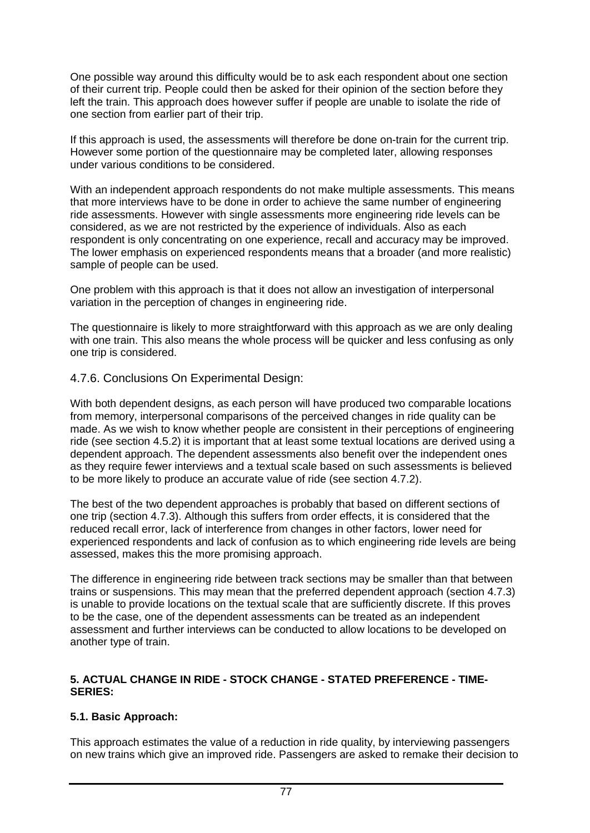One possible way around this difficulty would be to ask each respondent about one section of their current trip. People could then be asked for their opinion of the section before they left the train. This approach does however suffer if people are unable to isolate the ride of one section from earlier part of their trip.

If this approach is used, the assessments will therefore be done on-train for the current trip. However some portion of the questionnaire may be completed later, allowing responses under various conditions to be considered.

With an independent approach respondents do not make multiple assessments. This means that more interviews have to be done in order to achieve the same number of engineering ride assessments. However with single assessments more engineering ride levels can be considered, as we are not restricted by the experience of individuals. Also as each respondent is only concentrating on one experience, recall and accuracy may be improved. The lower emphasis on experienced respondents means that a broader (and more realistic) sample of people can be used.

One problem with this approach is that it does not allow an investigation of interpersonal variation in the perception of changes in engineering ride.

The questionnaire is likely to more straightforward with this approach as we are only dealing with one train. This also means the whole process will be quicker and less confusing as only one trip is considered.

# 4.7.6. Conclusions On Experimental Design:

With both dependent designs, as each person will have produced two comparable locations from memory, interpersonal comparisons of the perceived changes in ride quality can be made. As we wish to know whether people are consistent in their perceptions of engineering ride (see section 4.5.2) it is important that at least some textual locations are derived using a dependent approach. The dependent assessments also benefit over the independent ones as they require fewer interviews and a textual scale based on such assessments is believed to be more likely to produce an accurate value of ride (see section 4.7.2).

The best of the two dependent approaches is probably that based on different sections of one trip (section 4.7.3). Although this suffers from order effects, it is considered that the reduced recall error, lack of interference from changes in other factors, lower need for experienced respondents and lack of confusion as to which engineering ride levels are being assessed, makes this the more promising approach.

The difference in engineering ride between track sections may be smaller than that between trains or suspensions. This may mean that the preferred dependent approach (section 4.7.3) is unable to provide locations on the textual scale that are sufficiently discrete. If this proves to be the case, one of the dependent assessments can be treated as an independent assessment and further interviews can be conducted to allow locations to be developed on another type of train.

#### **5. ACTUAL CHANGE IN RIDE - STOCK CHANGE - STATED PREFERENCE - TIME-SERIES:**

# **5.1. Basic Approach:**

This approach estimates the value of a reduction in ride quality, by interviewing passengers on new trains which give an improved ride. Passengers are asked to remake their decision to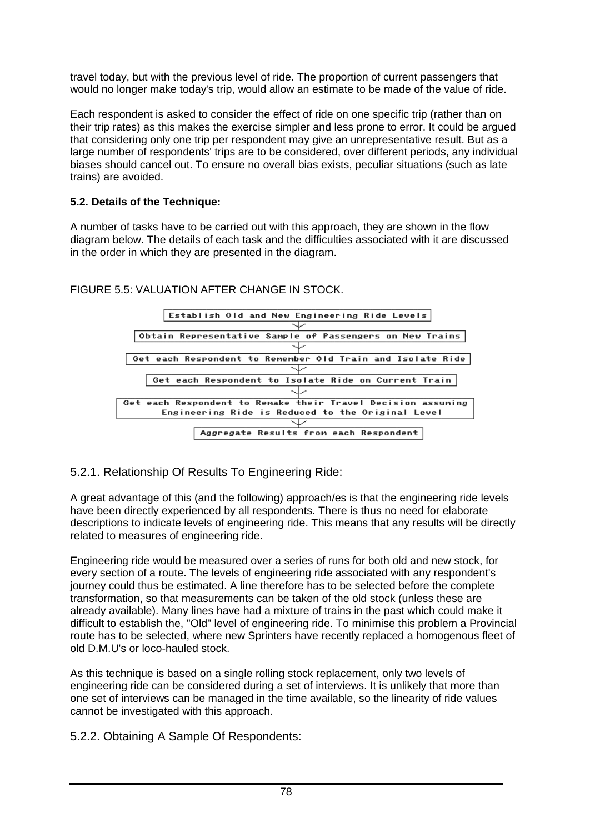travel today, but with the previous level of ride. The proportion of current passengers that would no longer make today's trip, would allow an estimate to be made of the value of ride.

Each respondent is asked to consider the effect of ride on one specific trip (rather than on their trip rates) as this makes the exercise simpler and less prone to error. It could be argued that considering only one trip per respondent may give an unrepresentative result. But as a large number of respondents' trips are to be considered, over different periods, any individual biases should cancel out. To ensure no overall bias exists, peculiar situations (such as late trains) are avoided.

# **5.2. Details of the Technique:**

A number of tasks have to be carried out with this approach, they are shown in the flow diagram below. The details of each task and the difficulties associated with it are discussed in the order in which they are presented in the diagram.



### FIGURE 5.5: VALUATION AFTER CHANGE IN STOCK.

5.2.1. Relationship Of Results To Engineering Ride:

A great advantage of this (and the following) approach/es is that the engineering ride levels have been directly experienced by all respondents. There is thus no need for elaborate descriptions to indicate levels of engineering ride. This means that any results will be directly related to measures of engineering ride.

Engineering ride would be measured over a series of runs for both old and new stock, for every section of a route. The levels of engineering ride associated with any respondent's journey could thus be estimated. A line therefore has to be selected before the complete transformation, so that measurements can be taken of the old stock (unless these are already available). Many lines have had a mixture of trains in the past which could make it difficult to establish the, "Old" level of engineering ride. To minimise this problem a Provincial route has to be selected, where new Sprinters have recently replaced a homogenous fleet of old D.M.U's or loco-hauled stock.

As this technique is based on a single rolling stock replacement, only two levels of engineering ride can be considered during a set of interviews. It is unlikely that more than one set of interviews can be managed in the time available, so the linearity of ride values cannot be investigated with this approach.

5.2.2. Obtaining A Sample Of Respondents: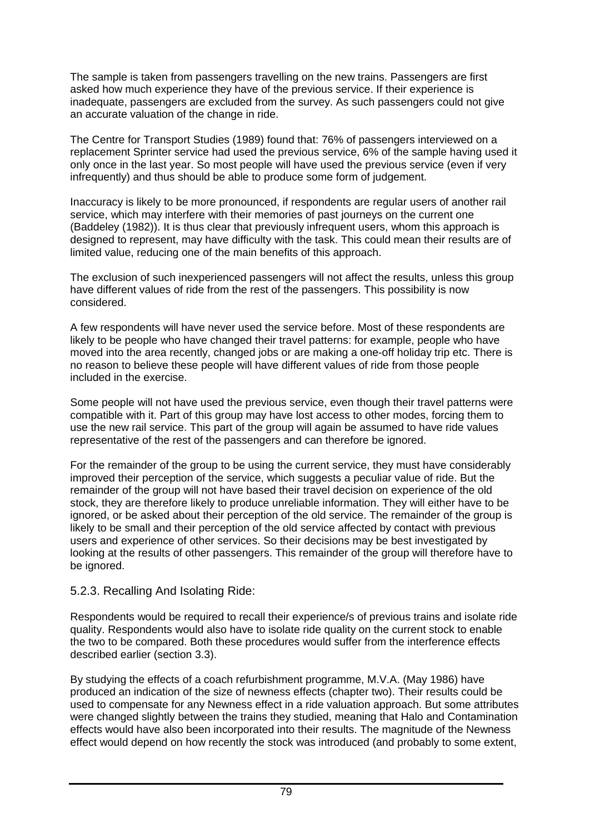The sample is taken from passengers travelling on the new trains. Passengers are first asked how much experience they have of the previous service. If their experience is inadequate, passengers are excluded from the survey. As such passengers could not give an accurate valuation of the change in ride.

The Centre for Transport Studies (1989) found that: 76% of passengers interviewed on a replacement Sprinter service had used the previous service, 6% of the sample having used it only once in the last year. So most people will have used the previous service (even if very infrequently) and thus should be able to produce some form of judgement.

Inaccuracy is likely to be more pronounced, if respondents are regular users of another rail service, which may interfere with their memories of past journeys on the current one (Baddeley (1982)). It is thus clear that previously infrequent users, whom this approach is designed to represent, may have difficulty with the task. This could mean their results are of limited value, reducing one of the main benefits of this approach.

The exclusion of such inexperienced passengers will not affect the results, unless this group have different values of ride from the rest of the passengers. This possibility is now considered.

A few respondents will have never used the service before. Most of these respondents are likely to be people who have changed their travel patterns: for example, people who have moved into the area recently, changed jobs or are making a one-off holiday trip etc. There is no reason to believe these people will have different values of ride from those people included in the exercise.

Some people will not have used the previous service, even though their travel patterns were compatible with it. Part of this group may have lost access to other modes, forcing them to use the new rail service. This part of the group will again be assumed to have ride values representative of the rest of the passengers and can therefore be ignored.

For the remainder of the group to be using the current service, they must have considerably improved their perception of the service, which suggests a peculiar value of ride. But the remainder of the group will not have based their travel decision on experience of the old stock, they are therefore likely to produce unreliable information. They will either have to be ignored, or be asked about their perception of the old service. The remainder of the group is likely to be small and their perception of the old service affected by contact with previous users and experience of other services. So their decisions may be best investigated by looking at the results of other passengers. This remainder of the group will therefore have to be ignored.

# 5.2.3. Recalling And Isolating Ride:

Respondents would be required to recall their experience/s of previous trains and isolate ride quality. Respondents would also have to isolate ride quality on the current stock to enable the two to be compared. Both these procedures would suffer from the interference effects described earlier (section 3.3).

By studying the effects of a coach refurbishment programme, M.V.A. (May 1986) have produced an indication of the size of newness effects (chapter two). Their results could be used to compensate for any Newness effect in a ride valuation approach. But some attributes were changed slightly between the trains they studied, meaning that Halo and Contamination effects would have also been incorporated into their results. The magnitude of the Newness effect would depend on how recently the stock was introduced (and probably to some extent,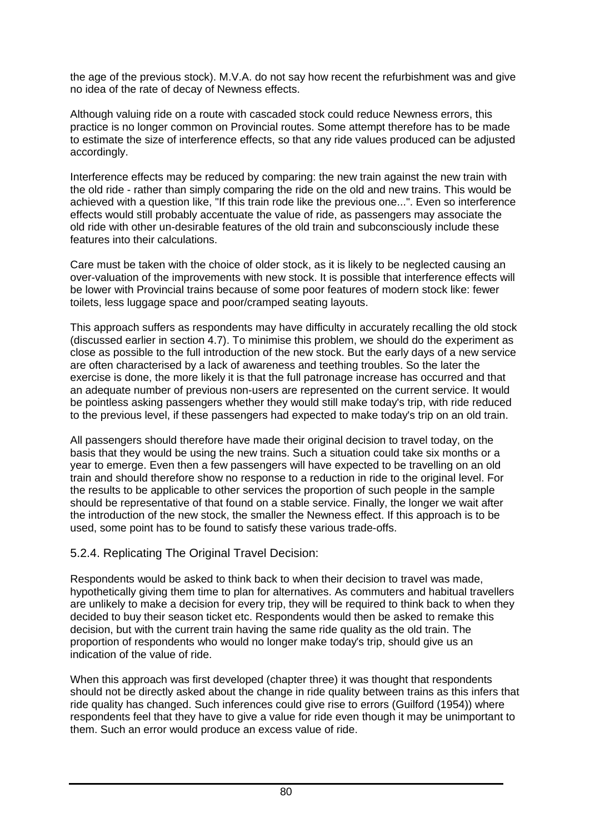the age of the previous stock). M.V.A. do not say how recent the refurbishment was and give no idea of the rate of decay of Newness effects.

Although valuing ride on a route with cascaded stock could reduce Newness errors, this practice is no longer common on Provincial routes. Some attempt therefore has to be made to estimate the size of interference effects, so that any ride values produced can be adjusted accordingly.

Interference effects may be reduced by comparing: the new train against the new train with the old ride - rather than simply comparing the ride on the old and new trains. This would be achieved with a question like, "If this train rode like the previous one...". Even so interference effects would still probably accentuate the value of ride, as passengers may associate the old ride with other un-desirable features of the old train and subconsciously include these features into their calculations.

Care must be taken with the choice of older stock, as it is likely to be neglected causing an over-valuation of the improvements with new stock. It is possible that interference effects will be lower with Provincial trains because of some poor features of modern stock like: fewer toilets, less luggage space and poor/cramped seating layouts.

This approach suffers as respondents may have difficulty in accurately recalling the old stock (discussed earlier in section 4.7). To minimise this problem, we should do the experiment as close as possible to the full introduction of the new stock. But the early days of a new service are often characterised by a lack of awareness and teething troubles. So the later the exercise is done, the more likely it is that the full patronage increase has occurred and that an adequate number of previous non-users are represented on the current service. It would be pointless asking passengers whether they would still make today's trip, with ride reduced to the previous level, if these passengers had expected to make today's trip on an old train.

All passengers should therefore have made their original decision to travel today, on the basis that they would be using the new trains. Such a situation could take six months or a year to emerge. Even then a few passengers will have expected to be travelling on an old train and should therefore show no response to a reduction in ride to the original level. For the results to be applicable to other services the proportion of such people in the sample should be representative of that found on a stable service. Finally, the longer we wait after the introduction of the new stock, the smaller the Newness effect. If this approach is to be used, some point has to be found to satisfy these various trade-offs.

# 5.2.4. Replicating The Original Travel Decision:

Respondents would be asked to think back to when their decision to travel was made, hypothetically giving them time to plan for alternatives. As commuters and habitual travellers are unlikely to make a decision for every trip, they will be required to think back to when they decided to buy their season ticket etc. Respondents would then be asked to remake this decision, but with the current train having the same ride quality as the old train. The proportion of respondents who would no longer make today's trip, should give us an indication of the value of ride.

When this approach was first developed (chapter three) it was thought that respondents should not be directly asked about the change in ride quality between trains as this infers that ride quality has changed. Such inferences could give rise to errors (Guilford (1954)) where respondents feel that they have to give a value for ride even though it may be unimportant to them. Such an error would produce an excess value of ride.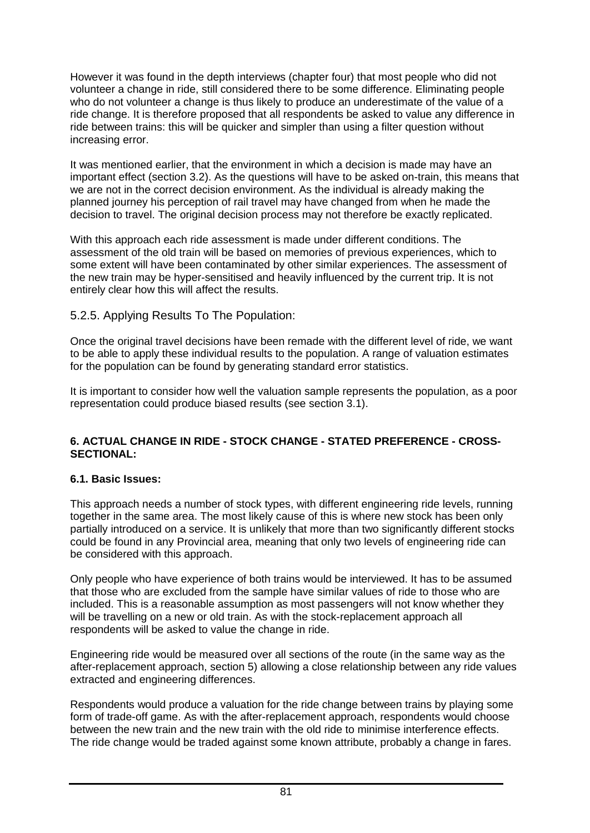However it was found in the depth interviews (chapter four) that most people who did not volunteer a change in ride, still considered there to be some difference. Eliminating people who do not volunteer a change is thus likely to produce an underestimate of the value of a ride change. It is therefore proposed that all respondents be asked to value any difference in ride between trains: this will be quicker and simpler than using a filter question without increasing error.

It was mentioned earlier, that the environment in which a decision is made may have an important effect (section 3.2). As the questions will have to be asked on-train, this means that we are not in the correct decision environment. As the individual is already making the planned journey his perception of rail travel may have changed from when he made the decision to travel. The original decision process may not therefore be exactly replicated.

With this approach each ride assessment is made under different conditions. The assessment of the old train will be based on memories of previous experiences, which to some extent will have been contaminated by other similar experiences. The assessment of the new train may be hyper-sensitised and heavily influenced by the current trip. It is not entirely clear how this will affect the results.

# 5.2.5. Applying Results To The Population:

Once the original travel decisions have been remade with the different level of ride, we want to be able to apply these individual results to the population. A range of valuation estimates for the population can be found by generating standard error statistics.

It is important to consider how well the valuation sample represents the population, as a poor representation could produce biased results (see section 3.1).

### **6. ACTUAL CHANGE IN RIDE - STOCK CHANGE - STATED PREFERENCE - CROSS-SECTIONAL:**

# **6.1. Basic Issues:**

This approach needs a number of stock types, with different engineering ride levels, running together in the same area. The most likely cause of this is where new stock has been only partially introduced on a service. It is unlikely that more than two significantly different stocks could be found in any Provincial area, meaning that only two levels of engineering ride can be considered with this approach.

Only people who have experience of both trains would be interviewed. It has to be assumed that those who are excluded from the sample have similar values of ride to those who are included. This is a reasonable assumption as most passengers will not know whether they will be travelling on a new or old train. As with the stock-replacement approach all respondents will be asked to value the change in ride.

Engineering ride would be measured over all sections of the route (in the same way as the after-replacement approach, section 5) allowing a close relationship between any ride values extracted and engineering differences.

Respondents would produce a valuation for the ride change between trains by playing some form of trade-off game. As with the after-replacement approach, respondents would choose between the new train and the new train with the old ride to minimise interference effects. The ride change would be traded against some known attribute, probably a change in fares.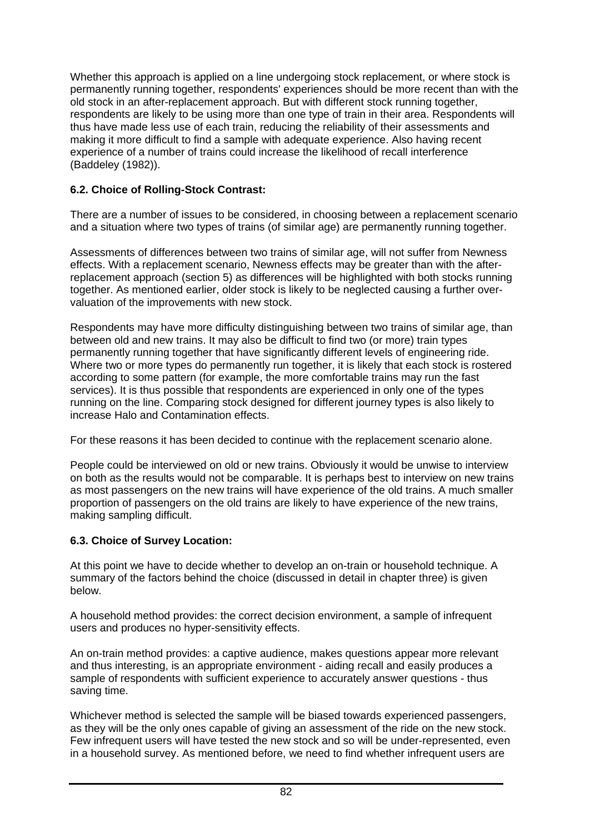Whether this approach is applied on a line undergoing stock replacement, or where stock is permanently running together, respondents' experiences should be more recent than with the old stock in an after-replacement approach. But with different stock running together, respondents are likely to be using more than one type of train in their area. Respondents will thus have made less use of each train, reducing the reliability of their assessments and making it more difficult to find a sample with adequate experience. Also having recent experience of a number of trains could increase the likelihood of recall interference (Baddeley (1982)).

# **6.2. Choice of Rolling-Stock Contrast:**

There are a number of issues to be considered, in choosing between a replacement scenario and a situation where two types of trains (of similar age) are permanently running together.

Assessments of differences between two trains of similar age, will not suffer from Newness effects. With a replacement scenario, Newness effects may be greater than with the afterreplacement approach (section 5) as differences will be highlighted with both stocks running together. As mentioned earlier, older stock is likely to be neglected causing a further overvaluation of the improvements with new stock.

Respondents may have more difficulty distinguishing between two trains of similar age, than between old and new trains. It may also be difficult to find two (or more) train types permanently running together that have significantly different levels of engineering ride. Where two or more types do permanently run together, it is likely that each stock is rostered according to some pattern (for example, the more comfortable trains may run the fast services). It is thus possible that respondents are experienced in only one of the types running on the line. Comparing stock designed for different journey types is also likely to increase Halo and Contamination effects.

For these reasons it has been decided to continue with the replacement scenario alone.

People could be interviewed on old or new trains. Obviously it would be unwise to interview on both as the results would not be comparable. It is perhaps best to interview on new trains as most passengers on the new trains will have experience of the old trains. A much smaller proportion of passengers on the old trains are likely to have experience of the new trains, making sampling difficult.

# **6.3. Choice of Survey Location:**

At this point we have to decide whether to develop an on-train or household technique. A summary of the factors behind the choice (discussed in detail in chapter three) is given below.

A household method provides: the correct decision environment, a sample of infrequent users and produces no hyper-sensitivity effects.

An on-train method provides: a captive audience, makes questions appear more relevant and thus interesting, is an appropriate environment - aiding recall and easily produces a sample of respondents with sufficient experience to accurately answer questions - thus saving time.

Whichever method is selected the sample will be biased towards experienced passengers, as they will be the only ones capable of giving an assessment of the ride on the new stock. Few infrequent users will have tested the new stock and so will be under-represented, even in a household survey. As mentioned before, we need to find whether infrequent users are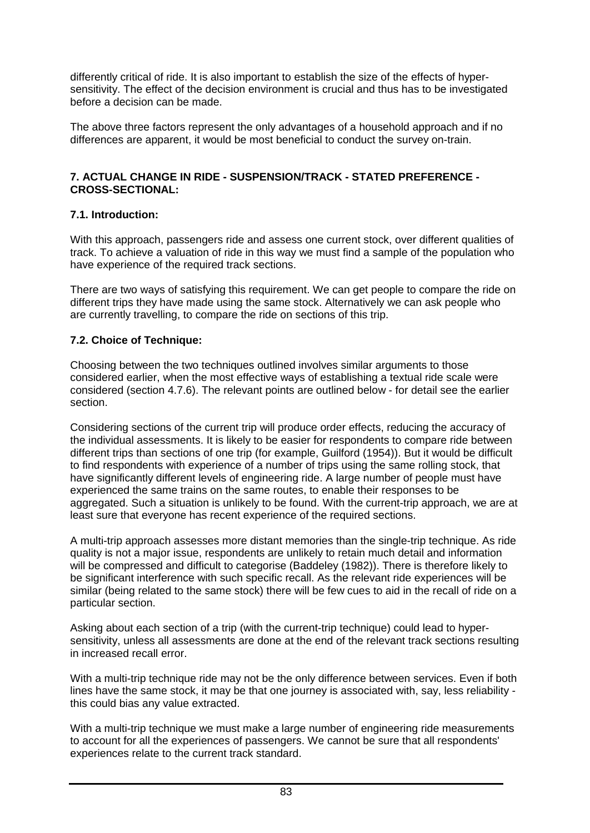differently critical of ride. It is also important to establish the size of the effects of hypersensitivity. The effect of the decision environment is crucial and thus has to be investigated before a decision can be made.

The above three factors represent the only advantages of a household approach and if no differences are apparent, it would be most beneficial to conduct the survey on-train.

#### **7. ACTUAL CHANGE IN RIDE - SUSPENSION/TRACK - STATED PREFERENCE - CROSS-SECTIONAL:**

### **7.1. Introduction:**

With this approach, passengers ride and assess one current stock, over different qualities of track. To achieve a valuation of ride in this way we must find a sample of the population who have experience of the required track sections.

There are two ways of satisfying this requirement. We can get people to compare the ride on different trips they have made using the same stock. Alternatively we can ask people who are currently travelling, to compare the ride on sections of this trip.

# **7.2. Choice of Technique:**

Choosing between the two techniques outlined involves similar arguments to those considered earlier, when the most effective ways of establishing a textual ride scale were considered (section 4.7.6). The relevant points are outlined below - for detail see the earlier section.

Considering sections of the current trip will produce order effects, reducing the accuracy of the individual assessments. It is likely to be easier for respondents to compare ride between different trips than sections of one trip (for example, Guilford (1954)). But it would be difficult to find respondents with experience of a number of trips using the same rolling stock, that have significantly different levels of engineering ride. A large number of people must have experienced the same trains on the same routes, to enable their responses to be aggregated. Such a situation is unlikely to be found. With the current-trip approach, we are at least sure that everyone has recent experience of the required sections.

A multi-trip approach assesses more distant memories than the single-trip technique. As ride quality is not a major issue, respondents are unlikely to retain much detail and information will be compressed and difficult to categorise (Baddeley (1982)). There is therefore likely to be significant interference with such specific recall. As the relevant ride experiences will be similar (being related to the same stock) there will be few cues to aid in the recall of ride on a particular section.

Asking about each section of a trip (with the current-trip technique) could lead to hypersensitivity, unless all assessments are done at the end of the relevant track sections resulting in increased recall error.

With a multi-trip technique ride may not be the only difference between services. Even if both lines have the same stock, it may be that one journey is associated with, say, less reliability this could bias any value extracted.

With a multi-trip technique we must make a large number of engineering ride measurements to account for all the experiences of passengers. We cannot be sure that all respondents' experiences relate to the current track standard.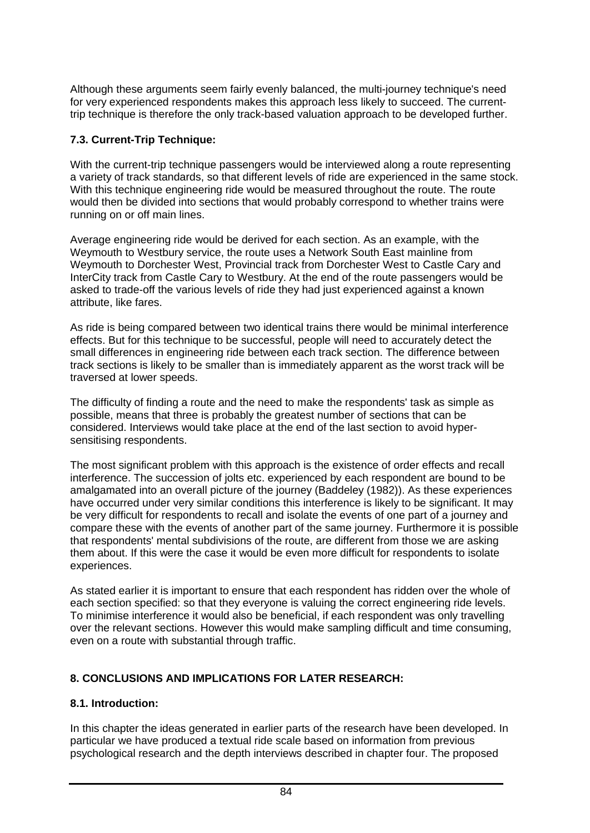Although these arguments seem fairly evenly balanced, the multi-journey technique's need for very experienced respondents makes this approach less likely to succeed. The currenttrip technique is therefore the only track-based valuation approach to be developed further.

# **7.3. Current-Trip Technique:**

With the current-trip technique passengers would be interviewed along a route representing a variety of track standards, so that different levels of ride are experienced in the same stock. With this technique engineering ride would be measured throughout the route. The route would then be divided into sections that would probably correspond to whether trains were running on or off main lines.

Average engineering ride would be derived for each section. As an example, with the Weymouth to Westbury service, the route uses a Network South East mainline from Weymouth to Dorchester West, Provincial track from Dorchester West to Castle Cary and InterCity track from Castle Cary to Westbury. At the end of the route passengers would be asked to trade-off the various levels of ride they had just experienced against a known attribute, like fares.

As ride is being compared between two identical trains there would be minimal interference effects. But for this technique to be successful, people will need to accurately detect the small differences in engineering ride between each track section. The difference between track sections is likely to be smaller than is immediately apparent as the worst track will be traversed at lower speeds.

The difficulty of finding a route and the need to make the respondents' task as simple as possible, means that three is probably the greatest number of sections that can be considered. Interviews would take place at the end of the last section to avoid hypersensitising respondents.

The most significant problem with this approach is the existence of order effects and recall interference. The succession of jolts etc. experienced by each respondent are bound to be amalgamated into an overall picture of the journey (Baddeley (1982)). As these experiences have occurred under very similar conditions this interference is likely to be significant. It may be very difficult for respondents to recall and isolate the events of one part of a journey and compare these with the events of another part of the same journey. Furthermore it is possible that respondents' mental subdivisions of the route, are different from those we are asking them about. If this were the case it would be even more difficult for respondents to isolate experiences.

As stated earlier it is important to ensure that each respondent has ridden over the whole of each section specified: so that they everyone is valuing the correct engineering ride levels. To minimise interference it would also be beneficial, if each respondent was only travelling over the relevant sections. However this would make sampling difficult and time consuming, even on a route with substantial through traffic.

# **8. CONCLUSIONS AND IMPLICATIONS FOR LATER RESEARCH:**

# **8.1. Introduction:**

In this chapter the ideas generated in earlier parts of the research have been developed. In particular we have produced a textual ride scale based on information from previous psychological research and the depth interviews described in chapter four. The proposed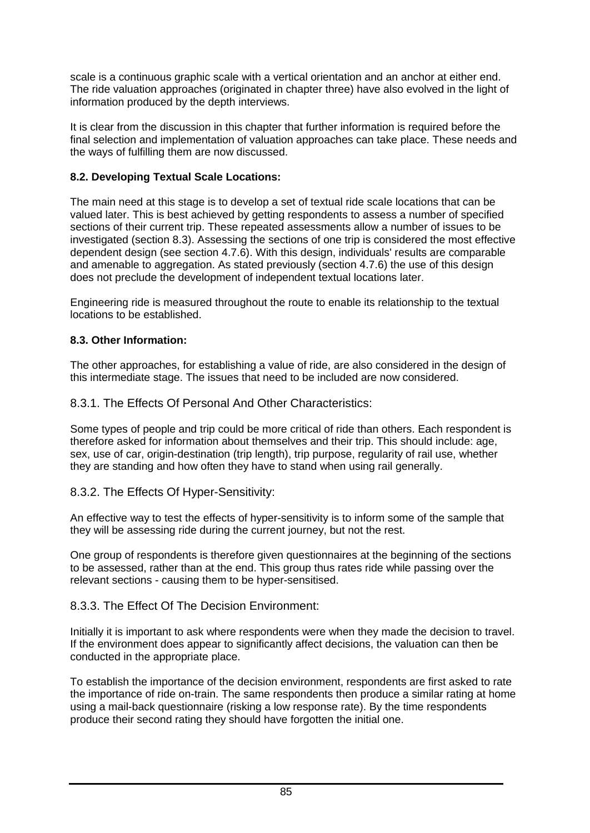scale is a continuous graphic scale with a vertical orientation and an anchor at either end. The ride valuation approaches (originated in chapter three) have also evolved in the light of information produced by the depth interviews.

It is clear from the discussion in this chapter that further information is required before the final selection and implementation of valuation approaches can take place. These needs and the ways of fulfilling them are now discussed.

### **8.2. Developing Textual Scale Locations:**

The main need at this stage is to develop a set of textual ride scale locations that can be valued later. This is best achieved by getting respondents to assess a number of specified sections of their current trip. These repeated assessments allow a number of issues to be investigated (section 8.3). Assessing the sections of one trip is considered the most effective dependent design (see section 4.7.6). With this design, individuals' results are comparable and amenable to aggregation. As stated previously (section 4.7.6) the use of this design does not preclude the development of independent textual locations later.

Engineering ride is measured throughout the route to enable its relationship to the textual locations to be established.

### **8.3. Other Information:**

The other approaches, for establishing a value of ride, are also considered in the design of this intermediate stage. The issues that need to be included are now considered.

#### 8.3.1. The Effects Of Personal And Other Characteristics:

Some types of people and trip could be more critical of ride than others. Each respondent is therefore asked for information about themselves and their trip. This should include: age, sex, use of car, origin-destination (trip length), trip purpose, regularity of rail use, whether they are standing and how often they have to stand when using rail generally.

#### 8.3.2. The Effects Of Hyper-Sensitivity:

An effective way to test the effects of hyper-sensitivity is to inform some of the sample that they will be assessing ride during the current journey, but not the rest.

One group of respondents is therefore given questionnaires at the beginning of the sections to be assessed, rather than at the end. This group thus rates ride while passing over the relevant sections - causing them to be hyper-sensitised.

# 8.3.3. The Effect Of The Decision Environment:

Initially it is important to ask where respondents were when they made the decision to travel. If the environment does appear to significantly affect decisions, the valuation can then be conducted in the appropriate place.

To establish the importance of the decision environment, respondents are first asked to rate the importance of ride on-train. The same respondents then produce a similar rating at home using a mail-back questionnaire (risking a low response rate). By the time respondents produce their second rating they should have forgotten the initial one.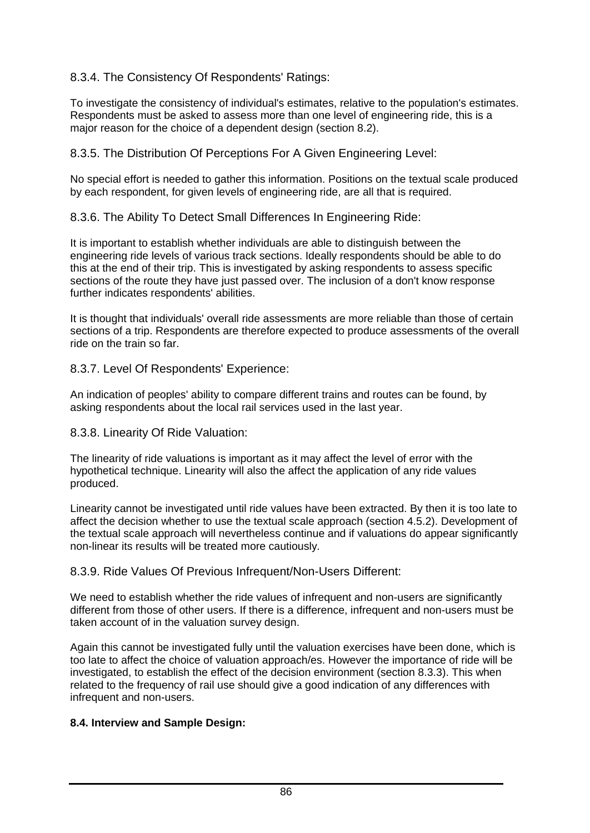# 8.3.4. The Consistency Of Respondents' Ratings:

To investigate the consistency of individual's estimates, relative to the population's estimates. Respondents must be asked to assess more than one level of engineering ride, this is a major reason for the choice of a dependent design (section 8.2).

8.3.5. The Distribution Of Perceptions For A Given Engineering Level:

No special effort is needed to gather this information. Positions on the textual scale produced by each respondent, for given levels of engineering ride, are all that is required.

8.3.6. The Ability To Detect Small Differences In Engineering Ride:

It is important to establish whether individuals are able to distinguish between the engineering ride levels of various track sections. Ideally respondents should be able to do this at the end of their trip. This is investigated by asking respondents to assess specific sections of the route they have just passed over. The inclusion of a don't know response further indicates respondents' abilities.

It is thought that individuals' overall ride assessments are more reliable than those of certain sections of a trip. Respondents are therefore expected to produce assessments of the overall ride on the train so far.

8.3.7. Level Of Respondents' Experience:

An indication of peoples' ability to compare different trains and routes can be found, by asking respondents about the local rail services used in the last year.

8.3.8. Linearity Of Ride Valuation:

The linearity of ride valuations is important as it may affect the level of error with the hypothetical technique. Linearity will also the affect the application of any ride values produced.

Linearity cannot be investigated until ride values have been extracted. By then it is too late to affect the decision whether to use the textual scale approach (section 4.5.2). Development of the textual scale approach will nevertheless continue and if valuations do appear significantly non-linear its results will be treated more cautiously.

8.3.9. Ride Values Of Previous Infrequent/Non-Users Different:

We need to establish whether the ride values of infrequent and non-users are significantly different from those of other users. If there is a difference, infrequent and non-users must be taken account of in the valuation survey design.

Again this cannot be investigated fully until the valuation exercises have been done, which is too late to affect the choice of valuation approach/es. However the importance of ride will be investigated, to establish the effect of the decision environment (section 8.3.3). This when related to the frequency of rail use should give a good indication of any differences with infrequent and non-users.

# **8.4. Interview and Sample Design:**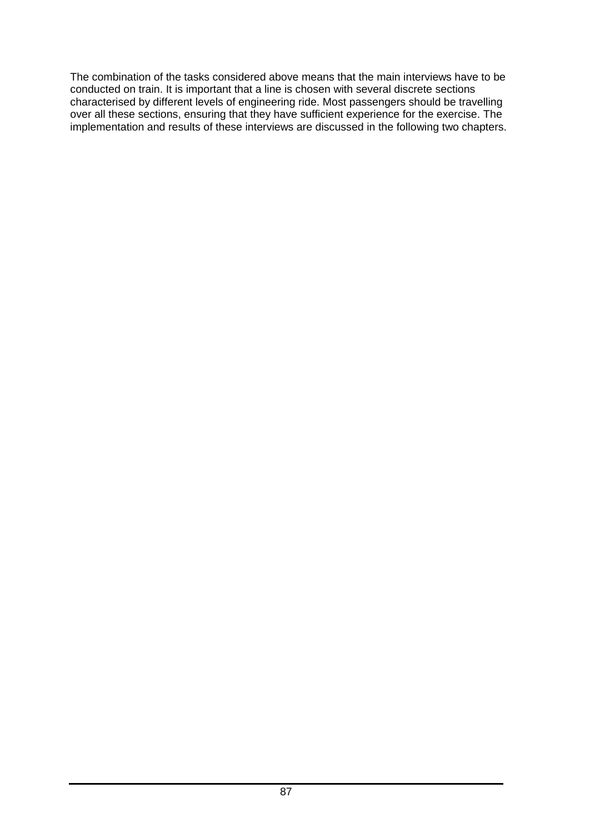The combination of the tasks considered above means that the main interviews have to be conducted on train. It is important that a line is chosen with several discrete sections characterised by different levels of engineering ride. Most passengers should be travelling over all these sections, ensuring that they have sufficient experience for the exercise. The implementation and results of these interviews are discussed in the following two chapters.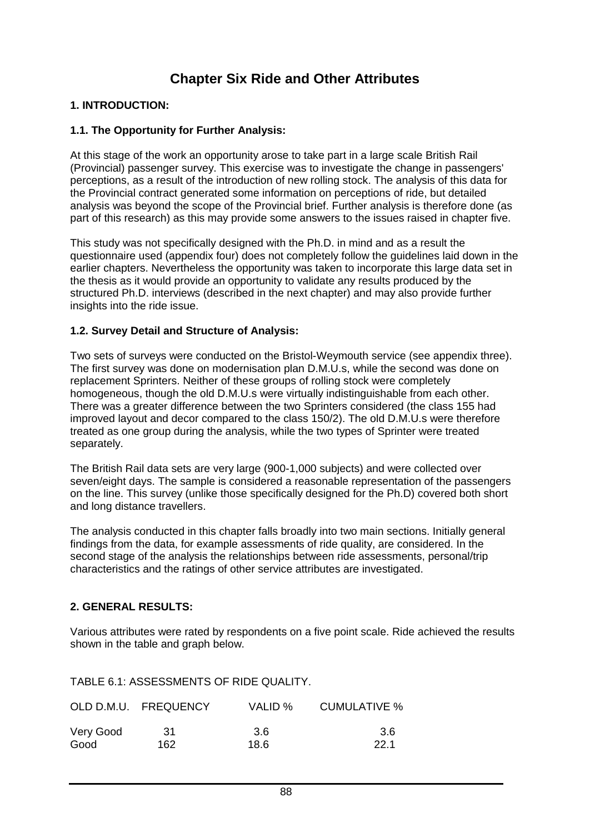# **Chapter Six Ride and Other Attributes**

### **1. INTRODUCTION:**

#### **1.1. The Opportunity for Further Analysis:**

At this stage of the work an opportunity arose to take part in a large scale British Rail (Provincial) passenger survey. This exercise was to investigate the change in passengers' perceptions, as a result of the introduction of new rolling stock. The analysis of this data for the Provincial contract generated some information on perceptions of ride, but detailed analysis was beyond the scope of the Provincial brief. Further analysis is therefore done (as part of this research) as this may provide some answers to the issues raised in chapter five.

This study was not specifically designed with the Ph.D. in mind and as a result the questionnaire used (appendix four) does not completely follow the guidelines laid down in the earlier chapters. Nevertheless the opportunity was taken to incorporate this large data set in the thesis as it would provide an opportunity to validate any results produced by the structured Ph.D. interviews (described in the next chapter) and may also provide further insights into the ride issue.

#### **1.2. Survey Detail and Structure of Analysis:**

Two sets of surveys were conducted on the Bristol-Weymouth service (see appendix three). The first survey was done on modernisation plan D.M.U.s, while the second was done on replacement Sprinters. Neither of these groups of rolling stock were completely homogeneous, though the old D.M.U.s were virtually indistinguishable from each other. There was a greater difference between the two Sprinters considered (the class 155 had improved layout and decor compared to the class 150/2). The old D.M.U.s were therefore treated as one group during the analysis, while the two types of Sprinter were treated separately.

The British Rail data sets are very large (900-1,000 subjects) and were collected over seven/eight days. The sample is considered a reasonable representation of the passengers on the line. This survey (unlike those specifically designed for the Ph.D) covered both short and long distance travellers.

The analysis conducted in this chapter falls broadly into two main sections. Initially general findings from the data, for example assessments of ride quality, are considered. In the second stage of the analysis the relationships between ride assessments, personal/trip characteristics and the ratings of other service attributes are investigated.

#### **2. GENERAL RESULTS:**

Various attributes were rated by respondents on a five point scale. Ride achieved the results shown in the table and graph below.

TABLE 6.1: ASSESSMENTS OF RIDE QUALITY.

|           | OLD D.M.U. FREQUENCY | VALID % | CUMULATIVE % |
|-----------|----------------------|---------|--------------|
| Very Good | .31                  | 3.6     | 3.6          |
| Good      | 162                  | 18.6    | -22.1        |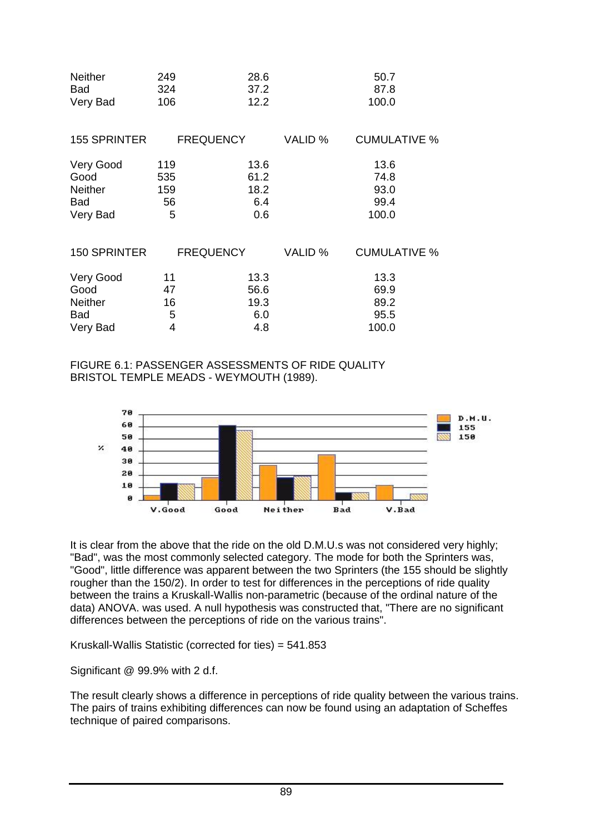| <b>Neither</b>      | 249              | 28.6 |         | 50.7                |
|---------------------|------------------|------|---------|---------------------|
| Bad                 | 324              | 37.2 |         | 87.8                |
| Very Bad            | 106              | 12.2 |         | 100.0               |
| 155 SPRINTER        | <b>FREQUENCY</b> |      | VALID % | <b>CUMULATIVE %</b> |
| Very Good           | 119              | 13.6 |         | 13.6                |
| Good                | 535              | 61.2 |         | 74.8                |
| <b>Neither</b>      | 159              | 18.2 |         | 93.0                |
| Bad                 | 56               | 6.4  |         | 99.4                |
| Very Bad            | 5                | 0.6  |         | 100.0               |
| <b>150 SPRINTER</b> | <b>FREQUENCY</b> |      | VALID % | <b>CUMULATIVE %</b> |
| Very Good           | 11               | 13.3 |         | 13.3                |
| Good                | 47               | 56.6 |         | 69.9                |
| <b>Neither</b>      | 16               | 19.3 |         | 89.2                |
| Bad                 | $\sqrt{5}$       | 6.0  |         | 95.5                |
| Very Bad            | $\overline{4}$   | 4.8  |         | 100.0               |

FIGURE 6.1: PASSENGER ASSESSMENTS OF RIDE QUALITY BRISTOL TEMPLE MEADS - WEYMOUTH (1989).



It is clear from the above that the ride on the old D.M.U.s was not considered very highly; "Bad", was the most commonly selected category. The mode for both the Sprinters was, "Good", little difference was apparent between the two Sprinters (the 155 should be slightly rougher than the 150/2). In order to test for differences in the perceptions of ride quality between the trains a Kruskall-Wallis non-parametric (because of the ordinal nature of the data) ANOVA. was used. A null hypothesis was constructed that, "There are no significant differences between the perceptions of ride on the various trains".

Kruskall-Wallis Statistic (corrected for ties) = 541.853

Significant @ 99.9% with 2 d.f.

The result clearly shows a difference in perceptions of ride quality between the various trains. The pairs of trains exhibiting differences can now be found using an adaptation of Scheffes technique of paired comparisons.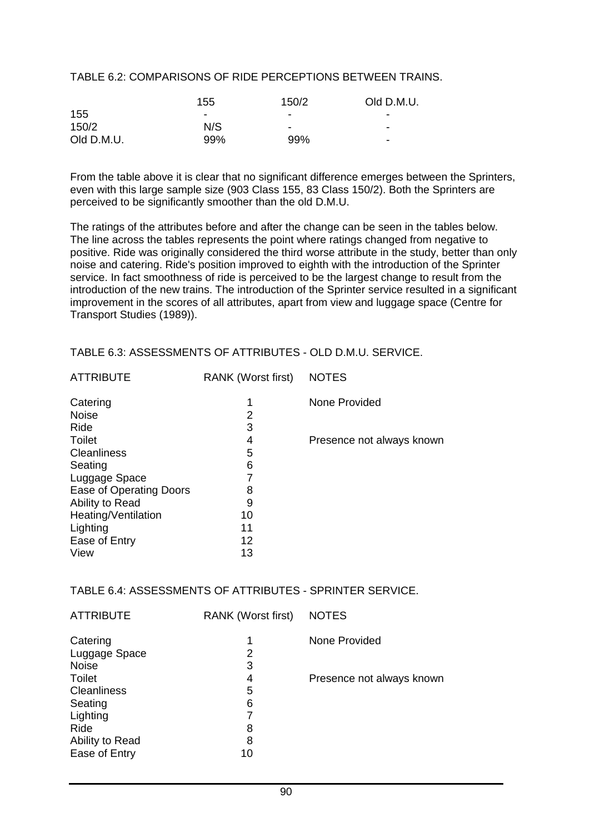#### TABLE 6.2: COMPARISONS OF RIDE PERCEPTIONS BETWEEN TRAINS.

|            | 155 | 150/2                    | Old D.M.U.               |
|------------|-----|--------------------------|--------------------------|
| 155        | ٠   | $\,$                     | -                        |
| 150/2      | N/S | $\overline{\phantom{a}}$ | $\overline{\phantom{a}}$ |
| Old D.M.U. | 99% | 99%                      | $\overline{\phantom{0}}$ |

From the table above it is clear that no significant difference emerges between the Sprinters, even with this large sample size (903 Class 155, 83 Class 150/2). Both the Sprinters are perceived to be significantly smoother than the old D.M.U.

The ratings of the attributes before and after the change can be seen in the tables below. The line across the tables represents the point where ratings changed from negative to positive. Ride was originally considered the third worse attribute in the study, better than only noise and catering. Ride's position improved to eighth with the introduction of the Sprinter service. In fact smoothness of ride is perceived to be the largest change to result from the introduction of the new trains. The introduction of the Sprinter service resulted in a significant improvement in the scores of all attributes, apart from view and luggage space (Centre for Transport Studies (1989)).

#### TABLE 6.3: ASSESSMENTS OF ATTRIBUTES - OLD D.M.U. SERVICE.

| <b>ATTRIBUTE</b>        | <b>RANK (Worst first)</b> | <b>NOTES</b>              |
|-------------------------|---------------------------|---------------------------|
| Catering                | 1                         | None Provided             |
| <b>Noise</b>            | 2                         |                           |
| Ride                    | 3                         |                           |
| Toilet                  | 4                         | Presence not always known |
| Cleanliness             | 5                         |                           |
| Seating                 | 6                         |                           |
| Luggage Space           |                           |                           |
| Ease of Operating Doors | 8                         |                           |
| Ability to Read         | 9                         |                           |
| Heating/Ventilation     | 10                        |                           |
| Lighting                | 11                        |                           |
| Ease of Entry           | 12                        |                           |
| View                    | 13                        |                           |
|                         |                           |                           |

#### TABLE 6.4: ASSESSMENTS OF ATTRIBUTES - SPRINTER SERVICE.

| Presence not always known |
|---------------------------|
|                           |
|                           |
|                           |
|                           |
|                           |
|                           |
|                           |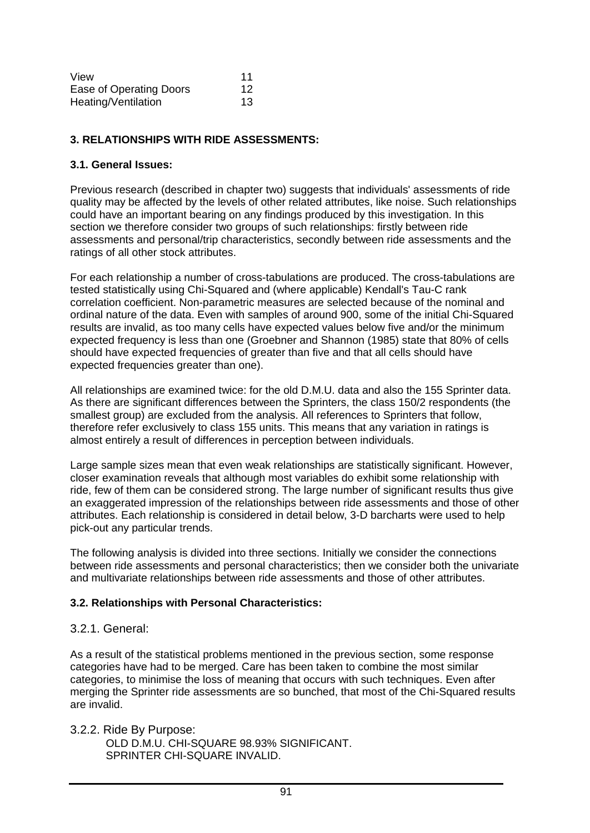| View                    | 11 |
|-------------------------|----|
| Ease of Operating Doors | 12 |
| Heating/Ventilation     | 13 |

### **3. RELATIONSHIPS WITH RIDE ASSESSMENTS:**

#### **3.1. General Issues:**

Previous research (described in chapter two) suggests that individuals' assessments of ride quality may be affected by the levels of other related attributes, like noise. Such relationships could have an important bearing on any findings produced by this investigation. In this section we therefore consider two groups of such relationships: firstly between ride assessments and personal/trip characteristics, secondly between ride assessments and the ratings of all other stock attributes.

For each relationship a number of cross-tabulations are produced. The cross-tabulations are tested statistically using Chi-Squared and (where applicable) Kendall's Tau-C rank correlation coefficient. Non-parametric measures are selected because of the nominal and ordinal nature of the data. Even with samples of around 900, some of the initial Chi-Squared results are invalid, as too many cells have expected values below five and/or the minimum expected frequency is less than one (Groebner and Shannon (1985) state that 80% of cells should have expected frequencies of greater than five and that all cells should have expected frequencies greater than one).

All relationships are examined twice: for the old D.M.U. data and also the 155 Sprinter data. As there are significant differences between the Sprinters, the class 150/2 respondents (the smallest group) are excluded from the analysis. All references to Sprinters that follow, therefore refer exclusively to class 155 units. This means that any variation in ratings is almost entirely a result of differences in perception between individuals.

Large sample sizes mean that even weak relationships are statistically significant. However, closer examination reveals that although most variables do exhibit some relationship with ride, few of them can be considered strong. The large number of significant results thus give an exaggerated impression of the relationships between ride assessments and those of other attributes. Each relationship is considered in detail below, 3-D barcharts were used to help pick-out any particular trends.

The following analysis is divided into three sections. Initially we consider the connections between ride assessments and personal characteristics; then we consider both the univariate and multivariate relationships between ride assessments and those of other attributes.

#### **3.2. Relationships with Personal Characteristics:**

#### 3.2.1. General:

As a result of the statistical problems mentioned in the previous section, some response categories have had to be merged. Care has been taken to combine the most similar categories, to minimise the loss of meaning that occurs with such techniques. Even after merging the Sprinter ride assessments are so bunched, that most of the Chi-Squared results are invalid.

3.2.2. Ride By Purpose:

OLD D.M.U. CHI-SQUARE 98.93% SIGNIFICANT. SPRINTER CHI-SQUARE INVALID.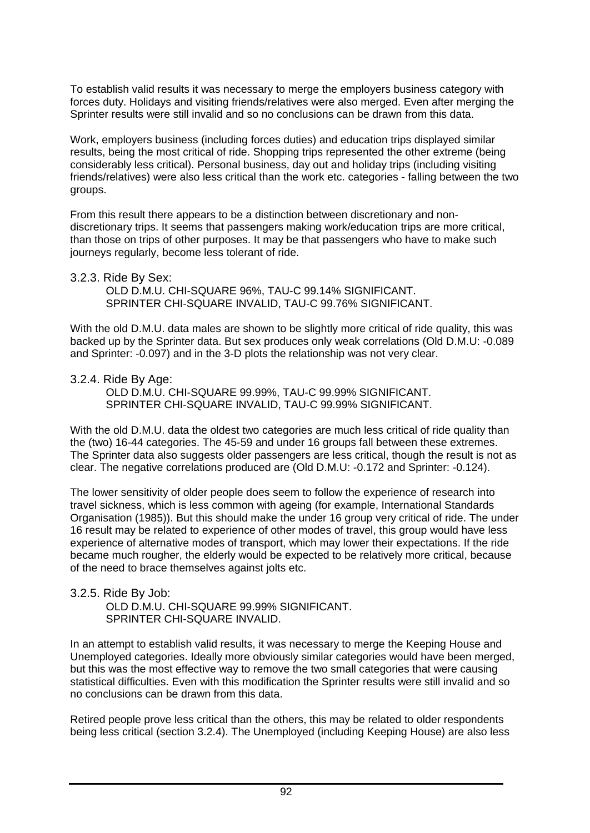To establish valid results it was necessary to merge the employers business category with forces duty. Holidays and visiting friends/relatives were also merged. Even after merging the Sprinter results were still invalid and so no conclusions can be drawn from this data.

Work, employers business (including forces duties) and education trips displayed similar results, being the most critical of ride. Shopping trips represented the other extreme (being considerably less critical). Personal business, day out and holiday trips (including visiting friends/relatives) were also less critical than the work etc. categories - falling between the two groups.

From this result there appears to be a distinction between discretionary and nondiscretionary trips. It seems that passengers making work/education trips are more critical, than those on trips of other purposes. It may be that passengers who have to make such journeys regularly, become less tolerant of ride.

#### 3.2.3. Ride By Sex:

OLD D.M.U. CHI-SQUARE 96%, TAU-C 99.14% SIGNIFICANT. SPRINTER CHI-SQUARE INVALID, TAU-C 99.76% SIGNIFICANT.

With the old D.M.U. data males are shown to be slightly more critical of ride quality, this was backed up by the Sprinter data. But sex produces only weak correlations (Old D.M.U: -0.089 and Sprinter: -0.097) and in the 3-D plots the relationship was not very clear.

#### 3.2.4. Ride By Age:

OLD D.M.U. CHI-SQUARE 99.99%, TAU-C 99.99% SIGNIFICANT. SPRINTER CHI-SQUARE INVALID, TAU-C 99.99% SIGNIFICANT.

With the old D.M.U. data the oldest two categories are much less critical of ride quality than the (two) 16-44 categories. The 45-59 and under 16 groups fall between these extremes. The Sprinter data also suggests older passengers are less critical, though the result is not as clear. The negative correlations produced are (Old D.M.U: -0.172 and Sprinter: -0.124).

The lower sensitivity of older people does seem to follow the experience of research into travel sickness, which is less common with ageing (for example, International Standards Organisation (1985)). But this should make the under 16 group very critical of ride. The under 16 result may be related to experience of other modes of travel, this group would have less experience of alternative modes of transport, which may lower their expectations. If the ride became much rougher, the elderly would be expected to be relatively more critical, because of the need to brace themselves against jolts etc.

# 3.2.5. Ride By Job:

OLD D.M.U. CHI-SQUARE 99.99% SIGNIFICANT. SPRINTER CHI-SQUARE INVALID.

In an attempt to establish valid results, it was necessary to merge the Keeping House and Unemployed categories. Ideally more obviously similar categories would have been merged, but this was the most effective way to remove the two small categories that were causing statistical difficulties. Even with this modification the Sprinter results were still invalid and so no conclusions can be drawn from this data.

Retired people prove less critical than the others, this may be related to older respondents being less critical (section 3.2.4). The Unemployed (including Keeping House) are also less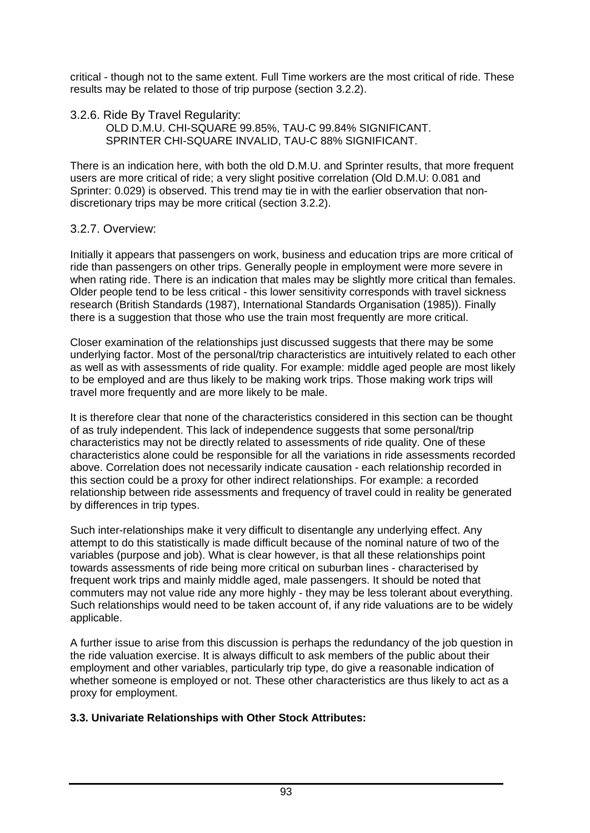critical - though not to the same extent. Full Time workers are the most critical of ride. These results may be related to those of trip purpose (section 3.2.2).

3.2.6. Ride By Travel Regularity: OLD D.M.U. CHI-SQUARE 99.85%, TAU-C 99.84% SIGNIFICANT. SPRINTER CHI-SQUARE INVALID, TAU-C 88% SIGNIFICANT.

There is an indication here, with both the old D.M.U. and Sprinter results, that more frequent users are more critical of ride; a very slight positive correlation (Old D.M.U: 0.081 and Sprinter: 0.029) is observed. This trend may tie in with the earlier observation that nondiscretionary trips may be more critical (section 3.2.2).

# 3.2.7. Overview:

Initially it appears that passengers on work, business and education trips are more critical of ride than passengers on other trips. Generally people in employment were more severe in when rating ride. There is an indication that males may be slightly more critical than females. Older people tend to be less critical - this lower sensitivity corresponds with travel sickness research (British Standards (1987), International Standards Organisation (1985)). Finally there is a suggestion that those who use the train most frequently are more critical.

Closer examination of the relationships just discussed suggests that there may be some underlying factor. Most of the personal/trip characteristics are intuitively related to each other as well as with assessments of ride quality. For example: middle aged people are most likely to be employed and are thus likely to be making work trips. Those making work trips will travel more frequently and are more likely to be male.

It is therefore clear that none of the characteristics considered in this section can be thought of as truly independent. This lack of independence suggests that some personal/trip characteristics may not be directly related to assessments of ride quality. One of these characteristics alone could be responsible for all the variations in ride assessments recorded above. Correlation does not necessarily indicate causation - each relationship recorded in this section could be a proxy for other indirect relationships. For example: a recorded relationship between ride assessments and frequency of travel could in reality be generated by differences in trip types.

Such inter-relationships make it very difficult to disentangle any underlying effect. Any attempt to do this statistically is made difficult because of the nominal nature of two of the variables (purpose and job). What is clear however, is that all these relationships point towards assessments of ride being more critical on suburban lines - characterised by frequent work trips and mainly middle aged, male passengers. It should be noted that commuters may not value ride any more highly - they may be less tolerant about everything. Such relationships would need to be taken account of, if any ride valuations are to be widely applicable.

A further issue to arise from this discussion is perhaps the redundancy of the job question in the ride valuation exercise. It is always difficult to ask members of the public about their employment and other variables, particularly trip type, do give a reasonable indication of whether someone is employed or not. These other characteristics are thus likely to act as a proxy for employment.

# **3.3. Univariate Relationships with Other Stock Attributes:**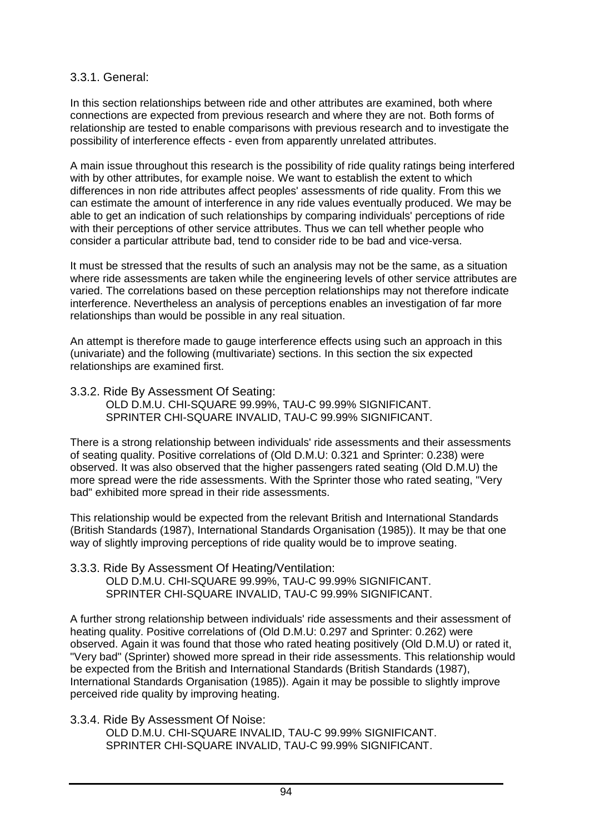# 3.3.1. General:

In this section relationships between ride and other attributes are examined, both where connections are expected from previous research and where they are not. Both forms of relationship are tested to enable comparisons with previous research and to investigate the possibility of interference effects - even from apparently unrelated attributes.

A main issue throughout this research is the possibility of ride quality ratings being interfered with by other attributes, for example noise. We want to establish the extent to which differences in non ride attributes affect peoples' assessments of ride quality. From this we can estimate the amount of interference in any ride values eventually produced. We may be able to get an indication of such relationships by comparing individuals' perceptions of ride with their perceptions of other service attributes. Thus we can tell whether people who consider a particular attribute bad, tend to consider ride to be bad and vice-versa.

It must be stressed that the results of such an analysis may not be the same, as a situation where ride assessments are taken while the engineering levels of other service attributes are varied. The correlations based on these perception relationships may not therefore indicate interference. Nevertheless an analysis of perceptions enables an investigation of far more relationships than would be possible in any real situation.

An attempt is therefore made to gauge interference effects using such an approach in this (univariate) and the following (multivariate) sections. In this section the six expected relationships are examined first.

3.3.2. Ride By Assessment Of Seating: OLD D.M.U. CHI-SQUARE 99.99%, TAU-C 99.99% SIGNIFICANT. SPRINTER CHI-SQUARE INVALID, TAU-C 99.99% SIGNIFICANT.

There is a strong relationship between individuals' ride assessments and their assessments of seating quality. Positive correlations of (Old D.M.U: 0.321 and Sprinter: 0.238) were observed. It was also observed that the higher passengers rated seating (Old D.M.U) the more spread were the ride assessments. With the Sprinter those who rated seating, "Very bad" exhibited more spread in their ride assessments.

This relationship would be expected from the relevant British and International Standards (British Standards (1987), International Standards Organisation (1985)). It may be that one way of slightly improving perceptions of ride quality would be to improve seating.

3.3.3. Ride By Assessment Of Heating/Ventilation: OLD D.M.U. CHI-SQUARE 99.99%, TAU-C 99.99% SIGNIFICANT. SPRINTER CHI-SQUARE INVALID, TAU-C 99.99% SIGNIFICANT.

A further strong relationship between individuals' ride assessments and their assessment of heating quality. Positive correlations of (Old D.M.U: 0.297 and Sprinter: 0.262) were observed. Again it was found that those who rated heating positively (Old D.M.U) or rated it, "Very bad" (Sprinter) showed more spread in their ride assessments. This relationship would be expected from the British and International Standards (British Standards (1987), International Standards Organisation (1985)). Again it may be possible to slightly improve perceived ride quality by improving heating.

3.3.4. Ride By Assessment Of Noise:

OLD D.M.U. CHI-SQUARE INVALID, TAU-C 99.99% SIGNIFICANT. SPRINTER CHI-SQUARE INVALID, TAU-C 99.99% SIGNIFICANT.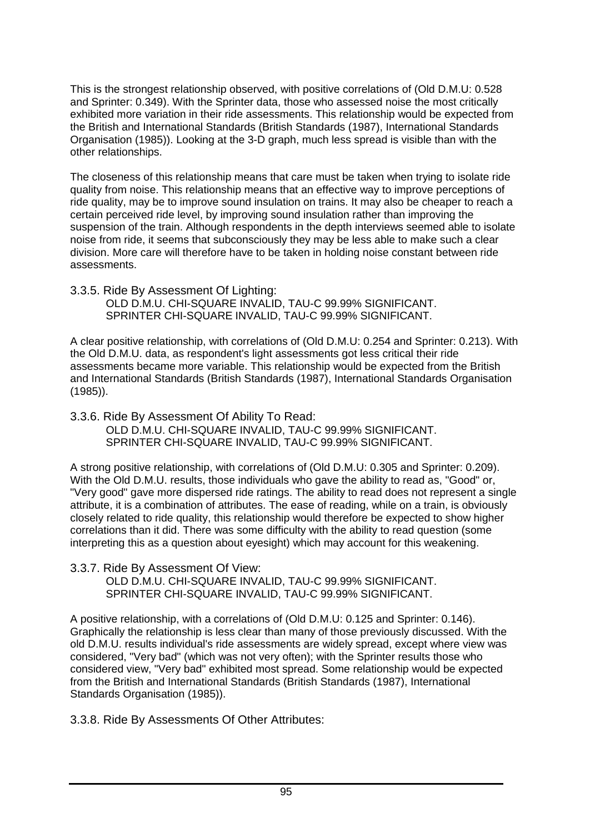This is the strongest relationship observed, with positive correlations of (Old D.M.U: 0.528 and Sprinter: 0.349). With the Sprinter data, those who assessed noise the most critically exhibited more variation in their ride assessments. This relationship would be expected from the British and International Standards (British Standards (1987), International Standards Organisation (1985)). Looking at the 3-D graph, much less spread is visible than with the other relationships.

The closeness of this relationship means that care must be taken when trying to isolate ride quality from noise. This relationship means that an effective way to improve perceptions of ride quality, may be to improve sound insulation on trains. It may also be cheaper to reach a certain perceived ride level, by improving sound insulation rather than improving the suspension of the train. Although respondents in the depth interviews seemed able to isolate noise from ride, it seems that subconsciously they may be less able to make such a clear division. More care will therefore have to be taken in holding noise constant between ride assessments.

3.3.5. Ride By Assessment Of Lighting: OLD D.M.U. CHI-SQUARE INVALID, TAU-C 99.99% SIGNIFICANT. SPRINTER CHI-SQUARE INVALID, TAU-C 99.99% SIGNIFICANT.

A clear positive relationship, with correlations of (Old D.M.U: 0.254 and Sprinter: 0.213). With the Old D.M.U. data, as respondent's light assessments got less critical their ride assessments became more variable. This relationship would be expected from the British and International Standards (British Standards (1987), International Standards Organisation (1985)).

3.3.6. Ride By Assessment Of Ability To Read: OLD D.M.U. CHI-SQUARE INVALID, TAU-C 99.99% SIGNIFICANT. SPRINTER CHI-SQUARE INVALID, TAU-C 99.99% SIGNIFICANT.

A strong positive relationship, with correlations of (Old D.M.U: 0.305 and Sprinter: 0.209). With the Old D.M.U. results, those individuals who gave the ability to read as, "Good" or, "Very good" gave more dispersed ride ratings. The ability to read does not represent a single attribute, it is a combination of attributes. The ease of reading, while on a train, is obviously closely related to ride quality, this relationship would therefore be expected to show higher correlations than it did. There was some difficulty with the ability to read question (some interpreting this as a question about eyesight) which may account for this weakening.

3.3.7. Ride By Assessment Of View: OLD D.M.U. CHI-SQUARE INVALID, TAU-C 99.99% SIGNIFICANT. SPRINTER CHI-SQUARE INVALID, TAU-C 99.99% SIGNIFICANT.

A positive relationship, with a correlations of (Old D.M.U: 0.125 and Sprinter: 0.146). Graphically the relationship is less clear than many of those previously discussed. With the old D.M.U. results individual's ride assessments are widely spread, except where view was considered, "Very bad" (which was not very often); with the Sprinter results those who considered view, "Very bad" exhibited most spread. Some relationship would be expected from the British and International Standards (British Standards (1987), International Standards Organisation (1985)).

3.3.8. Ride By Assessments Of Other Attributes: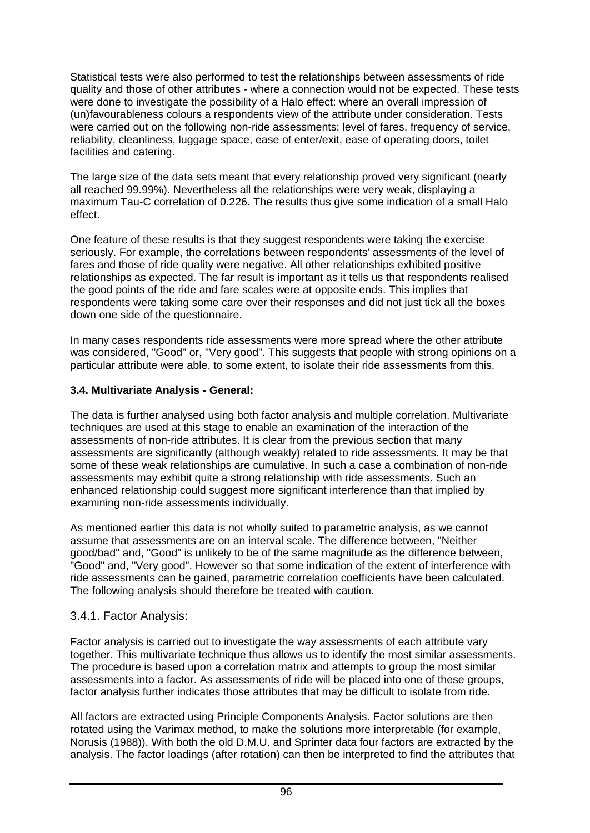Statistical tests were also performed to test the relationships between assessments of ride quality and those of other attributes - where a connection would not be expected. These tests were done to investigate the possibility of a Halo effect: where an overall impression of (un)favourableness colours a respondents view of the attribute under consideration. Tests were carried out on the following non-ride assessments: level of fares, frequency of service, reliability, cleanliness, luggage space, ease of enter/exit, ease of operating doors, toilet facilities and catering.

The large size of the data sets meant that every relationship proved very significant (nearly all reached 99.99%). Nevertheless all the relationships were very weak, displaying a maximum Tau-C correlation of 0.226. The results thus give some indication of a small Halo effect.

One feature of these results is that they suggest respondents were taking the exercise seriously. For example, the correlations between respondents' assessments of the level of fares and those of ride quality were negative. All other relationships exhibited positive relationships as expected. The far result is important as it tells us that respondents realised the good points of the ride and fare scales were at opposite ends. This implies that respondents were taking some care over their responses and did not just tick all the boxes down one side of the questionnaire.

In many cases respondents ride assessments were more spread where the other attribute was considered, "Good" or, "Very good". This suggests that people with strong opinions on a particular attribute were able, to some extent, to isolate their ride assessments from this.

### **3.4. Multivariate Analysis - General:**

The data is further analysed using both factor analysis and multiple correlation. Multivariate techniques are used at this stage to enable an examination of the interaction of the assessments of non-ride attributes. It is clear from the previous section that many assessments are significantly (although weakly) related to ride assessments. It may be that some of these weak relationships are cumulative. In such a case a combination of non-ride assessments may exhibit quite a strong relationship with ride assessments. Such an enhanced relationship could suggest more significant interference than that implied by examining non-ride assessments individually.

As mentioned earlier this data is not wholly suited to parametric analysis, as we cannot assume that assessments are on an interval scale. The difference between, "Neither good/bad" and, "Good" is unlikely to be of the same magnitude as the difference between, "Good" and, "Very good". However so that some indication of the extent of interference with ride assessments can be gained, parametric correlation coefficients have been calculated. The following analysis should therefore be treated with caution.

# 3.4.1. Factor Analysis:

Factor analysis is carried out to investigate the way assessments of each attribute vary together. This multivariate technique thus allows us to identify the most similar assessments. The procedure is based upon a correlation matrix and attempts to group the most similar assessments into a factor. As assessments of ride will be placed into one of these groups, factor analysis further indicates those attributes that may be difficult to isolate from ride.

All factors are extracted using Principle Components Analysis. Factor solutions are then rotated using the Varimax method, to make the solutions more interpretable (for example, Norusis (1988)). With both the old D.M.U. and Sprinter data four factors are extracted by the analysis. The factor loadings (after rotation) can then be interpreted to find the attributes that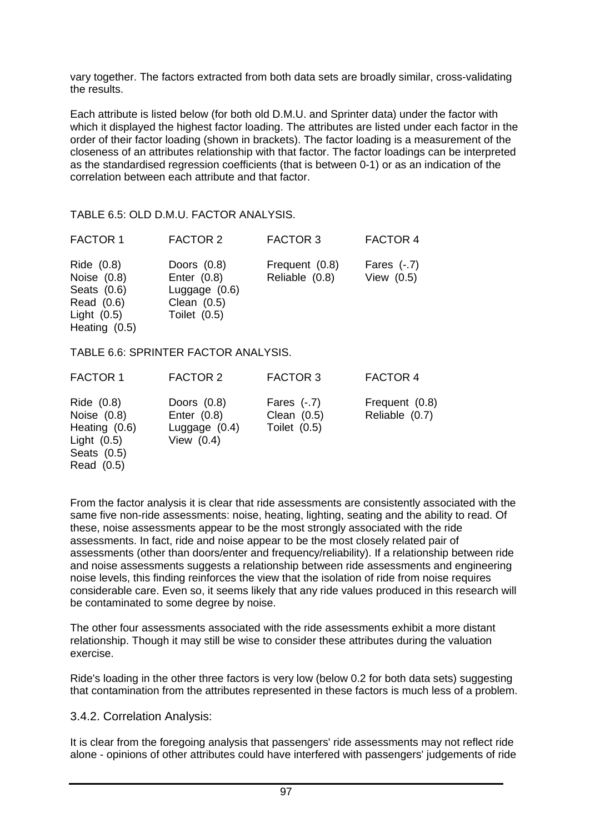vary together. The factors extracted from both data sets are broadly similar, cross-validating the results.

Each attribute is listed below (for both old D.M.U. and Sprinter data) under the factor with which it displayed the highest factor loading. The attributes are listed under each factor in the order of their factor loading (shown in brackets). The factor loading is a measurement of the closeness of an attributes relationship with that factor. The factor loadings can be interpreted as the standardised regression coefficients (that is between 0-1) or as an indication of the correlation between each attribute and that factor.

#### TABLE 6.5: OLD D.M.U. FACTOR ANALYSIS.

| <b>FACTOR 1</b>                                                                                  | <b>FACTOR 2</b>                                                                      | <b>FACTOR 3</b>                  | <b>FACTOR 4</b>               |
|--------------------------------------------------------------------------------------------------|--------------------------------------------------------------------------------------|----------------------------------|-------------------------------|
| Ride $(0.8)$<br>Noise $(0.8)$<br>Seats $(0.6)$<br>Read (0.6)<br>Light $(0.5)$<br>Heating $(0.5)$ | Doors $(0.8)$<br>Enter $(0.8)$<br>Luggage $(0.6)$<br>Clean $(0.5)$<br>Toilet $(0.5)$ | Frequent (0.8)<br>Reliable (0.8) | Fares $(-.7)$<br>View $(0.5)$ |

#### TABLE 6.6: SPRINTER FACTOR ANALYSIS.

| <b>FACTOR 1</b>                                                                            | <b>FACTOR 2</b>                                                   | <b>FACTOR 3</b>                                | <b>FACTOR 4</b>                  |
|--------------------------------------------------------------------------------------------|-------------------------------------------------------------------|------------------------------------------------|----------------------------------|
| Ride (0.8)<br>Noise $(0.8)$<br>Heating (0.6)<br>Light $(0.5)$<br>Seats (0.5)<br>Read (0.5) | Doors $(0.8)$<br>Enter $(0.8)$<br>Luggage $(0.4)$<br>View $(0.4)$ | Fares $(-.7)$<br>Clean $(0.5)$<br>Toilet (0.5) | Frequent (0.8)<br>Reliable (0.7) |

From the factor analysis it is clear that ride assessments are consistently associated with the same five non-ride assessments: noise, heating, lighting, seating and the ability to read. Of these, noise assessments appear to be the most strongly associated with the ride assessments. In fact, ride and noise appear to be the most closely related pair of assessments (other than doors/enter and frequency/reliability). If a relationship between ride and noise assessments suggests a relationship between ride assessments and engineering noise levels, this finding reinforces the view that the isolation of ride from noise requires considerable care. Even so, it seems likely that any ride values produced in this research will be contaminated to some degree by noise.

The other four assessments associated with the ride assessments exhibit a more distant relationship. Though it may still be wise to consider these attributes during the valuation exercise.

Ride's loading in the other three factors is very low (below 0.2 for both data sets) suggesting that contamination from the attributes represented in these factors is much less of a problem.

#### 3.4.2. Correlation Analysis:

It is clear from the foregoing analysis that passengers' ride assessments may not reflect ride alone - opinions of other attributes could have interfered with passengers' judgements of ride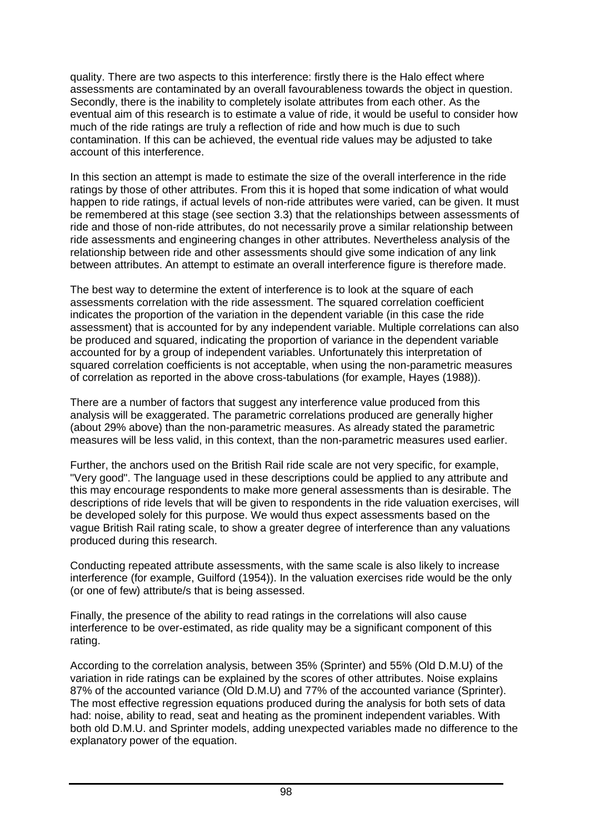quality. There are two aspects to this interference: firstly there is the Halo effect where assessments are contaminated by an overall favourableness towards the object in question. Secondly, there is the inability to completely isolate attributes from each other. As the eventual aim of this research is to estimate a value of ride, it would be useful to consider how much of the ride ratings are truly a reflection of ride and how much is due to such contamination. If this can be achieved, the eventual ride values may be adjusted to take account of this interference.

In this section an attempt is made to estimate the size of the overall interference in the ride ratings by those of other attributes. From this it is hoped that some indication of what would happen to ride ratings, if actual levels of non-ride attributes were varied, can be given. It must be remembered at this stage (see section 3.3) that the relationships between assessments of ride and those of non-ride attributes, do not necessarily prove a similar relationship between ride assessments and engineering changes in other attributes. Nevertheless analysis of the relationship between ride and other assessments should give some indication of any link between attributes. An attempt to estimate an overall interference figure is therefore made.

The best way to determine the extent of interference is to look at the square of each assessments correlation with the ride assessment. The squared correlation coefficient indicates the proportion of the variation in the dependent variable (in this case the ride assessment) that is accounted for by any independent variable. Multiple correlations can also be produced and squared, indicating the proportion of variance in the dependent variable accounted for by a group of independent variables. Unfortunately this interpretation of squared correlation coefficients is not acceptable, when using the non-parametric measures of correlation as reported in the above cross-tabulations (for example, Hayes (1988)).

There are a number of factors that suggest any interference value produced from this analysis will be exaggerated. The parametric correlations produced are generally higher (about 29% above) than the non-parametric measures. As already stated the parametric measures will be less valid, in this context, than the non-parametric measures used earlier.

Further, the anchors used on the British Rail ride scale are not very specific, for example, "Very good". The language used in these descriptions could be applied to any attribute and this may encourage respondents to make more general assessments than is desirable. The descriptions of ride levels that will be given to respondents in the ride valuation exercises, will be developed solely for this purpose. We would thus expect assessments based on the vague British Rail rating scale, to show a greater degree of interference than any valuations produced during this research.

Conducting repeated attribute assessments, with the same scale is also likely to increase interference (for example, Guilford (1954)). In the valuation exercises ride would be the only (or one of few) attribute/s that is being assessed.

Finally, the presence of the ability to read ratings in the correlations will also cause interference to be over-estimated, as ride quality may be a significant component of this rating.

According to the correlation analysis, between 35% (Sprinter) and 55% (Old D.M.U) of the variation in ride ratings can be explained by the scores of other attributes. Noise explains 87% of the accounted variance (Old D.M.U) and 77% of the accounted variance (Sprinter). The most effective regression equations produced during the analysis for both sets of data had: noise, ability to read, seat and heating as the prominent independent variables. With both old D.M.U. and Sprinter models, adding unexpected variables made no difference to the explanatory power of the equation.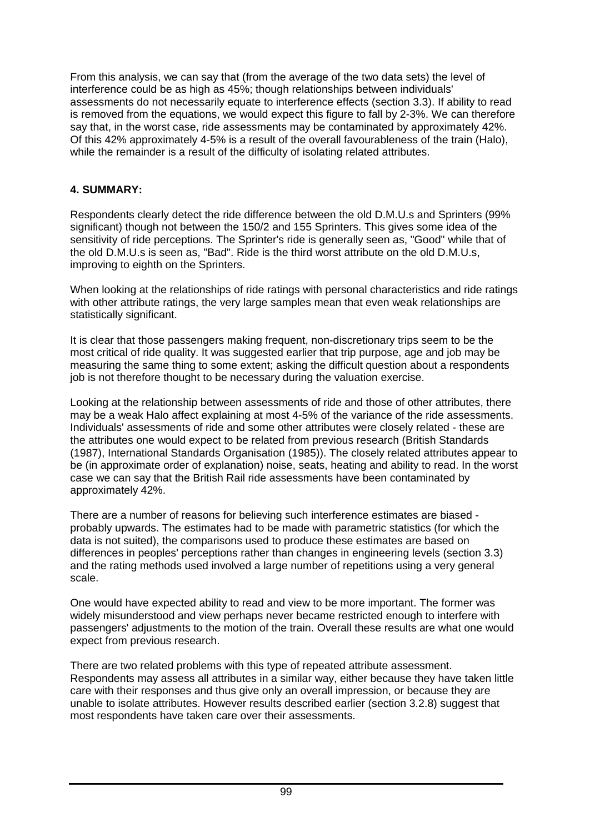From this analysis, we can say that (from the average of the two data sets) the level of interference could be as high as 45%; though relationships between individuals' assessments do not necessarily equate to interference effects (section 3.3). If ability to read is removed from the equations, we would expect this figure to fall by 2-3%. We can therefore say that, in the worst case, ride assessments may be contaminated by approximately 42%. Of this 42% approximately 4-5% is a result of the overall favourableness of the train (Halo), while the remainder is a result of the difficulty of isolating related attributes.

### **4. SUMMARY:**

Respondents clearly detect the ride difference between the old D.M.U.s and Sprinters (99% significant) though not between the 150/2 and 155 Sprinters. This gives some idea of the sensitivity of ride perceptions. The Sprinter's ride is generally seen as, "Good" while that of the old D.M.U.s is seen as, "Bad". Ride is the third worst attribute on the old D.M.U.s, improving to eighth on the Sprinters.

When looking at the relationships of ride ratings with personal characteristics and ride ratings with other attribute ratings, the very large samples mean that even weak relationships are statistically significant.

It is clear that those passengers making frequent, non-discretionary trips seem to be the most critical of ride quality. It was suggested earlier that trip purpose, age and job may be measuring the same thing to some extent; asking the difficult question about a respondents job is not therefore thought to be necessary during the valuation exercise.

Looking at the relationship between assessments of ride and those of other attributes, there may be a weak Halo affect explaining at most 4-5% of the variance of the ride assessments. Individuals' assessments of ride and some other attributes were closely related - these are the attributes one would expect to be related from previous research (British Standards (1987), International Standards Organisation (1985)). The closely related attributes appear to be (in approximate order of explanation) noise, seats, heating and ability to read. In the worst case we can say that the British Rail ride assessments have been contaminated by approximately 42%.

There are a number of reasons for believing such interference estimates are biased probably upwards. The estimates had to be made with parametric statistics (for which the data is not suited), the comparisons used to produce these estimates are based on differences in peoples' perceptions rather than changes in engineering levels (section 3.3) and the rating methods used involved a large number of repetitions using a very general scale.

One would have expected ability to read and view to be more important. The former was widely misunderstood and view perhaps never became restricted enough to interfere with passengers' adjustments to the motion of the train. Overall these results are what one would expect from previous research.

There are two related problems with this type of repeated attribute assessment. Respondents may assess all attributes in a similar way, either because they have taken little care with their responses and thus give only an overall impression, or because they are unable to isolate attributes. However results described earlier (section 3.2.8) suggest that most respondents have taken care over their assessments.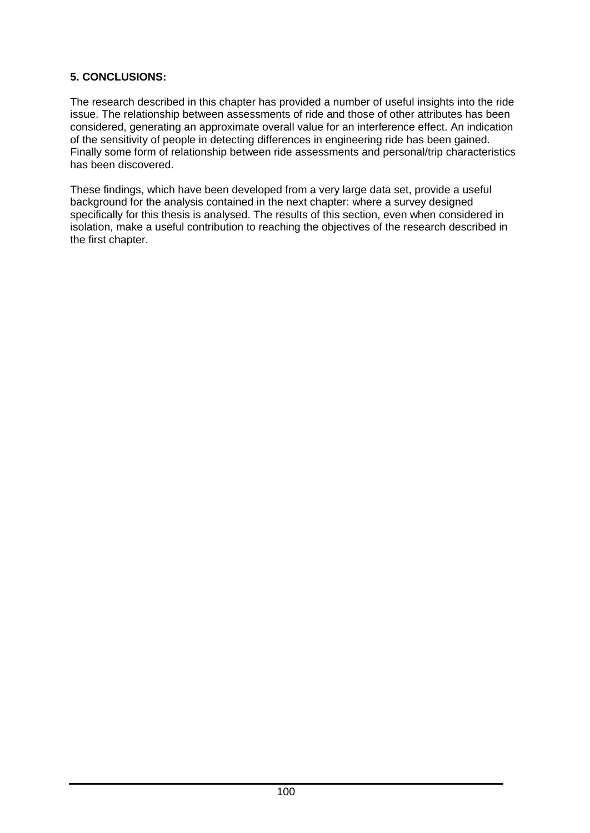### **5. CONCLUSIONS:**

The research described in this chapter has provided a number of useful insights into the ride issue. The relationship between assessments of ride and those of other attributes has been considered, generating an approximate overall value for an interference effect. An indication of the sensitivity of people in detecting differences in engineering ride has been gained. Finally some form of relationship between ride assessments and personal/trip characteristics has been discovered.

These findings, which have been developed from a very large data set, provide a useful background for the analysis contained in the next chapter: where a survey designed specifically for this thesis is analysed. The results of this section, even when considered in isolation, make a useful contribution to reaching the objectives of the research described in the first chapter.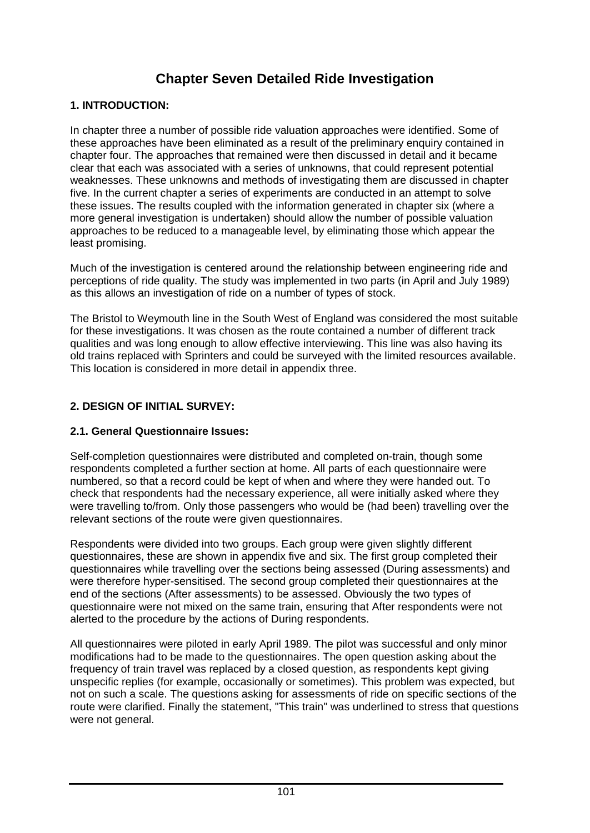# **Chapter Seven Detailed Ride Investigation**

### **1. INTRODUCTION:**

In chapter three a number of possible ride valuation approaches were identified. Some of these approaches have been eliminated as a result of the preliminary enquiry contained in chapter four. The approaches that remained were then discussed in detail and it became clear that each was associated with a series of unknowns, that could represent potential weaknesses. These unknowns and methods of investigating them are discussed in chapter five. In the current chapter a series of experiments are conducted in an attempt to solve these issues. The results coupled with the information generated in chapter six (where a more general investigation is undertaken) should allow the number of possible valuation approaches to be reduced to a manageable level, by eliminating those which appear the least promising.

Much of the investigation is centered around the relationship between engineering ride and perceptions of ride quality. The study was implemented in two parts (in April and July 1989) as this allows an investigation of ride on a number of types of stock.

The Bristol to Weymouth line in the South West of England was considered the most suitable for these investigations. It was chosen as the route contained a number of different track qualities and was long enough to allow effective interviewing. This line was also having its old trains replaced with Sprinters and could be surveyed with the limited resources available. This location is considered in more detail in appendix three.

### **2. DESIGN OF INITIAL SURVEY:**

#### **2.1. General Questionnaire Issues:**

Self-completion questionnaires were distributed and completed on-train, though some respondents completed a further section at home. All parts of each questionnaire were numbered, so that a record could be kept of when and where they were handed out. To check that respondents had the necessary experience, all were initially asked where they were travelling to/from. Only those passengers who would be (had been) travelling over the relevant sections of the route were given questionnaires.

Respondents were divided into two groups. Each group were given slightly different questionnaires, these are shown in appendix five and six. The first group completed their questionnaires while travelling over the sections being assessed (During assessments) and were therefore hyper-sensitised. The second group completed their questionnaires at the end of the sections (After assessments) to be assessed. Obviously the two types of questionnaire were not mixed on the same train, ensuring that After respondents were not alerted to the procedure by the actions of During respondents.

All questionnaires were piloted in early April 1989. The pilot was successful and only minor modifications had to be made to the questionnaires. The open question asking about the frequency of train travel was replaced by a closed question, as respondents kept giving unspecific replies (for example, occasionally or sometimes). This problem was expected, but not on such a scale. The questions asking for assessments of ride on specific sections of the route were clarified. Finally the statement, "This train" was underlined to stress that questions were not general.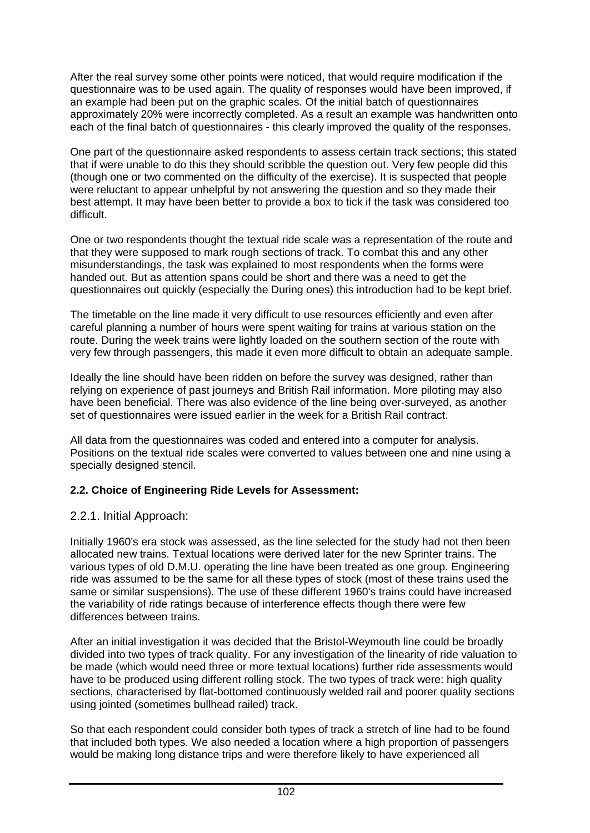After the real survey some other points were noticed, that would require modification if the questionnaire was to be used again. The quality of responses would have been improved, if an example had been put on the graphic scales. Of the initial batch of questionnaires approximately 20% were incorrectly completed. As a result an example was handwritten onto each of the final batch of questionnaires - this clearly improved the quality of the responses.

One part of the questionnaire asked respondents to assess certain track sections; this stated that if were unable to do this they should scribble the question out. Very few people did this (though one or two commented on the difficulty of the exercise). It is suspected that people were reluctant to appear unhelpful by not answering the question and so they made their best attempt. It may have been better to provide a box to tick if the task was considered too difficult.

One or two respondents thought the textual ride scale was a representation of the route and that they were supposed to mark rough sections of track. To combat this and any other misunderstandings, the task was explained to most respondents when the forms were handed out. But as attention spans could be short and there was a need to get the questionnaires out quickly (especially the During ones) this introduction had to be kept brief.

The timetable on the line made it very difficult to use resources efficiently and even after careful planning a number of hours were spent waiting for trains at various station on the route. During the week trains were lightly loaded on the southern section of the route with very few through passengers, this made it even more difficult to obtain an adequate sample.

Ideally the line should have been ridden on before the survey was designed, rather than relying on experience of past journeys and British Rail information. More piloting may also have been beneficial. There was also evidence of the line being over-surveyed, as another set of questionnaires were issued earlier in the week for a British Rail contract.

All data from the questionnaires was coded and entered into a computer for analysis. Positions on the textual ride scales were converted to values between one and nine using a specially designed stencil.

### **2.2. Choice of Engineering Ride Levels for Assessment:**

# 2.2.1. Initial Approach:

Initially 1960's era stock was assessed, as the line selected for the study had not then been allocated new trains. Textual locations were derived later for the new Sprinter trains. The various types of old D.M.U. operating the line have been treated as one group. Engineering ride was assumed to be the same for all these types of stock (most of these trains used the same or similar suspensions). The use of these different 1960's trains could have increased the variability of ride ratings because of interference effects though there were few differences between trains.

After an initial investigation it was decided that the Bristol-Weymouth line could be broadly divided into two types of track quality. For any investigation of the linearity of ride valuation to be made (which would need three or more textual locations) further ride assessments would have to be produced using different rolling stock. The two types of track were: high quality sections, characterised by flat-bottomed continuously welded rail and poorer quality sections using jointed (sometimes bullhead railed) track.

So that each respondent could consider both types of track a stretch of line had to be found that included both types. We also needed a location where a high proportion of passengers would be making long distance trips and were therefore likely to have experienced all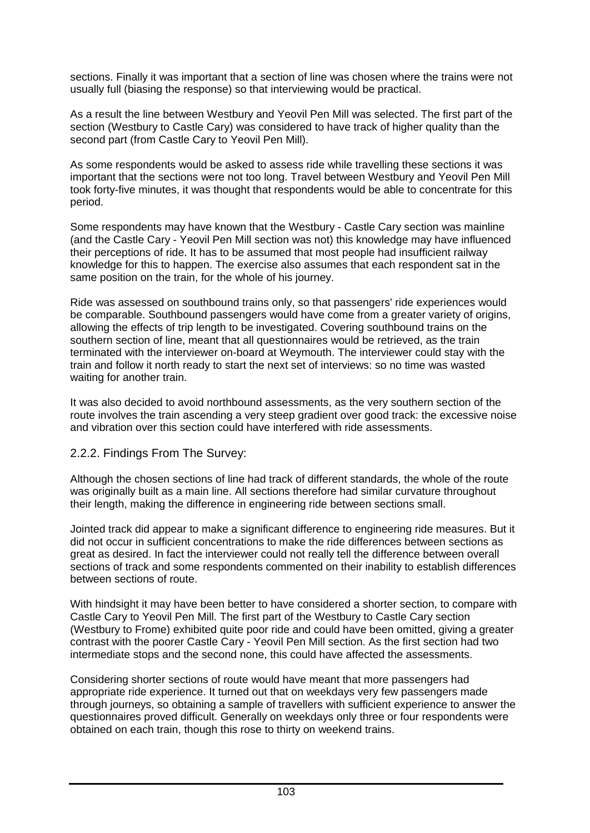sections. Finally it was important that a section of line was chosen where the trains were not usually full (biasing the response) so that interviewing would be practical.

As a result the line between Westbury and Yeovil Pen Mill was selected. The first part of the section (Westbury to Castle Cary) was considered to have track of higher quality than the second part (from Castle Cary to Yeovil Pen Mill).

As some respondents would be asked to assess ride while travelling these sections it was important that the sections were not too long. Travel between Westbury and Yeovil Pen Mill took forty-five minutes, it was thought that respondents would be able to concentrate for this period.

Some respondents may have known that the Westbury - Castle Cary section was mainline (and the Castle Cary - Yeovil Pen Mill section was not) this knowledge may have influenced their perceptions of ride. It has to be assumed that most people had insufficient railway knowledge for this to happen. The exercise also assumes that each respondent sat in the same position on the train, for the whole of his journey.

Ride was assessed on southbound trains only, so that passengers' ride experiences would be comparable. Southbound passengers would have come from a greater variety of origins, allowing the effects of trip length to be investigated. Covering southbound trains on the southern section of line, meant that all questionnaires would be retrieved, as the train terminated with the interviewer on-board at Weymouth. The interviewer could stay with the train and follow it north ready to start the next set of interviews: so no time was wasted waiting for another train.

It was also decided to avoid northbound assessments, as the very southern section of the route involves the train ascending a very steep gradient over good track: the excessive noise and vibration over this section could have interfered with ride assessments.

### 2.2.2. Findings From The Survey:

Although the chosen sections of line had track of different standards, the whole of the route was originally built as a main line. All sections therefore had similar curvature throughout their length, making the difference in engineering ride between sections small.

Jointed track did appear to make a significant difference to engineering ride measures. But it did not occur in sufficient concentrations to make the ride differences between sections as great as desired. In fact the interviewer could not really tell the difference between overall sections of track and some respondents commented on their inability to establish differences between sections of route.

With hindsight it may have been better to have considered a shorter section, to compare with Castle Cary to Yeovil Pen Mill. The first part of the Westbury to Castle Cary section (Westbury to Frome) exhibited quite poor ride and could have been omitted, giving a greater contrast with the poorer Castle Cary - Yeovil Pen Mill section. As the first section had two intermediate stops and the second none, this could have affected the assessments.

Considering shorter sections of route would have meant that more passengers had appropriate ride experience. It turned out that on weekdays very few passengers made through journeys, so obtaining a sample of travellers with sufficient experience to answer the questionnaires proved difficult. Generally on weekdays only three or four respondents were obtained on each train, though this rose to thirty on weekend trains.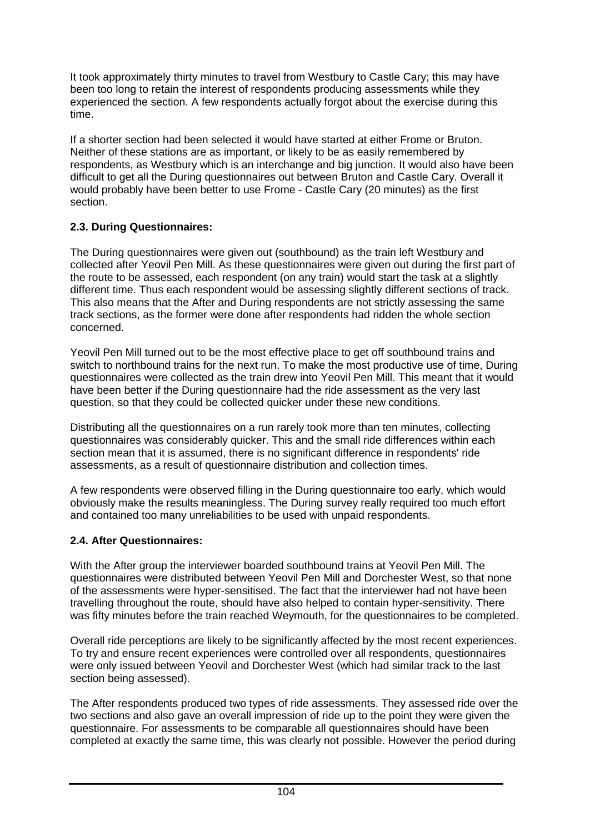It took approximately thirty minutes to travel from Westbury to Castle Cary; this may have been too long to retain the interest of respondents producing assessments while they experienced the section. A few respondents actually forgot about the exercise during this time.

If a shorter section had been selected it would have started at either Frome or Bruton. Neither of these stations are as important, or likely to be as easily remembered by respondents, as Westbury which is an interchange and big junction. It would also have been difficult to get all the During questionnaires out between Bruton and Castle Cary. Overall it would probably have been better to use Frome - Castle Cary (20 minutes) as the first section.

### **2.3. During Questionnaires:**

The During questionnaires were given out (southbound) as the train left Westbury and collected after Yeovil Pen Mill. As these questionnaires were given out during the first part of the route to be assessed, each respondent (on any train) would start the task at a slightly different time. Thus each respondent would be assessing slightly different sections of track. This also means that the After and During respondents are not strictly assessing the same track sections, as the former were done after respondents had ridden the whole section concerned.

Yeovil Pen Mill turned out to be the most effective place to get off southbound trains and switch to northbound trains for the next run. To make the most productive use of time, During questionnaires were collected as the train drew into Yeovil Pen Mill. This meant that it would have been better if the During questionnaire had the ride assessment as the very last question, so that they could be collected quicker under these new conditions.

Distributing all the questionnaires on a run rarely took more than ten minutes, collecting questionnaires was considerably quicker. This and the small ride differences within each section mean that it is assumed, there is no significant difference in respondents' ride assessments, as a result of questionnaire distribution and collection times.

A few respondents were observed filling in the During questionnaire too early, which would obviously make the results meaningless. The During survey really required too much effort and contained too many unreliabilities to be used with unpaid respondents.

# **2.4. After Questionnaires:**

With the After group the interviewer boarded southbound trains at Yeovil Pen Mill. The questionnaires were distributed between Yeovil Pen Mill and Dorchester West, so that none of the assessments were hyper-sensitised. The fact that the interviewer had not have been travelling throughout the route, should have also helped to contain hyper-sensitivity. There was fifty minutes before the train reached Weymouth, for the questionnaires to be completed.

Overall ride perceptions are likely to be significantly affected by the most recent experiences. To try and ensure recent experiences were controlled over all respondents, questionnaires were only issued between Yeovil and Dorchester West (which had similar track to the last section being assessed).

The After respondents produced two types of ride assessments. They assessed ride over the two sections and also gave an overall impression of ride up to the point they were given the questionnaire. For assessments to be comparable all questionnaires should have been completed at exactly the same time, this was clearly not possible. However the period during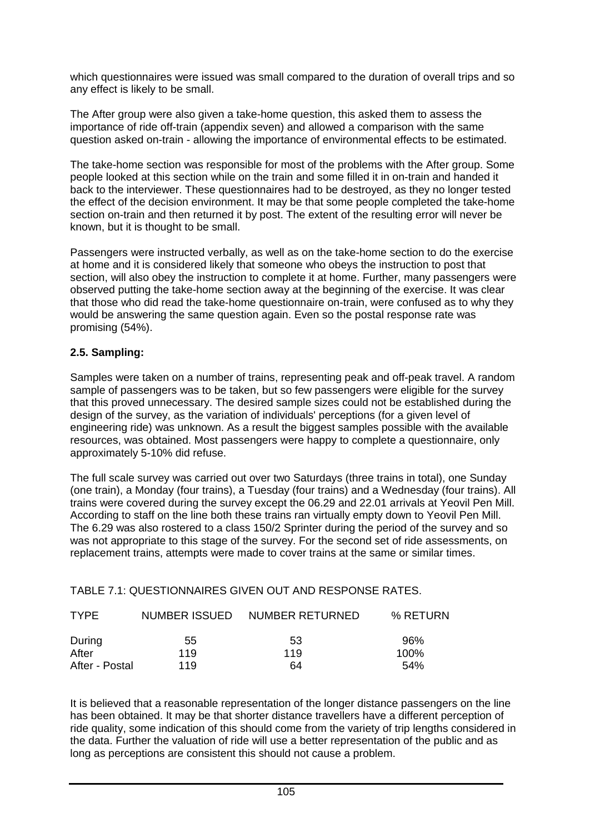which questionnaires were issued was small compared to the duration of overall trips and so any effect is likely to be small.

The After group were also given a take-home question, this asked them to assess the importance of ride off-train (appendix seven) and allowed a comparison with the same question asked on-train - allowing the importance of environmental effects to be estimated.

The take-home section was responsible for most of the problems with the After group. Some people looked at this section while on the train and some filled it in on-train and handed it back to the interviewer. These questionnaires had to be destroyed, as they no longer tested the effect of the decision environment. It may be that some people completed the take-home section on-train and then returned it by post. The extent of the resulting error will never be known, but it is thought to be small.

Passengers were instructed verbally, as well as on the take-home section to do the exercise at home and it is considered likely that someone who obeys the instruction to post that section, will also obey the instruction to complete it at home. Further, many passengers were observed putting the take-home section away at the beginning of the exercise. It was clear that those who did read the take-home questionnaire on-train, were confused as to why they would be answering the same question again. Even so the postal response rate was promising (54%).

### **2.5. Sampling:**

Samples were taken on a number of trains, representing peak and off-peak travel. A random sample of passengers was to be taken, but so few passengers were eligible for the survey that this proved unnecessary. The desired sample sizes could not be established during the design of the survey, as the variation of individuals' perceptions (for a given level of engineering ride) was unknown. As a result the biggest samples possible with the available resources, was obtained. Most passengers were happy to complete a questionnaire, only approximately 5-10% did refuse.

The full scale survey was carried out over two Saturdays (three trains in total), one Sunday (one train), a Monday (four trains), a Tuesday (four trains) and a Wednesday (four trains). All trains were covered during the survey except the 06.29 and 22.01 arrivals at Yeovil Pen Mill. According to staff on the line both these trains ran virtually empty down to Yeovil Pen Mill. The 6.29 was also rostered to a class 150/2 Sprinter during the period of the survey and so was not appropriate to this stage of the survey. For the second set of ride assessments, on replacement trains, attempts were made to cover trains at the same or similar times.

TABLE 7.1: QUESTIONNAIRES GIVEN OUT AND RESPONSE RATES.

| <b>TYPF</b>    |     | NUMBER ISSUED NUMBER RETURNED | % RETURN |
|----------------|-----|-------------------------------|----------|
| During         | 55  | 53                            | 96%      |
| After          | 119 | 119                           | 100%     |
| After - Postal | 119 | 64                            | 54%      |

It is believed that a reasonable representation of the longer distance passengers on the line has been obtained. It may be that shorter distance travellers have a different perception of ride quality, some indication of this should come from the variety of trip lengths considered in the data. Further the valuation of ride will use a better representation of the public and as long as perceptions are consistent this should not cause a problem.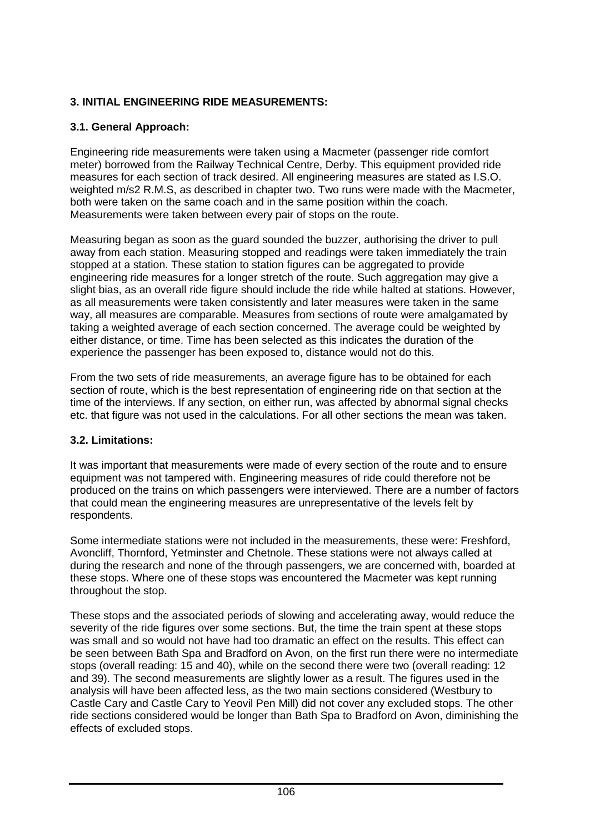# **3. INITIAL ENGINEERING RIDE MEASUREMENTS:**

# **3.1. General Approach:**

Engineering ride measurements were taken using a Macmeter (passenger ride comfort meter) borrowed from the Railway Technical Centre, Derby. This equipment provided ride measures for each section of track desired. All engineering measures are stated as I.S.O. weighted m/s2 R.M.S, as described in chapter two. Two runs were made with the Macmeter, both were taken on the same coach and in the same position within the coach. Measurements were taken between every pair of stops on the route.

Measuring began as soon as the guard sounded the buzzer, authorising the driver to pull away from each station. Measuring stopped and readings were taken immediately the train stopped at a station. These station to station figures can be aggregated to provide engineering ride measures for a longer stretch of the route. Such aggregation may give a slight bias, as an overall ride figure should include the ride while halted at stations. However, as all measurements were taken consistently and later measures were taken in the same way, all measures are comparable. Measures from sections of route were amalgamated by taking a weighted average of each section concerned. The average could be weighted by either distance, or time. Time has been selected as this indicates the duration of the experience the passenger has been exposed to, distance would not do this.

From the two sets of ride measurements, an average figure has to be obtained for each section of route, which is the best representation of engineering ride on that section at the time of the interviews. If any section, on either run, was affected by abnormal signal checks etc. that figure was not used in the calculations. For all other sections the mean was taken.

### **3.2. Limitations:**

It was important that measurements were made of every section of the route and to ensure equipment was not tampered with. Engineering measures of ride could therefore not be produced on the trains on which passengers were interviewed. There are a number of factors that could mean the engineering measures are unrepresentative of the levels felt by respondents.

Some intermediate stations were not included in the measurements, these were: Freshford, Avoncliff, Thornford, Yetminster and Chetnole. These stations were not always called at during the research and none of the through passengers, we are concerned with, boarded at these stops. Where one of these stops was encountered the Macmeter was kept running throughout the stop.

These stops and the associated periods of slowing and accelerating away, would reduce the severity of the ride figures over some sections. But, the time the train spent at these stops was small and so would not have had too dramatic an effect on the results. This effect can be seen between Bath Spa and Bradford on Avon, on the first run there were no intermediate stops (overall reading: 15 and 40), while on the second there were two (overall reading: 12 and 39). The second measurements are slightly lower as a result. The figures used in the analysis will have been affected less, as the two main sections considered (Westbury to Castle Cary and Castle Cary to Yeovil Pen Mill) did not cover any excluded stops. The other ride sections considered would be longer than Bath Spa to Bradford on Avon, diminishing the effects of excluded stops.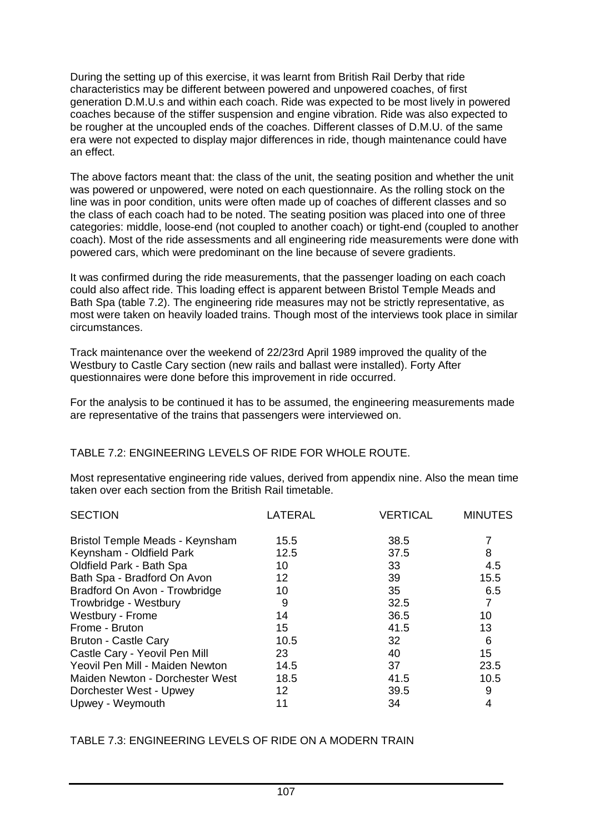During the setting up of this exercise, it was learnt from British Rail Derby that ride characteristics may be different between powered and unpowered coaches, of first generation D.M.U.s and within each coach. Ride was expected to be most lively in powered coaches because of the stiffer suspension and engine vibration. Ride was also expected to be rougher at the uncoupled ends of the coaches. Different classes of D.M.U. of the same era were not expected to display major differences in ride, though maintenance could have an effect.

The above factors meant that: the class of the unit, the seating position and whether the unit was powered or unpowered, were noted on each questionnaire. As the rolling stock on the line was in poor condition, units were often made up of coaches of different classes and so the class of each coach had to be noted. The seating position was placed into one of three categories: middle, loose-end (not coupled to another coach) or tight-end (coupled to another coach). Most of the ride assessments and all engineering ride measurements were done with powered cars, which were predominant on the line because of severe gradients.

It was confirmed during the ride measurements, that the passenger loading on each coach could also affect ride. This loading effect is apparent between Bristol Temple Meads and Bath Spa (table 7.2). The engineering ride measures may not be strictly representative, as most were taken on heavily loaded trains. Though most of the interviews took place in similar circumstances.

Track maintenance over the weekend of 22/23rd April 1989 improved the quality of the Westbury to Castle Cary section (new rails and ballast were installed). Forty After questionnaires were done before this improvement in ride occurred.

For the analysis to be continued it has to be assumed, the engineering measurements made are representative of the trains that passengers were interviewed on.

### TABLE 7.2: ENGINEERING LEVELS OF RIDE FOR WHOLE ROUTE.

Most representative engineering ride values, derived from appendix nine. Also the mean time taken over each section from the British Rail timetable.

| <b>SECTION</b>                  | LATERAL | <b>VERTICAL</b> | <b>MINUTES</b> |
|---------------------------------|---------|-----------------|----------------|
| Bristol Temple Meads - Keynsham | 15.5    | 38.5            |                |
| Keynsham - Oldfield Park        | 12.5    | 37.5            | 8              |
| Oldfield Park - Bath Spa        | 10      | 33              | 4.5            |
| Bath Spa - Bradford On Avon     | 12      | 39              | 15.5           |
| Bradford On Avon - Trowbridge   | 10      | 35              | 6.5            |
| Trowbridge - Westbury           | 9       | 32.5            | $\overline{7}$ |
| Westbury - Frome                | 14      | 36.5            | 10             |
| Frome - Bruton                  | 15      | 41.5            | 13             |
| <b>Bruton - Castle Cary</b>     | 10.5    | 32              | 6              |
| Castle Cary - Yeovil Pen Mill   | 23      | 40              | 15             |
| Yeovil Pen Mill - Maiden Newton | 14.5    | 37              | 23.5           |
| Maiden Newton - Dorchester West | 18.5    | 41.5            | 10.5           |
| Dorchester West - Upwey         | $12 \,$ | 39.5            | 9              |
| Upwey - Weymouth                | 11      | 34              | 4              |

TABLE 7.3: ENGINEERING LEVELS OF RIDE ON A MODERN TRAIN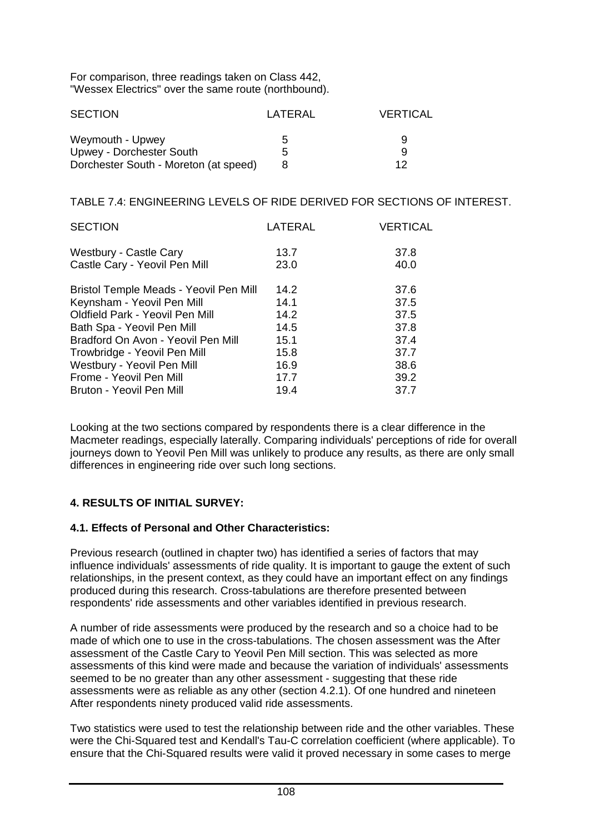For comparison, three readings taken on Class 442, "Wessex Electrics" over the same route (northbound).

| <b>SECTION</b>                        | LATERAI | VERTICAL |
|---------------------------------------|---------|----------|
| Weymouth - Upwey                      | 5       | 9        |
| Upwey - Dorchester South              | 5       | Q        |
| Dorchester South - Moreton (at speed) |         | 12       |

TABLE 7.4: ENGINEERING LEVELS OF RIDE DERIVED FOR SECTIONS OF INTEREST.

| <b>SECTION</b>                         | LATERAL | <b>VERTICAL</b> |
|----------------------------------------|---------|-----------------|
| Westbury - Castle Cary                 | 13.7    | 37.8            |
| Castle Cary - Yeovil Pen Mill          | 23.0    | 40.0            |
| Bristol Temple Meads - Yeovil Pen Mill | 14.2    | 37.6            |
| Keynsham - Yeovil Pen Mill             | 14.1    | 37.5            |
| Oldfield Park - Yeovil Pen Mill        | 14.2    | 37.5            |
| Bath Spa - Yeovil Pen Mill             | 14.5    | 37.8            |
| Bradford On Avon - Yeovil Pen Mill     | 15.1    | 37.4            |
| Trowbridge - Yeovil Pen Mill           | 15.8    | 37.7            |
| Westbury - Yeovil Pen Mill             | 16.9    | 38.6            |
| Frome - Yeovil Pen Mill                | 17.7    | 39.2            |
| Bruton - Yeovil Pen Mill               | 19.4    | 37.7            |

Looking at the two sections compared by respondents there is a clear difference in the Macmeter readings, especially laterally. Comparing individuals' perceptions of ride for overall journeys down to Yeovil Pen Mill was unlikely to produce any results, as there are only small differences in engineering ride over such long sections.

# **4. RESULTS OF INITIAL SURVEY:**

### **4.1. Effects of Personal and Other Characteristics:**

Previous research (outlined in chapter two) has identified a series of factors that may influence individuals' assessments of ride quality. It is important to gauge the extent of such relationships, in the present context, as they could have an important effect on any findings produced during this research. Cross-tabulations are therefore presented between respondents' ride assessments and other variables identified in previous research.

A number of ride assessments were produced by the research and so a choice had to be made of which one to use in the cross-tabulations. The chosen assessment was the After assessment of the Castle Cary to Yeovil Pen Mill section. This was selected as more assessments of this kind were made and because the variation of individuals' assessments seemed to be no greater than any other assessment - suggesting that these ride assessments were as reliable as any other (section 4.2.1). Of one hundred and nineteen After respondents ninety produced valid ride assessments.

Two statistics were used to test the relationship between ride and the other variables. These were the Chi-Squared test and Kendall's Tau-C correlation coefficient (where applicable). To ensure that the Chi-Squared results were valid it proved necessary in some cases to merge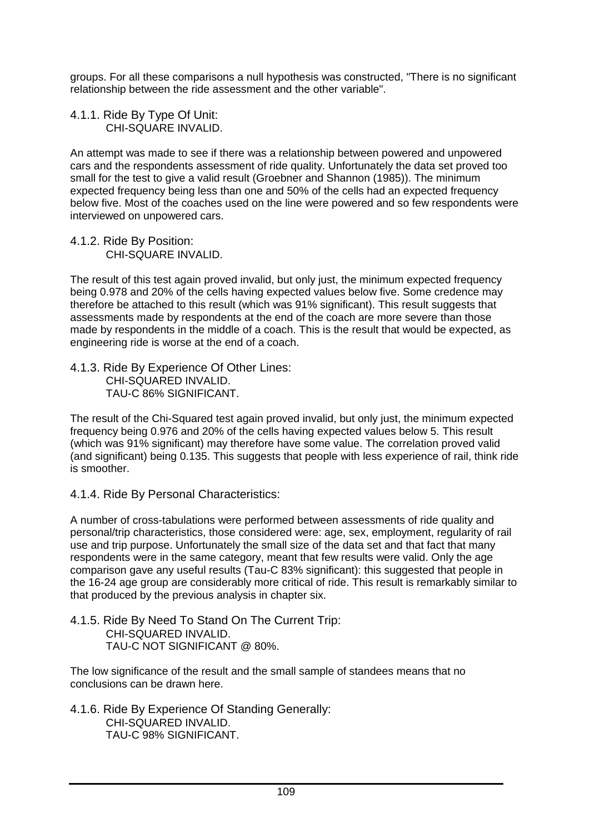groups. For all these comparisons a null hypothesis was constructed, "There is no significant relationship between the ride assessment and the other variable".

4.1.1. Ride By Type Of Unit: CHI-SQUARE INVALID.

An attempt was made to see if there was a relationship between powered and unpowered cars and the respondents assessment of ride quality. Unfortunately the data set proved too small for the test to give a valid result (Groebner and Shannon (1985)). The minimum expected frequency being less than one and 50% of the cells had an expected frequency below five. Most of the coaches used on the line were powered and so few respondents were interviewed on unpowered cars.

4.1.2. Ride By Position: CHI-SQUARE INVALID.

The result of this test again proved invalid, but only just, the minimum expected frequency being 0.978 and 20% of the cells having expected values below five. Some credence may therefore be attached to this result (which was 91% significant). This result suggests that assessments made by respondents at the end of the coach are more severe than those made by respondents in the middle of a coach. This is the result that would be expected, as engineering ride is worse at the end of a coach.

4.1.3. Ride By Experience Of Other Lines: CHI-SQUARED INVALID. TAU-C 86% SIGNIFICANT.

The result of the Chi-Squared test again proved invalid, but only just, the minimum expected frequency being 0.976 and 20% of the cells having expected values below 5. This result (which was 91% significant) may therefore have some value. The correlation proved valid (and significant) being 0.135. This suggests that people with less experience of rail, think ride is smoother.

4.1.4. Ride By Personal Characteristics:

A number of cross-tabulations were performed between assessments of ride quality and personal/trip characteristics, those considered were: age, sex, employment, regularity of rail use and trip purpose. Unfortunately the small size of the data set and that fact that many respondents were in the same category, meant that few results were valid. Only the age comparison gave any useful results (Tau-C 83% significant): this suggested that people in the 16-24 age group are considerably more critical of ride. This result is remarkably similar to that produced by the previous analysis in chapter six.

4.1.5. Ride By Need To Stand On The Current Trip: CHI-SQUARED INVALID. TAU-C NOT SIGNIFICANT @ 80%.

The low significance of the result and the small sample of standees means that no conclusions can be drawn here.

4.1.6. Ride By Experience Of Standing Generally: CHI-SQUARED INVALID. TAU-C 98% SIGNIFICANT.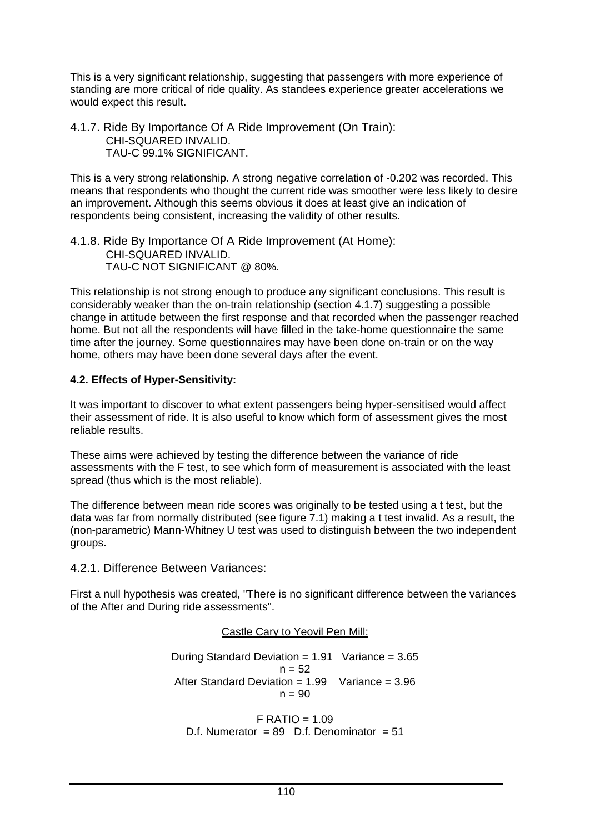This is a very significant relationship, suggesting that passengers with more experience of standing are more critical of ride quality. As standees experience greater accelerations we would expect this result.

4.1.7. Ride By Importance Of A Ride Improvement (On Train): CHI-SQUARED INVALID. TAU-C 99.1% SIGNIFICANT.

This is a very strong relationship. A strong negative correlation of -0.202 was recorded. This means that respondents who thought the current ride was smoother were less likely to desire an improvement. Although this seems obvious it does at least give an indication of respondents being consistent, increasing the validity of other results.

4.1.8. Ride By Importance Of A Ride Improvement (At Home): CHI-SQUARED INVALID. TAU-C NOT SIGNIFICANT @ 80%.

This relationship is not strong enough to produce any significant conclusions. This result is considerably weaker than the on-train relationship (section 4.1.7) suggesting a possible change in attitude between the first response and that recorded when the passenger reached home. But not all the respondents will have filled in the take-home questionnaire the same time after the journey. Some questionnaires may have been done on-train or on the way home, others may have been done several days after the event.

### **4.2. Effects of Hyper-Sensitivity:**

It was important to discover to what extent passengers being hyper-sensitised would affect their assessment of ride. It is also useful to know which form of assessment gives the most reliable results.

These aims were achieved by testing the difference between the variance of ride assessments with the F test, to see which form of measurement is associated with the least spread (thus which is the most reliable).

The difference between mean ride scores was originally to be tested using a t test, but the data was far from normally distributed (see figure 7.1) making a t test invalid. As a result, the (non-parametric) Mann-Whitney U test was used to distinguish between the two independent groups.

4.2.1. Difference Between Variances:

First a null hypothesis was created, "There is no significant difference between the variances of the After and During ride assessments".

### Castle Cary to Yeovil Pen Mill:

During Standard Deviation =  $1.91$  Variance =  $3.65$  $n = 52$ After Standard Deviation = 1.99 Variance = 3.96  $n = 90$ 

 $F$  RATIO = 1.09 D.f. Numerator =  $89$  D.f. Denominator =  $51$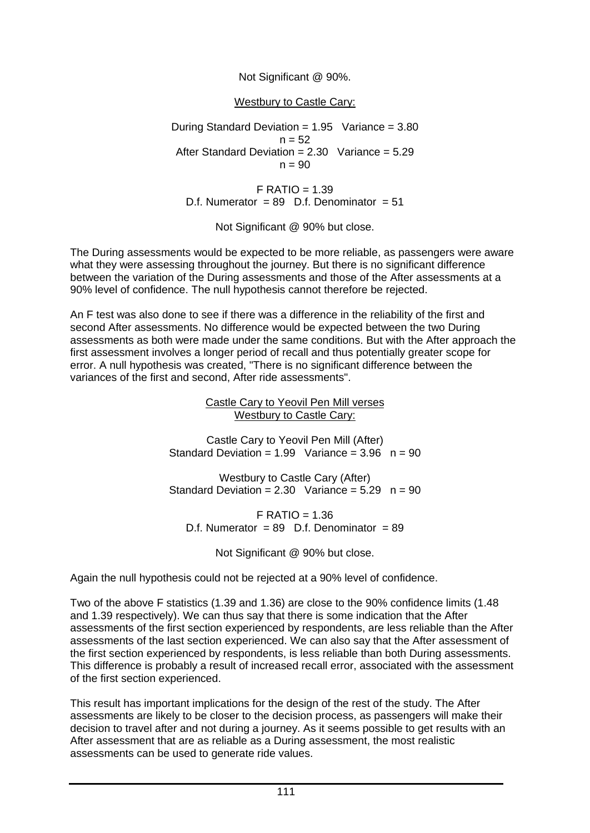### Not Significant @ 90%.

#### Westbury to Castle Cary:

During Standard Deviation =  $1.95$  Variance =  $3.80$  $n = 52$ After Standard Deviation =  $2.30$  Variance =  $5.29$  $n = 90$ 

 $F$  RATIO = 1.39 D.f. Numerator = 89 D.f. Denominator =  $51$ 

Not Significant @ 90% but close.

The During assessments would be expected to be more reliable, as passengers were aware what they were assessing throughout the journey. But there is no significant difference between the variation of the During assessments and those of the After assessments at a 90% level of confidence. The null hypothesis cannot therefore be rejected.

An F test was also done to see if there was a difference in the reliability of the first and second After assessments. No difference would be expected between the two During assessments as both were made under the same conditions. But with the After approach the first assessment involves a longer period of recall and thus potentially greater scope for error. A null hypothesis was created, "There is no significant difference between the variances of the first and second, After ride assessments".

> Castle Cary to Yeovil Pen Mill verses Westbury to Castle Cary:

Castle Cary to Yeovil Pen Mill (After) Standard Deviation =  $1.99$  Variance =  $3.96$  n =  $90$ 

Westbury to Castle Cary (After) Standard Deviation =  $2.30$  Variance =  $5.29$  n =  $90$ 

 $F$  RATIO = 1.36 D.f. Numerator =  $89$  D.f. Denominator =  $89$ 

Not Significant @ 90% but close.

Again the null hypothesis could not be rejected at a 90% level of confidence.

Two of the above F statistics (1.39 and 1.36) are close to the 90% confidence limits (1.48 and 1.39 respectively). We can thus say that there is some indication that the After assessments of the first section experienced by respondents, are less reliable than the After assessments of the last section experienced. We can also say that the After assessment of the first section experienced by respondents, is less reliable than both During assessments. This difference is probably a result of increased recall error, associated with the assessment of the first section experienced.

This result has important implications for the design of the rest of the study. The After assessments are likely to be closer to the decision process, as passengers will make their decision to travel after and not during a journey. As it seems possible to get results with an After assessment that are as reliable as a During assessment, the most realistic assessments can be used to generate ride values.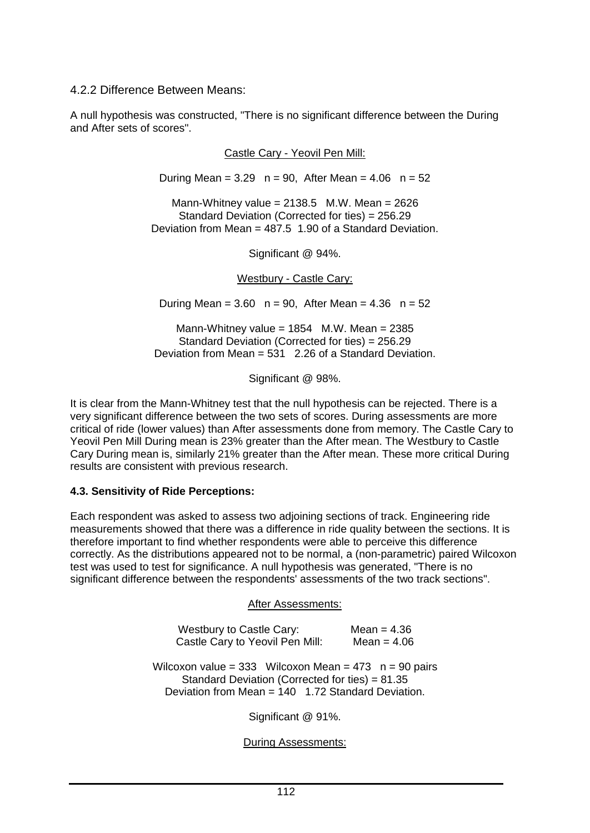4.2.2 Difference Between Means:

A null hypothesis was constructed, "There is no significant difference between the During and After sets of scores".

Castle Cary - Yeovil Pen Mill:

During Mean =  $3.29$  n =  $90$ , After Mean =  $4.06$  n =  $52$ 

Mann-Whitney value =  $2138.5$  M.W. Mean =  $2626$ Standard Deviation (Corrected for ties) = 256.29 Deviation from Mean = 487.5 1.90 of a Standard Deviation.

Significant @ 94%.

Westbury - Castle Cary:

During Mean =  $3.60$  n =  $90$ , After Mean =  $4.36$  n =  $52$ 

Mann-Whitney value =  $1854$  M.W. Mean =  $2385$ Standard Deviation (Corrected for ties) = 256.29 Deviation from Mean  $= 531 - 2.26$  of a Standard Deviation.

Significant @ 98%.

It is clear from the Mann-Whitney test that the null hypothesis can be rejected. There is a very significant difference between the two sets of scores. During assessments are more critical of ride (lower values) than After assessments done from memory. The Castle Cary to Yeovil Pen Mill During mean is 23% greater than the After mean. The Westbury to Castle Cary During mean is, similarly 21% greater than the After mean. These more critical During results are consistent with previous research.

#### **4.3. Sensitivity of Ride Perceptions:**

Each respondent was asked to assess two adjoining sections of track. Engineering ride measurements showed that there was a difference in ride quality between the sections. It is therefore important to find whether respondents were able to perceive this difference correctly. As the distributions appeared not to be normal, a (non-parametric) paired Wilcoxon test was used to test for significance. A null hypothesis was generated, "There is no significant difference between the respondents' assessments of the two track sections".

#### After Assessments:

| Westbury to Castle Cary:        | Mean = $4.36$ |
|---------------------------------|---------------|
| Castle Cary to Yeovil Pen Mill: | Mean = $4.06$ |

Wilcoxon value =  $333$  Wilcoxon Mean =  $473$  n =  $90$  pairs Standard Deviation (Corrected for ties) = 81.35 Deviation from Mean = 140 1.72 Standard Deviation.

Significant @ 91%.

During Assessments: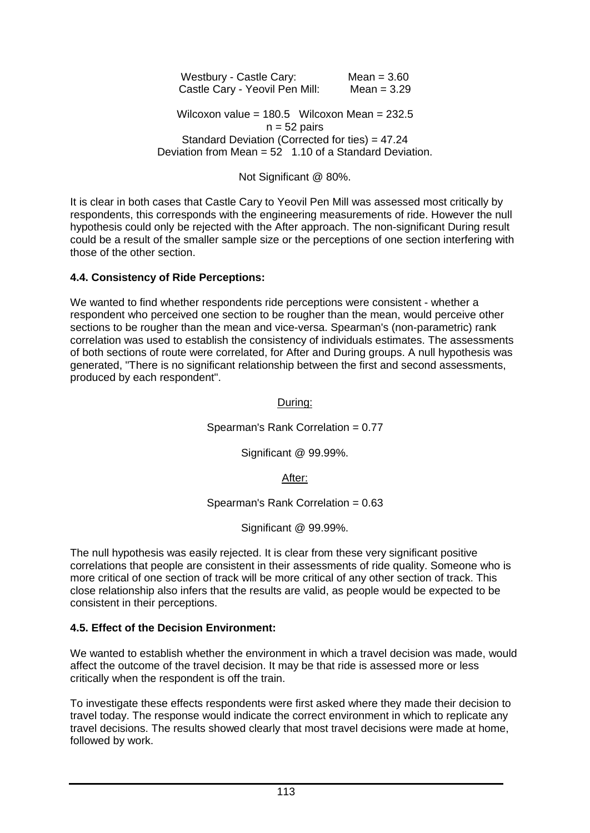Westbury - Castle Cary: Mean = 3.60 Castle Cary - Yeovil Pen Mill: Mean = 3.29

Wilcoxon value =  $180.5$  Wilcoxon Mean =  $232.5$  $n = 52$  pairs Standard Deviation (Corrected for ties) = 47.24 Deviation from Mean  $= 52$  1.10 of a Standard Deviation.

#### Not Significant @ 80%.

It is clear in both cases that Castle Cary to Yeovil Pen Mill was assessed most critically by respondents, this corresponds with the engineering measurements of ride. However the null hypothesis could only be rejected with the After approach. The non-significant During result could be a result of the smaller sample size or the perceptions of one section interfering with those of the other section.

#### **4.4. Consistency of Ride Perceptions:**

We wanted to find whether respondents ride perceptions were consistent - whether a respondent who perceived one section to be rougher than the mean, would perceive other sections to be rougher than the mean and vice-versa. Spearman's (non-parametric) rank correlation was used to establish the consistency of individuals estimates. The assessments of both sections of route were correlated, for After and During groups. A null hypothesis was generated, "There is no significant relationship between the first and second assessments, produced by each respondent".

During:

Spearman's Rank Correlation = 0.77

Significant @ 99.99%.

#### After:

Spearman's Rank Correlation = 0.63

Significant @ 99.99%.

The null hypothesis was easily rejected. It is clear from these very significant positive correlations that people are consistent in their assessments of ride quality. Someone who is more critical of one section of track will be more critical of any other section of track. This close relationship also infers that the results are valid, as people would be expected to be consistent in their perceptions.

#### **4.5. Effect of the Decision Environment:**

We wanted to establish whether the environment in which a travel decision was made, would affect the outcome of the travel decision. It may be that ride is assessed more or less critically when the respondent is off the train.

To investigate these effects respondents were first asked where they made their decision to travel today. The response would indicate the correct environment in which to replicate any travel decisions. The results showed clearly that most travel decisions were made at home, followed by work.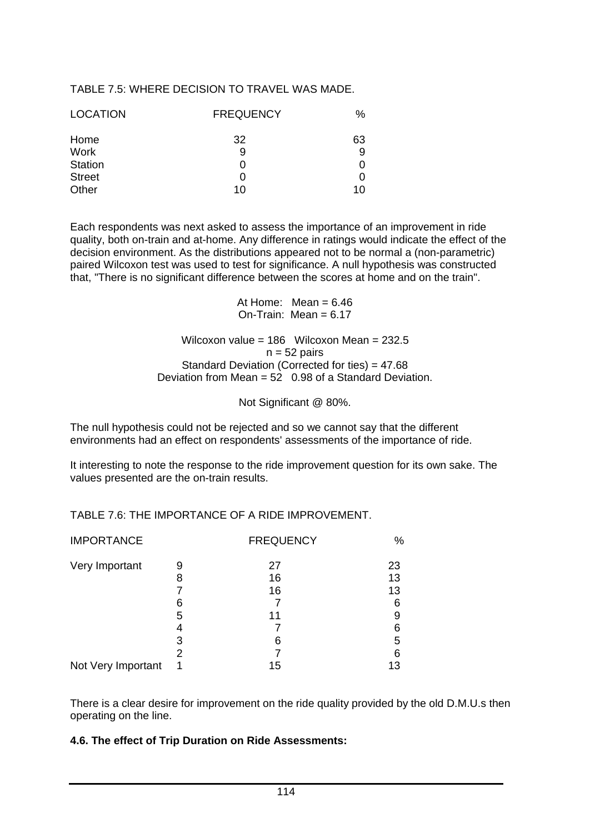#### TABLE 7.5: WHERE DECISION TO TRAVEL WAS MADE.

| <b>LOCATION</b> | <b>FREQUENCY</b> | $\%$ |
|-----------------|------------------|------|
| Home            | 32               | 63   |
| <b>Work</b>     | 9                | 9    |
| <b>Station</b>  |                  | 0    |
| <b>Street</b>   |                  | 0    |
| Other           | 10               | 10   |

Each respondents was next asked to assess the importance of an improvement in ride quality, both on-train and at-home. Any difference in ratings would indicate the effect of the decision environment. As the distributions appeared not to be normal a (non-parametric) paired Wilcoxon test was used to test for significance. A null hypothesis was constructed that, "There is no significant difference between the scores at home and on the train".

> At Home: Mean  $= 6.46$  $On-Train: Mean = 6.17$

Wilcoxon value = 186 Wilcoxon Mean = 232.5  $n = 52$  pairs Standard Deviation (Corrected for ties) = 47.68 Deviation from Mean = 52 0.98 of a Standard Deviation.

Not Significant @ 80%.

The null hypothesis could not be rejected and so we cannot say that the different environments had an effect on respondents' assessments of the importance of ride.

It interesting to note the response to the ride improvement question for its own sake. The values presented are the on-train results.

| <b>IMPORTANCE</b>  |   | <b>FREQUENCY</b> | %  |
|--------------------|---|------------------|----|
| Very Important     | 9 | 27               | 23 |
|                    | 8 | 16               | 13 |
|                    |   | 16               | 13 |
|                    | 6 |                  | 6  |
|                    | 5 | 11               | 9  |
|                    | 4 |                  | 6  |
|                    | 3 | 6                | 5  |
|                    | 2 |                  | 6  |
| Not Very Important |   | 15               | 13 |

TABLE 7.6: THE IMPORTANCE OF A RIDE IMPROVEMENT.

There is a clear desire for improvement on the ride quality provided by the old D.M.U.s then operating on the line.

#### **4.6. The effect of Trip Duration on Ride Assessments:**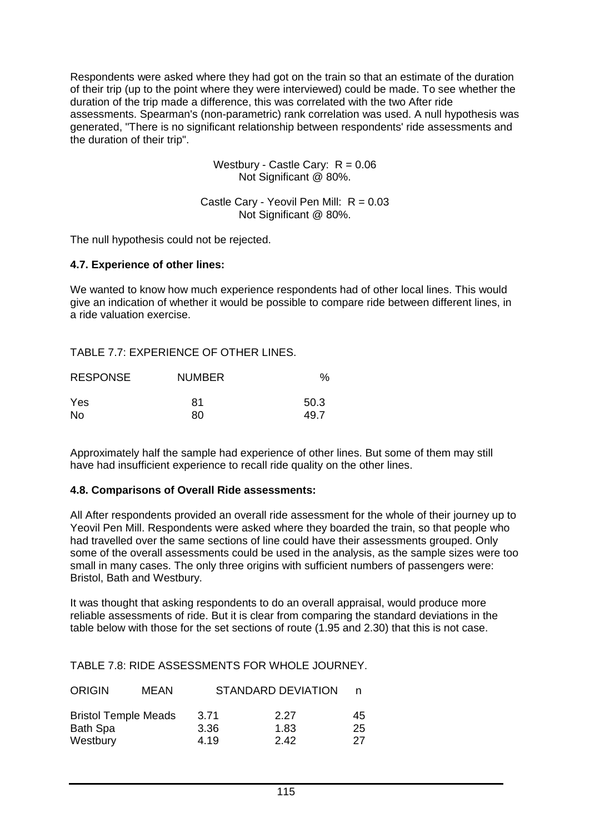Respondents were asked where they had got on the train so that an estimate of the duration of their trip (up to the point where they were interviewed) could be made. To see whether the duration of the trip made a difference, this was correlated with the two After ride assessments. Spearman's (non-parametric) rank correlation was used. A null hypothesis was generated, "There is no significant relationship between respondents' ride assessments and the duration of their trip".

> Westbury - Castle Cary:  $R = 0.06$ Not Significant @ 80%.

Castle Cary - Yeovil Pen Mill:  $R = 0.03$ Not Significant @ 80%.

The null hypothesis could not be rejected.

#### **4.7. Experience of other lines:**

We wanted to know how much experience respondents had of other local lines. This would give an indication of whether it would be possible to compare ride between different lines, in a ride valuation exercise.

TABLE 7.7: EXPERIENCE OF OTHER LINES.

| <b>RESPONSE</b> | <b>NUMBER</b> | %    |
|-----------------|---------------|------|
| Yes             | 81            | 50.3 |
| No.             | 80            | 49.7 |

Approximately half the sample had experience of other lines. But some of them may still have had insufficient experience to recall ride quality on the other lines.

#### **4.8. Comparisons of Overall Ride assessments:**

All After respondents provided an overall ride assessment for the whole of their journey up to Yeovil Pen Mill. Respondents were asked where they boarded the train, so that people who had travelled over the same sections of line could have their assessments grouped. Only some of the overall assessments could be used in the analysis, as the sample sizes were too small in many cases. The only three origins with sufficient numbers of passengers were: Bristol, Bath and Westbury.

It was thought that asking respondents to do an overall appraisal, would produce more reliable assessments of ride. But it is clear from comparing the standard deviations in the table below with those for the set sections of route (1.95 and 2.30) that this is not case.

TABLE 7.8: RIDE ASSESSMENTS FOR WHOLE JOURNEY.

| <b>ORIGIN</b>                                  | MEAN |              | <b>STANDARD DEVIATION</b> |          |
|------------------------------------------------|------|--------------|---------------------------|----------|
| <b>Bristol Temple Meads</b><br><b>Bath Spa</b> |      | 3.71<br>3.36 | 2.27<br>1.83              | 45<br>25 |
| Westbury                                       |      | 4.19         | 2.42                      | 27       |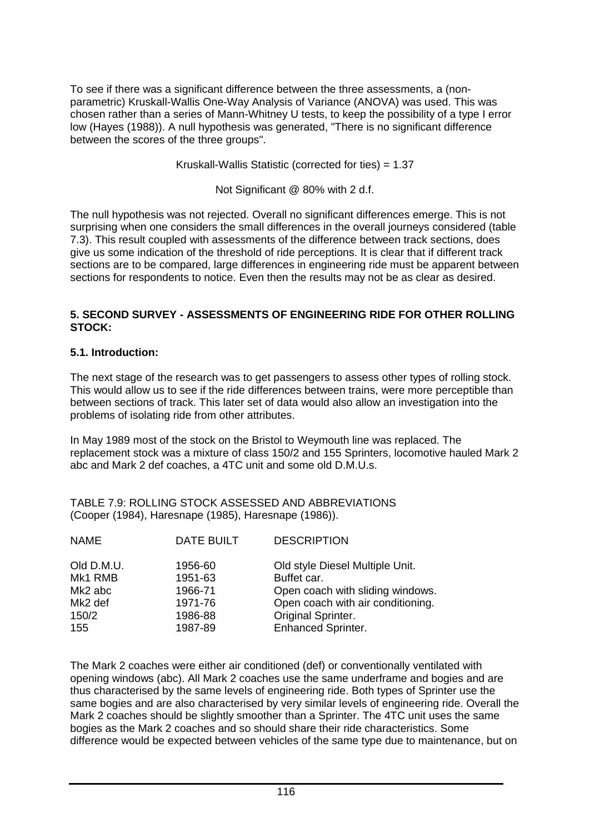To see if there was a significant difference between the three assessments, a (nonparametric) Kruskall-Wallis One-Way Analysis of Variance (ANOVA) was used. This was chosen rather than a series of Mann-Whitney U tests, to keep the possibility of a type I error low (Hayes (1988)). A null hypothesis was generated, "There is no significant difference between the scores of the three groups".

Kruskall-Wallis Statistic (corrected for ties) = 1.37

Not Significant @ 80% with 2 d.f.

The null hypothesis was not rejected. Overall no significant differences emerge. This is not surprising when one considers the small differences in the overall journeys considered (table 7.3). This result coupled with assessments of the difference between track sections, does give us some indication of the threshold of ride perceptions. It is clear that if different track sections are to be compared, large differences in engineering ride must be apparent between sections for respondents to notice. Even then the results may not be as clear as desired.

#### **5. SECOND SURVEY - ASSESSMENTS OF ENGINEERING RIDE FOR OTHER ROLLING STOCK:**

#### **5.1. Introduction:**

The next stage of the research was to get passengers to assess other types of rolling stock. This would allow us to see if the ride differences between trains, were more perceptible than between sections of track. This later set of data would also allow an investigation into the problems of isolating ride from other attributes.

In May 1989 most of the stock on the Bristol to Weymouth line was replaced. The replacement stock was a mixture of class 150/2 and 155 Sprinters, locomotive hauled Mark 2 abc and Mark 2 def coaches, a 4TC unit and some old D.M.U.s.

TABLE 7.9: ROLLING STOCK ASSESSED AND ABBREVIATIONS (Cooper (1984), Haresnape (1985), Haresnape (1986)).

| <b>NAME</b> | <b>DATE BUILT</b> | <b>DESCRIPTION</b>                |
|-------------|-------------------|-----------------------------------|
| Old D.M.U.  | 1956-60           | Old style Diesel Multiple Unit.   |
| Mk1 RMB     | 1951-63           | Buffet car.                       |
| Mk2 abc     | 1966-71           | Open coach with sliding windows.  |
| Mk2 def     | 1971-76           | Open coach with air conditioning. |
| 150/2       | 1986-88           | Original Sprinter.                |
| 155         | 1987-89           | <b>Enhanced Sprinter.</b>         |
|             |                   |                                   |

The Mark 2 coaches were either air conditioned (def) or conventionally ventilated with opening windows (abc). All Mark 2 coaches use the same underframe and bogies and are thus characterised by the same levels of engineering ride. Both types of Sprinter use the same bogies and are also characterised by very similar levels of engineering ride. Overall the Mark 2 coaches should be slightly smoother than a Sprinter. The 4TC unit uses the same bogies as the Mark 2 coaches and so should share their ride characteristics. Some difference would be expected between vehicles of the same type due to maintenance, but on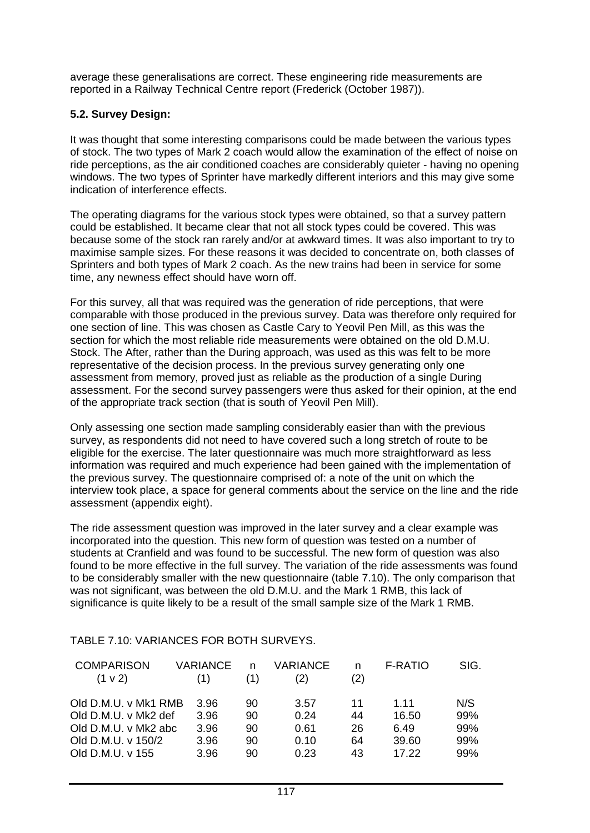average these generalisations are correct. These engineering ride measurements are reported in a Railway Technical Centre report (Frederick (October 1987)).

### **5.2. Survey Design:**

It was thought that some interesting comparisons could be made between the various types of stock. The two types of Mark 2 coach would allow the examination of the effect of noise on ride perceptions, as the air conditioned coaches are considerably quieter - having no opening windows. The two types of Sprinter have markedly different interiors and this may give some indication of interference effects.

The operating diagrams for the various stock types were obtained, so that a survey pattern could be established. It became clear that not all stock types could be covered. This was because some of the stock ran rarely and/or at awkward times. It was also important to try to maximise sample sizes. For these reasons it was decided to concentrate on, both classes of Sprinters and both types of Mark 2 coach. As the new trains had been in service for some time, any newness effect should have worn off.

For this survey, all that was required was the generation of ride perceptions, that were comparable with those produced in the previous survey. Data was therefore only required for one section of line. This was chosen as Castle Cary to Yeovil Pen Mill, as this was the section for which the most reliable ride measurements were obtained on the old D.M.U. Stock. The After, rather than the During approach, was used as this was felt to be more representative of the decision process. In the previous survey generating only one assessment from memory, proved just as reliable as the production of a single During assessment. For the second survey passengers were thus asked for their opinion, at the end of the appropriate track section (that is south of Yeovil Pen Mill).

Only assessing one section made sampling considerably easier than with the previous survey, as respondents did not need to have covered such a long stretch of route to be eligible for the exercise. The later questionnaire was much more straightforward as less information was required and much experience had been gained with the implementation of the previous survey. The questionnaire comprised of: a note of the unit on which the interview took place, a space for general comments about the service on the line and the ride assessment (appendix eight).

The ride assessment question was improved in the later survey and a clear example was incorporated into the question. This new form of question was tested on a number of students at Cranfield and was found to be successful. The new form of question was also found to be more effective in the full survey. The variation of the ride assessments was found to be considerably smaller with the new questionnaire (table 7.10). The only comparison that was not significant, was between the old D.M.U. and the Mark 1 RMB, this lack of significance is quite likely to be a result of the small sample size of the Mark 1 RMB.

| <b>COMPARISON</b><br>$(1 \vee 2)$ | VARIANCE<br>(1) | (1) | <b>VARIANCE</b><br>(2) | n<br>(2) | <b>F-RATIO</b> | SIG. |
|-----------------------------------|-----------------|-----|------------------------|----------|----------------|------|
| Old D.M.U. v Mk1 RMB              | 3.96            | 90  | 3.57                   | 11       | 1.11           | N/S  |
| Old D.M.U. v Mk2 def              | 3.96            | 90  | 0.24                   | 44       | 16.50          | 99%  |
| Old D.M.U. v Mk2 abc              | 3.96            | 90  | 0.61                   | 26       | 6.49           | 99%  |
| Old D.M.U. v 150/2                | 3.96            | 90  | 0.10                   | 64       | 39.60          | 99%  |
| Old D.M.U. v 155                  | 3.96            | 90  | 0.23                   | 43       | 17.22          | 99%  |

#### TABLE 7.10: VARIANCES FOR BOTH SURVEYS.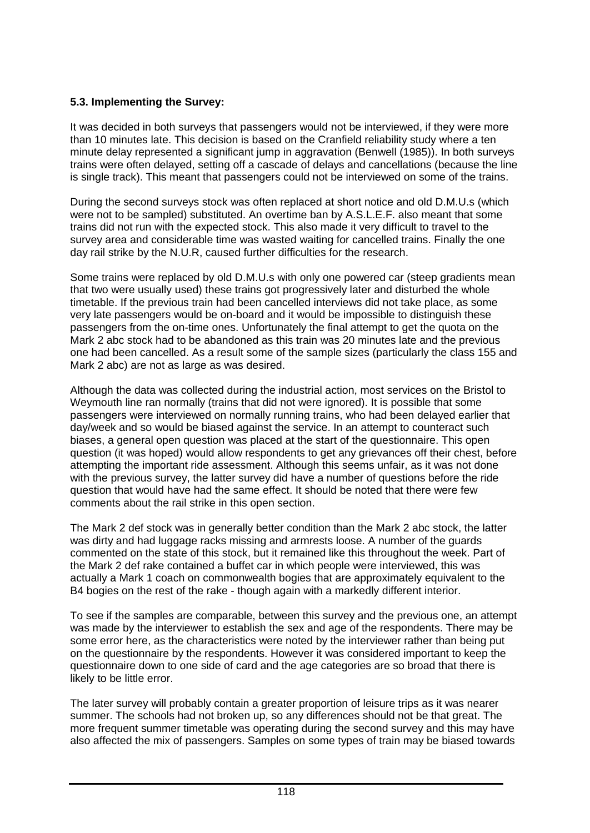# **5.3. Implementing the Survey:**

It was decided in both surveys that passengers would not be interviewed, if they were more than 10 minutes late. This decision is based on the Cranfield reliability study where a ten minute delay represented a significant jump in aggravation (Benwell (1985)). In both surveys trains were often delayed, setting off a cascade of delays and cancellations (because the line is single track). This meant that passengers could not be interviewed on some of the trains.

During the second surveys stock was often replaced at short notice and old D.M.U.s (which were not to be sampled) substituted. An overtime ban by A.S.L.E.F. also meant that some trains did not run with the expected stock. This also made it very difficult to travel to the survey area and considerable time was wasted waiting for cancelled trains. Finally the one day rail strike by the N.U.R, caused further difficulties for the research.

Some trains were replaced by old D.M.U.s with only one powered car (steep gradients mean that two were usually used) these trains got progressively later and disturbed the whole timetable. If the previous train had been cancelled interviews did not take place, as some very late passengers would be on-board and it would be impossible to distinguish these passengers from the on-time ones. Unfortunately the final attempt to get the quota on the Mark 2 abc stock had to be abandoned as this train was 20 minutes late and the previous one had been cancelled. As a result some of the sample sizes (particularly the class 155 and Mark 2 abc) are not as large as was desired.

Although the data was collected during the industrial action, most services on the Bristol to Weymouth line ran normally (trains that did not were ignored). It is possible that some passengers were interviewed on normally running trains, who had been delayed earlier that day/week and so would be biased against the service. In an attempt to counteract such biases, a general open question was placed at the start of the questionnaire. This open question (it was hoped) would allow respondents to get any grievances off their chest, before attempting the important ride assessment. Although this seems unfair, as it was not done with the previous survey, the latter survey did have a number of questions before the ride question that would have had the same effect. It should be noted that there were few comments about the rail strike in this open section.

The Mark 2 def stock was in generally better condition than the Mark 2 abc stock, the latter was dirty and had luggage racks missing and armrests loose. A number of the guards commented on the state of this stock, but it remained like this throughout the week. Part of the Mark 2 def rake contained a buffet car in which people were interviewed, this was actually a Mark 1 coach on commonwealth bogies that are approximately equivalent to the B4 bogies on the rest of the rake - though again with a markedly different interior.

To see if the samples are comparable, between this survey and the previous one, an attempt was made by the interviewer to establish the sex and age of the respondents. There may be some error here, as the characteristics were noted by the interviewer rather than being put on the questionnaire by the respondents. However it was considered important to keep the questionnaire down to one side of card and the age categories are so broad that there is likely to be little error.

The later survey will probably contain a greater proportion of leisure trips as it was nearer summer. The schools had not broken up, so any differences should not be that great. The more frequent summer timetable was operating during the second survey and this may have also affected the mix of passengers. Samples on some types of train may be biased towards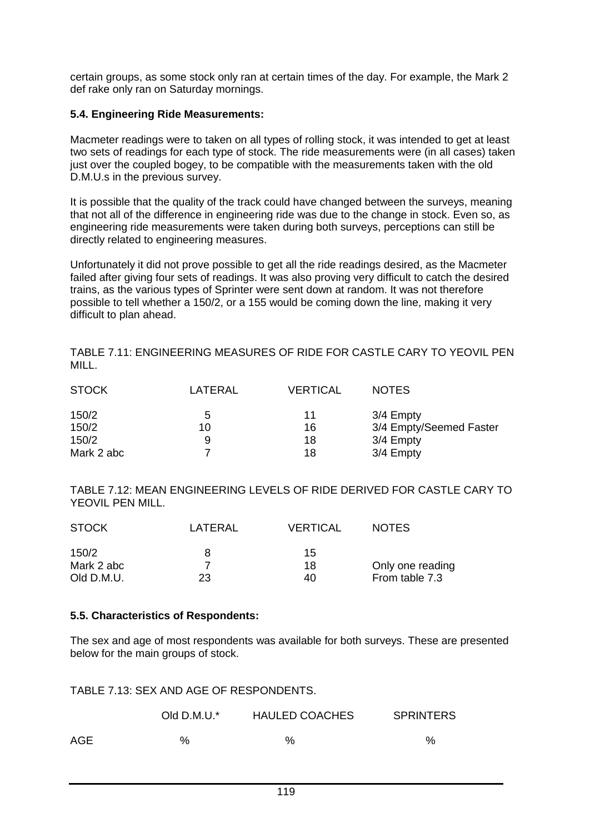certain groups, as some stock only ran at certain times of the day. For example, the Mark 2 def rake only ran on Saturday mornings.

#### **5.4. Engineering Ride Measurements:**

Macmeter readings were to taken on all types of rolling stock, it was intended to get at least two sets of readings for each type of stock. The ride measurements were (in all cases) taken just over the coupled bogey, to be compatible with the measurements taken with the old D.M.U.s in the previous survey.

It is possible that the quality of the track could have changed between the surveys, meaning that not all of the difference in engineering ride was due to the change in stock. Even so, as engineering ride measurements were taken during both surveys, perceptions can still be directly related to engineering measures.

Unfortunately it did not prove possible to get all the ride readings desired, as the Macmeter failed after giving four sets of readings. It was also proving very difficult to catch the desired trains, as the various types of Sprinter were sent down at random. It was not therefore possible to tell whether a 150/2, or a 155 would be coming down the line, making it very difficult to plan ahead.

TABLE 7.11: ENGINEERING MEASURES OF RIDE FOR CASTLE CARY TO YEOVIL PEN MILL.

| <b>STOCK</b> | LATERAL | <b>VERTICAL</b> | <b>NOTES</b>            |
|--------------|---------|-----------------|-------------------------|
| 150/2        | 5       | 11              | 3/4 Empty               |
| 150/2        | 10      | 16              | 3/4 Empty/Seemed Faster |
| 150/2        | 9       | 18              | 3/4 Empty               |
| Mark 2 abc   |         | 18              | 3/4 Empty               |

TABLE 7.12: MEAN ENGINEERING LEVELS OF RIDE DERIVED FOR CASTLE CARY TO YEOVIL PEN MILL.

| <b>STOCK</b> | LATERAL | <b>VERTICAL</b> | <b>NOTES</b>     |
|--------------|---------|-----------------|------------------|
| 150/2        |         | 15              |                  |
| Mark 2 abc   |         | 18              | Only one reading |
| Old D.M.U.   | 23      | 40              | From table 7.3   |

#### **5.5. Characteristics of Respondents:**

The sex and age of most respondents was available for both surveys. These are presented below for the main groups of stock.

TABLE 7.13: SEX AND AGE OF RESPONDENTS.

|     | Old D.M.U.* | <b>HAULED COACHES</b> | <b>SPRINTERS</b> |
|-----|-------------|-----------------------|------------------|
| AGE | %           | $\%$                  | $\%$             |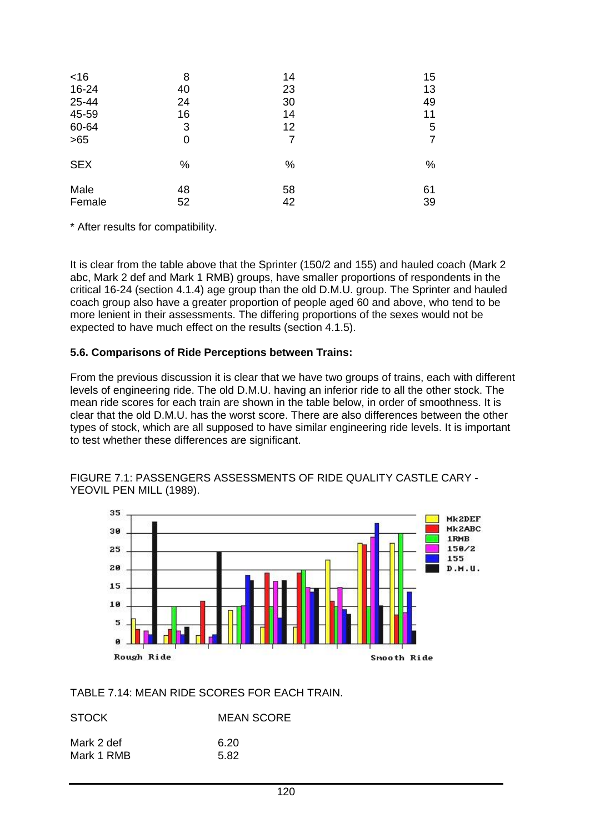| <16        | 8  | 14 | 15             |
|------------|----|----|----------------|
| 16-24      | 40 | 23 | 13             |
| 25-44      | 24 | 30 | 49             |
| 45-59      | 16 | 14 | 11             |
| 60-64      | 3  | 12 | 5              |
| $>65$      | 0  | 7  | $\overline{7}$ |
| <b>SEX</b> | %  | %  | %              |
| Male       | 48 | 58 | 61             |
| Female     | 52 | 42 | 39             |

\* After results for compatibility.

It is clear from the table above that the Sprinter (150/2 and 155) and hauled coach (Mark 2 abc, Mark 2 def and Mark 1 RMB) groups, have smaller proportions of respondents in the critical 16-24 (section 4.1.4) age group than the old D.M.U. group. The Sprinter and hauled coach group also have a greater proportion of people aged 60 and above, who tend to be more lenient in their assessments. The differing proportions of the sexes would not be expected to have much effect on the results (section 4.1.5).

#### **5.6. Comparisons of Ride Perceptions between Trains:**

From the previous discussion it is clear that we have two groups of trains, each with different levels of engineering ride. The old D.M.U. having an inferior ride to all the other stock. The mean ride scores for each train are shown in the table below, in order of smoothness. It is clear that the old D.M.U. has the worst score. There are also differences between the other types of stock, which are all supposed to have similar engineering ride levels. It is important to test whether these differences are significant.



FIGURE 7.1: PASSENGERS ASSESSMENTS OF RIDE QUALITY CASTLE CARY -



#### TABLE 7.14: MEAN RIDE SCORES FOR EACH TRAIN.

| <b>STOCK</b> | <b>MEAN SCORE</b> |
|--------------|-------------------|
| Mark 2 def   | 6.20              |
| Mark 1 RMB   | 5.82              |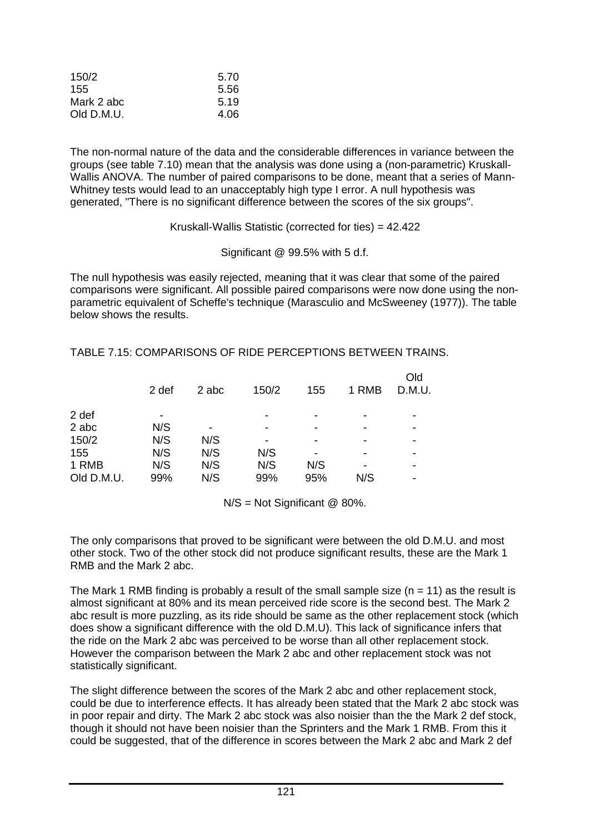| 150/2      | 5.70 |
|------------|------|
| 155        | 5.56 |
| Mark 2 abc | 5.19 |
| Old D.M.U. | 4.06 |

The non-normal nature of the data and the considerable differences in variance between the groups (see table 7.10) mean that the analysis was done using a (non-parametric) Kruskall-Wallis ANOVA. The number of paired comparisons to be done, meant that a series of Mann-Whitney tests would lead to an unacceptably high type I error. A null hypothesis was generated, "There is no significant difference between the scores of the six groups".

#### Kruskall-Wallis Statistic (corrected for ties) = 42.422

Significant @ 99.5% with 5 d.f.

The null hypothesis was easily rejected, meaning that it was clear that some of the paired comparisons were significant. All possible paired comparisons were now done using the nonparametric equivalent of Scheffe's technique (Marasculio and McSweeney (1977)). The table below shows the results.

|            | 2 def | 2 abc | 150/2 | 155 | 1 RMB | Old<br>D.M.U. |
|------------|-------|-------|-------|-----|-------|---------------|
| 2 def      |       |       |       |     |       |               |
| 2 abc      | N/S   | ۰     |       | -   |       |               |
| 150/2      | N/S   | N/S   |       |     |       |               |
| 155        | N/S   | N/S   | N/S   |     |       |               |
| 1 RMB      | N/S   | N/S   | N/S   | N/S | -     |               |
| Old D.M.U. | 99%   | N/S   | 99%   | 95% | N/S   | -             |

TABLE 7.15: COMPARISONS OF RIDE PERCEPTIONS BETWEEN TRAINS.

N/S = Not Significant @ 80%.

The only comparisons that proved to be significant were between the old D.M.U. and most other stock. Two of the other stock did not produce significant results, these are the Mark 1 RMB and the Mark 2 abc.

The Mark 1 RMB finding is probably a result of the small sample size  $(n = 11)$  as the result is almost significant at 80% and its mean perceived ride score is the second best. The Mark 2 abc result is more puzzling, as its ride should be same as the other replacement stock (which does show a significant difference with the old D.M.U). This lack of significance infers that the ride on the Mark 2 abc was perceived to be worse than all other replacement stock. However the comparison between the Mark 2 abc and other replacement stock was not statistically significant.

The slight difference between the scores of the Mark 2 abc and other replacement stock, could be due to interference effects. It has already been stated that the Mark 2 abc stock was in poor repair and dirty. The Mark 2 abc stock was also noisier than the the Mark 2 def stock, though it should not have been noisier than the Sprinters and the Mark 1 RMB. From this it could be suggested, that of the difference in scores between the Mark 2 abc and Mark 2 def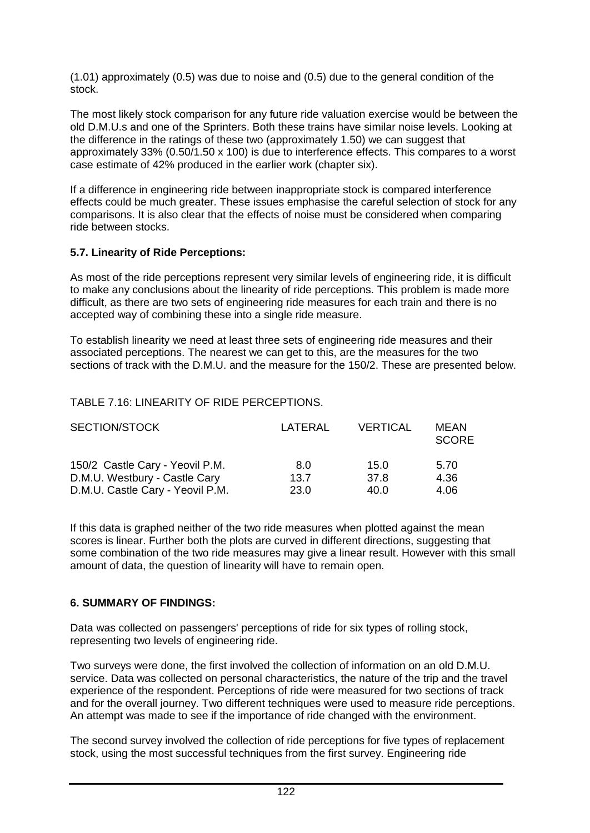(1.01) approximately (0.5) was due to noise and (0.5) due to the general condition of the stock.

The most likely stock comparison for any future ride valuation exercise would be between the old D.M.U.s and one of the Sprinters. Both these trains have similar noise levels. Looking at the difference in the ratings of these two (approximately 1.50) we can suggest that approximately 33% (0.50/1.50 x 100) is due to interference effects. This compares to a worst case estimate of 42% produced in the earlier work (chapter six).

If a difference in engineering ride between inappropriate stock is compared interference effects could be much greater. These issues emphasise the careful selection of stock for any comparisons. It is also clear that the effects of noise must be considered when comparing ride between stocks.

#### **5.7. Linearity of Ride Perceptions:**

As most of the ride perceptions represent very similar levels of engineering ride, it is difficult to make any conclusions about the linearity of ride perceptions. This problem is made more difficult, as there are two sets of engineering ride measures for each train and there is no accepted way of combining these into a single ride measure.

To establish linearity we need at least three sets of engineering ride measures and their associated perceptions. The nearest we can get to this, are the measures for the two sections of track with the D.M.U. and the measure for the 150/2. These are presented below.

#### TABLE 7.16: LINEARITY OF RIDE PERCEPTIONS.

| SECTION/STOCK                    | LATERAL | <b>VERTICAL</b> | MEAN<br><b>SCORE</b> |
|----------------------------------|---------|-----------------|----------------------|
| 150/2 Castle Cary - Yeovil P.M.  | 8.0     | 15.0            | 5.70                 |
| D.M.U. Westbury - Castle Cary    | 13.7    | 37.8            | 4.36                 |
| D.M.U. Castle Cary - Yeovil P.M. | 23.0    | 40.0            | 4.06                 |

If this data is graphed neither of the two ride measures when plotted against the mean scores is linear. Further both the plots are curved in different directions, suggesting that some combination of the two ride measures may give a linear result. However with this small amount of data, the question of linearity will have to remain open.

#### **6. SUMMARY OF FINDINGS:**

Data was collected on passengers' perceptions of ride for six types of rolling stock, representing two levels of engineering ride.

Two surveys were done, the first involved the collection of information on an old D.M.U. service. Data was collected on personal characteristics, the nature of the trip and the travel experience of the respondent. Perceptions of ride were measured for two sections of track and for the overall journey. Two different techniques were used to measure ride perceptions. An attempt was made to see if the importance of ride changed with the environment.

The second survey involved the collection of ride perceptions for five types of replacement stock, using the most successful techniques from the first survey. Engineering ride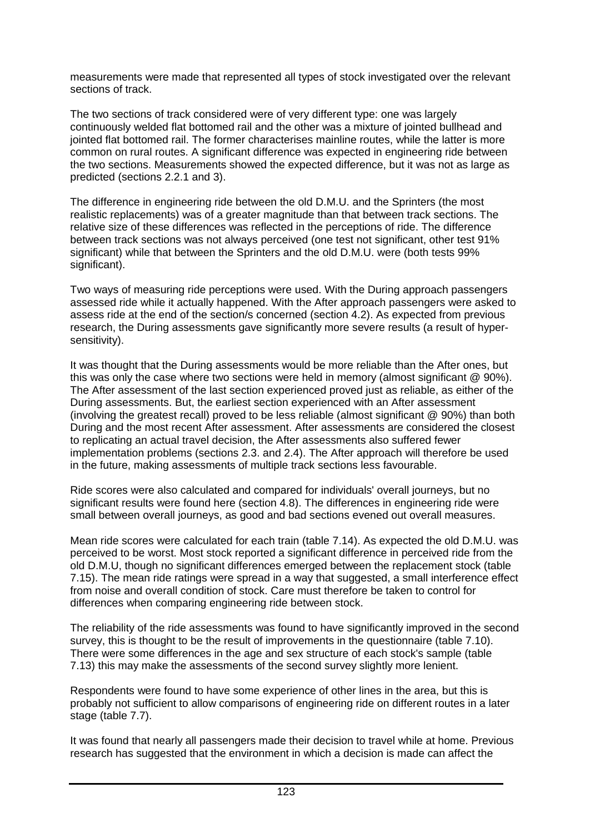measurements were made that represented all types of stock investigated over the relevant sections of track.

The two sections of track considered were of very different type: one was largely continuously welded flat bottomed rail and the other was a mixture of jointed bullhead and jointed flat bottomed rail. The former characterises mainline routes, while the latter is more common on rural routes. A significant difference was expected in engineering ride between the two sections. Measurements showed the expected difference, but it was not as large as predicted (sections 2.2.1 and 3).

The difference in engineering ride between the old D.M.U. and the Sprinters (the most realistic replacements) was of a greater magnitude than that between track sections. The relative size of these differences was reflected in the perceptions of ride. The difference between track sections was not always perceived (one test not significant, other test 91% significant) while that between the Sprinters and the old D.M.U. were (both tests 99% significant).

Two ways of measuring ride perceptions were used. With the During approach passengers assessed ride while it actually happened. With the After approach passengers were asked to assess ride at the end of the section/s concerned (section 4.2). As expected from previous research, the During assessments gave significantly more severe results (a result of hypersensitivity).

It was thought that the During assessments would be more reliable than the After ones, but this was only the case where two sections were held in memory (almost significant @ 90%). The After assessment of the last section experienced proved just as reliable, as either of the During assessments. But, the earliest section experienced with an After assessment (involving the greatest recall) proved to be less reliable (almost significant @ 90%) than both During and the most recent After assessment. After assessments are considered the closest to replicating an actual travel decision, the After assessments also suffered fewer implementation problems (sections 2.3. and 2.4). The After approach will therefore be used in the future, making assessments of multiple track sections less favourable.

Ride scores were also calculated and compared for individuals' overall journeys, but no significant results were found here (section 4.8). The differences in engineering ride were small between overall journeys, as good and bad sections evened out overall measures.

Mean ride scores were calculated for each train (table 7.14). As expected the old D.M.U. was perceived to be worst. Most stock reported a significant difference in perceived ride from the old D.M.U, though no significant differences emerged between the replacement stock (table 7.15). The mean ride ratings were spread in a way that suggested, a small interference effect from noise and overall condition of stock. Care must therefore be taken to control for differences when comparing engineering ride between stock.

The reliability of the ride assessments was found to have significantly improved in the second survey, this is thought to be the result of improvements in the questionnaire (table 7.10). There were some differences in the age and sex structure of each stock's sample (table 7.13) this may make the assessments of the second survey slightly more lenient.

Respondents were found to have some experience of other lines in the area, but this is probably not sufficient to allow comparisons of engineering ride on different routes in a later stage (table 7.7).

It was found that nearly all passengers made their decision to travel while at home. Previous research has suggested that the environment in which a decision is made can affect the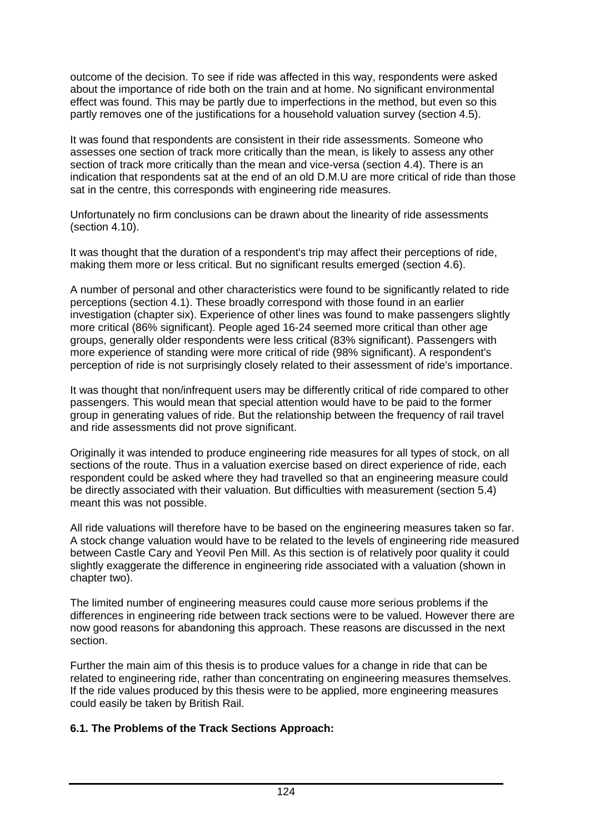outcome of the decision. To see if ride was affected in this way, respondents were asked about the importance of ride both on the train and at home. No significant environmental effect was found. This may be partly due to imperfections in the method, but even so this partly removes one of the justifications for a household valuation survey (section 4.5).

It was found that respondents are consistent in their ride assessments. Someone who assesses one section of track more critically than the mean, is likely to assess any other section of track more critically than the mean and vice-versa (section 4.4). There is an indication that respondents sat at the end of an old D.M.U are more critical of ride than those sat in the centre, this corresponds with engineering ride measures.

Unfortunately no firm conclusions can be drawn about the linearity of ride assessments (section 4.10).

It was thought that the duration of a respondent's trip may affect their perceptions of ride, making them more or less critical. But no significant results emerged (section 4.6).

A number of personal and other characteristics were found to be significantly related to ride perceptions (section 4.1). These broadly correspond with those found in an earlier investigation (chapter six). Experience of other lines was found to make passengers slightly more critical (86% significant). People aged 16-24 seemed more critical than other age groups, generally older respondents were less critical (83% significant). Passengers with more experience of standing were more critical of ride (98% significant). A respondent's perception of ride is not surprisingly closely related to their assessment of ride's importance.

It was thought that non/infrequent users may be differently critical of ride compared to other passengers. This would mean that special attention would have to be paid to the former group in generating values of ride. But the relationship between the frequency of rail travel and ride assessments did not prove significant.

Originally it was intended to produce engineering ride measures for all types of stock, on all sections of the route. Thus in a valuation exercise based on direct experience of ride, each respondent could be asked where they had travelled so that an engineering measure could be directly associated with their valuation. But difficulties with measurement (section 5.4) meant this was not possible.

All ride valuations will therefore have to be based on the engineering measures taken so far. A stock change valuation would have to be related to the levels of engineering ride measured between Castle Cary and Yeovil Pen Mill. As this section is of relatively poor quality it could slightly exaggerate the difference in engineering ride associated with a valuation (shown in chapter two).

The limited number of engineering measures could cause more serious problems if the differences in engineering ride between track sections were to be valued. However there are now good reasons for abandoning this approach. These reasons are discussed in the next section.

Further the main aim of this thesis is to produce values for a change in ride that can be related to engineering ride, rather than concentrating on engineering measures themselves. If the ride values produced by this thesis were to be applied, more engineering measures could easily be taken by British Rail.

#### **6.1. The Problems of the Track Sections Approach:**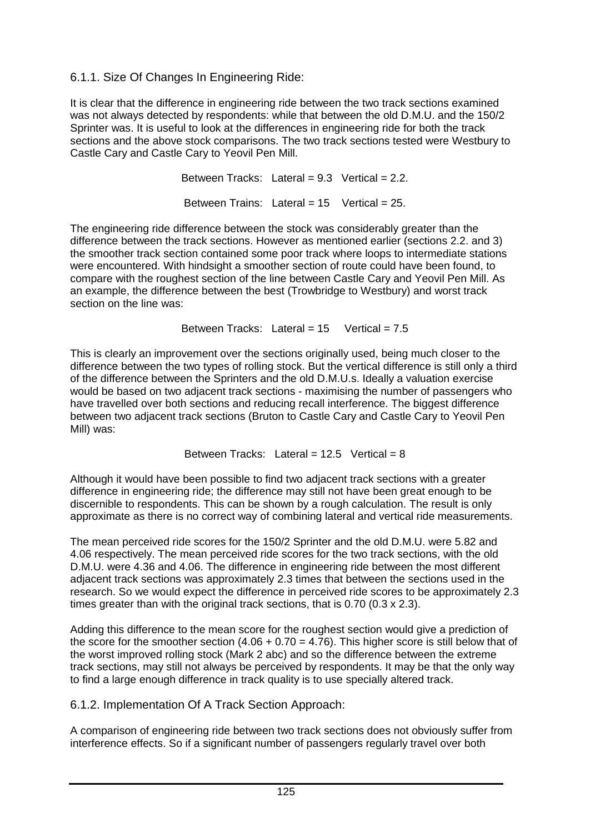# 6.1.1. Size Of Changes In Engineering Ride:

It is clear that the difference in engineering ride between the two track sections examined was not always detected by respondents: while that between the old D.M.U. and the 150/2 Sprinter was. It is useful to look at the differences in engineering ride for both the track sections and the above stock comparisons. The two track sections tested were Westbury to Castle Cary and Castle Cary to Yeovil Pen Mill.

> Between Tracks: Lateral =  $9.3$  Vertical =  $2.2$ . Between Trains: Lateral =  $15$  Vertical =  $25$ .

The engineering ride difference between the stock was considerably greater than the difference between the track sections. However as mentioned earlier (sections 2.2. and 3) the smoother track section contained some poor track where loops to intermediate stations were encountered. With hindsight a smoother section of route could have been found, to compare with the roughest section of the line between Castle Cary and Yeovil Pen Mill. As an example, the difference between the best (Trowbridge to Westbury) and worst track section on the line was:

Between Tracks: Lateral =  $15$  Vertical =  $7.5$ 

This is clearly an improvement over the sections originally used, being much closer to the difference between the two types of rolling stock. But the vertical difference is still only a third of the difference between the Sprinters and the old D.M.U.s. Ideally a valuation exercise would be based on two adjacent track sections - maximising the number of passengers who have travelled over both sections and reducing recall interference. The biggest difference between two adjacent track sections (Bruton to Castle Cary and Castle Cary to Yeovil Pen Mill) was:

Between Tracks: Lateral =  $12.5$  Vertical = 8

Although it would have been possible to find two adjacent track sections with a greater difference in engineering ride; the difference may still not have been great enough to be discernible to respondents. This can be shown by a rough calculation. The result is only approximate as there is no correct way of combining lateral and vertical ride measurements.

The mean perceived ride scores for the 150/2 Sprinter and the old D.M.U. were 5.82 and 4.06 respectively. The mean perceived ride scores for the two track sections, with the old D.M.U. were 4.36 and 4.06. The difference in engineering ride between the most different adjacent track sections was approximately 2.3 times that between the sections used in the research. So we would expect the difference in perceived ride scores to be approximately 2.3 times greater than with the original track sections, that is 0.70 (0.3 x 2.3).

Adding this difference to the mean score for the roughest section would give a prediction of the score for the smoother section  $(4.06 + 0.70 = 4.76)$ . This higher score is still below that of the worst improved rolling stock (Mark 2 abc) and so the difference between the extreme track sections, may still not always be perceived by respondents. It may be that the only way to find a large enough difference in track quality is to use specially altered track.

6.1.2. Implementation Of A Track Section Approach:

A comparison of engineering ride between two track sections does not obviously suffer from interference effects. So if a significant number of passengers regularly travel over both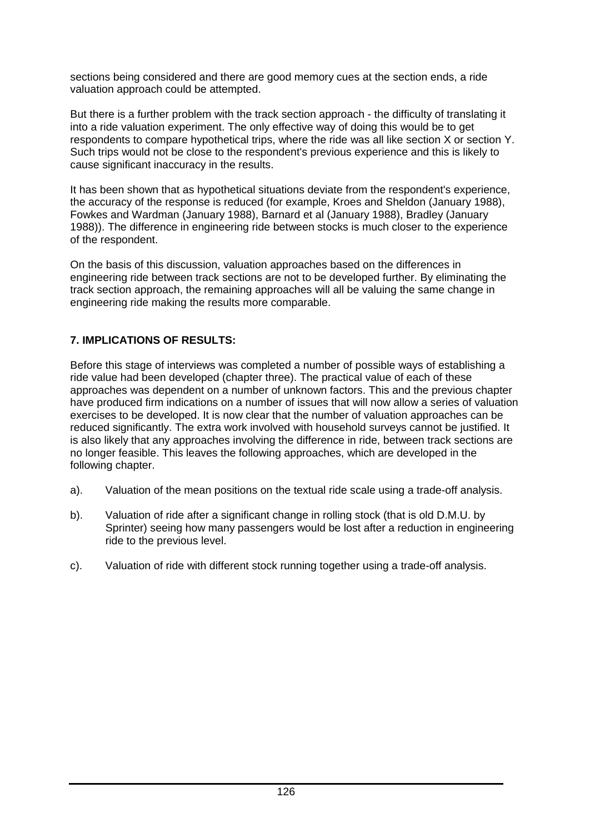sections being considered and there are good memory cues at the section ends, a ride valuation approach could be attempted.

But there is a further problem with the track section approach - the difficulty of translating it into a ride valuation experiment. The only effective way of doing this would be to get respondents to compare hypothetical trips, where the ride was all like section X or section Y. Such trips would not be close to the respondent's previous experience and this is likely to cause significant inaccuracy in the results.

It has been shown that as hypothetical situations deviate from the respondent's experience, the accuracy of the response is reduced (for example, Kroes and Sheldon (January 1988), Fowkes and Wardman (January 1988), Barnard et al (January 1988), Bradley (January 1988)). The difference in engineering ride between stocks is much closer to the experience of the respondent.

On the basis of this discussion, valuation approaches based on the differences in engineering ride between track sections are not to be developed further. By eliminating the track section approach, the remaining approaches will all be valuing the same change in engineering ride making the results more comparable.

### **7. IMPLICATIONS OF RESULTS:**

Before this stage of interviews was completed a number of possible ways of establishing a ride value had been developed (chapter three). The practical value of each of these approaches was dependent on a number of unknown factors. This and the previous chapter have produced firm indications on a number of issues that will now allow a series of valuation exercises to be developed. It is now clear that the number of valuation approaches can be reduced significantly. The extra work involved with household surveys cannot be justified. It is also likely that any approaches involving the difference in ride, between track sections are no longer feasible. This leaves the following approaches, which are developed in the following chapter.

- a). Valuation of the mean positions on the textual ride scale using a trade-off analysis.
- b). Valuation of ride after a significant change in rolling stock (that is old D.M.U. by Sprinter) seeing how many passengers would be lost after a reduction in engineering ride to the previous level.
- c). Valuation of ride with different stock running together using a trade-off analysis.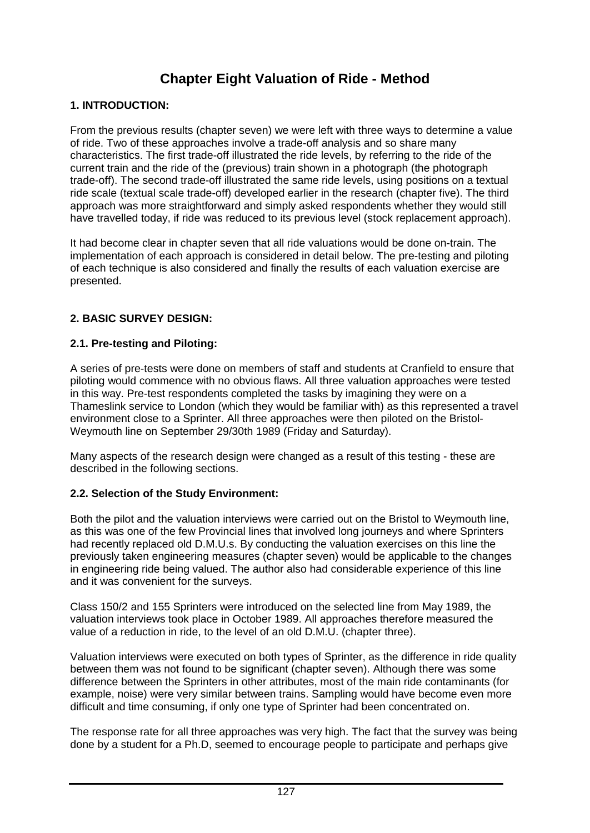# **Chapter Eight Valuation of Ride - Method**

### **1. INTRODUCTION:**

From the previous results (chapter seven) we were left with three ways to determine a value of ride. Two of these approaches involve a trade-off analysis and so share many characteristics. The first trade-off illustrated the ride levels, by referring to the ride of the current train and the ride of the (previous) train shown in a photograph (the photograph trade-off). The second trade-off illustrated the same ride levels, using positions on a textual ride scale (textual scale trade-off) developed earlier in the research (chapter five). The third approach was more straightforward and simply asked respondents whether they would still have travelled today, if ride was reduced to its previous level (stock replacement approach).

It had become clear in chapter seven that all ride valuations would be done on-train. The implementation of each approach is considered in detail below. The pre-testing and piloting of each technique is also considered and finally the results of each valuation exercise are presented.

### **2. BASIC SURVEY DESIGN:**

#### **2.1. Pre-testing and Piloting:**

A series of pre-tests were done on members of staff and students at Cranfield to ensure that piloting would commence with no obvious flaws. All three valuation approaches were tested in this way. Pre-test respondents completed the tasks by imagining they were on a Thameslink service to London (which they would be familiar with) as this represented a travel environment close to a Sprinter. All three approaches were then piloted on the Bristol-Weymouth line on September 29/30th 1989 (Friday and Saturday).

Many aspects of the research design were changed as a result of this testing - these are described in the following sections.

#### **2.2. Selection of the Study Environment:**

Both the pilot and the valuation interviews were carried out on the Bristol to Weymouth line, as this was one of the few Provincial lines that involved long journeys and where Sprinters had recently replaced old D.M.U.s. By conducting the valuation exercises on this line the previously taken engineering measures (chapter seven) would be applicable to the changes in engineering ride being valued. The author also had considerable experience of this line and it was convenient for the surveys.

Class 150/2 and 155 Sprinters were introduced on the selected line from May 1989, the valuation interviews took place in October 1989. All approaches therefore measured the value of a reduction in ride, to the level of an old D.M.U. (chapter three).

Valuation interviews were executed on both types of Sprinter, as the difference in ride quality between them was not found to be significant (chapter seven). Although there was some difference between the Sprinters in other attributes, most of the main ride contaminants (for example, noise) were very similar between trains. Sampling would have become even more difficult and time consuming, if only one type of Sprinter had been concentrated on.

The response rate for all three approaches was very high. The fact that the survey was being done by a student for a Ph.D, seemed to encourage people to participate and perhaps give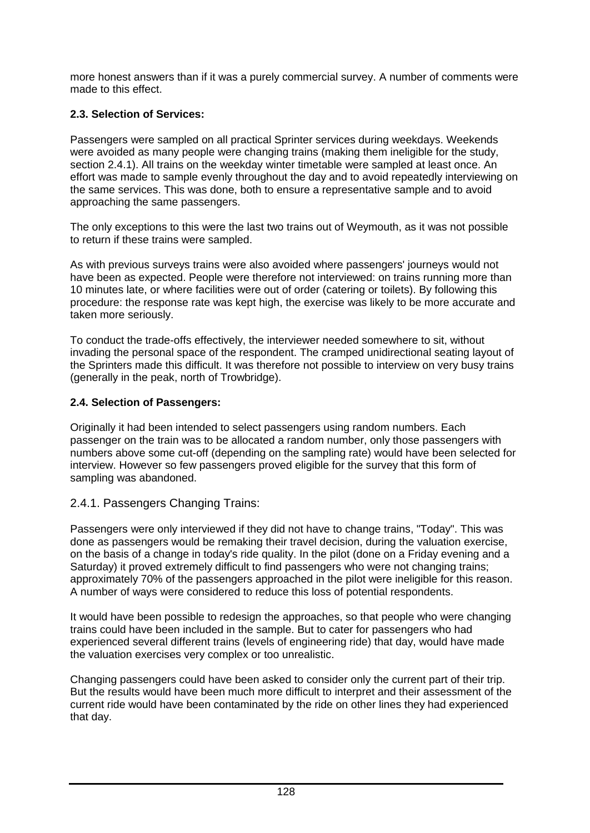more honest answers than if it was a purely commercial survey. A number of comments were made to this effect.

# **2.3. Selection of Services:**

Passengers were sampled on all practical Sprinter services during weekdays. Weekends were avoided as many people were changing trains (making them ineligible for the study, section 2.4.1). All trains on the weekday winter timetable were sampled at least once. An effort was made to sample evenly throughout the day and to avoid repeatedly interviewing on the same services. This was done, both to ensure a representative sample and to avoid approaching the same passengers.

The only exceptions to this were the last two trains out of Weymouth, as it was not possible to return if these trains were sampled.

As with previous surveys trains were also avoided where passengers' journeys would not have been as expected. People were therefore not interviewed: on trains running more than 10 minutes late, or where facilities were out of order (catering or toilets). By following this procedure: the response rate was kept high, the exercise was likely to be more accurate and taken more seriously.

To conduct the trade-offs effectively, the interviewer needed somewhere to sit, without invading the personal space of the respondent. The cramped unidirectional seating layout of the Sprinters made this difficult. It was therefore not possible to interview on very busy trains (generally in the peak, north of Trowbridge).

# **2.4. Selection of Passengers:**

Originally it had been intended to select passengers using random numbers. Each passenger on the train was to be allocated a random number, only those passengers with numbers above some cut-off (depending on the sampling rate) would have been selected for interview. However so few passengers proved eligible for the survey that this form of sampling was abandoned.

# 2.4.1. Passengers Changing Trains:

Passengers were only interviewed if they did not have to change trains, "Today". This was done as passengers would be remaking their travel decision, during the valuation exercise, on the basis of a change in today's ride quality. In the pilot (done on a Friday evening and a Saturday) it proved extremely difficult to find passengers who were not changing trains; approximately 70% of the passengers approached in the pilot were ineligible for this reason. A number of ways were considered to reduce this loss of potential respondents.

It would have been possible to redesign the approaches, so that people who were changing trains could have been included in the sample. But to cater for passengers who had experienced several different trains (levels of engineering ride) that day, would have made the valuation exercises very complex or too unrealistic.

Changing passengers could have been asked to consider only the current part of their trip. But the results would have been much more difficult to interpret and their assessment of the current ride would have been contaminated by the ride on other lines they had experienced that day.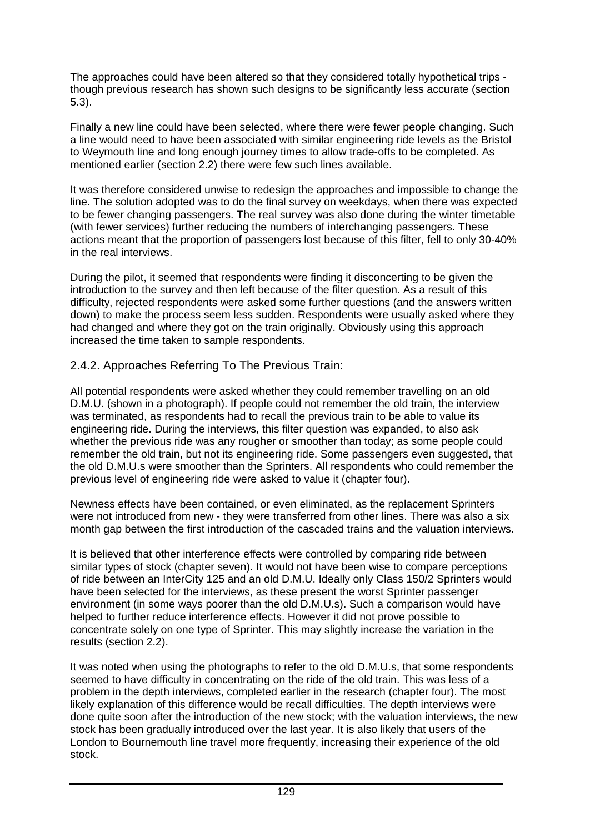The approaches could have been altered so that they considered totally hypothetical trips though previous research has shown such designs to be significantly less accurate (section 5.3).

Finally a new line could have been selected, where there were fewer people changing. Such a line would need to have been associated with similar engineering ride levels as the Bristol to Weymouth line and long enough journey times to allow trade-offs to be completed. As mentioned earlier (section 2.2) there were few such lines available.

It was therefore considered unwise to redesign the approaches and impossible to change the line. The solution adopted was to do the final survey on weekdays, when there was expected to be fewer changing passengers. The real survey was also done during the winter timetable (with fewer services) further reducing the numbers of interchanging passengers. These actions meant that the proportion of passengers lost because of this filter, fell to only 30-40% in the real interviews.

During the pilot, it seemed that respondents were finding it disconcerting to be given the introduction to the survey and then left because of the filter question. As a result of this difficulty, rejected respondents were asked some further questions (and the answers written down) to make the process seem less sudden. Respondents were usually asked where they had changed and where they got on the train originally. Obviously using this approach increased the time taken to sample respondents.

# 2.4.2. Approaches Referring To The Previous Train:

All potential respondents were asked whether they could remember travelling on an old D.M.U. (shown in a photograph). If people could not remember the old train, the interview was terminated, as respondents had to recall the previous train to be able to value its engineering ride. During the interviews, this filter question was expanded, to also ask whether the previous ride was any rougher or smoother than today; as some people could remember the old train, but not its engineering ride. Some passengers even suggested, that the old D.M.U.s were smoother than the Sprinters. All respondents who could remember the previous level of engineering ride were asked to value it (chapter four).

Newness effects have been contained, or even eliminated, as the replacement Sprinters were not introduced from new - they were transferred from other lines. There was also a six month gap between the first introduction of the cascaded trains and the valuation interviews.

It is believed that other interference effects were controlled by comparing ride between similar types of stock (chapter seven). It would not have been wise to compare perceptions of ride between an InterCity 125 and an old D.M.U. Ideally only Class 150/2 Sprinters would have been selected for the interviews, as these present the worst Sprinter passenger environment (in some ways poorer than the old D.M.U.s). Such a comparison would have helped to further reduce interference effects. However it did not prove possible to concentrate solely on one type of Sprinter. This may slightly increase the variation in the results (section 2.2).

It was noted when using the photographs to refer to the old D.M.U.s, that some respondents seemed to have difficulty in concentrating on the ride of the old train. This was less of a problem in the depth interviews, completed earlier in the research (chapter four). The most likely explanation of this difference would be recall difficulties. The depth interviews were done quite soon after the introduction of the new stock; with the valuation interviews, the new stock has been gradually introduced over the last year. It is also likely that users of the London to Bournemouth line travel more frequently, increasing their experience of the old stock.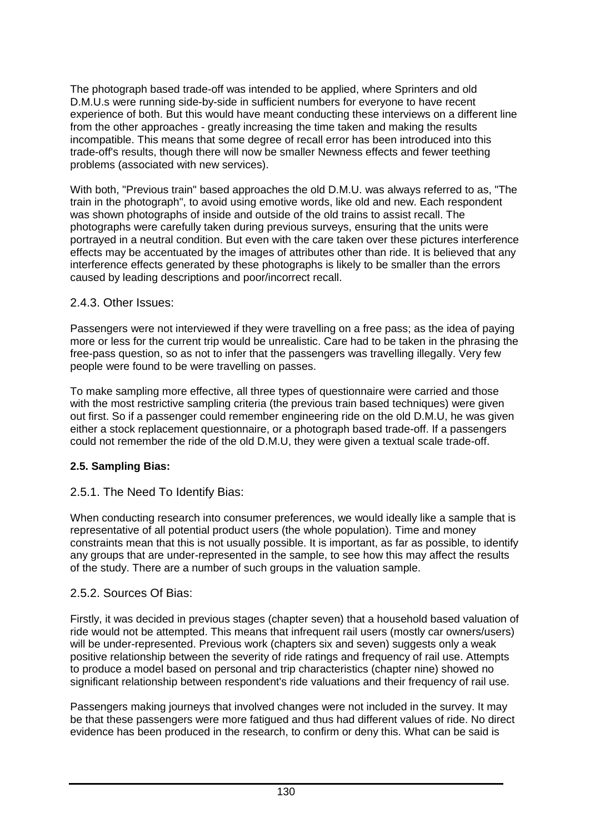The photograph based trade-off was intended to be applied, where Sprinters and old D.M.U.s were running side-by-side in sufficient numbers for everyone to have recent experience of both. But this would have meant conducting these interviews on a different line from the other approaches - greatly increasing the time taken and making the results incompatible. This means that some degree of recall error has been introduced into this trade-off's results, though there will now be smaller Newness effects and fewer teething problems (associated with new services).

With both, "Previous train" based approaches the old D.M.U. was always referred to as, "The train in the photograph", to avoid using emotive words, like old and new. Each respondent was shown photographs of inside and outside of the old trains to assist recall. The photographs were carefully taken during previous surveys, ensuring that the units were portrayed in a neutral condition. But even with the care taken over these pictures interference effects may be accentuated by the images of attributes other than ride. It is believed that any interference effects generated by these photographs is likely to be smaller than the errors caused by leading descriptions and poor/incorrect recall.

### 2.4.3. Other Issues:

Passengers were not interviewed if they were travelling on a free pass; as the idea of paying more or less for the current trip would be unrealistic. Care had to be taken in the phrasing the free-pass question, so as not to infer that the passengers was travelling illegally. Very few people were found to be were travelling on passes.

To make sampling more effective, all three types of questionnaire were carried and those with the most restrictive sampling criteria (the previous train based techniques) were given out first. So if a passenger could remember engineering ride on the old D.M.U, he was given either a stock replacement questionnaire, or a photograph based trade-off. If a passengers could not remember the ride of the old D.M.U, they were given a textual scale trade-off.

### **2.5. Sampling Bias:**

# 2.5.1. The Need To Identify Bias:

When conducting research into consumer preferences, we would ideally like a sample that is representative of all potential product users (the whole population). Time and money constraints mean that this is not usually possible. It is important, as far as possible, to identify any groups that are under-represented in the sample, to see how this may affect the results of the study. There are a number of such groups in the valuation sample.

### 2.5.2. Sources Of Bias:

Firstly, it was decided in previous stages (chapter seven) that a household based valuation of ride would not be attempted. This means that infrequent rail users (mostly car owners/users) will be under-represented. Previous work (chapters six and seven) suggests only a weak positive relationship between the severity of ride ratings and frequency of rail use. Attempts to produce a model based on personal and trip characteristics (chapter nine) showed no significant relationship between respondent's ride valuations and their frequency of rail use.

Passengers making journeys that involved changes were not included in the survey. It may be that these passengers were more fatigued and thus had different values of ride. No direct evidence has been produced in the research, to confirm or deny this. What can be said is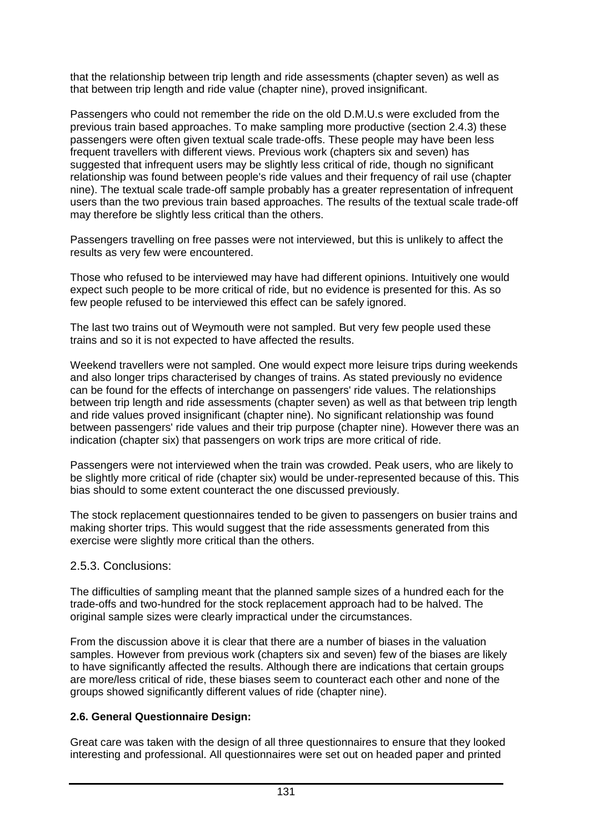that the relationship between trip length and ride assessments (chapter seven) as well as that between trip length and ride value (chapter nine), proved insignificant.

Passengers who could not remember the ride on the old D.M.U.s were excluded from the previous train based approaches. To make sampling more productive (section 2.4.3) these passengers were often given textual scale trade-offs. These people may have been less frequent travellers with different views. Previous work (chapters six and seven) has suggested that infrequent users may be slightly less critical of ride, though no significant relationship was found between people's ride values and their frequency of rail use (chapter nine). The textual scale trade-off sample probably has a greater representation of infrequent users than the two previous train based approaches. The results of the textual scale trade-off may therefore be slightly less critical than the others.

Passengers travelling on free passes were not interviewed, but this is unlikely to affect the results as very few were encountered.

Those who refused to be interviewed may have had different opinions. Intuitively one would expect such people to be more critical of ride, but no evidence is presented for this. As so few people refused to be interviewed this effect can be safely ignored.

The last two trains out of Weymouth were not sampled. But very few people used these trains and so it is not expected to have affected the results.

Weekend travellers were not sampled. One would expect more leisure trips during weekends and also longer trips characterised by changes of trains. As stated previously no evidence can be found for the effects of interchange on passengers' ride values. The relationships between trip length and ride assessments (chapter seven) as well as that between trip length and ride values proved insignificant (chapter nine). No significant relationship was found between passengers' ride values and their trip purpose (chapter nine). However there was an indication (chapter six) that passengers on work trips are more critical of ride.

Passengers were not interviewed when the train was crowded. Peak users, who are likely to be slightly more critical of ride (chapter six) would be under-represented because of this. This bias should to some extent counteract the one discussed previously.

The stock replacement questionnaires tended to be given to passengers on busier trains and making shorter trips. This would suggest that the ride assessments generated from this exercise were slightly more critical than the others.

#### 2.5.3. Conclusions:

The difficulties of sampling meant that the planned sample sizes of a hundred each for the trade-offs and two-hundred for the stock replacement approach had to be halved. The original sample sizes were clearly impractical under the circumstances.

From the discussion above it is clear that there are a number of biases in the valuation samples. However from previous work (chapters six and seven) few of the biases are likely to have significantly affected the results. Although there are indications that certain groups are more/less critical of ride, these biases seem to counteract each other and none of the groups showed significantly different values of ride (chapter nine).

#### **2.6. General Questionnaire Design:**

Great care was taken with the design of all three questionnaires to ensure that they looked interesting and professional. All questionnaires were set out on headed paper and printed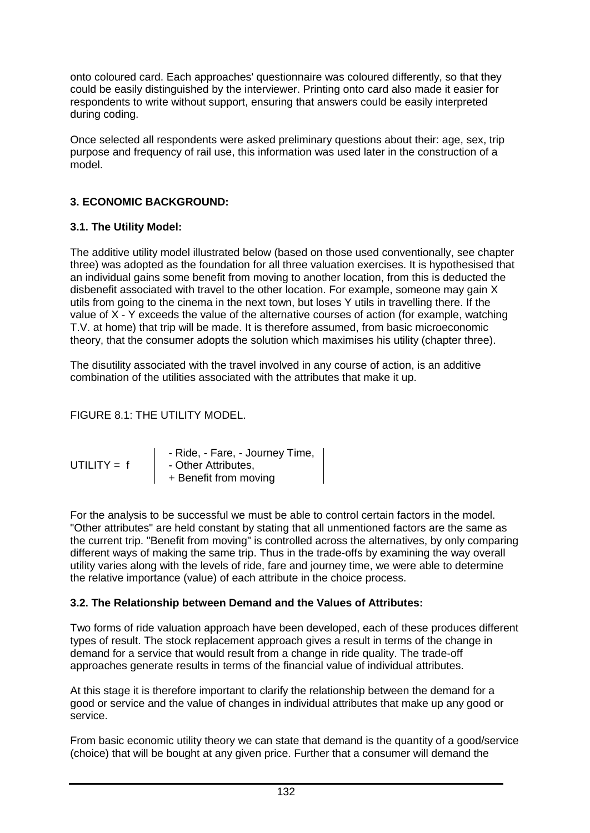onto coloured card. Each approaches' questionnaire was coloured differently, so that they could be easily distinguished by the interviewer. Printing onto card also made it easier for respondents to write without support, ensuring that answers could be easily interpreted during coding.

Once selected all respondents were asked preliminary questions about their: age, sex, trip purpose and frequency of rail use, this information was used later in the construction of a model.

# **3. ECONOMIC BACKGROUND:**

### **3.1. The Utility Model:**

The additive utility model illustrated below (based on those used conventionally, see chapter three) was adopted as the foundation for all three valuation exercises. It is hypothesised that an individual gains some benefit from moving to another location, from this is deducted the disbenefit associated with travel to the other location. For example, someone may gain X utils from going to the cinema in the next town, but loses Y utils in travelling there. If the value of X - Y exceeds the value of the alternative courses of action (for example, watching T.V. at home) that trip will be made. It is therefore assumed, from basic microeconomic theory, that the consumer adopts the solution which maximises his utility (chapter three).

The disutility associated with the travel involved in any course of action, is an additive combination of the utilities associated with the attributes that make it up.

# FIGURE 8.1: THE UTILITY MODEL.

|               | - Ride, - Fare, - Journey Time, |
|---------------|---------------------------------|
| UTILITY = $f$ | - Other Attributes,             |
|               | + Benefit from moving           |

For the analysis to be successful we must be able to control certain factors in the model. "Other attributes" are held constant by stating that all unmentioned factors are the same as the current trip. "Benefit from moving" is controlled across the alternatives, by only comparing different ways of making the same trip. Thus in the trade-offs by examining the way overall utility varies along with the levels of ride, fare and journey time, we were able to determine the relative importance (value) of each attribute in the choice process.

### **3.2. The Relationship between Demand and the Values of Attributes:**

Two forms of ride valuation approach have been developed, each of these produces different types of result. The stock replacement approach gives a result in terms of the change in demand for a service that would result from a change in ride quality. The trade-off approaches generate results in terms of the financial value of individual attributes.

At this stage it is therefore important to clarify the relationship between the demand for a good or service and the value of changes in individual attributes that make up any good or service.

From basic economic utility theory we can state that demand is the quantity of a good/service (choice) that will be bought at any given price. Further that a consumer will demand the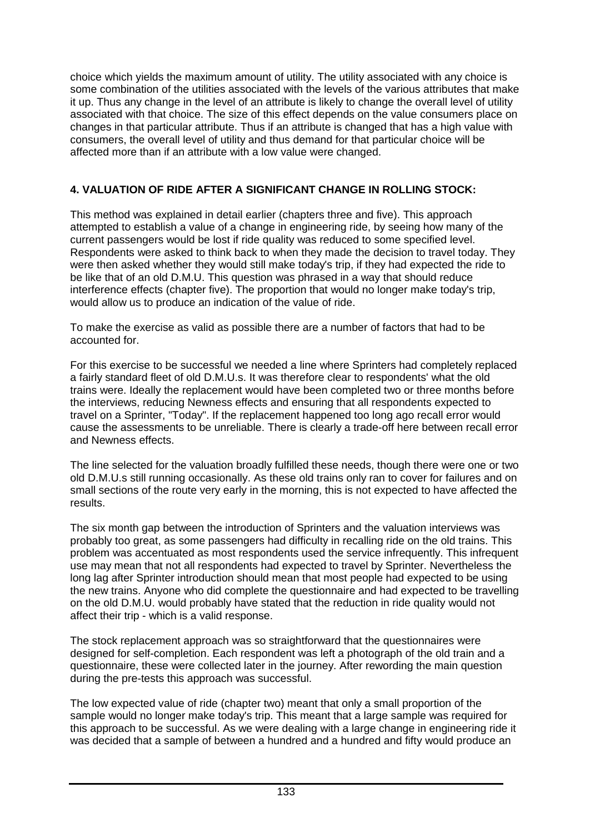choice which yields the maximum amount of utility. The utility associated with any choice is some combination of the utilities associated with the levels of the various attributes that make it up. Thus any change in the level of an attribute is likely to change the overall level of utility associated with that choice. The size of this effect depends on the value consumers place on changes in that particular attribute. Thus if an attribute is changed that has a high value with consumers, the overall level of utility and thus demand for that particular choice will be affected more than if an attribute with a low value were changed.

# **4. VALUATION OF RIDE AFTER A SIGNIFICANT CHANGE IN ROLLING STOCK:**

This method was explained in detail earlier (chapters three and five). This approach attempted to establish a value of a change in engineering ride, by seeing how many of the current passengers would be lost if ride quality was reduced to some specified level. Respondents were asked to think back to when they made the decision to travel today. They were then asked whether they would still make today's trip, if they had expected the ride to be like that of an old D.M.U. This question was phrased in a way that should reduce interference effects (chapter five). The proportion that would no longer make today's trip, would allow us to produce an indication of the value of ride.

To make the exercise as valid as possible there are a number of factors that had to be accounted for.

For this exercise to be successful we needed a line where Sprinters had completely replaced a fairly standard fleet of old D.M.U.s. It was therefore clear to respondents' what the old trains were. Ideally the replacement would have been completed two or three months before the interviews, reducing Newness effects and ensuring that all respondents expected to travel on a Sprinter, "Today". If the replacement happened too long ago recall error would cause the assessments to be unreliable. There is clearly a trade-off here between recall error and Newness effects.

The line selected for the valuation broadly fulfilled these needs, though there were one or two old D.M.U.s still running occasionally. As these old trains only ran to cover for failures and on small sections of the route very early in the morning, this is not expected to have affected the results.

The six month gap between the introduction of Sprinters and the valuation interviews was probably too great, as some passengers had difficulty in recalling ride on the old trains. This problem was accentuated as most respondents used the service infrequently. This infrequent use may mean that not all respondents had expected to travel by Sprinter. Nevertheless the long lag after Sprinter introduction should mean that most people had expected to be using the new trains. Anyone who did complete the questionnaire and had expected to be travelling on the old D.M.U. would probably have stated that the reduction in ride quality would not affect their trip - which is a valid response.

The stock replacement approach was so straightforward that the questionnaires were designed for self-completion. Each respondent was left a photograph of the old train and a questionnaire, these were collected later in the journey. After rewording the main question during the pre-tests this approach was successful.

The low expected value of ride (chapter two) meant that only a small proportion of the sample would no longer make today's trip. This meant that a large sample was required for this approach to be successful. As we were dealing with a large change in engineering ride it was decided that a sample of between a hundred and a hundred and fifty would produce an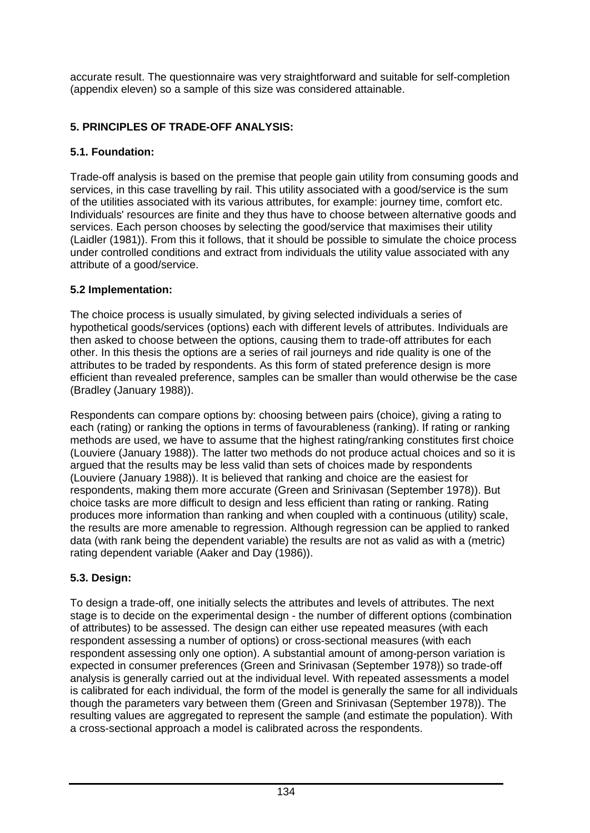accurate result. The questionnaire was very straightforward and suitable for self-completion (appendix eleven) so a sample of this size was considered attainable.

## **5. PRINCIPLES OF TRADE-OFF ANALYSIS:**

## **5.1. Foundation:**

Trade-off analysis is based on the premise that people gain utility from consuming goods and services, in this case travelling by rail. This utility associated with a good/service is the sum of the utilities associated with its various attributes, for example: journey time, comfort etc. Individuals' resources are finite and they thus have to choose between alternative goods and services. Each person chooses by selecting the good/service that maximises their utility (Laidler (1981)). From this it follows, that it should be possible to simulate the choice process under controlled conditions and extract from individuals the utility value associated with any attribute of a good/service.

## **5.2 Implementation:**

The choice process is usually simulated, by giving selected individuals a series of hypothetical goods/services (options) each with different levels of attributes. Individuals are then asked to choose between the options, causing them to trade-off attributes for each other. In this thesis the options are a series of rail journeys and ride quality is one of the attributes to be traded by respondents. As this form of stated preference design is more efficient than revealed preference, samples can be smaller than would otherwise be the case (Bradley (January 1988)).

Respondents can compare options by: choosing between pairs (choice), giving a rating to each (rating) or ranking the options in terms of favourableness (ranking). If rating or ranking methods are used, we have to assume that the highest rating/ranking constitutes first choice (Louviere (January 1988)). The latter two methods do not produce actual choices and so it is argued that the results may be less valid than sets of choices made by respondents (Louviere (January 1988)). It is believed that ranking and choice are the easiest for respondents, making them more accurate (Green and Srinivasan (September 1978)). But choice tasks are more difficult to design and less efficient than rating or ranking. Rating produces more information than ranking and when coupled with a continuous (utility) scale, the results are more amenable to regression. Although regression can be applied to ranked data (with rank being the dependent variable) the results are not as valid as with a (metric) rating dependent variable (Aaker and Day (1986)).

## **5.3. Design:**

To design a trade-off, one initially selects the attributes and levels of attributes. The next stage is to decide on the experimental design - the number of different options (combination of attributes) to be assessed. The design can either use repeated measures (with each respondent assessing a number of options) or cross-sectional measures (with each respondent assessing only one option). A substantial amount of among-person variation is expected in consumer preferences (Green and Srinivasan (September 1978)) so trade-off analysis is generally carried out at the individual level. With repeated assessments a model is calibrated for each individual, the form of the model is generally the same for all individuals though the parameters vary between them (Green and Srinivasan (September 1978)). The resulting values are aggregated to represent the sample (and estimate the population). With a cross-sectional approach a model is calibrated across the respondents.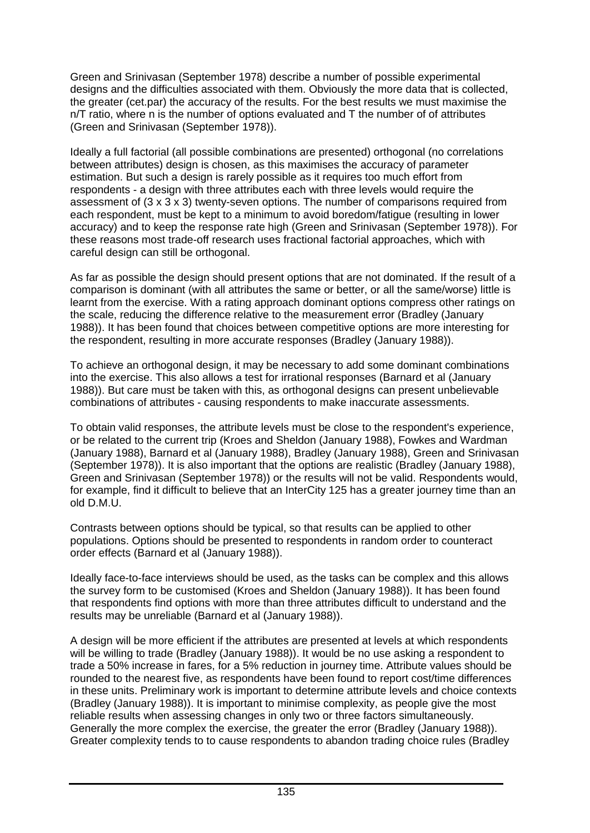Green and Srinivasan (September 1978) describe a number of possible experimental designs and the difficulties associated with them. Obviously the more data that is collected, the greater (cet.par) the accuracy of the results. For the best results we must maximise the  $n/T$  ratio, where n is the number of options evaluated and  $T$  the number of of attributes (Green and Srinivasan (September 1978)).

Ideally a full factorial (all possible combinations are presented) orthogonal (no correlations between attributes) design is chosen, as this maximises the accuracy of parameter estimation. But such a design is rarely possible as it requires too much effort from respondents - a design with three attributes each with three levels would require the assessment of  $(3 \times 3 \times 3)$  twenty-seven options. The number of comparisons required from each respondent, must be kept to a minimum to avoid boredom/fatigue (resulting in lower accuracy) and to keep the response rate high (Green and Srinivasan (September 1978)). For these reasons most trade-off research uses fractional factorial approaches, which with careful design can still be orthogonal.

As far as possible the design should present options that are not dominated. If the result of a comparison is dominant (with all attributes the same or better, or all the same/worse) little is learnt from the exercise. With a rating approach dominant options compress other ratings on the scale, reducing the difference relative to the measurement error (Bradley (January 1988)). It has been found that choices between competitive options are more interesting for the respondent, resulting in more accurate responses (Bradley (January 1988)).

To achieve an orthogonal design, it may be necessary to add some dominant combinations into the exercise. This also allows a test for irrational responses (Barnard et al (January 1988)). But care must be taken with this, as orthogonal designs can present unbelievable combinations of attributes - causing respondents to make inaccurate assessments.

To obtain valid responses, the attribute levels must be close to the respondent's experience, or be related to the current trip (Kroes and Sheldon (January 1988), Fowkes and Wardman (January 1988), Barnard et al (January 1988), Bradley (January 1988), Green and Srinivasan (September 1978)). It is also important that the options are realistic (Bradley (January 1988), Green and Srinivasan (September 1978)) or the results will not be valid. Respondents would, for example, find it difficult to believe that an InterCity 125 has a greater journey time than an old D.M.U.

Contrasts between options should be typical, so that results can be applied to other populations. Options should be presented to respondents in random order to counteract order effects (Barnard et al (January 1988)).

Ideally face-to-face interviews should be used, as the tasks can be complex and this allows the survey form to be customised (Kroes and Sheldon (January 1988)). It has been found that respondents find options with more than three attributes difficult to understand and the results may be unreliable (Barnard et al (January 1988)).

A design will be more efficient if the attributes are presented at levels at which respondents will be willing to trade (Bradley (January 1988)). It would be no use asking a respondent to trade a 50% increase in fares, for a 5% reduction in journey time. Attribute values should be rounded to the nearest five, as respondents have been found to report cost/time differences in these units. Preliminary work is important to determine attribute levels and choice contexts (Bradley (January 1988)). It is important to minimise complexity, as people give the most reliable results when assessing changes in only two or three factors simultaneously. Generally the more complex the exercise, the greater the error (Bradley (January 1988)). Greater complexity tends to to cause respondents to abandon trading choice rules (Bradley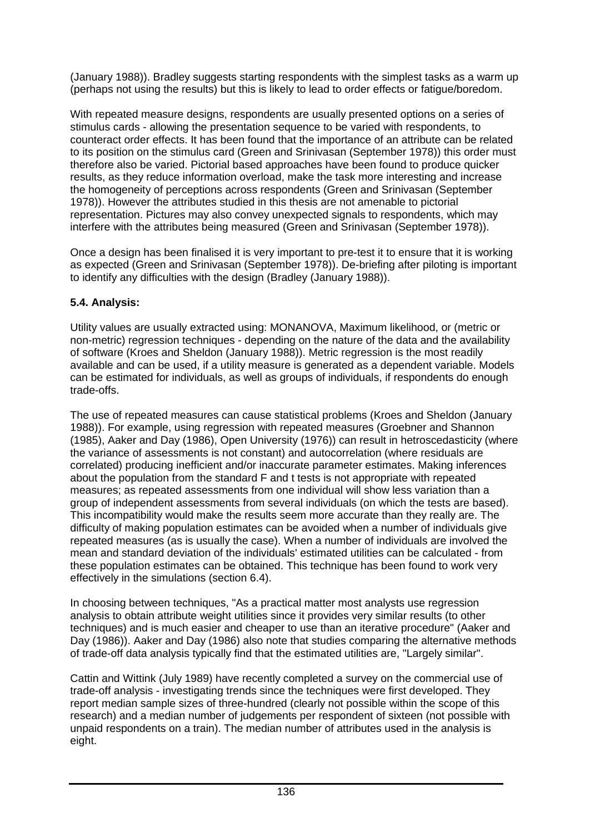(January 1988)). Bradley suggests starting respondents with the simplest tasks as a warm up (perhaps not using the results) but this is likely to lead to order effects or fatigue/boredom.

With repeated measure designs, respondents are usually presented options on a series of stimulus cards - allowing the presentation sequence to be varied with respondents, to counteract order effects. It has been found that the importance of an attribute can be related to its position on the stimulus card (Green and Srinivasan (September 1978)) this order must therefore also be varied. Pictorial based approaches have been found to produce quicker results, as they reduce information overload, make the task more interesting and increase the homogeneity of perceptions across respondents (Green and Srinivasan (September 1978)). However the attributes studied in this thesis are not amenable to pictorial representation. Pictures may also convey unexpected signals to respondents, which may interfere with the attributes being measured (Green and Srinivasan (September 1978)).

Once a design has been finalised it is very important to pre-test it to ensure that it is working as expected (Green and Srinivasan (September 1978)). De-briefing after piloting is important to identify any difficulties with the design (Bradley (January 1988)).

## **5.4. Analysis:**

Utility values are usually extracted using: MONANOVA, Maximum likelihood, or (metric or non-metric) regression techniques - depending on the nature of the data and the availability of software (Kroes and Sheldon (January 1988)). Metric regression is the most readily available and can be used, if a utility measure is generated as a dependent variable. Models can be estimated for individuals, as well as groups of individuals, if respondents do enough trade-offs.

The use of repeated measures can cause statistical problems (Kroes and Sheldon (January 1988)). For example, using regression with repeated measures (Groebner and Shannon (1985), Aaker and Day (1986), Open University (1976)) can result in hetroscedasticity (where the variance of assessments is not constant) and autocorrelation (where residuals are correlated) producing inefficient and/or inaccurate parameter estimates. Making inferences about the population from the standard F and t tests is not appropriate with repeated measures; as repeated assessments from one individual will show less variation than a group of independent assessments from several individuals (on which the tests are based). This incompatibility would make the results seem more accurate than they really are. The difficulty of making population estimates can be avoided when a number of individuals give repeated measures (as is usually the case). When a number of individuals are involved the mean and standard deviation of the individuals' estimated utilities can be calculated - from these population estimates can be obtained. This technique has been found to work very effectively in the simulations (section 6.4).

In choosing between techniques, "As a practical matter most analysts use regression analysis to obtain attribute weight utilities since it provides very similar results (to other techniques) and is much easier and cheaper to use than an iterative procedure" (Aaker and Day (1986)). Aaker and Day (1986) also note that studies comparing the alternative methods of trade-off data analysis typically find that the estimated utilities are, "Largely similar".

Cattin and Wittink (July 1989) have recently completed a survey on the commercial use of trade-off analysis - investigating trends since the techniques were first developed. They report median sample sizes of three-hundred (clearly not possible within the scope of this research) and a median number of judgements per respondent of sixteen (not possible with unpaid respondents on a train). The median number of attributes used in the analysis is eight.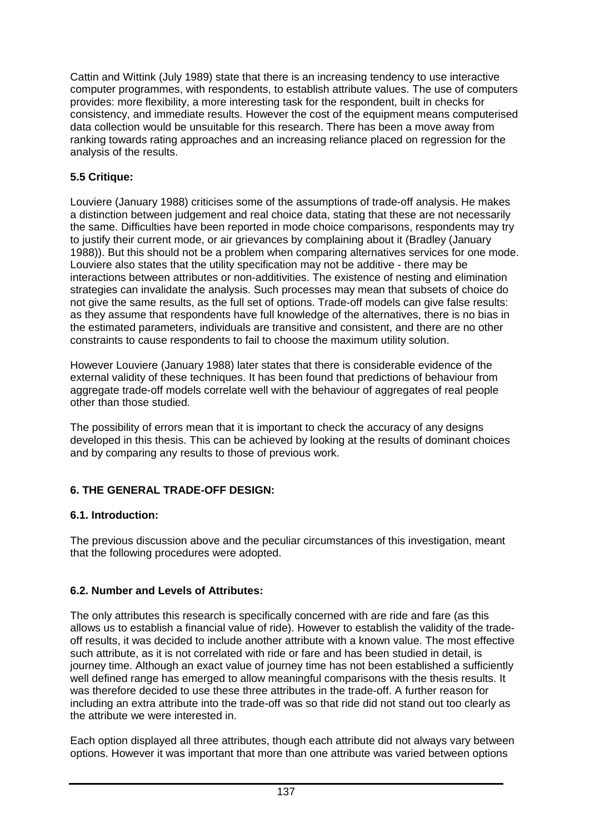Cattin and Wittink (July 1989) state that there is an increasing tendency to use interactive computer programmes, with respondents, to establish attribute values. The use of computers provides: more flexibility, a more interesting task for the respondent, built in checks for consistency, and immediate results. However the cost of the equipment means computerised data collection would be unsuitable for this research. There has been a move away from ranking towards rating approaches and an increasing reliance placed on regression for the analysis of the results.

## **5.5 Critique:**

Louviere (January 1988) criticises some of the assumptions of trade-off analysis. He makes a distinction between judgement and real choice data, stating that these are not necessarily the same. Difficulties have been reported in mode choice comparisons, respondents may try to justify their current mode, or air grievances by complaining about it (Bradley (January 1988)). But this should not be a problem when comparing alternatives services for one mode. Louviere also states that the utility specification may not be additive - there may be interactions between attributes or non-additivities. The existence of nesting and elimination strategies can invalidate the analysis. Such processes may mean that subsets of choice do not give the same results, as the full set of options. Trade-off models can give false results: as they assume that respondents have full knowledge of the alternatives, there is no bias in the estimated parameters, individuals are transitive and consistent, and there are no other constraints to cause respondents to fail to choose the maximum utility solution.

However Louviere (January 1988) later states that there is considerable evidence of the external validity of these techniques. It has been found that predictions of behaviour from aggregate trade-off models correlate well with the behaviour of aggregates of real people other than those studied.

The possibility of errors mean that it is important to check the accuracy of any designs developed in this thesis. This can be achieved by looking at the results of dominant choices and by comparing any results to those of previous work.

## **6. THE GENERAL TRADE-OFF DESIGN:**

## **6.1. Introduction:**

The previous discussion above and the peculiar circumstances of this investigation, meant that the following procedures were adopted.

## **6.2. Number and Levels of Attributes:**

The only attributes this research is specifically concerned with are ride and fare (as this allows us to establish a financial value of ride). However to establish the validity of the tradeoff results, it was decided to include another attribute with a known value. The most effective such attribute, as it is not correlated with ride or fare and has been studied in detail, is journey time. Although an exact value of journey time has not been established a sufficiently well defined range has emerged to allow meaningful comparisons with the thesis results. It was therefore decided to use these three attributes in the trade-off. A further reason for including an extra attribute into the trade-off was so that ride did not stand out too clearly as the attribute we were interested in.

Each option displayed all three attributes, though each attribute did not always vary between options. However it was important that more than one attribute was varied between options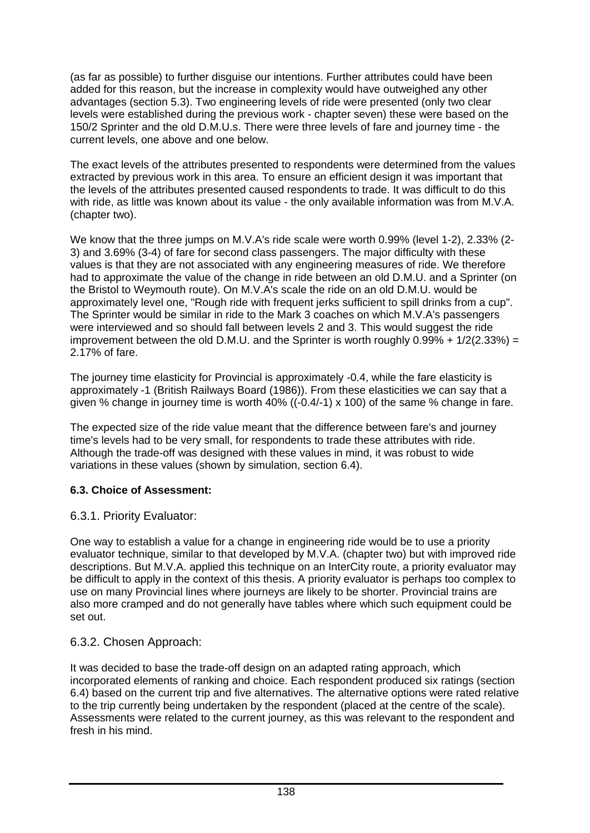(as far as possible) to further disguise our intentions. Further attributes could have been added for this reason, but the increase in complexity would have outweighed any other advantages (section 5.3). Two engineering levels of ride were presented (only two clear levels were established during the previous work - chapter seven) these were based on the 150/2 Sprinter and the old D.M.U.s. There were three levels of fare and journey time - the current levels, one above and one below.

The exact levels of the attributes presented to respondents were determined from the values extracted by previous work in this area. To ensure an efficient design it was important that the levels of the attributes presented caused respondents to trade. It was difficult to do this with ride, as little was known about its value - the only available information was from M.V.A. (chapter two).

We know that the three jumps on M.V.A's ride scale were worth 0.99% (level 1-2), 2.33% (2- 3) and 3.69% (3-4) of fare for second class passengers. The major difficulty with these values is that they are not associated with any engineering measures of ride. We therefore had to approximate the value of the change in ride between an old D.M.U. and a Sprinter (on the Bristol to Weymouth route). On M.V.A's scale the ride on an old D.M.U. would be approximately level one, "Rough ride with frequent jerks sufficient to spill drinks from a cup". The Sprinter would be similar in ride to the Mark 3 coaches on which M.V.A's passengers were interviewed and so should fall between levels 2 and 3. This would suggest the ride improvement between the old D.M.U. and the Sprinter is worth roughly  $0.99\% + 1/2(2.33\%) =$ 2.17% of fare.

The journey time elasticity for Provincial is approximately -0.4, while the fare elasticity is approximately -1 (British Railways Board (1986)). From these elasticities we can say that a given % change in journey time is worth  $40\%$  ( $(-0.4/-1) \times 100$ ) of the same % change in fare.

The expected size of the ride value meant that the difference between fare's and journey time's levels had to be very small, for respondents to trade these attributes with ride. Although the trade-off was designed with these values in mind, it was robust to wide variations in these values (shown by simulation, section 6.4).

## **6.3. Choice of Assessment:**

## 6.3.1. Priority Evaluator:

One way to establish a value for a change in engineering ride would be to use a priority evaluator technique, similar to that developed by M.V.A. (chapter two) but with improved ride descriptions. But M.V.A. applied this technique on an InterCity route, a priority evaluator may be difficult to apply in the context of this thesis. A priority evaluator is perhaps too complex to use on many Provincial lines where journeys are likely to be shorter. Provincial trains are also more cramped and do not generally have tables where which such equipment could be set out.

## 6.3.2. Chosen Approach:

It was decided to base the trade-off design on an adapted rating approach, which incorporated elements of ranking and choice. Each respondent produced six ratings (section 6.4) based on the current trip and five alternatives. The alternative options were rated relative to the trip currently being undertaken by the respondent (placed at the centre of the scale). Assessments were related to the current journey, as this was relevant to the respondent and fresh in his mind.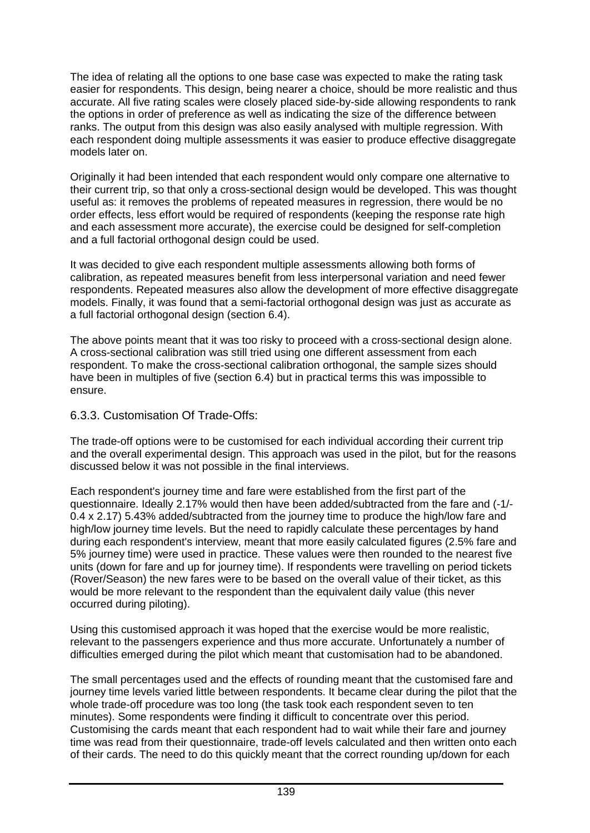The idea of relating all the options to one base case was expected to make the rating task easier for respondents. This design, being nearer a choice, should be more realistic and thus accurate. All five rating scales were closely placed side-by-side allowing respondents to rank the options in order of preference as well as indicating the size of the difference between ranks. The output from this design was also easily analysed with multiple regression. With each respondent doing multiple assessments it was easier to produce effective disaggregate models later on.

Originally it had been intended that each respondent would only compare one alternative to their current trip, so that only a cross-sectional design would be developed. This was thought useful as: it removes the problems of repeated measures in regression, there would be no order effects, less effort would be required of respondents (keeping the response rate high and each assessment more accurate), the exercise could be designed for self-completion and a full factorial orthogonal design could be used.

It was decided to give each respondent multiple assessments allowing both forms of calibration, as repeated measures benefit from less interpersonal variation and need fewer respondents. Repeated measures also allow the development of more effective disaggregate models. Finally, it was found that a semi-factorial orthogonal design was just as accurate as a full factorial orthogonal design (section 6.4).

The above points meant that it was too risky to proceed with a cross-sectional design alone. A cross-sectional calibration was still tried using one different assessment from each respondent. To make the cross-sectional calibration orthogonal, the sample sizes should have been in multiples of five (section 6.4) but in practical terms this was impossible to ensure.

## 6.3.3. Customisation Of Trade-Offs:

The trade-off options were to be customised for each individual according their current trip and the overall experimental design. This approach was used in the pilot, but for the reasons discussed below it was not possible in the final interviews.

Each respondent's journey time and fare were established from the first part of the questionnaire. Ideally 2.17% would then have been added/subtracted from the fare and (-1/- 0.4 x 2.17) 5.43% added/subtracted from the journey time to produce the high/low fare and high/low journey time levels. But the need to rapidly calculate these percentages by hand during each respondent's interview, meant that more easily calculated figures (2.5% fare and 5% journey time) were used in practice. These values were then rounded to the nearest five units (down for fare and up for journey time). If respondents were travelling on period tickets (Rover/Season) the new fares were to be based on the overall value of their ticket, as this would be more relevant to the respondent than the equivalent daily value (this never occurred during piloting).

Using this customised approach it was hoped that the exercise would be more realistic, relevant to the passengers experience and thus more accurate. Unfortunately a number of difficulties emerged during the pilot which meant that customisation had to be abandoned.

The small percentages used and the effects of rounding meant that the customised fare and journey time levels varied little between respondents. It became clear during the pilot that the whole trade-off procedure was too long (the task took each respondent seven to ten minutes). Some respondents were finding it difficult to concentrate over this period. Customising the cards meant that each respondent had to wait while their fare and journey time was read from their questionnaire, trade-off levels calculated and then written onto each of their cards. The need to do this quickly meant that the correct rounding up/down for each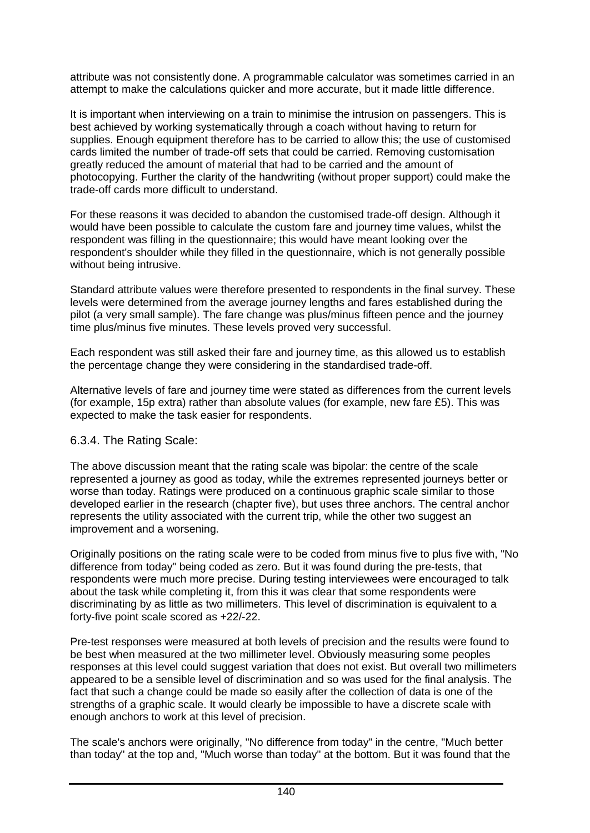attribute was not consistently done. A programmable calculator was sometimes carried in an attempt to make the calculations quicker and more accurate, but it made little difference.

It is important when interviewing on a train to minimise the intrusion on passengers. This is best achieved by working systematically through a coach without having to return for supplies. Enough equipment therefore has to be carried to allow this; the use of customised cards limited the number of trade-off sets that could be carried. Removing customisation greatly reduced the amount of material that had to be carried and the amount of photocopying. Further the clarity of the handwriting (without proper support) could make the trade-off cards more difficult to understand.

For these reasons it was decided to abandon the customised trade-off design. Although it would have been possible to calculate the custom fare and journey time values, whilst the respondent was filling in the questionnaire; this would have meant looking over the respondent's shoulder while they filled in the questionnaire, which is not generally possible without being intrusive.

Standard attribute values were therefore presented to respondents in the final survey. These levels were determined from the average journey lengths and fares established during the pilot (a very small sample). The fare change was plus/minus fifteen pence and the journey time plus/minus five minutes. These levels proved very successful.

Each respondent was still asked their fare and journey time, as this allowed us to establish the percentage change they were considering in the standardised trade-off.

Alternative levels of fare and journey time were stated as differences from the current levels (for example, 15p extra) rather than absolute values (for example, new fare £5). This was expected to make the task easier for respondents.

## 6.3.4. The Rating Scale:

The above discussion meant that the rating scale was bipolar: the centre of the scale represented a journey as good as today, while the extremes represented journeys better or worse than today. Ratings were produced on a continuous graphic scale similar to those developed earlier in the research (chapter five), but uses three anchors. The central anchor represents the utility associated with the current trip, while the other two suggest an improvement and a worsening.

Originally positions on the rating scale were to be coded from minus five to plus five with, "No difference from today" being coded as zero. But it was found during the pre-tests, that respondents were much more precise. During testing interviewees were encouraged to talk about the task while completing it, from this it was clear that some respondents were discriminating by as little as two millimeters. This level of discrimination is equivalent to a forty-five point scale scored as +22/-22.

Pre-test responses were measured at both levels of precision and the results were found to be best when measured at the two millimeter level. Obviously measuring some peoples responses at this level could suggest variation that does not exist. But overall two millimeters appeared to be a sensible level of discrimination and so was used for the final analysis. The fact that such a change could be made so easily after the collection of data is one of the strengths of a graphic scale. It would clearly be impossible to have a discrete scale with enough anchors to work at this level of precision.

The scale's anchors were originally, "No difference from today" in the centre, "Much better than today" at the top and, "Much worse than today" at the bottom. But it was found that the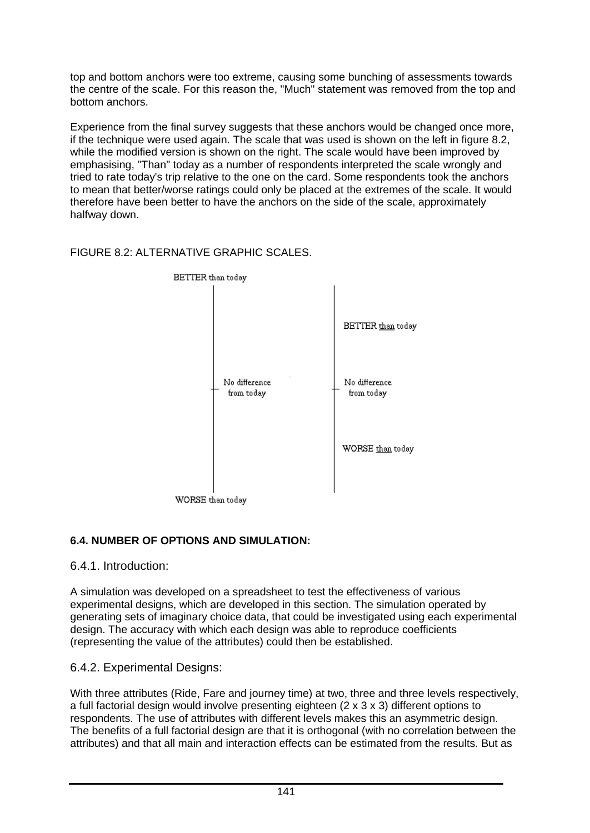top and bottom anchors were too extreme, causing some bunching of assessments towards the centre of the scale. For this reason the, "Much" statement was removed from the top and bottom anchors.

Experience from the final survey suggests that these anchors would be changed once more, if the technique were used again. The scale that was used is shown on the left in figure 8.2, while the modified version is shown on the right. The scale would have been improved by emphasising, "Than" today as a number of respondents interpreted the scale wrongly and tried to rate today's trip relative to the one on the card. Some respondents took the anchors to mean that better/worse ratings could only be placed at the extremes of the scale. It would therefore have been better to have the anchors on the side of the scale, approximately halfway down.

## FIGURE 8.2: ALTERNATIVE GRAPHIC SCALES.



## **6.4. NUMBER OF OPTIONS AND SIMULATION:**

6.4.1. Introduction:

A simulation was developed on a spreadsheet to test the effectiveness of various experimental designs, which are developed in this section. The simulation operated by generating sets of imaginary choice data, that could be investigated using each experimental design. The accuracy with which each design was able to reproduce coefficients (representing the value of the attributes) could then be established.

## 6.4.2. Experimental Designs:

With three attributes (Ride, Fare and journey time) at two, three and three levels respectively, a full factorial design would involve presenting eighteen (2 x 3 x 3) different options to respondents. The use of attributes with different levels makes this an asymmetric design. The benefits of a full factorial design are that it is orthogonal (with no correlation between the attributes) and that all main and interaction effects can be estimated from the results. But as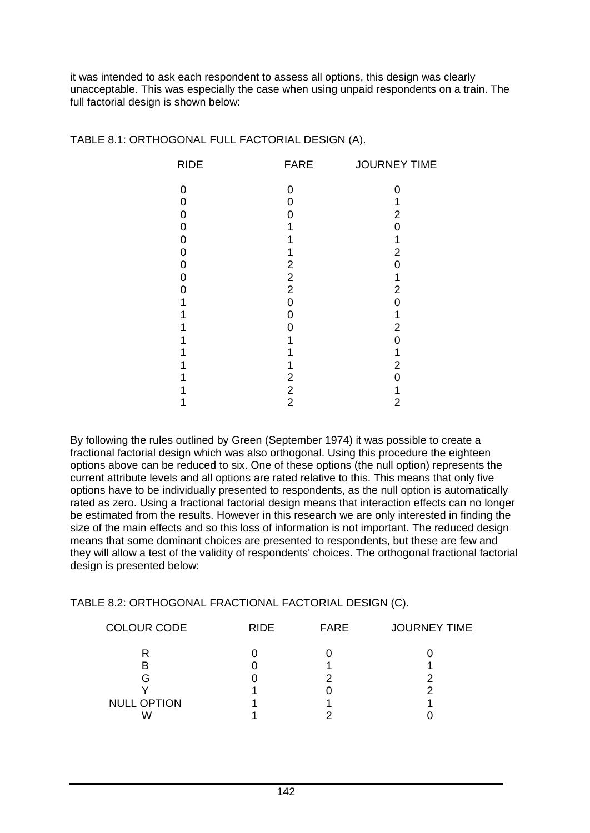it was intended to ask each respondent to assess all options, this design was clearly unacceptable. This was especially the case when using unpaid respondents on a train. The full factorial design is shown below:

| <b>RIDE</b> | <b>FARE</b>      | <b>JOURNEY TIME</b> |
|-------------|------------------|---------------------|
| 0           | 0                |                     |
| 0           | Ω                |                     |
| 0           | O                | 2                   |
| 0           |                  | ∩                   |
| 0           |                  |                     |
| 0           |                  | 2                   |
| 0           | 2                | ∩                   |
| 0           | $\boldsymbol{2}$ |                     |
| U           | $\overline{c}$   | 2                   |
|             | 0                | ი                   |
|             | O                |                     |
|             | 0                | 2                   |
|             |                  | በ                   |
|             |                  |                     |
|             |                  | 2                   |
|             | 2                |                     |
|             | $\overline{c}$   |                     |
|             | $\overline{2}$   | 2                   |

#### TABLE 8.1: ORTHOGONAL FULL FACTORIAL DESIGN (A).

By following the rules outlined by Green (September 1974) it was possible to create a fractional factorial design which was also orthogonal. Using this procedure the eighteen options above can be reduced to six. One of these options (the null option) represents the current attribute levels and all options are rated relative to this. This means that only five options have to be individually presented to respondents, as the null option is automatically rated as zero. Using a fractional factorial design means that interaction effects can no longer be estimated from the results. However in this research we are only interested in finding the size of the main effects and so this loss of information is not important. The reduced design means that some dominant choices are presented to respondents, but these are few and they will allow a test of the validity of respondents' choices. The orthogonal fractional factorial design is presented below:

#### TABLE 8.2: ORTHOGONAL FRACTIONAL FACTORIAL DESIGN (C).

| <b>COLOUR CODE</b> | <b>RIDE</b> | <b>FARE</b> | <b>JOURNEY TIME</b> |
|--------------------|-------------|-------------|---------------------|
|                    |             |             |                     |
| B                  |             |             |                     |
| G                  |             |             |                     |
|                    |             |             |                     |
| <b>NULL OPTION</b> |             |             |                     |
|                    |             |             |                     |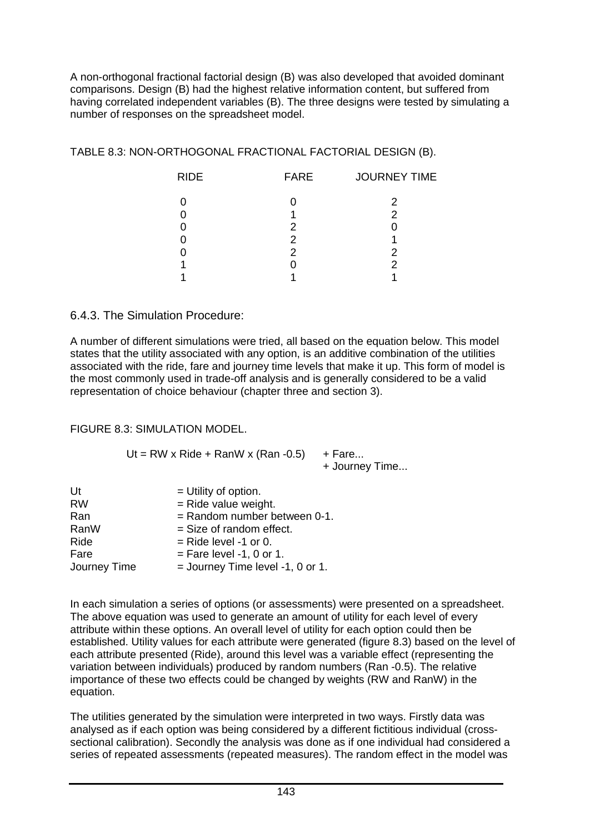A non-orthogonal fractional factorial design (B) was also developed that avoided dominant comparisons. Design (B) had the highest relative information content, but suffered from having correlated independent variables (B). The three designs were tested by simulating a number of responses on the spreadsheet model.

TABLE 8.3: NON-ORTHOGONAL FRACTIONAL FACTORIAL DESIGN (B).

| 2              |  |
|----------------|--|
| $\mathcal{P}$  |  |
| 2              |  |
| 2              |  |
| $\overline{2}$ |  |
|                |  |
|                |  |

## 6.4.3. The Simulation Procedure:

A number of different simulations were tried, all based on the equation below. This model states that the utility associated with any option, is an additive combination of the utilities associated with the ride, fare and journey time levels that make it up. This form of model is the most commonly used in trade-off analysis and is generally considered to be a valid representation of choice behaviour (chapter three and section 3).

#### FIGURE 8.3: SIMULATION MODEL.

| Ut = RW x Ride + RanW x (Ran -0.5) + Fare |                |
|-------------------------------------------|----------------|
|                                           | + Journey Time |

| Ut           | $=$ Utility of option.             |
|--------------|------------------------------------|
| <b>RW</b>    | $=$ Ride value weight.             |
| Ran          | $=$ Random number between 0-1.     |
| RanW         | $=$ Size of random effect.         |
| Ride         | $=$ Ride level -1 or 0.            |
| Fare         | $=$ Fare level -1, 0 or 1.         |
| Journey Time | $=$ Journey Time level -1, 0 or 1. |

In each simulation a series of options (or assessments) were presented on a spreadsheet. The above equation was used to generate an amount of utility for each level of every attribute within these options. An overall level of utility for each option could then be established. Utility values for each attribute were generated (figure 8.3) based on the level of each attribute presented (Ride), around this level was a variable effect (representing the variation between individuals) produced by random numbers (Ran -0.5). The relative importance of these two effects could be changed by weights (RW and RanW) in the equation.

The utilities generated by the simulation were interpreted in two ways. Firstly data was analysed as if each option was being considered by a different fictitious individual (crosssectional calibration). Secondly the analysis was done as if one individual had considered a series of repeated assessments (repeated measures). The random effect in the model was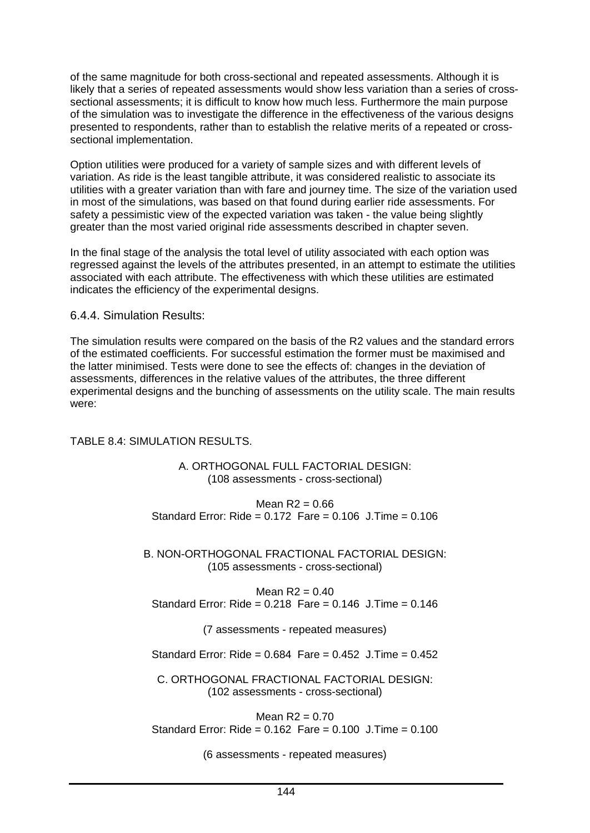of the same magnitude for both cross-sectional and repeated assessments. Although it is likely that a series of repeated assessments would show less variation than a series of crosssectional assessments; it is difficult to know how much less. Furthermore the main purpose of the simulation was to investigate the difference in the effectiveness of the various designs presented to respondents, rather than to establish the relative merits of a repeated or crosssectional implementation.

Option utilities were produced for a variety of sample sizes and with different levels of variation. As ride is the least tangible attribute, it was considered realistic to associate its utilities with a greater variation than with fare and journey time. The size of the variation used in most of the simulations, was based on that found during earlier ride assessments. For safety a pessimistic view of the expected variation was taken - the value being slightly greater than the most varied original ride assessments described in chapter seven.

In the final stage of the analysis the total level of utility associated with each option was regressed against the levels of the attributes presented, in an attempt to estimate the utilities associated with each attribute. The effectiveness with which these utilities are estimated indicates the efficiency of the experimental designs.

#### 6.4.4. Simulation Results:

The simulation results were compared on the basis of the R2 values and the standard errors of the estimated coefficients. For successful estimation the former must be maximised and the latter minimised. Tests were done to see the effects of: changes in the deviation of assessments, differences in the relative values of the attributes, the three different experimental designs and the bunching of assessments on the utility scale. The main results were:

#### TABLE 8.4: SIMULATION RESULTS.

#### A. ORTHOGONAL FULL FACTORIAL DESIGN: (108 assessments - cross-sectional)

Mean  $R2 = 0.66$ Standard Error: Ride =  $0.172$  Fare =  $0.106$  J. Time =  $0.106$ 

B. NON-ORTHOGONAL FRACTIONAL FACTORIAL DESIGN: (105 assessments - cross-sectional)

Mean  $R2 = 0.40$ Standard Error: Ride =  $0.218$  Fare =  $0.146$  J. Time =  $0.146$ 

(7 assessments - repeated measures)

Standard Error: Ride =  $0.684$  Fare =  $0.452$  J. Time =  $0.452$ 

C. ORTHOGONAL FRACTIONAL FACTORIAL DESIGN: (102 assessments - cross-sectional)

Mean  $R2 = 0.70$ Standard Error: Ride = 0.162 Fare = 0.100 J.Time = 0.100

(6 assessments - repeated measures)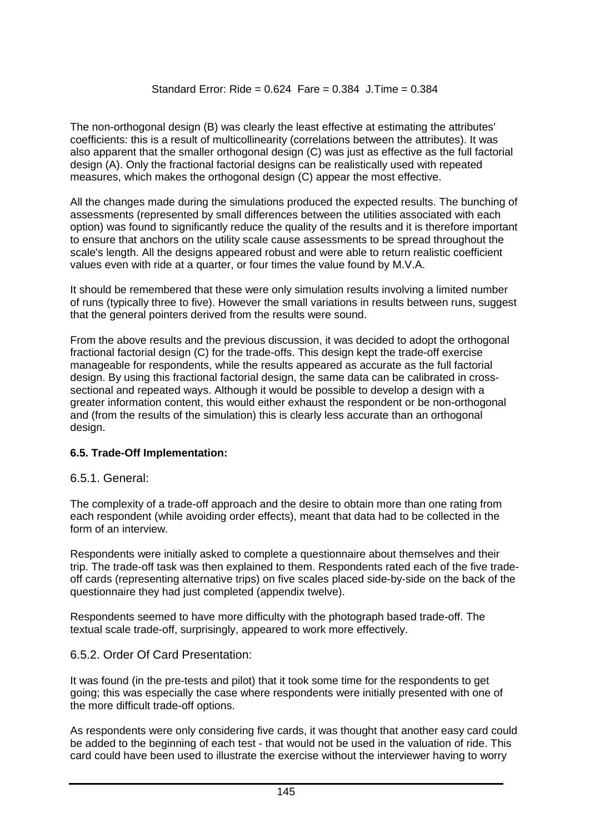The non-orthogonal design (B) was clearly the least effective at estimating the attributes' coefficients: this is a result of multicollinearity (correlations between the attributes). It was also apparent that the smaller orthogonal design (C) was just as effective as the full factorial design (A). Only the fractional factorial designs can be realistically used with repeated measures, which makes the orthogonal design (C) appear the most effective.

All the changes made during the simulations produced the expected results. The bunching of assessments (represented by small differences between the utilities associated with each option) was found to significantly reduce the quality of the results and it is therefore important to ensure that anchors on the utility scale cause assessments to be spread throughout the scale's length. All the designs appeared robust and were able to return realistic coefficient values even with ride at a quarter, or four times the value found by M.V.A.

It should be remembered that these were only simulation results involving a limited number of runs (typically three to five). However the small variations in results between runs, suggest that the general pointers derived from the results were sound.

From the above results and the previous discussion, it was decided to adopt the orthogonal fractional factorial design (C) for the trade-offs. This design kept the trade-off exercise manageable for respondents, while the results appeared as accurate as the full factorial design. By using this fractional factorial design, the same data can be calibrated in crosssectional and repeated ways. Although it would be possible to develop a design with a greater information content, this would either exhaust the respondent or be non-orthogonal and (from the results of the simulation) this is clearly less accurate than an orthogonal design.

## **6.5. Trade-Off Implementation:**

#### 6.5.1. General:

The complexity of a trade-off approach and the desire to obtain more than one rating from each respondent (while avoiding order effects), meant that data had to be collected in the form of an interview.

Respondents were initially asked to complete a questionnaire about themselves and their trip. The trade-off task was then explained to them. Respondents rated each of the five tradeoff cards (representing alternative trips) on five scales placed side-by-side on the back of the questionnaire they had just completed (appendix twelve).

Respondents seemed to have more difficulty with the photograph based trade-off. The textual scale trade-off, surprisingly, appeared to work more effectively.

#### 6.5.2. Order Of Card Presentation:

It was found (in the pre-tests and pilot) that it took some time for the respondents to get going; this was especially the case where respondents were initially presented with one of the more difficult trade-off options.

As respondents were only considering five cards, it was thought that another easy card could be added to the beginning of each test - that would not be used in the valuation of ride. This card could have been used to illustrate the exercise without the interviewer having to worry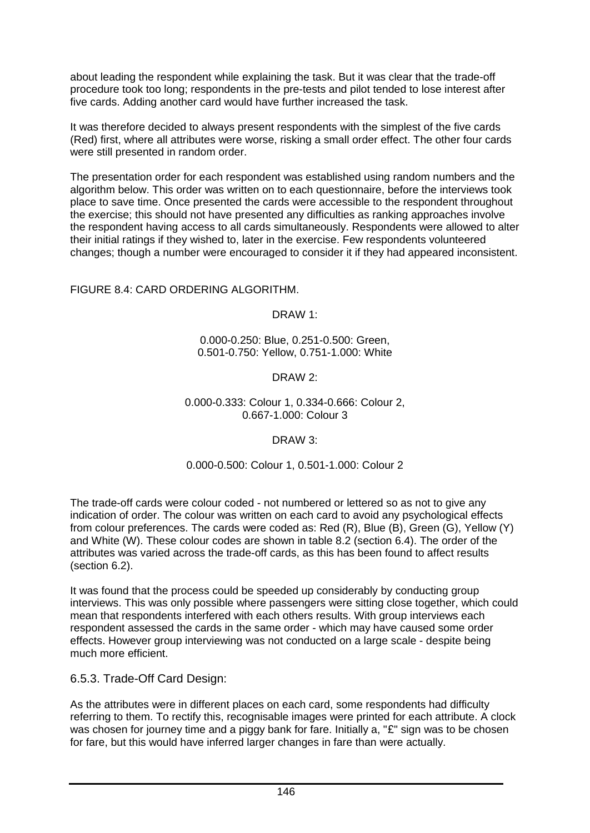about leading the respondent while explaining the task. But it was clear that the trade-off procedure took too long; respondents in the pre-tests and pilot tended to lose interest after five cards. Adding another card would have further increased the task.

It was therefore decided to always present respondents with the simplest of the five cards (Red) first, where all attributes were worse, risking a small order effect. The other four cards were still presented in random order.

The presentation order for each respondent was established using random numbers and the algorithm below. This order was written on to each questionnaire, before the interviews took place to save time. Once presented the cards were accessible to the respondent throughout the exercise; this should not have presented any difficulties as ranking approaches involve the respondent having access to all cards simultaneously. Respondents were allowed to alter their initial ratings if they wished to, later in the exercise. Few respondents volunteered changes; though a number were encouraged to consider it if they had appeared inconsistent.

#### FIGURE 8.4: CARD ORDERING ALGORITHM.

DRAW 1:

0.000-0.250: Blue, 0.251-0.500: Green, 0.501-0.750: Yellow, 0.751-1.000: White

DRAW 2:

#### 0.000-0.333: Colour 1, 0.334-0.666: Colour 2, 0.667-1.000: Colour 3

#### DRAW 3:

#### 0.000-0.500: Colour 1, 0.501-1.000: Colour 2

The trade-off cards were colour coded - not numbered or lettered so as not to give any indication of order. The colour was written on each card to avoid any psychological effects from colour preferences. The cards were coded as: Red (R), Blue (B), Green (G), Yellow (Y) and White (W). These colour codes are shown in table 8.2 (section 6.4). The order of the attributes was varied across the trade-off cards, as this has been found to affect results (section 6.2).

It was found that the process could be speeded up considerably by conducting group interviews. This was only possible where passengers were sitting close together, which could mean that respondents interfered with each others results. With group interviews each respondent assessed the cards in the same order - which may have caused some order effects. However group interviewing was not conducted on a large scale - despite being much more efficient.

6.5.3. Trade-Off Card Design:

As the attributes were in different places on each card, some respondents had difficulty referring to them. To rectify this, recognisable images were printed for each attribute. A clock was chosen for journey time and a piggy bank for fare. Initially a, "£" sign was to be chosen for fare, but this would have inferred larger changes in fare than were actually.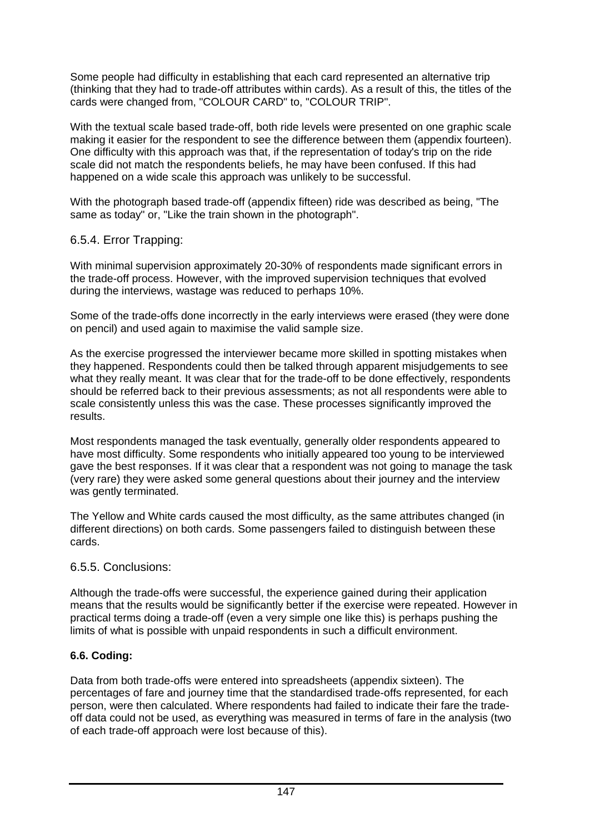Some people had difficulty in establishing that each card represented an alternative trip (thinking that they had to trade-off attributes within cards). As a result of this, the titles of the cards were changed from, "COLOUR CARD" to, "COLOUR TRIP".

With the textual scale based trade-off, both ride levels were presented on one graphic scale making it easier for the respondent to see the difference between them (appendix fourteen). One difficulty with this approach was that, if the representation of today's trip on the ride scale did not match the respondents beliefs, he may have been confused. If this had happened on a wide scale this approach was unlikely to be successful.

With the photograph based trade-off (appendix fifteen) ride was described as being, "The same as today" or, "Like the train shown in the photograph".

## 6.5.4. Error Trapping:

With minimal supervision approximately 20-30% of respondents made significant errors in the trade-off process. However, with the improved supervision techniques that evolved during the interviews, wastage was reduced to perhaps 10%.

Some of the trade-offs done incorrectly in the early interviews were erased (they were done on pencil) and used again to maximise the valid sample size.

As the exercise progressed the interviewer became more skilled in spotting mistakes when they happened. Respondents could then be talked through apparent misjudgements to see what they really meant. It was clear that for the trade-off to be done effectively, respondents should be referred back to their previous assessments; as not all respondents were able to scale consistently unless this was the case. These processes significantly improved the results.

Most respondents managed the task eventually, generally older respondents appeared to have most difficulty. Some respondents who initially appeared too young to be interviewed gave the best responses. If it was clear that a respondent was not going to manage the task (very rare) they were asked some general questions about their journey and the interview was gently terminated.

The Yellow and White cards caused the most difficulty, as the same attributes changed (in different directions) on both cards. Some passengers failed to distinguish between these cards.

## 6.5.5. Conclusions:

Although the trade-offs were successful, the experience gained during their application means that the results would be significantly better if the exercise were repeated. However in practical terms doing a trade-off (even a very simple one like this) is perhaps pushing the limits of what is possible with unpaid respondents in such a difficult environment.

## **6.6. Coding:**

Data from both trade-offs were entered into spreadsheets (appendix sixteen). The percentages of fare and journey time that the standardised trade-offs represented, for each person, were then calculated. Where respondents had failed to indicate their fare the tradeoff data could not be used, as everything was measured in terms of fare in the analysis (two of each trade-off approach were lost because of this).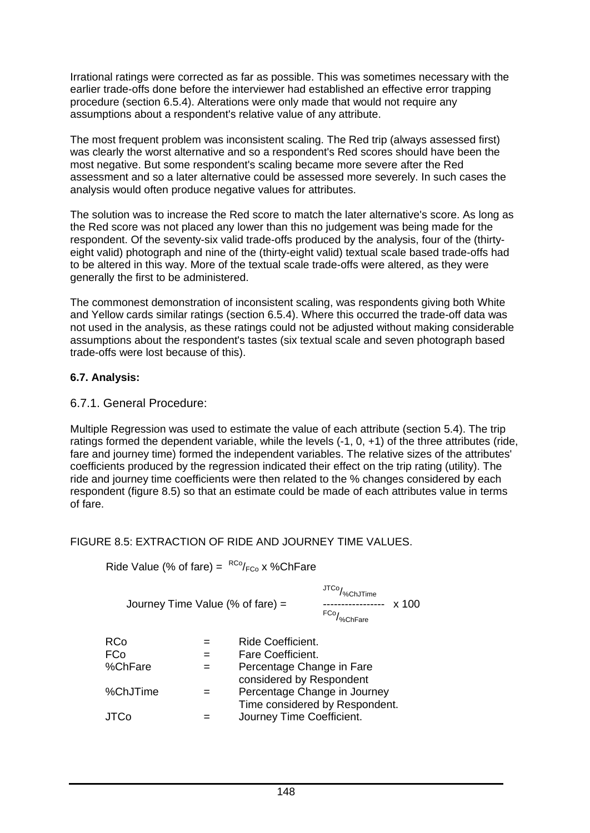Irrational ratings were corrected as far as possible. This was sometimes necessary with the earlier trade-offs done before the interviewer had established an effective error trapping procedure (section 6.5.4). Alterations were only made that would not require any assumptions about a respondent's relative value of any attribute.

The most frequent problem was inconsistent scaling. The Red trip (always assessed first) was clearly the worst alternative and so a respondent's Red scores should have been the most negative. But some respondent's scaling became more severe after the Red assessment and so a later alternative could be assessed more severely. In such cases the analysis would often produce negative values for attributes.

The solution was to increase the Red score to match the later alternative's score. As long as the Red score was not placed any lower than this no judgement was being made for the respondent. Of the seventy-six valid trade-offs produced by the analysis, four of the (thirtyeight valid) photograph and nine of the (thirty-eight valid) textual scale based trade-offs had to be altered in this way. More of the textual scale trade-offs were altered, as they were generally the first to be administered.

The commonest demonstration of inconsistent scaling, was respondents giving both White and Yellow cards similar ratings (section 6.5.4). Where this occurred the trade-off data was not used in the analysis, as these ratings could not be adjusted without making considerable assumptions about the respondent's tastes (six textual scale and seven photograph based trade-offs were lost because of this).

## **6.7. Analysis:**

## 6.7.1. General Procedure:

Multiple Regression was used to estimate the value of each attribute (section 5.4). The trip ratings formed the dependent variable, while the levels (-1, 0, +1) of the three attributes (ride, fare and journey time) formed the independent variables. The relative sizes of the attributes' coefficients produced by the regression indicated their effect on the trip rating (utility). The ride and journey time coefficients were then related to the % changes considered by each respondent (figure 8.5) so that an estimate could be made of each attributes value in terms of fare.

## FIGURE 8.5: EXTRACTION OF RIDE AND JOURNEY TIME VALUES.

| Ride Value (% of fare) = ${}^{RCO}/_{\text{FCo}}$ x %ChFare |  |
|-------------------------------------------------------------|--|
|-------------------------------------------------------------|--|

| Journey Time Value (% of fare) $=$ |     |                                                                | JTCo/<br>%ChJTime<br>FCo <sub>/%ChFare</sub> | x 100 |
|------------------------------------|-----|----------------------------------------------------------------|----------------------------------------------|-------|
| RCo                                |     | Ride Coefficient.                                              |                                              |       |
| FCo                                | $=$ | Fare Coefficient.                                              |                                              |       |
| %ChFare                            |     | Percentage Change in Fare<br>considered by Respondent          |                                              |       |
| %ChJTime                           |     | Percentage Change in Journey<br>Time considered by Respondent. |                                              |       |
| JTCo                               |     | Journey Time Coefficient.                                      |                                              |       |
|                                    |     |                                                                |                                              |       |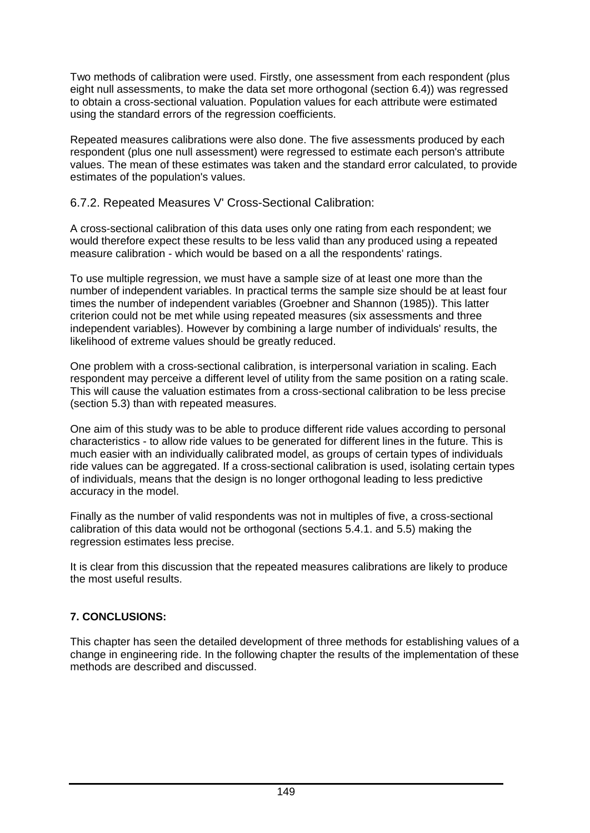Two methods of calibration were used. Firstly, one assessment from each respondent (plus eight null assessments, to make the data set more orthogonal (section 6.4)) was regressed to obtain a cross-sectional valuation. Population values for each attribute were estimated using the standard errors of the regression coefficients.

Repeated measures calibrations were also done. The five assessments produced by each respondent (plus one null assessment) were regressed to estimate each person's attribute values. The mean of these estimates was taken and the standard error calculated, to provide estimates of the population's values.

#### 6.7.2. Repeated Measures V' Cross-Sectional Calibration:

A cross-sectional calibration of this data uses only one rating from each respondent; we would therefore expect these results to be less valid than any produced using a repeated measure calibration - which would be based on a all the respondents' ratings.

To use multiple regression, we must have a sample size of at least one more than the number of independent variables. In practical terms the sample size should be at least four times the number of independent variables (Groebner and Shannon (1985)). This latter criterion could not be met while using repeated measures (six assessments and three independent variables). However by combining a large number of individuals' results, the likelihood of extreme values should be greatly reduced.

One problem with a cross-sectional calibration, is interpersonal variation in scaling. Each respondent may perceive a different level of utility from the same position on a rating scale. This will cause the valuation estimates from a cross-sectional calibration to be less precise (section 5.3) than with repeated measures.

One aim of this study was to be able to produce different ride values according to personal characteristics - to allow ride values to be generated for different lines in the future. This is much easier with an individually calibrated model, as groups of certain types of individuals ride values can be aggregated. If a cross-sectional calibration is used, isolating certain types of individuals, means that the design is no longer orthogonal leading to less predictive accuracy in the model.

Finally as the number of valid respondents was not in multiples of five, a cross-sectional calibration of this data would not be orthogonal (sections 5.4.1. and 5.5) making the regression estimates less precise.

It is clear from this discussion that the repeated measures calibrations are likely to produce the most useful results.

## **7. CONCLUSIONS:**

This chapter has seen the detailed development of three methods for establishing values of a change in engineering ride. In the following chapter the results of the implementation of these methods are described and discussed.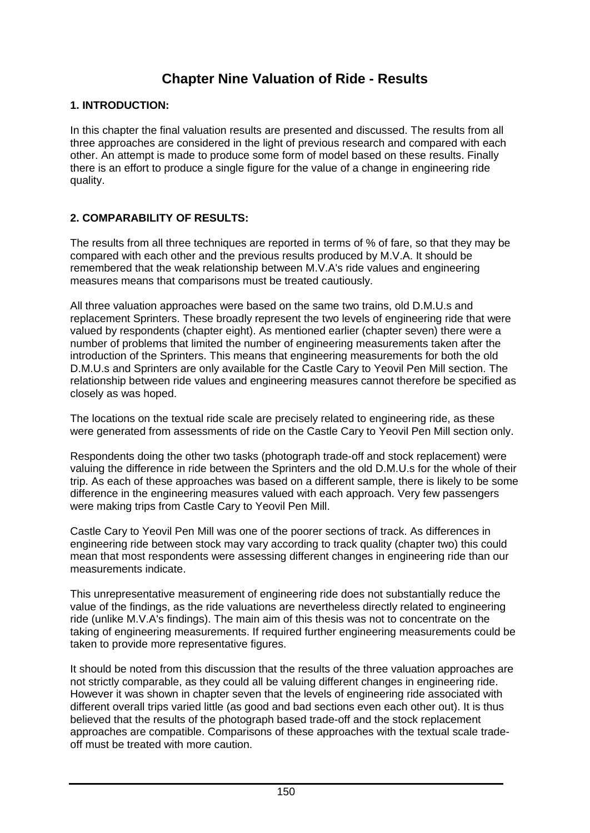## **Chapter Nine Valuation of Ride - Results**

#### **1. INTRODUCTION:**

In this chapter the final valuation results are presented and discussed. The results from all three approaches are considered in the light of previous research and compared with each other. An attempt is made to produce some form of model based on these results. Finally there is an effort to produce a single figure for the value of a change in engineering ride quality.

## **2. COMPARABILITY OF RESULTS:**

The results from all three techniques are reported in terms of % of fare, so that they may be compared with each other and the previous results produced by M.V.A. It should be remembered that the weak relationship between M.V.A's ride values and engineering measures means that comparisons must be treated cautiously.

All three valuation approaches were based on the same two trains, old D.M.U.s and replacement Sprinters. These broadly represent the two levels of engineering ride that were valued by respondents (chapter eight). As mentioned earlier (chapter seven) there were a number of problems that limited the number of engineering measurements taken after the introduction of the Sprinters. This means that engineering measurements for both the old D.M.U.s and Sprinters are only available for the Castle Cary to Yeovil Pen Mill section. The relationship between ride values and engineering measures cannot therefore be specified as closely as was hoped.

The locations on the textual ride scale are precisely related to engineering ride, as these were generated from assessments of ride on the Castle Cary to Yeovil Pen Mill section only.

Respondents doing the other two tasks (photograph trade-off and stock replacement) were valuing the difference in ride between the Sprinters and the old D.M.U.s for the whole of their trip. As each of these approaches was based on a different sample, there is likely to be some difference in the engineering measures valued with each approach. Very few passengers were making trips from Castle Cary to Yeovil Pen Mill.

Castle Cary to Yeovil Pen Mill was one of the poorer sections of track. As differences in engineering ride between stock may vary according to track quality (chapter two) this could mean that most respondents were assessing different changes in engineering ride than our measurements indicate.

This unrepresentative measurement of engineering ride does not substantially reduce the value of the findings, as the ride valuations are nevertheless directly related to engineering ride (unlike M.V.A's findings). The main aim of this thesis was not to concentrate on the taking of engineering measurements. If required further engineering measurements could be taken to provide more representative figures.

It should be noted from this discussion that the results of the three valuation approaches are not strictly comparable, as they could all be valuing different changes in engineering ride. However it was shown in chapter seven that the levels of engineering ride associated with different overall trips varied little (as good and bad sections even each other out). It is thus believed that the results of the photograph based trade-off and the stock replacement approaches are compatible. Comparisons of these approaches with the textual scale tradeoff must be treated with more caution.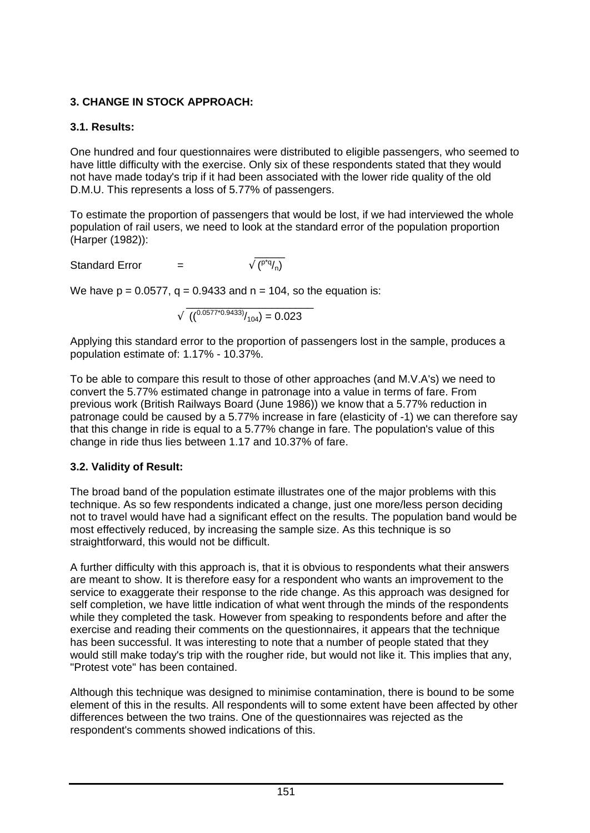## **3. CHANGE IN STOCK APPROACH:**

## **3.1. Results:**

One hundred and four questionnaires were distributed to eligible passengers, who seemed to have little difficulty with the exercise. Only six of these respondents stated that they would not have made today's trip if it had been associated with the lower ride quality of the old D.M.U. This represents a loss of 5.77% of passengers.

To estimate the proportion of passengers that would be lost, if we had interviewed the whole population of rail users, we need to look at the standard error of the population proportion (Harper (1982)):

 $\sqrt{(P^*q/2)}$ Standard Error  $=$ 

We have  $p = 0.0577$ ,  $q = 0.9433$  and  $n = 104$ , so the equation is:

$$
\sqrt{\left( \left( \frac{0.0577^{*}0.9433}{\sqrt{104}} \right) = 0.023 \right)}
$$

Applying this standard error to the proportion of passengers lost in the sample, produces a population estimate of: 1.17% - 10.37%.

To be able to compare this result to those of other approaches (and M.V.A's) we need to convert the 5.77% estimated change in patronage into a value in terms of fare. From previous work (British Railways Board (June 1986)) we know that a 5.77% reduction in patronage could be caused by a 5.77% increase in fare (elasticity of -1) we can therefore say that this change in ride is equal to a 5.77% change in fare. The population's value of this change in ride thus lies between 1.17 and 10.37% of fare.

## **3.2. Validity of Result:**

The broad band of the population estimate illustrates one of the major problems with this technique. As so few respondents indicated a change, just one more/less person deciding not to travel would have had a significant effect on the results. The population band would be most effectively reduced, by increasing the sample size. As this technique is so straightforward, this would not be difficult.

A further difficulty with this approach is, that it is obvious to respondents what their answers are meant to show. It is therefore easy for a respondent who wants an improvement to the service to exaggerate their response to the ride change. As this approach was designed for self completion, we have little indication of what went through the minds of the respondents while they completed the task. However from speaking to respondents before and after the exercise and reading their comments on the questionnaires, it appears that the technique has been successful. It was interesting to note that a number of people stated that they would still make today's trip with the rougher ride, but would not like it. This implies that any, "Protest vote" has been contained.

Although this technique was designed to minimise contamination, there is bound to be some element of this in the results. All respondents will to some extent have been affected by other differences between the two trains. One of the questionnaires was rejected as the respondent's comments showed indications of this.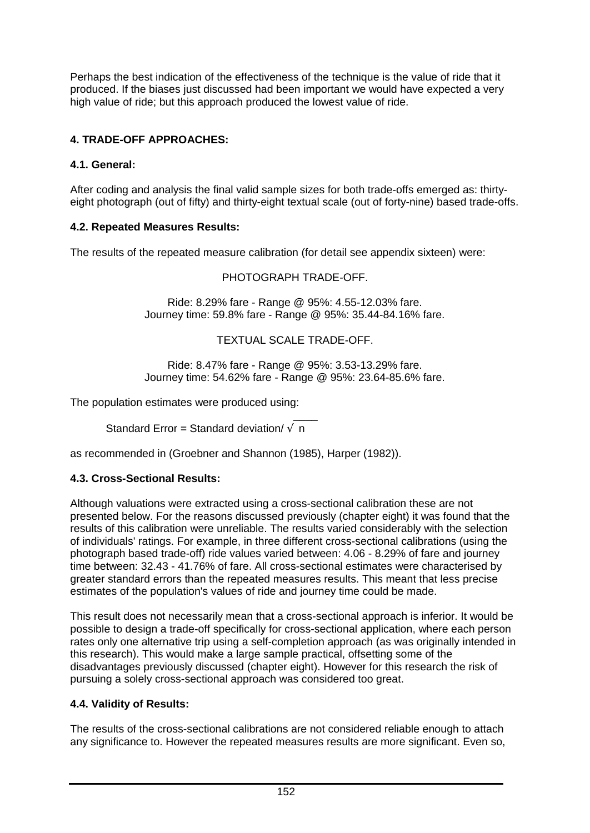Perhaps the best indication of the effectiveness of the technique is the value of ride that it produced. If the biases just discussed had been important we would have expected a very high value of ride; but this approach produced the lowest value of ride.

## **4. TRADE-OFF APPROACHES:**

## **4.1. General:**

After coding and analysis the final valid sample sizes for both trade-offs emerged as: thirtyeight photograph (out of fifty) and thirty-eight textual scale (out of forty-nine) based trade-offs.

## **4.2. Repeated Measures Results:**

The results of the repeated measure calibration (for detail see appendix sixteen) were:

#### PHOTOGRAPH TRADE-OFF.

Ride: 8.29% fare - Range @ 95%: 4.55-12.03% fare. Journey time: 59.8% fare - Range @ 95%: 35.44-84.16% fare.

#### TEXTUAL SCALE TRADE-OFF.

Ride: 8.47% fare - Range @ 95%: 3.53-13.29% fare. Journey time: 54.62% fare - Range @ 95%: 23.64-85.6% fare.

The population estimates were produced using:

```
\overline{\phantom{a}}Standard Error = Standard deviation/\sqrt{n}
```
as recommended in (Groebner and Shannon (1985), Harper (1982)).

## **4.3. Cross-Sectional Results:**

Although valuations were extracted using a cross-sectional calibration these are not presented below. For the reasons discussed previously (chapter eight) it was found that the results of this calibration were unreliable. The results varied considerably with the selection of individuals' ratings. For example, in three different cross-sectional calibrations (using the photograph based trade-off) ride values varied between: 4.06 - 8.29% of fare and journey time between: 32.43 - 41.76% of fare. All cross-sectional estimates were characterised by greater standard errors than the repeated measures results. This meant that less precise estimates of the population's values of ride and journey time could be made.

This result does not necessarily mean that a cross-sectional approach is inferior. It would be possible to design a trade-off specifically for cross-sectional application, where each person rates only one alternative trip using a self-completion approach (as was originally intended in this research). This would make a large sample practical, offsetting some of the disadvantages previously discussed (chapter eight). However for this research the risk of pursuing a solely cross-sectional approach was considered too great.

## **4.4. Validity of Results:**

The results of the cross-sectional calibrations are not considered reliable enough to attach any significance to. However the repeated measures results are more significant. Even so,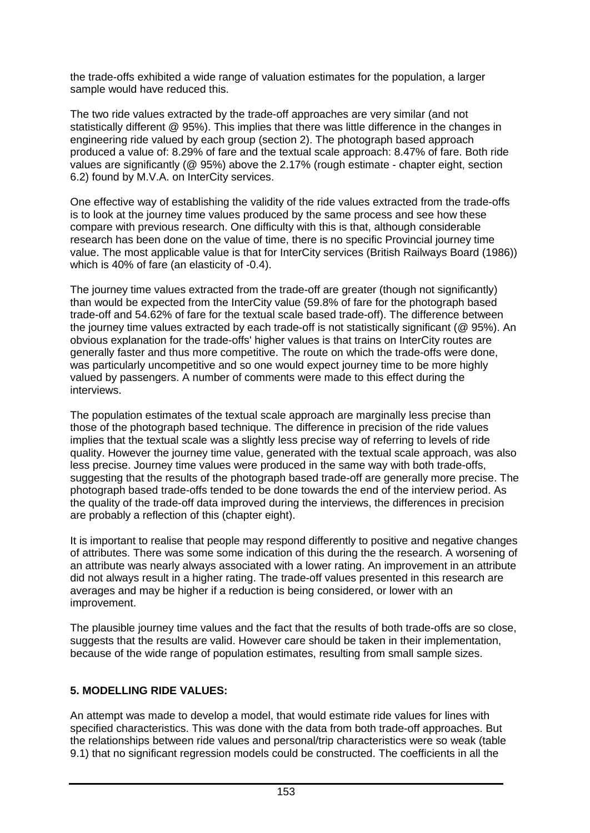the trade-offs exhibited a wide range of valuation estimates for the population, a larger sample would have reduced this.

The two ride values extracted by the trade-off approaches are very similar (and not statistically different @ 95%). This implies that there was little difference in the changes in engineering ride valued by each group (section 2). The photograph based approach produced a value of: 8.29% of fare and the textual scale approach: 8.47% of fare. Both ride values are significantly (@ 95%) above the 2.17% (rough estimate - chapter eight, section 6.2) found by M.V.A. on InterCity services.

One effective way of establishing the validity of the ride values extracted from the trade-offs is to look at the journey time values produced by the same process and see how these compare with previous research. One difficulty with this is that, although considerable research has been done on the value of time, there is no specific Provincial journey time value. The most applicable value is that for InterCity services (British Railways Board (1986)) which is 40% of fare (an elasticity of -0.4).

The journey time values extracted from the trade-off are greater (though not significantly) than would be expected from the InterCity value (59.8% of fare for the photograph based trade-off and 54.62% of fare for the textual scale based trade-off). The difference between the journey time values extracted by each trade-off is not statistically significant (@ 95%). An obvious explanation for the trade-offs' higher values is that trains on InterCity routes are generally faster and thus more competitive. The route on which the trade-offs were done, was particularly uncompetitive and so one would expect journey time to be more highly valued by passengers. A number of comments were made to this effect during the interviews.

The population estimates of the textual scale approach are marginally less precise than those of the photograph based technique. The difference in precision of the ride values implies that the textual scale was a slightly less precise way of referring to levels of ride quality. However the journey time value, generated with the textual scale approach, was also less precise. Journey time values were produced in the same way with both trade-offs, suggesting that the results of the photograph based trade-off are generally more precise. The photograph based trade-offs tended to be done towards the end of the interview period. As the quality of the trade-off data improved during the interviews, the differences in precision are probably a reflection of this (chapter eight).

It is important to realise that people may respond differently to positive and negative changes of attributes. There was some some indication of this during the the research. A worsening of an attribute was nearly always associated with a lower rating. An improvement in an attribute did not always result in a higher rating. The trade-off values presented in this research are averages and may be higher if a reduction is being considered, or lower with an improvement.

The plausible journey time values and the fact that the results of both trade-offs are so close, suggests that the results are valid. However care should be taken in their implementation, because of the wide range of population estimates, resulting from small sample sizes.

#### **5. MODELLING RIDE VALUES:**

An attempt was made to develop a model, that would estimate ride values for lines with specified characteristics. This was done with the data from both trade-off approaches. But the relationships between ride values and personal/trip characteristics were so weak (table 9.1) that no significant regression models could be constructed. The coefficients in all the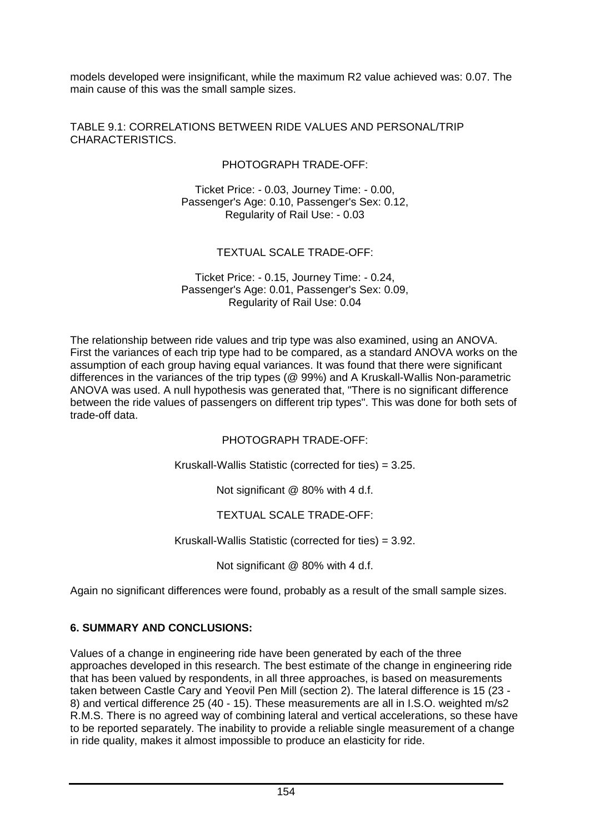models developed were insignificant, while the maximum R2 value achieved was: 0.07. The main cause of this was the small sample sizes.

TABLE 9.1: CORRELATIONS BETWEEN RIDE VALUES AND PERSONAL/TRIP CHARACTERISTICS.

PHOTOGRAPH TRADE-OFF:

Ticket Price: - 0.03, Journey Time: - 0.00, Passenger's Age: 0.10, Passenger's Sex: 0.12, Regularity of Rail Use: - 0.03

#### TEXTUAL SCALE TRADE-OFF:

#### Ticket Price: - 0.15, Journey Time: - 0.24, Passenger's Age: 0.01, Passenger's Sex: 0.09, Regularity of Rail Use: 0.04

The relationship between ride values and trip type was also examined, using an ANOVA. First the variances of each trip type had to be compared, as a standard ANOVA works on the assumption of each group having equal variances. It was found that there were significant differences in the variances of the trip types (@ 99%) and A Kruskall-Wallis Non-parametric ANOVA was used. A null hypothesis was generated that, "There is no significant difference between the ride values of passengers on different trip types". This was done for both sets of trade-off data.

PHOTOGRAPH TRADE-OFF:

Kruskall-Wallis Statistic (corrected for ties) = 3.25.

Not significant @ 80% with 4 d.f.

TEXTUAL SCALE TRADE-OFF:

Kruskall-Wallis Statistic (corrected for ties) = 3.92.

Not significant @ 80% with 4 d.f.

Again no significant differences were found, probably as a result of the small sample sizes.

#### **6. SUMMARY AND CONCLUSIONS:**

Values of a change in engineering ride have been generated by each of the three approaches developed in this research. The best estimate of the change in engineering ride that has been valued by respondents, in all three approaches, is based on measurements taken between Castle Cary and Yeovil Pen Mill (section 2). The lateral difference is 15 (23 - 8) and vertical difference 25 (40 - 15). These measurements are all in I.S.O. weighted m/s2 R.M.S. There is no agreed way of combining lateral and vertical accelerations, so these have to be reported separately. The inability to provide a reliable single measurement of a change in ride quality, makes it almost impossible to produce an elasticity for ride.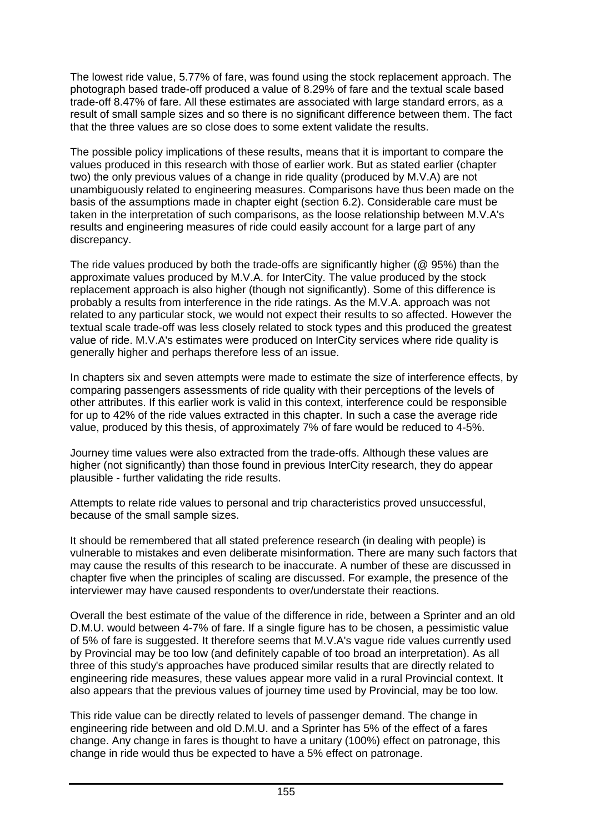The lowest ride value, 5.77% of fare, was found using the stock replacement approach. The photograph based trade-off produced a value of 8.29% of fare and the textual scale based trade-off 8.47% of fare. All these estimates are associated with large standard errors, as a result of small sample sizes and so there is no significant difference between them. The fact that the three values are so close does to some extent validate the results.

The possible policy implications of these results, means that it is important to compare the values produced in this research with those of earlier work. But as stated earlier (chapter two) the only previous values of a change in ride quality (produced by M.V.A) are not unambiguously related to engineering measures. Comparisons have thus been made on the basis of the assumptions made in chapter eight (section 6.2). Considerable care must be taken in the interpretation of such comparisons, as the loose relationship between M.V.A's results and engineering measures of ride could easily account for a large part of any discrepancy.

The ride values produced by both the trade-offs are significantly higher (@ 95%) than the approximate values produced by M.V.A. for InterCity. The value produced by the stock replacement approach is also higher (though not significantly). Some of this difference is probably a results from interference in the ride ratings. As the M.V.A. approach was not related to any particular stock, we would not expect their results to so affected. However the textual scale trade-off was less closely related to stock types and this produced the greatest value of ride. M.V.A's estimates were produced on InterCity services where ride quality is generally higher and perhaps therefore less of an issue.

In chapters six and seven attempts were made to estimate the size of interference effects, by comparing passengers assessments of ride quality with their perceptions of the levels of other attributes. If this earlier work is valid in this context, interference could be responsible for up to 42% of the ride values extracted in this chapter. In such a case the average ride value, produced by this thesis, of approximately 7% of fare would be reduced to 4-5%.

Journey time values were also extracted from the trade-offs. Although these values are higher (not significantly) than those found in previous InterCity research, they do appear plausible - further validating the ride results.

Attempts to relate ride values to personal and trip characteristics proved unsuccessful, because of the small sample sizes.

It should be remembered that all stated preference research (in dealing with people) is vulnerable to mistakes and even deliberate misinformation. There are many such factors that may cause the results of this research to be inaccurate. A number of these are discussed in chapter five when the principles of scaling are discussed. For example, the presence of the interviewer may have caused respondents to over/understate their reactions.

Overall the best estimate of the value of the difference in ride, between a Sprinter and an old D.M.U. would between 4-7% of fare. If a single figure has to be chosen, a pessimistic value of 5% of fare is suggested. It therefore seems that M.V.A's vague ride values currently used by Provincial may be too low (and definitely capable of too broad an interpretation). As all three of this study's approaches have produced similar results that are directly related to engineering ride measures, these values appear more valid in a rural Provincial context. It also appears that the previous values of journey time used by Provincial, may be too low.

This ride value can be directly related to levels of passenger demand. The change in engineering ride between and old D.M.U. and a Sprinter has 5% of the effect of a fares change. Any change in fares is thought to have a unitary (100%) effect on patronage, this change in ride would thus be expected to have a 5% effect on patronage.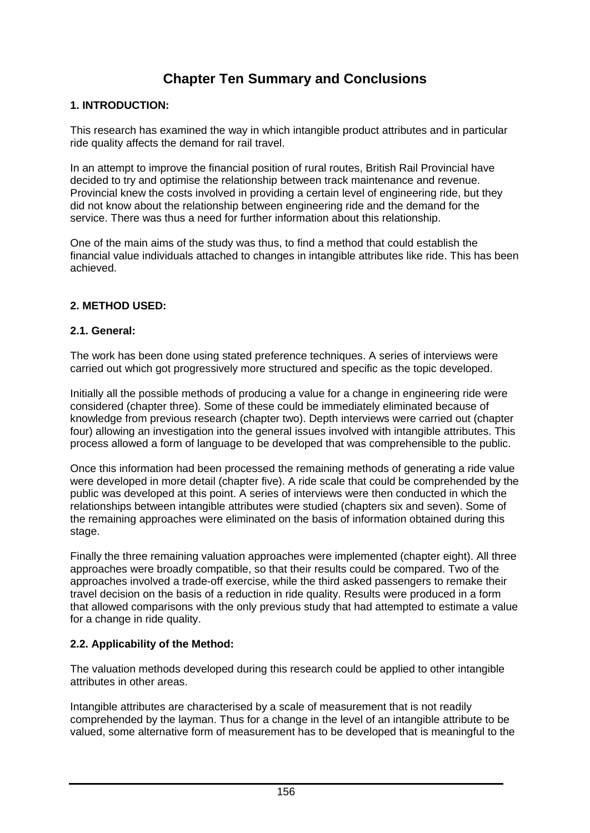## **Chapter Ten Summary and Conclusions**

#### **1. INTRODUCTION:**

This research has examined the way in which intangible product attributes and in particular ride quality affects the demand for rail travel.

In an attempt to improve the financial position of rural routes, British Rail Provincial have decided to try and optimise the relationship between track maintenance and revenue. Provincial knew the costs involved in providing a certain level of engineering ride, but they did not know about the relationship between engineering ride and the demand for the service. There was thus a need for further information about this relationship.

One of the main aims of the study was thus, to find a method that could establish the financial value individuals attached to changes in intangible attributes like ride. This has been achieved.

#### **2. METHOD USED:**

#### **2.1. General:**

The work has been done using stated preference techniques. A series of interviews were carried out which got progressively more structured and specific as the topic developed.

Initially all the possible methods of producing a value for a change in engineering ride were considered (chapter three). Some of these could be immediately eliminated because of knowledge from previous research (chapter two). Depth interviews were carried out (chapter four) allowing an investigation into the general issues involved with intangible attributes. This process allowed a form of language to be developed that was comprehensible to the public.

Once this information had been processed the remaining methods of generating a ride value were developed in more detail (chapter five). A ride scale that could be comprehended by the public was developed at this point. A series of interviews were then conducted in which the relationships between intangible attributes were studied (chapters six and seven). Some of the remaining approaches were eliminated on the basis of information obtained during this stage.

Finally the three remaining valuation approaches were implemented (chapter eight). All three approaches were broadly compatible, so that their results could be compared. Two of the approaches involved a trade-off exercise, while the third asked passengers to remake their travel decision on the basis of a reduction in ride quality. Results were produced in a form that allowed comparisons with the only previous study that had attempted to estimate a value for a change in ride quality.

#### **2.2. Applicability of the Method:**

The valuation methods developed during this research could be applied to other intangible attributes in other areas.

Intangible attributes are characterised by a scale of measurement that is not readily comprehended by the layman. Thus for a change in the level of an intangible attribute to be valued, some alternative form of measurement has to be developed that is meaningful to the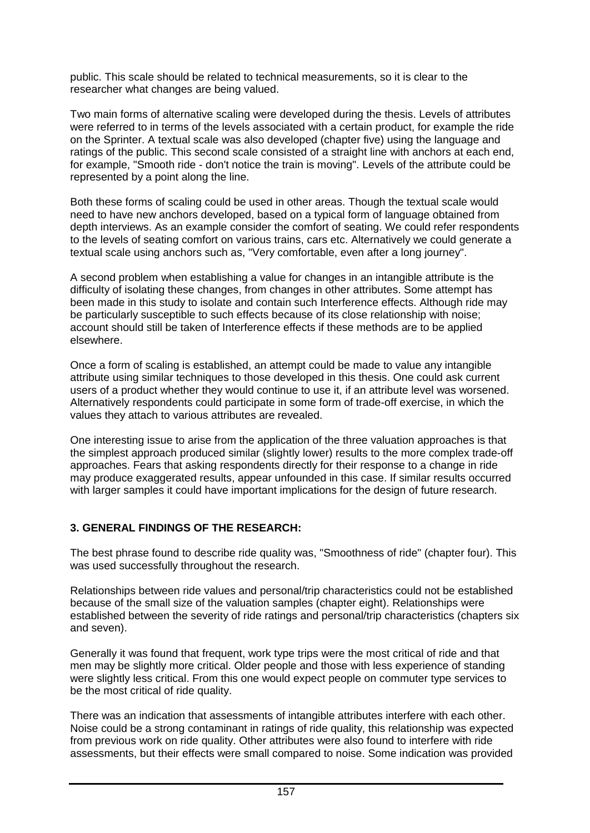public. This scale should be related to technical measurements, so it is clear to the researcher what changes are being valued.

Two main forms of alternative scaling were developed during the thesis. Levels of attributes were referred to in terms of the levels associated with a certain product, for example the ride on the Sprinter. A textual scale was also developed (chapter five) using the language and ratings of the public. This second scale consisted of a straight line with anchors at each end, for example, "Smooth ride - don't notice the train is moving". Levels of the attribute could be represented by a point along the line.

Both these forms of scaling could be used in other areas. Though the textual scale would need to have new anchors developed, based on a typical form of language obtained from depth interviews. As an example consider the comfort of seating. We could refer respondents to the levels of seating comfort on various trains, cars etc. Alternatively we could generate a textual scale using anchors such as, "Very comfortable, even after a long journey".

A second problem when establishing a value for changes in an intangible attribute is the difficulty of isolating these changes, from changes in other attributes. Some attempt has been made in this study to isolate and contain such Interference effects. Although ride may be particularly susceptible to such effects because of its close relationship with noise; account should still be taken of Interference effects if these methods are to be applied elsewhere.

Once a form of scaling is established, an attempt could be made to value any intangible attribute using similar techniques to those developed in this thesis. One could ask current users of a product whether they would continue to use it, if an attribute level was worsened. Alternatively respondents could participate in some form of trade-off exercise, in which the values they attach to various attributes are revealed.

One interesting issue to arise from the application of the three valuation approaches is that the simplest approach produced similar (slightly lower) results to the more complex trade-off approaches. Fears that asking respondents directly for their response to a change in ride may produce exaggerated results, appear unfounded in this case. If similar results occurred with larger samples it could have important implications for the design of future research.

## **3. GENERAL FINDINGS OF THE RESEARCH:**

The best phrase found to describe ride quality was, "Smoothness of ride" (chapter four). This was used successfully throughout the research.

Relationships between ride values and personal/trip characteristics could not be established because of the small size of the valuation samples (chapter eight). Relationships were established between the severity of ride ratings and personal/trip characteristics (chapters six and seven).

Generally it was found that frequent, work type trips were the most critical of ride and that men may be slightly more critical. Older people and those with less experience of standing were slightly less critical. From this one would expect people on commuter type services to be the most critical of ride quality.

There was an indication that assessments of intangible attributes interfere with each other. Noise could be a strong contaminant in ratings of ride quality, this relationship was expected from previous work on ride quality. Other attributes were also found to interfere with ride assessments, but their effects were small compared to noise. Some indication was provided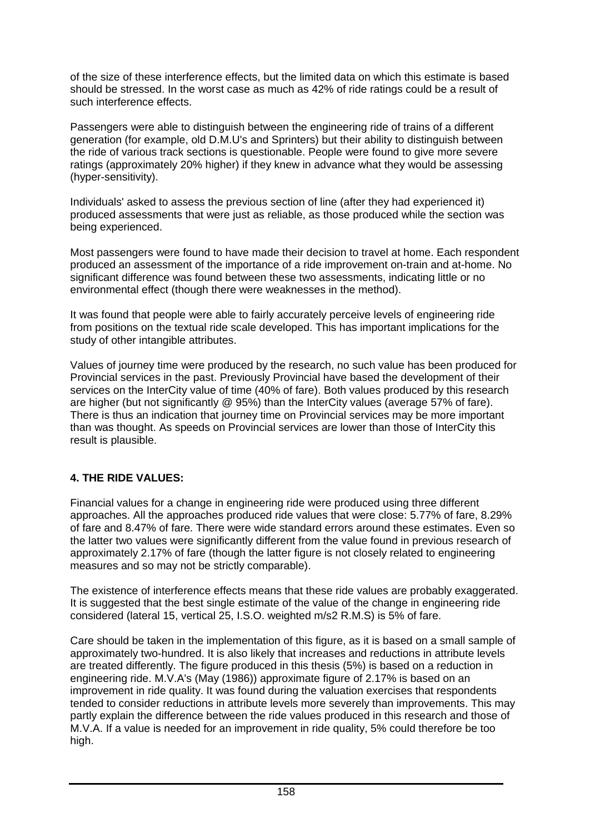of the size of these interference effects, but the limited data on which this estimate is based should be stressed. In the worst case as much as 42% of ride ratings could be a result of such interference effects.

Passengers were able to distinguish between the engineering ride of trains of a different generation (for example, old D.M.U's and Sprinters) but their ability to distinguish between the ride of various track sections is questionable. People were found to give more severe ratings (approximately 20% higher) if they knew in advance what they would be assessing (hyper-sensitivity).

Individuals' asked to assess the previous section of line (after they had experienced it) produced assessments that were just as reliable, as those produced while the section was being experienced.

Most passengers were found to have made their decision to travel at home. Each respondent produced an assessment of the importance of a ride improvement on-train and at-home. No significant difference was found between these two assessments, indicating little or no environmental effect (though there were weaknesses in the method).

It was found that people were able to fairly accurately perceive levels of engineering ride from positions on the textual ride scale developed. This has important implications for the study of other intangible attributes.

Values of journey time were produced by the research, no such value has been produced for Provincial services in the past. Previously Provincial have based the development of their services on the InterCity value of time (40% of fare). Both values produced by this research are higher (but not significantly @ 95%) than the InterCity values (average 57% of fare). There is thus an indication that journey time on Provincial services may be more important than was thought. As speeds on Provincial services are lower than those of InterCity this result is plausible.

## **4. THE RIDE VALUES:**

Financial values for a change in engineering ride were produced using three different approaches. All the approaches produced ride values that were close: 5.77% of fare, 8.29% of fare and 8.47% of fare. There were wide standard errors around these estimates. Even so the latter two values were significantly different from the value found in previous research of approximately 2.17% of fare (though the latter figure is not closely related to engineering measures and so may not be strictly comparable).

The existence of interference effects means that these ride values are probably exaggerated. It is suggested that the best single estimate of the value of the change in engineering ride considered (lateral 15, vertical 25, I.S.O. weighted m/s2 R.M.S) is 5% of fare.

Care should be taken in the implementation of this figure, as it is based on a small sample of approximately two-hundred. It is also likely that increases and reductions in attribute levels are treated differently. The figure produced in this thesis (5%) is based on a reduction in engineering ride. M.V.A's (May (1986)) approximate figure of 2.17% is based on an improvement in ride quality. It was found during the valuation exercises that respondents tended to consider reductions in attribute levels more severely than improvements. This may partly explain the difference between the ride values produced in this research and those of M.V.A. If a value is needed for an improvement in ride quality, 5% could therefore be too high.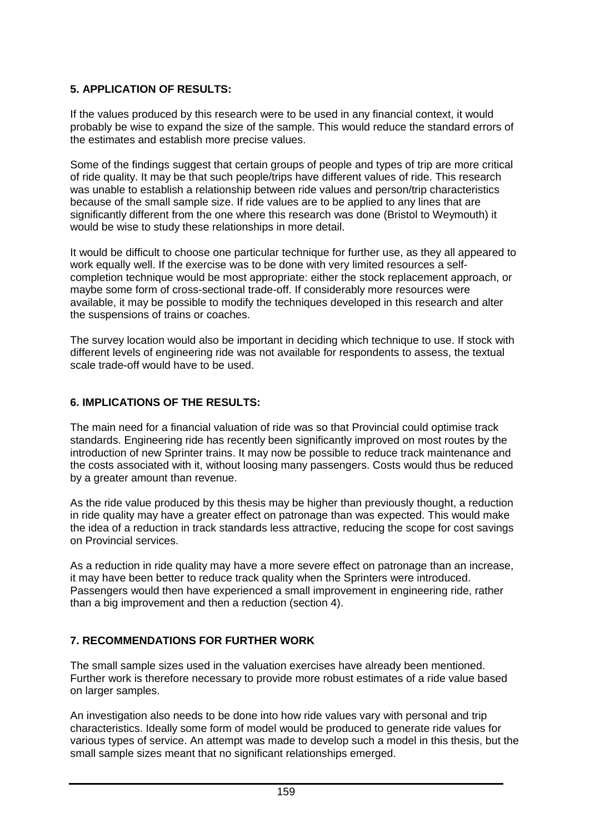## **5. APPLICATION OF RESULTS:**

If the values produced by this research were to be used in any financial context, it would probably be wise to expand the size of the sample. This would reduce the standard errors of the estimates and establish more precise values.

Some of the findings suggest that certain groups of people and types of trip are more critical of ride quality. It may be that such people/trips have different values of ride. This research was unable to establish a relationship between ride values and person/trip characteristics because of the small sample size. If ride values are to be applied to any lines that are significantly different from the one where this research was done (Bristol to Weymouth) it would be wise to study these relationships in more detail.

It would be difficult to choose one particular technique for further use, as they all appeared to work equally well. If the exercise was to be done with very limited resources a selfcompletion technique would be most appropriate: either the stock replacement approach, or maybe some form of cross-sectional trade-off. If considerably more resources were available, it may be possible to modify the techniques developed in this research and alter the suspensions of trains or coaches.

The survey location would also be important in deciding which technique to use. If stock with different levels of engineering ride was not available for respondents to assess, the textual scale trade-off would have to be used.

## **6. IMPLICATIONS OF THE RESULTS:**

The main need for a financial valuation of ride was so that Provincial could optimise track standards. Engineering ride has recently been significantly improved on most routes by the introduction of new Sprinter trains. It may now be possible to reduce track maintenance and the costs associated with it, without loosing many passengers. Costs would thus be reduced by a greater amount than revenue.

As the ride value produced by this thesis may be higher than previously thought, a reduction in ride quality may have a greater effect on patronage than was expected. This would make the idea of a reduction in track standards less attractive, reducing the scope for cost savings on Provincial services.

As a reduction in ride quality may have a more severe effect on patronage than an increase, it may have been better to reduce track quality when the Sprinters were introduced. Passengers would then have experienced a small improvement in engineering ride, rather than a big improvement and then a reduction (section 4).

## **7. RECOMMENDATIONS FOR FURTHER WORK**

The small sample sizes used in the valuation exercises have already been mentioned. Further work is therefore necessary to provide more robust estimates of a ride value based on larger samples.

An investigation also needs to be done into how ride values vary with personal and trip characteristics. Ideally some form of model would be produced to generate ride values for various types of service. An attempt was made to develop such a model in this thesis, but the small sample sizes meant that no significant relationships emerged.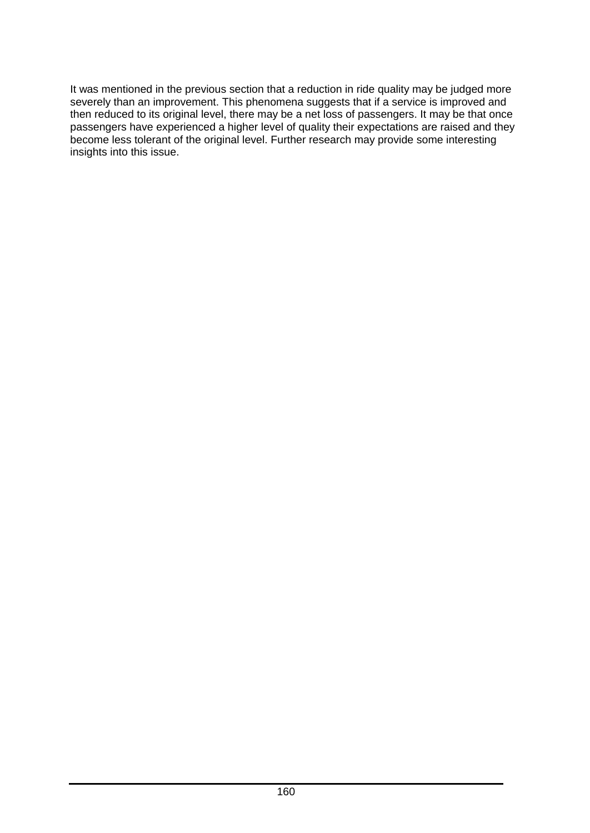It was mentioned in the previous section that a reduction in ride quality may be judged more severely than an improvement. This phenomena suggests that if a service is improved and then reduced to its original level, there may be a net loss of passengers. It may be that once passengers have experienced a higher level of quality their expectations are raised and they become less tolerant of the original level. Further research may provide some interesting insights into this issue.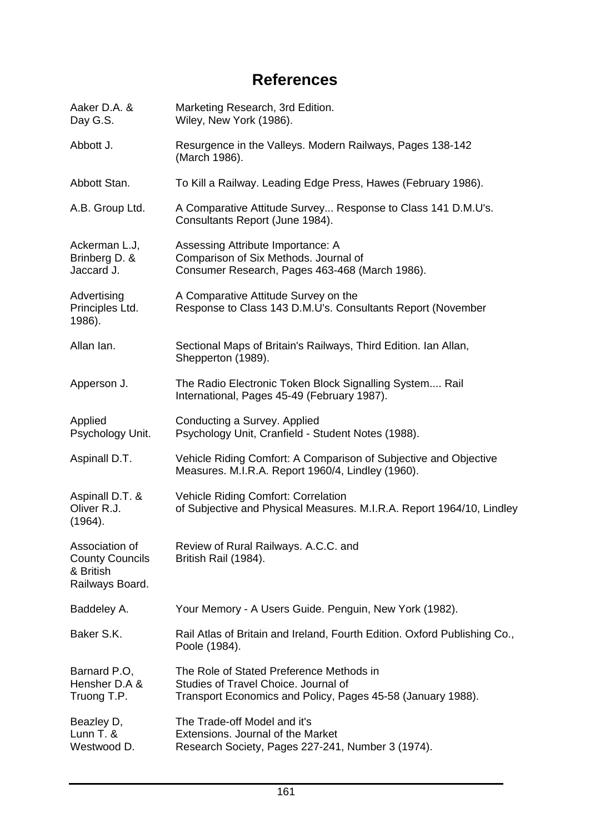# **References**

| Aaker D.A. &<br>Day G.S.                                                 | Marketing Research, 3rd Edition.<br>Wiley, New York (1986).                                                                                     |
|--------------------------------------------------------------------------|-------------------------------------------------------------------------------------------------------------------------------------------------|
| Abbott J.                                                                | Resurgence in the Valleys. Modern Railways, Pages 138-142<br>(March 1986).                                                                      |
| Abbott Stan.                                                             | To Kill a Railway. Leading Edge Press, Hawes (February 1986).                                                                                   |
| A.B. Group Ltd.                                                          | A Comparative Attitude Survey Response to Class 141 D.M.U's.<br>Consultants Report (June 1984).                                                 |
| Ackerman L.J,<br>Brinberg D. &<br>Jaccard J.                             | Assessing Attribute Importance: A<br>Comparison of Six Methods. Journal of<br>Consumer Research, Pages 463-468 (March 1986).                    |
| Advertising<br>Principles Ltd.<br>1986).                                 | A Comparative Attitude Survey on the<br>Response to Class 143 D.M.U's. Consultants Report (November                                             |
| Allan Ian.                                                               | Sectional Maps of Britain's Railways, Third Edition. Ian Allan,<br>Shepperton (1989).                                                           |
| Apperson J.                                                              | The Radio Electronic Token Block Signalling System Rail<br>International, Pages 45-49 (February 1987).                                          |
| Applied<br>Psychology Unit.                                              | Conducting a Survey. Applied<br>Psychology Unit, Cranfield - Student Notes (1988).                                                              |
| Aspinall D.T.                                                            | Vehicle Riding Comfort: A Comparison of Subjective and Objective<br>Measures. M.I.R.A. Report 1960/4, Lindley (1960).                           |
| Aspinall D.T. &<br>Oliver R.J.<br>(1964).                                | Vehicle Riding Comfort: Correlation<br>of Subjective and Physical Measures. M.I.R.A. Report 1964/10, Lindley                                    |
| Association of<br><b>County Councils</b><br>& British<br>Railways Board. | Review of Rural Railways. A.C.C. and<br>British Rail (1984).                                                                                    |
| Baddeley A.                                                              | Your Memory - A Users Guide. Penguin, New York (1982).                                                                                          |
| Baker S.K.                                                               | Rail Atlas of Britain and Ireland, Fourth Edition. Oxford Publishing Co.,<br>Poole (1984).                                                      |
| Barnard P.O.<br>Hensher D.A &<br>Truong T.P.                             | The Role of Stated Preference Methods in<br>Studies of Travel Choice. Journal of<br>Transport Economics and Policy, Pages 45-58 (January 1988). |
| Beazley D,<br>Lunn T. &<br>Westwood D.                                   | The Trade-off Model and it's<br>Extensions. Journal of the Market<br>Research Society, Pages 227-241, Number 3 (1974).                          |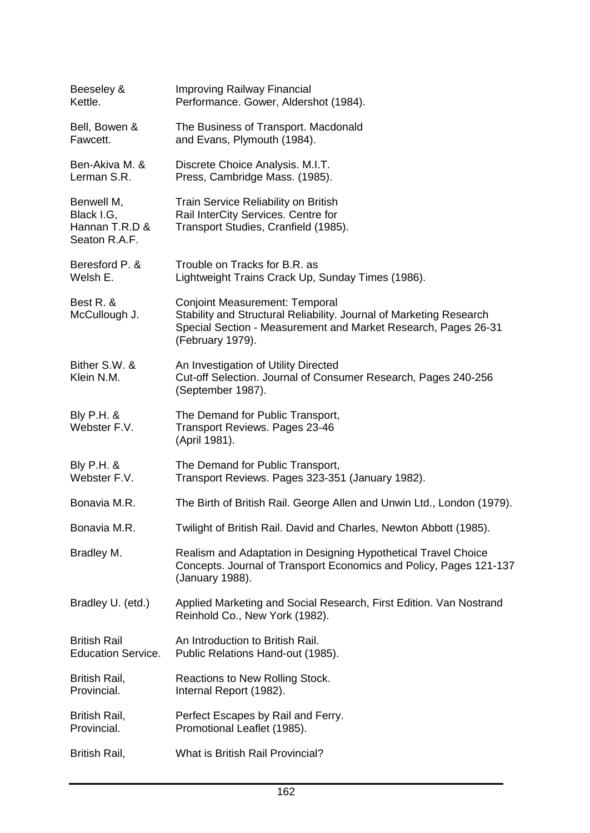| Beeseley &<br>Kettle.                                       | Improving Railway Financial<br>Performance. Gower, Aldershot (1984).                                                                                                                               |
|-------------------------------------------------------------|----------------------------------------------------------------------------------------------------------------------------------------------------------------------------------------------------|
| Bell, Bowen &<br>Fawcett.                                   | The Business of Transport. Macdonald<br>and Evans, Plymouth (1984).                                                                                                                                |
| Ben-Akiva M. &<br>Lerman S.R.                               | Discrete Choice Analysis. M.I.T.<br>Press, Cambridge Mass. (1985).                                                                                                                                 |
| Benwell M,<br>Black I.G,<br>Hannan T.R.D &<br>Seaton R.A.F. | Train Service Reliability on British<br>Rail InterCity Services. Centre for<br>Transport Studies, Cranfield (1985).                                                                                |
| Beresford P. &<br>Welsh E.                                  | Trouble on Tracks for B.R. as<br>Lightweight Trains Crack Up, Sunday Times (1986).                                                                                                                 |
| Best R. &<br>McCullough J.                                  | <b>Conjoint Measurement: Temporal</b><br>Stability and Structural Reliability. Journal of Marketing Research<br>Special Section - Measurement and Market Research, Pages 26-31<br>(February 1979). |
| Bither S.W. &<br>Klein N.M.                                 | An Investigation of Utility Directed<br>Cut-off Selection. Journal of Consumer Research, Pages 240-256<br>(September 1987).                                                                        |
| <b>Bly P.H. &amp;</b><br>Webster F.V.                       | The Demand for Public Transport,<br><b>Transport Reviews. Pages 23-46</b><br>(April 1981).                                                                                                         |
| Bly P.H. &<br>Webster F.V.                                  | The Demand for Public Transport,<br>Transport Reviews. Pages 323-351 (January 1982).                                                                                                               |
| Bonavia M.R.                                                | The Birth of British Rail. George Allen and Unwin Ltd., London (1979).                                                                                                                             |
| Bonavia M.R.                                                | Twilight of British Rail. David and Charles, Newton Abbott (1985).                                                                                                                                 |
| Bradley M.                                                  | Realism and Adaptation in Designing Hypothetical Travel Choice<br>Concepts. Journal of Transport Economics and Policy, Pages 121-137<br>(January 1988).                                            |
| Bradley U. (etd.)                                           | Applied Marketing and Social Research, First Edition. Van Nostrand<br>Reinhold Co., New York (1982).                                                                                               |
| <b>British Rail</b><br><b>Education Service.</b>            | An Introduction to British Rail.<br>Public Relations Hand-out (1985).                                                                                                                              |
| British Rail,<br>Provincial.                                | Reactions to New Rolling Stock.<br>Internal Report (1982).                                                                                                                                         |
| British Rail,<br>Provincial.                                | Perfect Escapes by Rail and Ferry.<br>Promotional Leaflet (1985).                                                                                                                                  |
| British Rail,                                               | What is British Rail Provincial?                                                                                                                                                                   |
|                                                             |                                                                                                                                                                                                    |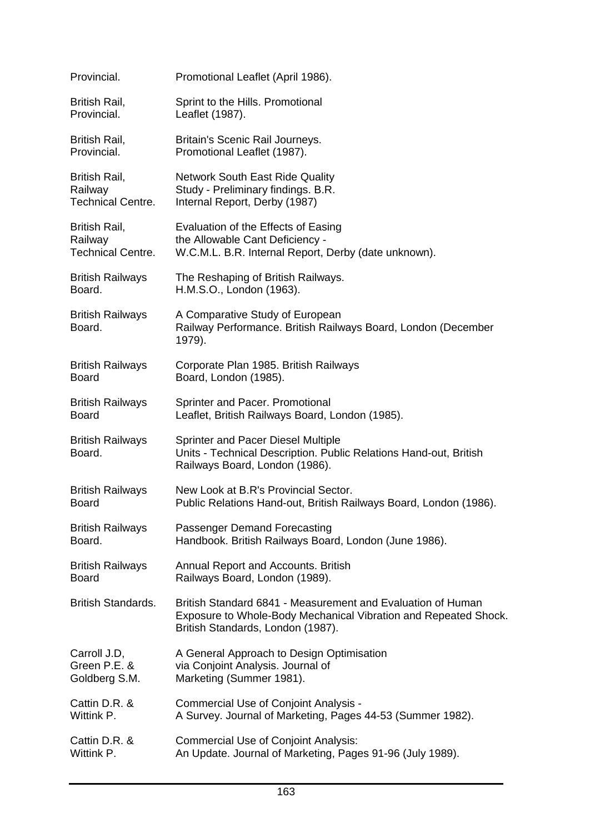| Provincial.                       | Promotional Leaflet (April 1986).                                                                                                                                   |
|-----------------------------------|---------------------------------------------------------------------------------------------------------------------------------------------------------------------|
| British Rail,                     | Sprint to the Hills. Promotional                                                                                                                                    |
| Provincial.                       | Leaflet (1987).                                                                                                                                                     |
| British Rail,                     | Britain's Scenic Rail Journeys.                                                                                                                                     |
| Provincial.                       | Promotional Leaflet (1987).                                                                                                                                         |
| British Rail,                     | <b>Network South East Ride Quality</b>                                                                                                                              |
| Railway                           | Study - Preliminary findings. B.R.                                                                                                                                  |
| <b>Technical Centre.</b>          | Internal Report, Derby (1987)                                                                                                                                       |
| British Rail,                     | Evaluation of the Effects of Easing                                                                                                                                 |
| Railway                           | the Allowable Cant Deficiency -                                                                                                                                     |
| <b>Technical Centre.</b>          | W.C.M.L. B.R. Internal Report, Derby (date unknown).                                                                                                                |
| <b>British Railways</b>           | The Reshaping of British Railways.                                                                                                                                  |
| Board.                            | H.M.S.O., London (1963).                                                                                                                                            |
| <b>British Railways</b><br>Board. | A Comparative Study of European<br>Railway Performance. British Railways Board, London (December<br>1979).                                                          |
| <b>British Railways</b>           | Corporate Plan 1985. British Railways                                                                                                                               |
| <b>Board</b>                      | Board, London (1985).                                                                                                                                               |
| <b>British Railways</b>           | Sprinter and Pacer. Promotional                                                                                                                                     |
| <b>Board</b>                      | Leaflet, British Railways Board, London (1985).                                                                                                                     |
| <b>British Railways</b><br>Board. | <b>Sprinter and Pacer Diesel Multiple</b><br>Units - Technical Description. Public Relations Hand-out, British<br>Railways Board, London (1986).                    |
| <b>British Railways</b>           | New Look at B.R's Provincial Sector.                                                                                                                                |
| <b>Board</b>                      | Public Relations Hand-out, British Railways Board, London (1986).                                                                                                   |
| <b>British Railways</b>           | Passenger Demand Forecasting                                                                                                                                        |
| Board.                            | Handbook. British Railways Board, London (June 1986).                                                                                                               |
| <b>British Railways</b>           | Annual Report and Accounts. British                                                                                                                                 |
| <b>Board</b>                      | Railways Board, London (1989).                                                                                                                                      |
| <b>British Standards.</b>         | British Standard 6841 - Measurement and Evaluation of Human<br>Exposure to Whole-Body Mechanical Vibration and Repeated Shock.<br>British Standards, London (1987). |
| Carroll J.D,                      | A General Approach to Design Optimisation                                                                                                                           |
| Green P.E. &                      | via Conjoint Analysis. Journal of                                                                                                                                   |
| Goldberg S.M.                     | Marketing (Summer 1981).                                                                                                                                            |
| Cattin D.R. &                     | <b>Commercial Use of Conjoint Analysis -</b>                                                                                                                        |
| Wittink P.                        | A Survey. Journal of Marketing, Pages 44-53 (Summer 1982).                                                                                                          |
| Cattin D.R. &                     | <b>Commercial Use of Conjoint Analysis:</b>                                                                                                                         |
| Wittink P.                        | An Update. Journal of Marketing, Pages 91-96 (July 1989).                                                                                                           |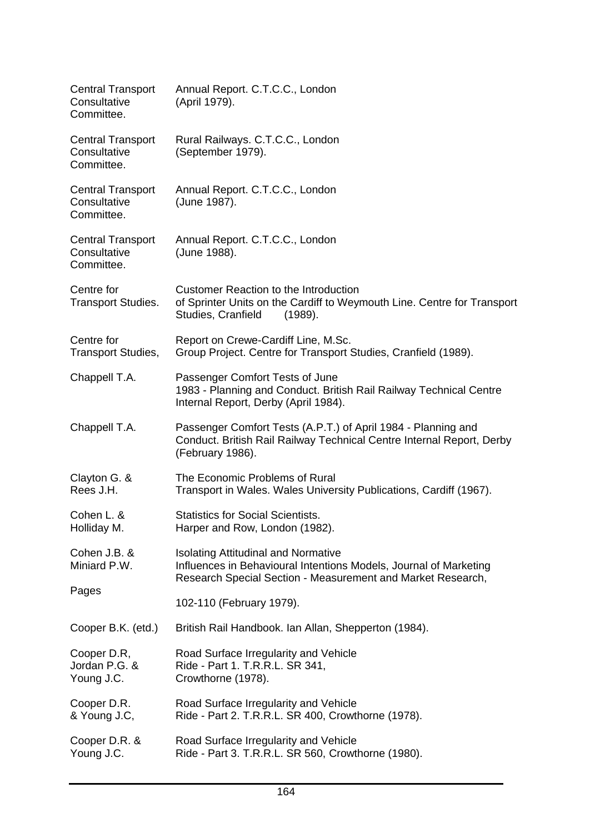| <b>Central Transport</b><br>Consultative<br>Committee. | Annual Report. C.T.C.C., London<br>(April 1979).                                                                                                                               |
|--------------------------------------------------------|--------------------------------------------------------------------------------------------------------------------------------------------------------------------------------|
| <b>Central Transport</b><br>Consultative<br>Committee. | Rural Railways. C.T.C.C., London<br>(September 1979).                                                                                                                          |
| <b>Central Transport</b><br>Consultative<br>Committee. | Annual Report. C.T.C.C., London<br>(June 1987).                                                                                                                                |
| <b>Central Transport</b><br>Consultative<br>Committee. | Annual Report. C.T.C.C., London<br>(June 1988).                                                                                                                                |
| Centre for<br><b>Transport Studies.</b>                | <b>Customer Reaction to the Introduction</b><br>of Sprinter Units on the Cardiff to Weymouth Line. Centre for Transport<br>Studies, Cranfield<br>(1989).                       |
| Centre for<br><b>Transport Studies,</b>                | Report on Crewe-Cardiff Line, M.Sc.<br>Group Project. Centre for Transport Studies, Cranfield (1989).                                                                          |
| Chappell T.A.                                          | Passenger Comfort Tests of June<br>1983 - Planning and Conduct. British Rail Railway Technical Centre<br>Internal Report, Derby (April 1984).                                  |
| Chappell T.A.                                          | Passenger Comfort Tests (A.P.T.) of April 1984 - Planning and<br>Conduct. British Rail Railway Technical Centre Internal Report, Derby<br>(February 1986).                     |
| Clayton G. &<br>Rees J.H.                              | The Economic Problems of Rural<br>Transport in Wales. Wales University Publications, Cardiff (1967).                                                                           |
| Cohen L. &<br>Holliday M.                              | <b>Statistics for Social Scientists.</b><br>Harper and Row, London (1982).                                                                                                     |
| Cohen J.B. &<br>Miniard P.W.                           | <b>Isolating Attitudinal and Normative</b><br>Influences in Behavioural Intentions Models, Journal of Marketing<br>Research Special Section - Measurement and Market Research, |
| Pages                                                  | 102-110 (February 1979).                                                                                                                                                       |
| Cooper B.K. (etd.)                                     | British Rail Handbook. Ian Allan, Shepperton (1984).                                                                                                                           |
| Cooper D.R,<br>Jordan P.G. &<br>Young J.C.             | Road Surface Irregularity and Vehicle<br>Ride - Part 1. T.R.R.L. SR 341,<br>Crowthorne (1978).                                                                                 |
| Cooper D.R.<br>& Young J.C,                            | Road Surface Irregularity and Vehicle<br>Ride - Part 2. T.R.R.L. SR 400, Crowthorne (1978).                                                                                    |
| Cooper D.R. &<br>Young J.C.                            | Road Surface Irregularity and Vehicle<br>Ride - Part 3. T.R.R.L. SR 560, Crowthorne (1980).                                                                                    |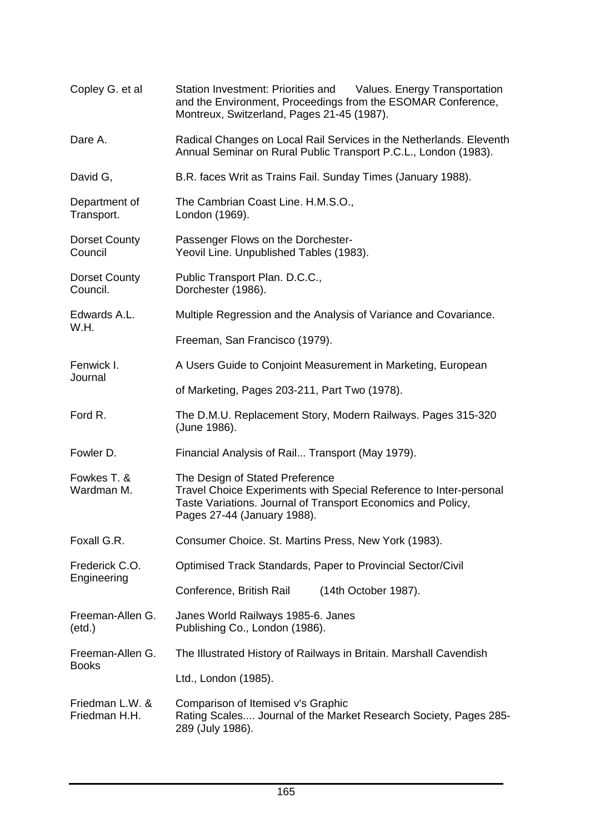| Copley G. et al                     | Station Investment: Priorities and Values. Energy Transportation<br>and the Environment, Proceedings from the ESOMAR Conference,<br>Montreux, Switzerland, Pages 21-45 (1987).                       |
|-------------------------------------|------------------------------------------------------------------------------------------------------------------------------------------------------------------------------------------------------|
| Dare A.                             | Radical Changes on Local Rail Services in the Netherlands. Eleventh<br>Annual Seminar on Rural Public Transport P.C.L., London (1983).                                                               |
| David G,                            | B.R. faces Writ as Trains Fail. Sunday Times (January 1988).                                                                                                                                         |
| Department of<br>Transport.         | The Cambrian Coast Line. H.M.S.O.,<br>London (1969).                                                                                                                                                 |
| Dorset County<br>Council            | Passenger Flows on the Dorchester-<br>Yeovil Line. Unpublished Tables (1983).                                                                                                                        |
| <b>Dorset County</b><br>Council.    | Public Transport Plan. D.C.C.,<br>Dorchester (1986).                                                                                                                                                 |
| Edwards A.L.<br>W.H.                | Multiple Regression and the Analysis of Variance and Covariance.                                                                                                                                     |
|                                     | Freeman, San Francisco (1979).                                                                                                                                                                       |
| Fenwick I.                          | A Users Guide to Conjoint Measurement in Marketing, European                                                                                                                                         |
| Journal                             | of Marketing, Pages 203-211, Part Two (1978).                                                                                                                                                        |
| Ford R.                             | The D.M.U. Replacement Story, Modern Railways. Pages 315-320<br>(June 1986).                                                                                                                         |
| Fowler D.                           | Financial Analysis of Rail Transport (May 1979).                                                                                                                                                     |
| Fowkes T. &<br>Wardman M.           | The Design of Stated Preference<br>Travel Choice Experiments with Special Reference to Inter-personal<br>Taste Variations. Journal of Transport Economics and Policy,<br>Pages 27-44 (January 1988). |
| Foxall G.R.                         | Consumer Choice. St. Martins Press, New York (1983).                                                                                                                                                 |
| Frederick C.O.                      | Optimised Track Standards, Paper to Provincial Sector/Civil                                                                                                                                          |
| Engineering                         | Conference, British Rail<br>(14th October 1987).                                                                                                                                                     |
| Freeman-Allen G.<br>$(\text{etd.})$ | Janes World Railways 1985-6. Janes<br>Publishing Co., London (1986).                                                                                                                                 |
| Freeman-Allen G.<br><b>Books</b>    | The Illustrated History of Railways in Britain. Marshall Cavendish                                                                                                                                   |
|                                     | Ltd., London (1985).                                                                                                                                                                                 |
| Friedman L.W. &<br>Friedman H.H.    | Comparison of Itemised v's Graphic<br>Rating Scales Journal of the Market Research Society, Pages 285-<br>289 (July 1986).                                                                           |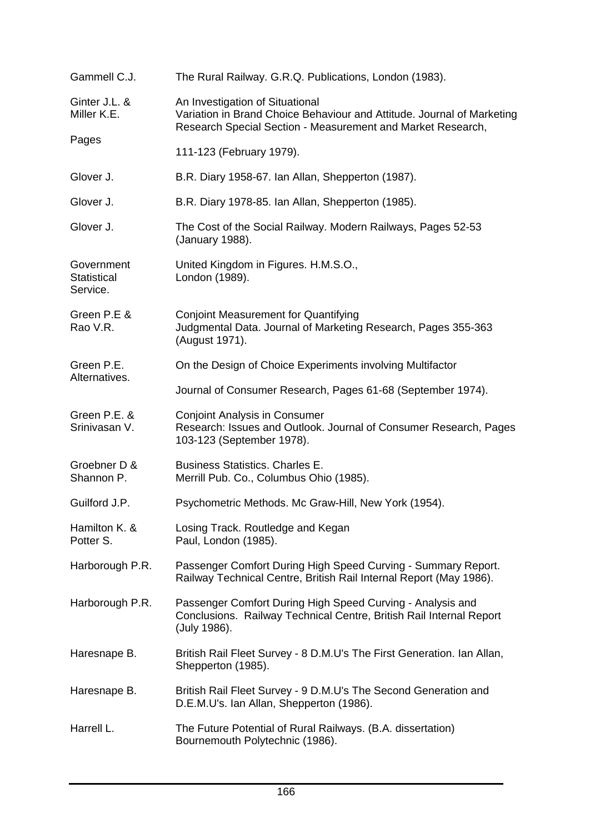| Gammell C.J.                                 | The Rural Railway. G.R.Q. Publications, London (1983).                                                                                                                   |
|----------------------------------------------|--------------------------------------------------------------------------------------------------------------------------------------------------------------------------|
| Ginter J.L. &<br>Miller K.E.                 | An Investigation of Situational<br>Variation in Brand Choice Behaviour and Attitude. Journal of Marketing<br>Research Special Section - Measurement and Market Research, |
| Pages                                        | 111-123 (February 1979).                                                                                                                                                 |
| Glover J.                                    | B.R. Diary 1958-67. Ian Allan, Shepperton (1987).                                                                                                                        |
| Glover J.                                    | B.R. Diary 1978-85. Ian Allan, Shepperton (1985).                                                                                                                        |
| Glover J.                                    | The Cost of the Social Railway. Modern Railways, Pages 52-53<br>(January 1988).                                                                                          |
| Government<br><b>Statistical</b><br>Service. | United Kingdom in Figures. H.M.S.O.,<br>London (1989).                                                                                                                   |
| Green P.E &<br>Rao V.R.                      | <b>Conjoint Measurement for Quantifying</b><br>Judgmental Data. Journal of Marketing Research, Pages 355-363<br>(August 1971).                                           |
| Green P.E.                                   | On the Design of Choice Experiments involving Multifactor                                                                                                                |
| Alternatives.                                | Journal of Consumer Research, Pages 61-68 (September 1974).                                                                                                              |
| Green P.E. &<br>Srinivasan V.                | <b>Conjoint Analysis in Consumer</b><br>Research: Issues and Outlook. Journal of Consumer Research, Pages<br>103-123 (September 1978).                                   |
| Groebner D &<br>Shannon P.                   | <b>Business Statistics. Charles E.</b><br>Merrill Pub. Co., Columbus Ohio (1985).                                                                                        |
| Guilford J.P.                                | Psychometric Methods. Mc Graw-Hill, New York (1954).                                                                                                                     |
| Hamilton K. &<br>Potter S.                   | Losing Track. Routledge and Kegan<br>Paul, London (1985).                                                                                                                |
| Harborough P.R.                              | Passenger Comfort During High Speed Curving - Summary Report.<br>Railway Technical Centre, British Rail Internal Report (May 1986).                                      |
| Harborough P.R.                              | Passenger Comfort During High Speed Curving - Analysis and<br>Conclusions. Railway Technical Centre, British Rail Internal Report<br>(July 1986).                        |
| Haresnape B.                                 | British Rail Fleet Survey - 8 D.M.U's The First Generation. Ian Allan,<br>Shepperton (1985).                                                                             |
| Haresnape B.                                 | British Rail Fleet Survey - 9 D.M.U's The Second Generation and<br>D.E.M.U's. Ian Allan, Shepperton (1986).                                                              |
| Harrell L.                                   | The Future Potential of Rural Railways. (B.A. dissertation)<br>Bournemouth Polytechnic (1986).                                                                           |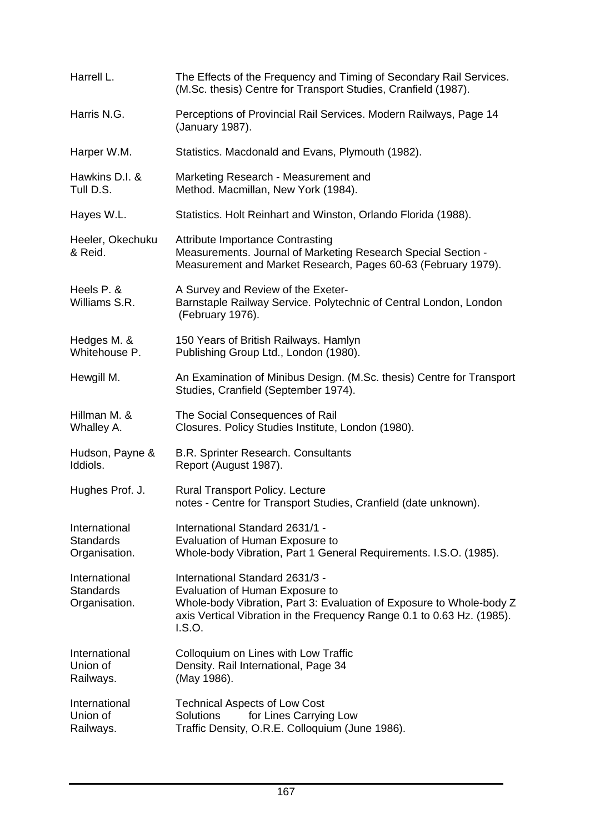| Harrell L.                                         | The Effects of the Frequency and Timing of Secondary Rail Services.<br>(M.Sc. thesis) Centre for Transport Studies, Cranfield (1987).                                                                                         |
|----------------------------------------------------|-------------------------------------------------------------------------------------------------------------------------------------------------------------------------------------------------------------------------------|
| Harris N.G.                                        | Perceptions of Provincial Rail Services. Modern Railways, Page 14<br>(January 1987).                                                                                                                                          |
| Harper W.M.                                        | Statistics. Macdonald and Evans, Plymouth (1982).                                                                                                                                                                             |
| Hawkins D.I. &<br>Tull D.S.                        | Marketing Research - Measurement and<br>Method. Macmillan, New York (1984).                                                                                                                                                   |
| Hayes W.L.                                         | Statistics. Holt Reinhart and Winston, Orlando Florida (1988).                                                                                                                                                                |
| Heeler, Okechuku<br>& Reid.                        | <b>Attribute Importance Contrasting</b><br>Measurements. Journal of Marketing Research Special Section -<br>Measurement and Market Research, Pages 60-63 (February 1979).                                                     |
| Heels P. &<br>Williams S.R.                        | A Survey and Review of the Exeter-<br>Barnstaple Railway Service. Polytechnic of Central London, London<br>(February 1976).                                                                                                   |
| Hedges M. &<br>Whitehouse P.                       | 150 Years of British Railways. Hamlyn<br>Publishing Group Ltd., London (1980).                                                                                                                                                |
| Hewgill M.                                         | An Examination of Minibus Design. (M.Sc. thesis) Centre for Transport<br>Studies, Cranfield (September 1974).                                                                                                                 |
| Hillman M. &<br>Whalley A.                         | The Social Consequences of Rail<br>Closures. Policy Studies Institute, London (1980).                                                                                                                                         |
| Hudson, Payne &<br>Iddiols.                        | B.R. Sprinter Research. Consultants<br>Report (August 1987).                                                                                                                                                                  |
| Hughes Prof. J.                                    | <b>Rural Transport Policy. Lecture</b><br>notes - Centre for Transport Studies, Cranfield (date unknown).                                                                                                                     |
| International<br><b>Standards</b><br>Organisation. | International Standard 2631/1 -<br>Evaluation of Human Exposure to<br>Whole-body Vibration, Part 1 General Requirements. I.S.O. (1985).                                                                                       |
| International<br><b>Standards</b><br>Organisation. | International Standard 2631/3 -<br>Evaluation of Human Exposure to<br>Whole-body Vibration, Part 3: Evaluation of Exposure to Whole-body Z<br>axis Vertical Vibration in the Frequency Range 0.1 to 0.63 Hz. (1985).<br>LS.O. |
| International<br>Union of<br>Railways.             | Colloquium on Lines with Low Traffic<br>Density. Rail International, Page 34                                                                                                                                                  |
|                                                    | (May 1986).                                                                                                                                                                                                                   |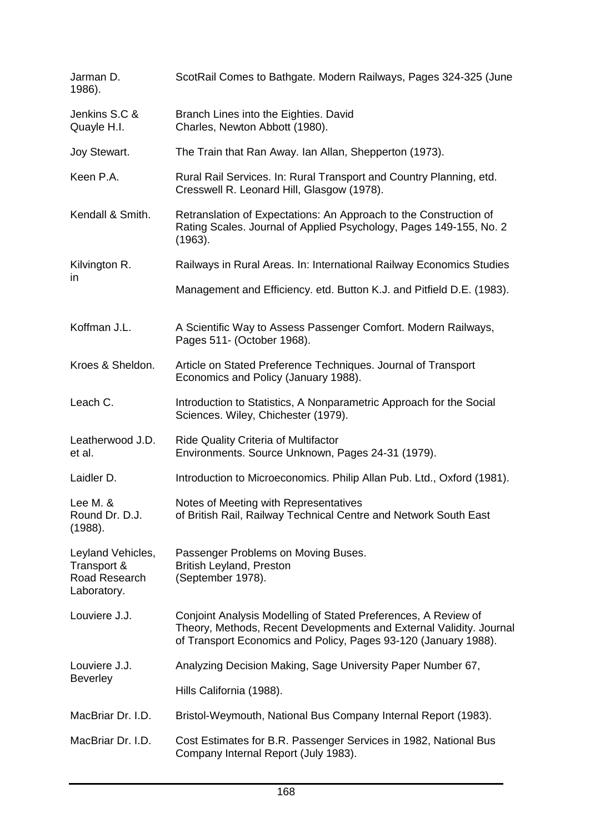| Jarman D.<br>1986).                                              | ScotRail Comes to Bathgate. Modern Railways, Pages 324-325 (June                                                                                                                                         |
|------------------------------------------------------------------|----------------------------------------------------------------------------------------------------------------------------------------------------------------------------------------------------------|
| Jenkins S.C &<br>Quayle H.I.                                     | Branch Lines into the Eighties. David<br>Charles, Newton Abbott (1980).                                                                                                                                  |
| Joy Stewart.                                                     | The Train that Ran Away. Ian Allan, Shepperton (1973).                                                                                                                                                   |
| Keen P.A.                                                        | Rural Rail Services. In: Rural Transport and Country Planning, etd.<br>Cresswell R. Leonard Hill, Glasgow (1978).                                                                                        |
| Kendall & Smith.                                                 | Retranslation of Expectations: An Approach to the Construction of<br>Rating Scales. Journal of Applied Psychology, Pages 149-155, No. 2<br>(1963).                                                       |
| Kilvington R.<br>$\mathsf{I}$                                    | Railways in Rural Areas. In: International Railway Economics Studies                                                                                                                                     |
|                                                                  | Management and Efficiency. etd. Button K.J. and Pitfield D.E. (1983).                                                                                                                                    |
| Koffman J.L.                                                     | A Scientific Way to Assess Passenger Comfort. Modern Railways,<br>Pages 511- (October 1968).                                                                                                             |
| Kroes & Sheldon.                                                 | Article on Stated Preference Techniques. Journal of Transport<br>Economics and Policy (January 1988).                                                                                                    |
| Leach C.                                                         | Introduction to Statistics, A Nonparametric Approach for the Social<br>Sciences. Wiley, Chichester (1979).                                                                                               |
| Leatherwood J.D.<br>et al.                                       | <b>Ride Quality Criteria of Multifactor</b><br>Environments. Source Unknown, Pages 24-31 (1979).                                                                                                         |
| Laidler D.                                                       | Introduction to Microeconomics. Philip Allan Pub. Ltd., Oxford (1981).                                                                                                                                   |
| Lee M. &<br>Round Dr. D.J.<br>(1988).                            | Notes of Meeting with Representatives<br>of British Rail, Railway Technical Centre and Network South East                                                                                                |
| Leyland Vehicles,<br>Transport &<br>Road Research<br>Laboratory. | Passenger Problems on Moving Buses.<br><b>British Leyland, Preston</b><br>(September 1978).                                                                                                              |
| Louviere J.J.                                                    | Conjoint Analysis Modelling of Stated Preferences, A Review of<br>Theory, Methods, Recent Developments and External Validity. Journal<br>of Transport Economics and Policy, Pages 93-120 (January 1988). |
| Louviere J.J.<br>Beverley                                        | Analyzing Decision Making, Sage University Paper Number 67,                                                                                                                                              |
|                                                                  | Hills California (1988).                                                                                                                                                                                 |
| MacBriar Dr. I.D.                                                | Bristol-Weymouth, National Bus Company Internal Report (1983).                                                                                                                                           |
| MacBriar Dr. I.D.                                                | Cost Estimates for B.R. Passenger Services in 1982, National Bus<br>Company Internal Report (July 1983).                                                                                                 |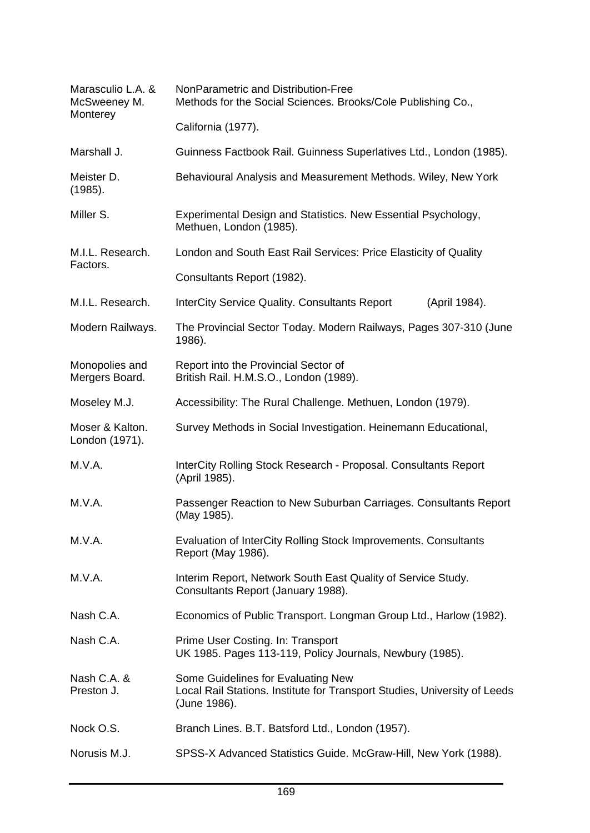| Marasculio L.A. &<br>McSweeney M.<br>Monterey | NonParametric and Distribution-Free<br>Methods for the Social Sciences. Brooks/Cole Publishing Co.,                             |
|-----------------------------------------------|---------------------------------------------------------------------------------------------------------------------------------|
|                                               | California (1977).                                                                                                              |
| Marshall J.                                   | Guinness Factbook Rail. Guinness Superlatives Ltd., London (1985).                                                              |
| Meister D.<br>(1985).                         | Behavioural Analysis and Measurement Methods. Wiley, New York                                                                   |
| Miller S.                                     | Experimental Design and Statistics. New Essential Psychology,<br>Methuen, London (1985).                                        |
| M.I.L. Research.<br>Factors.                  | London and South East Rail Services: Price Elasticity of Quality                                                                |
|                                               | Consultants Report (1982).                                                                                                      |
| M.I.L. Research.                              | <b>InterCity Service Quality. Consultants Report</b><br>(April 1984).                                                           |
| Modern Railways.                              | The Provincial Sector Today. Modern Railways, Pages 307-310 (June<br>1986).                                                     |
| Monopolies and<br>Mergers Board.              | Report into the Provincial Sector of<br>British Rail. H.M.S.O., London (1989).                                                  |
| Moseley M.J.                                  | Accessibility: The Rural Challenge. Methuen, London (1979).                                                                     |
| Moser & Kalton.<br>London (1971).             | Survey Methods in Social Investigation. Heinemann Educational,                                                                  |
| M.V.A.                                        | InterCity Rolling Stock Research - Proposal. Consultants Report<br>(April 1985).                                                |
| M.V.A.                                        | Passenger Reaction to New Suburban Carriages. Consultants Report<br>(May 1985).                                                 |
| M.V.A.                                        | Evaluation of InterCity Rolling Stock Improvements. Consultants<br>Report (May 1986).                                           |
| M.V.A.                                        | Interim Report, Network South East Quality of Service Study.<br>Consultants Report (January 1988).                              |
| Nash C.A.                                     | Economics of Public Transport. Longman Group Ltd., Harlow (1982).                                                               |
| Nash C.A.                                     | Prime User Costing. In: Transport<br>UK 1985. Pages 113-119, Policy Journals, Newbury (1985).                                   |
| Nash C.A. &<br>Preston J.                     | Some Guidelines for Evaluating New<br>Local Rail Stations. Institute for Transport Studies, University of Leeds<br>(June 1986). |
| Nock O.S.                                     | Branch Lines. B.T. Batsford Ltd., London (1957).                                                                                |
| Norusis M.J.                                  | SPSS-X Advanced Statistics Guide. McGraw-Hill, New York (1988).                                                                 |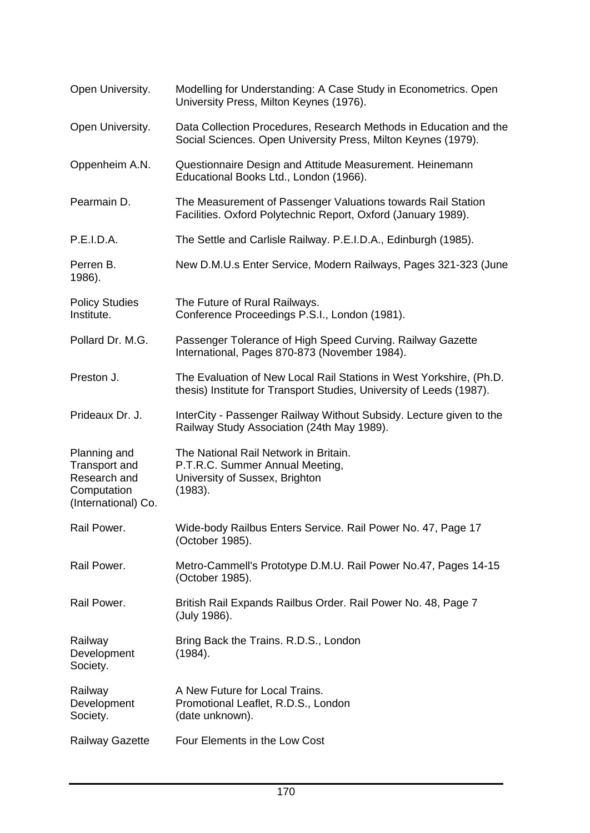| Open University.                                                                           | Modelling for Understanding: A Case Study in Econometrics. Open<br>University Press, Milton Keynes (1976).                                  |
|--------------------------------------------------------------------------------------------|---------------------------------------------------------------------------------------------------------------------------------------------|
| Open University.                                                                           | Data Collection Procedures, Research Methods in Education and the<br>Social Sciences. Open University Press, Milton Keynes (1979).          |
| Oppenheim A.N.                                                                             | Questionnaire Design and Attitude Measurement. Heinemann<br>Educational Books Ltd., London (1966).                                          |
| Pearmain D.                                                                                | The Measurement of Passenger Valuations towards Rail Station<br>Facilities. Oxford Polytechnic Report, Oxford (January 1989).               |
| P.E.I.D.A.                                                                                 | The Settle and Carlisle Railway. P.E.I.D.A., Edinburgh (1985).                                                                              |
| Perren B.<br>1986).                                                                        | New D.M.U.s Enter Service, Modern Railways, Pages 321-323 (June                                                                             |
| <b>Policy Studies</b><br>Institute.                                                        | The Future of Rural Railways.<br>Conference Proceedings P.S.I., London (1981).                                                              |
| Pollard Dr. M.G.                                                                           | Passenger Tolerance of High Speed Curving. Railway Gazette<br>International, Pages 870-873 (November 1984).                                 |
| Preston J.                                                                                 | The Evaluation of New Local Rail Stations in West Yorkshire, (Ph.D.<br>thesis) Institute for Transport Studies, University of Leeds (1987). |
| Prideaux Dr. J.                                                                            | InterCity - Passenger Railway Without Subsidy. Lecture given to the<br>Railway Study Association (24th May 1989).                           |
| Planning and<br><b>Transport and</b><br>Research and<br>Computation<br>(International) Co. | The National Rail Network in Britain.<br>P.T.R.C. Summer Annual Meeting,<br>University of Sussex, Brighton<br>(1983).                       |
| Rail Power.                                                                                | Wide-body Railbus Enters Service. Rail Power No. 47, Page 17<br>(October 1985).                                                             |
| Rail Power.                                                                                | Metro-Cammell's Prototype D.M.U. Rail Power No.47, Pages 14-15<br>(October 1985).                                                           |
| Rail Power.                                                                                | British Rail Expands Railbus Order. Rail Power No. 48, Page 7<br>(July 1986).                                                               |
| Railway<br>Development<br>Society.                                                         | Bring Back the Trains. R.D.S., London<br>(1984).                                                                                            |
| Railway<br>Development<br>Society.                                                         | A New Future for Local Trains.<br>Promotional Leaflet, R.D.S., London<br>(date unknown).                                                    |
| <b>Railway Gazette</b>                                                                     | Four Elements in the Low Cost                                                                                                               |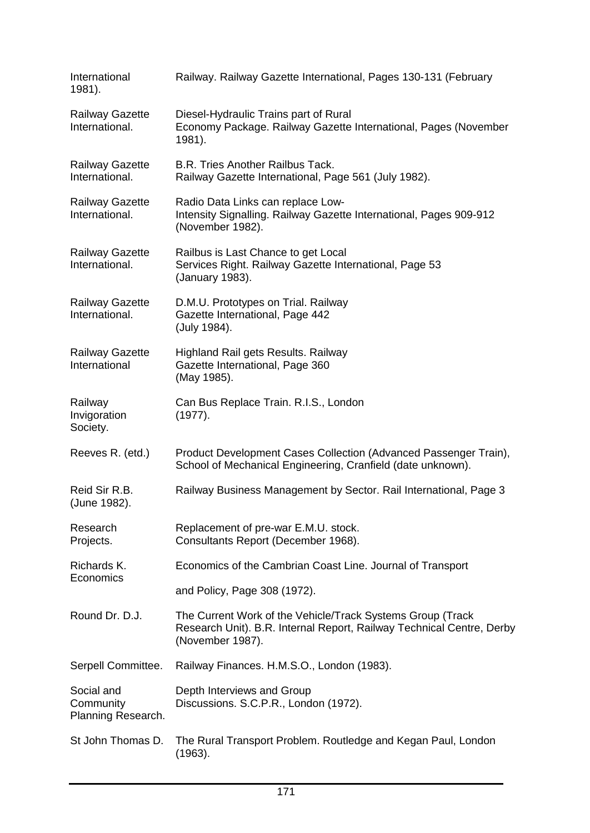| International<br>1981).                       | Railway. Railway Gazette International, Pages 130-131 (February                                                                                         |
|-----------------------------------------------|---------------------------------------------------------------------------------------------------------------------------------------------------------|
| <b>Railway Gazette</b><br>International.      | Diesel-Hydraulic Trains part of Rural<br>Economy Package. Railway Gazette International, Pages (November<br>1981).                                      |
| <b>Railway Gazette</b><br>International.      | <b>B.R. Tries Another Railbus Tack.</b><br>Railway Gazette International, Page 561 (July 1982).                                                         |
| <b>Railway Gazette</b><br>International.      | Radio Data Links can replace Low-<br>Intensity Signalling. Railway Gazette International, Pages 909-912<br>(November 1982).                             |
| <b>Railway Gazette</b><br>International.      | Railbus is Last Chance to get Local<br>Services Right. Railway Gazette International, Page 53<br>(January 1983).                                        |
| <b>Railway Gazette</b><br>International.      | D.M.U. Prototypes on Trial. Railway<br>Gazette International, Page 442<br>(July 1984).                                                                  |
| <b>Railway Gazette</b><br>International       | Highland Rail gets Results. Railway<br>Gazette International, Page 360<br>(May 1985).                                                                   |
| Railway<br>Invigoration<br>Society.           | Can Bus Replace Train. R.I.S., London<br>(1977).                                                                                                        |
| Reeves R. (etd.)                              | Product Development Cases Collection (Advanced Passenger Train),<br>School of Mechanical Engineering, Cranfield (date unknown).                         |
| Reid Sir R.B.<br>(June 1982).                 | Railway Business Management by Sector. Rail International, Page 3                                                                                       |
| Research<br>Projects.                         | Replacement of pre-war E.M.U. stock.<br>Consultants Report (December 1968).                                                                             |
| Richards K.<br>Economics                      | Economics of the Cambrian Coast Line. Journal of Transport                                                                                              |
|                                               | and Policy, Page 308 (1972).                                                                                                                            |
| Round Dr. D.J.                                | The Current Work of the Vehicle/Track Systems Group (Track<br>Research Unit). B.R. Internal Report, Railway Technical Centre, Derby<br>(November 1987). |
| Serpell Committee.                            | Railway Finances. H.M.S.O., London (1983).                                                                                                              |
| Social and<br>Community<br>Planning Research. | Depth Interviews and Group<br>Discussions. S.C.P.R., London (1972).                                                                                     |
| St John Thomas D.                             | The Rural Transport Problem. Routledge and Kegan Paul, London<br>(1963).                                                                                |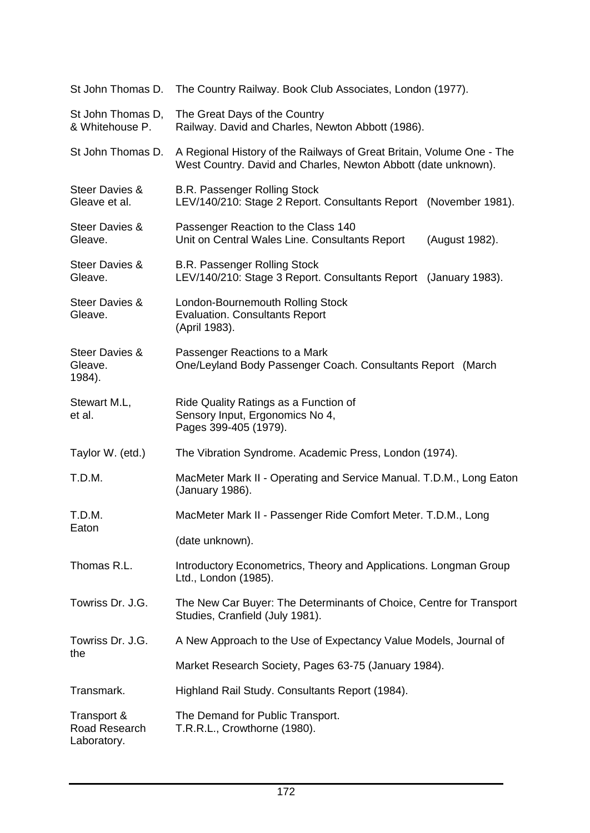| St John Thomas D.                              | The Country Railway. Book Club Associates, London (1977).                                                                               |  |  |  |
|------------------------------------------------|-----------------------------------------------------------------------------------------------------------------------------------------|--|--|--|
| St John Thomas D,<br>& Whitehouse P.           | The Great Days of the Country<br>Railway. David and Charles, Newton Abbott (1986).                                                      |  |  |  |
| St John Thomas D.                              | A Regional History of the Railways of Great Britain, Volume One - The<br>West Country. David and Charles, Newton Abbott (date unknown). |  |  |  |
| <b>Steer Davies &amp;</b><br>Gleave et al.     | <b>B.R. Passenger Rolling Stock</b><br>LEV/140/210: Stage 2 Report. Consultants Report (November 1981).                                 |  |  |  |
| <b>Steer Davies &amp;</b><br>Gleave.           | Passenger Reaction to the Class 140<br>Unit on Central Wales Line. Consultants Report<br>(August 1982).                                 |  |  |  |
| <b>Steer Davies &amp;</b><br>Gleave.           | <b>B.R. Passenger Rolling Stock</b><br>LEV/140/210: Stage 3 Report. Consultants Report (January 1983).                                  |  |  |  |
| <b>Steer Davies &amp;</b><br>Gleave.           | London-Bournemouth Rolling Stock<br><b>Evaluation. Consultants Report</b><br>(April 1983).                                              |  |  |  |
| <b>Steer Davies &amp;</b><br>Gleave.<br>1984). | Passenger Reactions to a Mark<br>One/Leyland Body Passenger Coach. Consultants Report (March                                            |  |  |  |
| Stewart M.L,<br>et al.                         | Ride Quality Ratings as a Function of<br>Sensory Input, Ergonomics No 4,<br>Pages 399-405 (1979).                                       |  |  |  |
| Taylor W. (etd.)                               | The Vibration Syndrome. Academic Press, London (1974).                                                                                  |  |  |  |
| T.D.M.                                         | MacMeter Mark II - Operating and Service Manual. T.D.M., Long Eaton<br>(January 1986).                                                  |  |  |  |
| T.D.M.<br>Eaton                                | MacMeter Mark II - Passenger Ride Comfort Meter. T.D.M., Long                                                                           |  |  |  |
|                                                | (date unknown).                                                                                                                         |  |  |  |
| Thomas R.L.                                    | Introductory Econometrics, Theory and Applications. Longman Group<br>Ltd., London (1985).                                               |  |  |  |
| Towriss Dr. J.G.                               | The New Car Buyer: The Determinants of Choice, Centre for Transport<br>Studies, Cranfield (July 1981).                                  |  |  |  |
| Towriss Dr. J.G.<br>the                        | A New Approach to the Use of Expectancy Value Models, Journal of                                                                        |  |  |  |
|                                                | Market Research Society, Pages 63-75 (January 1984).                                                                                    |  |  |  |
| Transmark.                                     | Highland Rail Study. Consultants Report (1984).                                                                                         |  |  |  |
| Transport &<br>Road Research<br>Laboratory.    | The Demand for Public Transport.<br>T.R.R.L., Crowthorne (1980).                                                                        |  |  |  |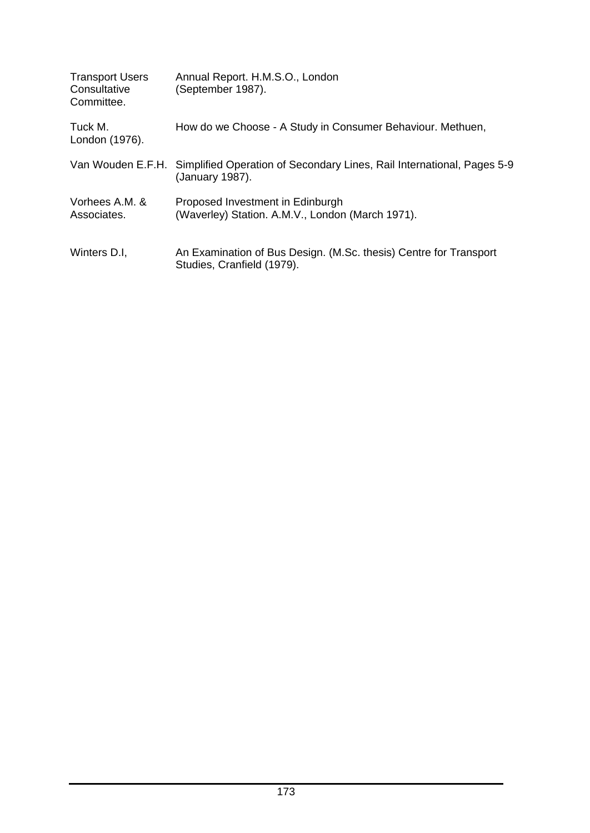| <b>Transport Users</b><br>Consultative<br>Committee. | Annual Report. H.M.S.O., London<br>(September 1987).                                                        |
|------------------------------------------------------|-------------------------------------------------------------------------------------------------------------|
| Tuck M.<br>London (1976).                            | How do we Choose - A Study in Consumer Behaviour. Methuen,                                                  |
|                                                      | Van Wouden E.F.H. Simplified Operation of Secondary Lines, Rail International, Pages 5-9<br>(January 1987). |
| Vorhees A.M. &<br>Associates.                        | Proposed Investment in Edinburgh<br>(Waverley) Station. A.M.V., London (March 1971).                        |
| Winters D.I.                                         | An Examination of Bus Design. (M.Sc. thesis) Centre for Transport<br>Studies, Cranfield (1979).             |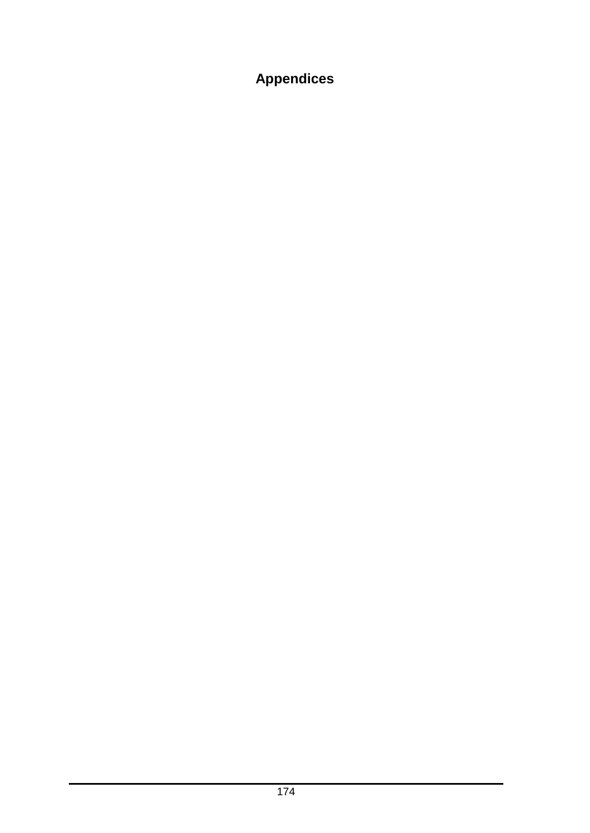## **Appendices**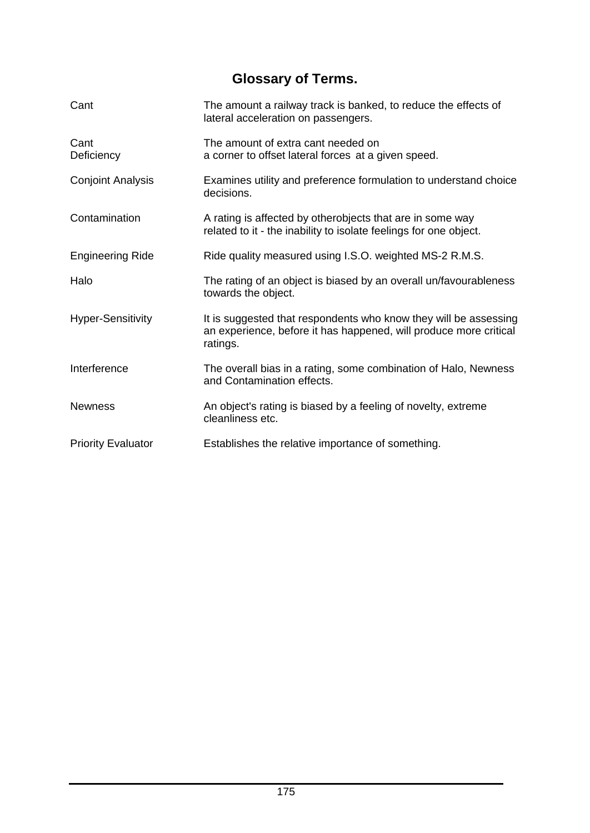## **Glossary of Terms.**

| Cant                      | The amount a railway track is banked, to reduce the effects of<br>lateral acceleration on passengers.                                             |
|---------------------------|---------------------------------------------------------------------------------------------------------------------------------------------------|
| Cant<br>Deficiency        | The amount of extra cant needed on<br>a corner to offset lateral forces at a given speed.                                                         |
| <b>Conjoint Analysis</b>  | Examines utility and preference formulation to understand choice<br>decisions.                                                                    |
| Contamination             | A rating is affected by otherobjects that are in some way<br>related to it - the inability to isolate feelings for one object.                    |
| <b>Engineering Ride</b>   | Ride quality measured using I.S.O. weighted MS-2 R.M.S.                                                                                           |
| Halo                      | The rating of an object is biased by an overall un/favourableness<br>towards the object.                                                          |
| <b>Hyper-Sensitivity</b>  | It is suggested that respondents who know they will be assessing<br>an experience, before it has happened, will produce more critical<br>ratings. |
| Interference              | The overall bias in a rating, some combination of Halo, Newness<br>and Contamination effects.                                                     |
| <b>Newness</b>            | An object's rating is biased by a feeling of novelty, extreme<br>cleanliness etc.                                                                 |
| <b>Priority Evaluator</b> | Establishes the relative importance of something.                                                                                                 |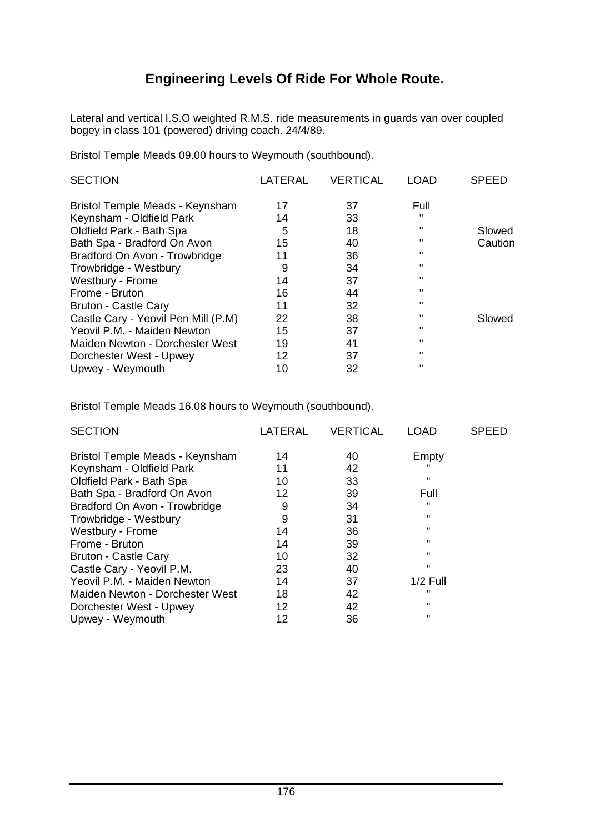## **Engineering Levels Of Ride For Whole Route.**

Lateral and vertical I.S.O weighted R.M.S. ride measurements in guards van over coupled bogey in class 101 (powered) driving coach. 24/4/89.

Bristol Temple Meads 09.00 hours to Weymouth (southbound).

| LATERAL | <b>VERTICAL</b> | LOAD         | <b>SPEED</b> |
|---------|-----------------|--------------|--------------|
| 17      | 37              | Full         |              |
| 14      | 33              | п            |              |
| 5       | 18              | п.           | Slowed       |
| 15      | 40              |              | Caution      |
| 11      | 36              |              |              |
| 9       | 34              |              |              |
| 14      | 37              |              |              |
| 16      | 44              |              |              |
| 11      | 32              |              |              |
| 22      | 38              |              | Slowed       |
| 15      | 37              | п.           |              |
| 19      | 41              | $\mathbf{H}$ |              |
| 12      | 37              | $\mathbf{H}$ |              |
| 10      | 32              | "            |              |
|         |                 |              |              |

Bristol Temple Meads 16.08 hours to Weymouth (southbound).

| <b>SECTION</b>                  | LATERAL | <b>VERTICAL</b> | <b>LOAD</b> | <b>SPEED</b> |
|---------------------------------|---------|-----------------|-------------|--------------|
| Bristol Temple Meads - Keynsham | 14      | 40              | Empty       |              |
| Keynsham - Oldfield Park        | 11      | 42              |             |              |
| Oldfield Park - Bath Spa        | 10      | 33              |             |              |
| Bath Spa - Bradford On Avon     | 12      | 39              | Full        |              |
| Bradford On Avon - Trowbridge   | 9       | 34              |             |              |
| Trowbridge - Westbury           | 9       | 31              |             |              |
| Westbury - Frome                | 14      | 36              |             |              |
| Frome - Bruton                  | 14      | 39              |             |              |
| <b>Bruton - Castle Cary</b>     | 10      | 32              |             |              |
| Castle Cary - Yeovil P.M.       | 23      | 40              | "           |              |
| Yeovil P.M. - Maiden Newton     | 14      | 37              | $1/2$ Full  |              |
| Maiden Newton - Dorchester West | 18      | 42              |             |              |
| Dorchester West - Upwey         | 12      | 42              |             |              |
| Upwey - Weymouth                | 12      | 36              |             |              |